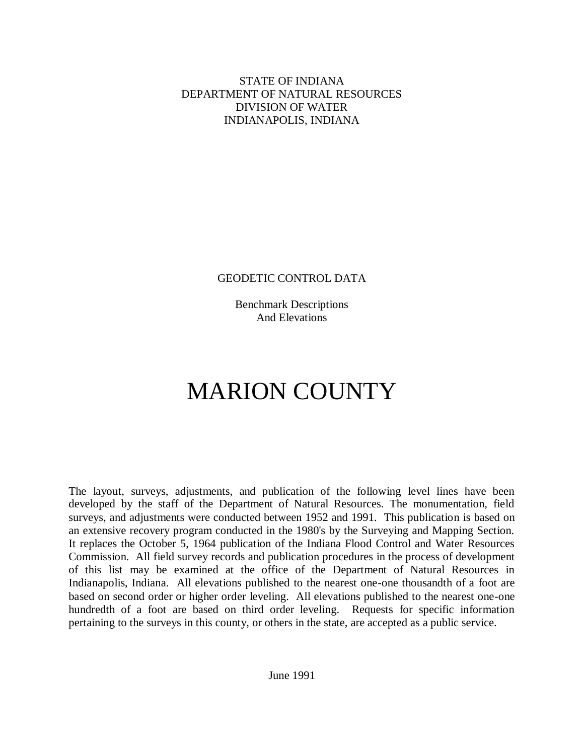# STATE OF INDIANA DEPARTMENT OF NATURAL RESOURCES DIVISION OF WATER INDIANAPOLIS, INDIANA

# GEODETIC CONTROL DATA

Benchmark Descriptions And Elevations

# MARION COUNTY

The layout, surveys, adjustments, and publication of the following level lines have been developed by the staff of the Department of Natural Resources. The monumentation, field surveys, and adjustments were conducted between 1952 and 1991. This publication is based on an extensive recovery program conducted in the 1980's by the Surveying and Mapping Section. It replaces the October 5, 1964 publication of the Indiana Flood Control and Water Resources Commission. All field survey records and publication procedures in the process of development of this list may be examined at the office of the Department of Natural Resources in Indianapolis, Indiana. All elevations published to the nearest one-one thousandth of a foot are based on second order or higher order leveling. All elevations published to the nearest one-one hundredth of a foot are based on third order leveling. Requests for specific information pertaining to the surveys in this county, or others in the state, are accepted as a public service.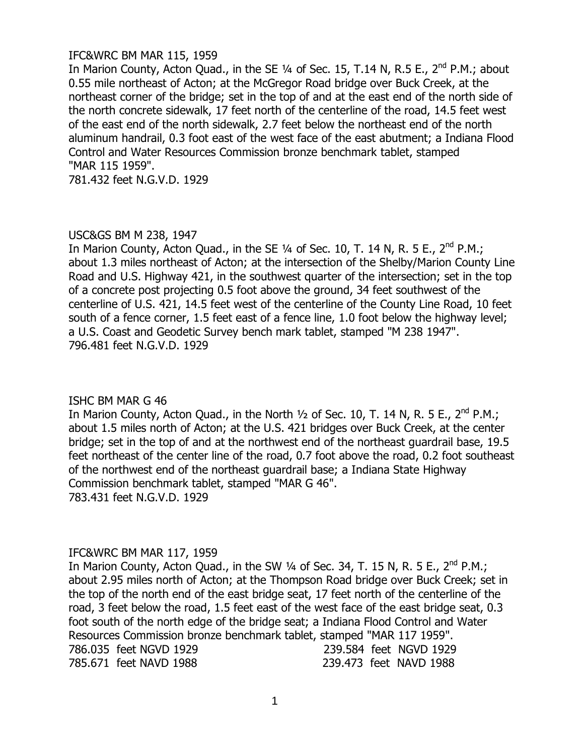## IFC&WRC BM MAR 115, 1959

In Marion County, Acton Quad., in the SE 1/4 of Sec. 15, T.14 N, R.5 E., 2<sup>nd</sup> P.M.; about 0.55 mile northeast of Acton; at the McGregor Road bridge over Buck Creek, at the northeast corner of the bridge; set in the top of and at the east end of the north side of the north concrete sidewalk, 17 feet north of the centerline of the road, 14.5 feet west of the east end of the north sidewalk, 2.7 feet below the northeast end of the north aluminum handrail, 0.3 foot east of the west face of the east abutment; a Indiana Flood Control and Water Resources Commission bronze benchmark tablet, stamped "MAR 115 1959".

781.432 feet N.G.V.D. 1929

# USC&GS BM M 238, 1947

In Marion County, Acton Quad., in the SE 1/4 of Sec. 10, T. 14 N, R. 5 E., 2<sup>nd</sup> P.M.; about 1.3 miles northeast of Acton; at the intersection of the Shelby/Marion County Line Road and U.S. Highway 421, in the southwest quarter of the intersection; set in the top of a concrete post projecting 0.5 foot above the ground, 34 feet southwest of the centerline of U.S. 421, 14.5 feet west of the centerline of the County Line Road, 10 feet south of a fence corner, 1.5 feet east of a fence line, 1.0 foot below the highway level; a U.S. Coast and Geodetic Survey bench mark tablet, stamped "M 238 1947". 796.481 feet N.G.V.D. 1929

# ISHC BM MAR G 46

In Marion County, Acton Quad., in the North  $1/2$  of Sec. 10, T. 14 N, R. 5 E.,  $2^{nd}$  P.M.; about 1.5 miles north of Acton; at the U.S. 421 bridges over Buck Creek, at the center bridge; set in the top of and at the northwest end of the northeast guardrail base, 19.5 feet northeast of the center line of the road, 0.7 foot above the road, 0.2 foot southeast of the northwest end of the northeast guardrail base; a Indiana State Highway Commission benchmark tablet, stamped "MAR G 46". 783.431 feet N.G.V.D. 1929

# IFC&WRC BM MAR 117, 1959

In Marion County, Acton Quad., in the SW  $\frac{1}{4}$  of Sec. 34, T. 15 N, R. 5 E., 2<sup>nd</sup> P.M.; about 2.95 miles north of Acton; at the Thompson Road bridge over Buck Creek; set in the top of the north end of the east bridge seat, 17 feet north of the centerline of the road, 3 feet below the road, 1.5 feet east of the west face of the east bridge seat, 0.3 foot south of the north edge of the bridge seat; a Indiana Flood Control and Water Resources Commission bronze benchmark tablet, stamped "MAR 117 1959". 786.035 feet NGVD 1929 239.584 feet NGVD 1929 785.671 feet NAVD 1988 239.473 feet NAVD 1988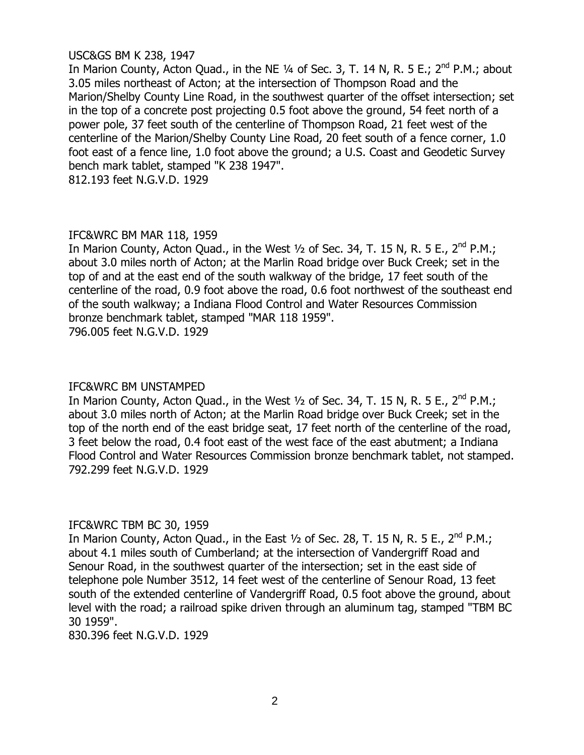# USC&GS BM K 238, 1947

In Marion County, Acton Quad., in the NE  $\frac{1}{4}$  of Sec. 3, T. 14 N, R. 5 E.; 2<sup>nd</sup> P.M.; about 3.05 miles northeast of Acton; at the intersection of Thompson Road and the Marion/Shelby County Line Road, in the southwest quarter of the offset intersection; set in the top of a concrete post projecting 0.5 foot above the ground, 54 feet north of a power pole, 37 feet south of the centerline of Thompson Road, 21 feet west of the centerline of the Marion/Shelby County Line Road, 20 feet south of a fence corner, 1.0 foot east of a fence line, 1.0 foot above the ground; a U.S. Coast and Geodetic Survey bench mark tablet, stamped "K 238 1947".

812.193 feet N.G.V.D. 1929

# IFC&WRC BM MAR 118, 1959

In Marion County, Acton Quad., in the West  $\frac{1}{2}$  of Sec. 34, T. 15 N, R. 5 E., 2<sup>nd</sup> P.M.; about 3.0 miles north of Acton; at the Marlin Road bridge over Buck Creek; set in the top of and at the east end of the south walkway of the bridge, 17 feet south of the centerline of the road, 0.9 foot above the road, 0.6 foot northwest of the southeast end of the south walkway; a Indiana Flood Control and Water Resources Commission bronze benchmark tablet, stamped "MAR 118 1959". 796.005 feet N.G.V.D. 1929

# IFC&WRC BM UNSTAMPED

In Marion County, Acton Quad., in the West  $\frac{1}{2}$  of Sec. 34, T. 15 N, R. 5 E., 2<sup>nd</sup> P.M.; about 3.0 miles north of Acton; at the Marlin Road bridge over Buck Creek; set in the top of the north end of the east bridge seat, 17 feet north of the centerline of the road, 3 feet below the road, 0.4 foot east of the west face of the east abutment; a Indiana Flood Control and Water Resources Commission bronze benchmark tablet, not stamped. 792.299 feet N.G.V.D. 1929

# IFC&WRC TBM BC 30, 1959

In Marion County, Acton Quad., in the East  $\frac{1}{2}$  of Sec. 28, T. 15 N, R. 5 E., 2<sup>nd</sup> P.M.; about 4.1 miles south of Cumberland; at the intersection of Vandergriff Road and Senour Road, in the southwest quarter of the intersection; set in the east side of telephone pole Number 3512, 14 feet west of the centerline of Senour Road, 13 feet south of the extended centerline of Vandergriff Road, 0.5 foot above the ground, about level with the road; a railroad spike driven through an aluminum tag, stamped "TBM BC 30 1959".

830.396 feet N.G.V.D. 1929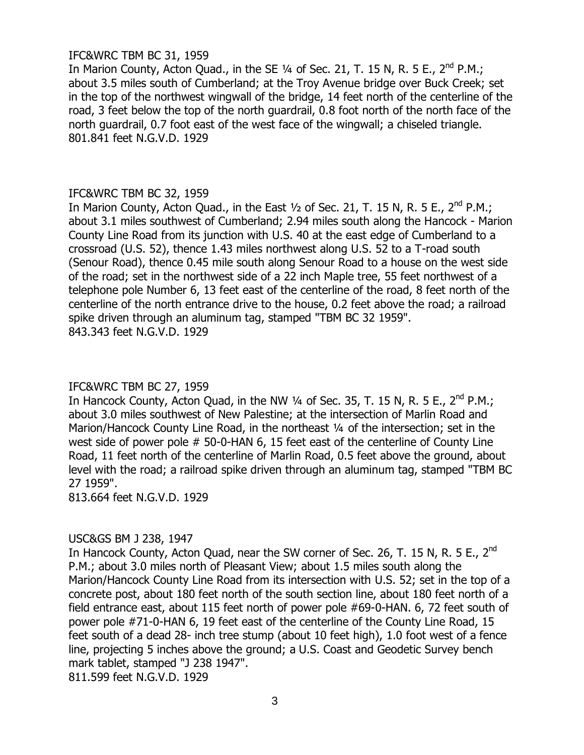# IFC&WRC TBM BC 31, 1959

In Marion County, Acton Quad., in the SE  $\frac{1}{4}$  of Sec. 21, T. 15 N, R. 5 E., 2<sup>nd</sup> P.M.; about 3.5 miles south of Cumberland; at the Troy Avenue bridge over Buck Creek; set in the top of the northwest wingwall of the bridge, 14 feet north of the centerline of the road, 3 feet below the top of the north guardrail, 0.8 foot north of the north face of the north guardrail, 0.7 foot east of the west face of the wingwall; a chiseled triangle. 801.841 feet N.G.V.D. 1929

# IFC&WRC TBM BC 32, 1959

In Marion County, Acton Quad., in the East  $1/2$  of Sec. 21, T. 15 N, R. 5 E.,  $2^{nd}$  P.M.; about 3.1 miles southwest of Cumberland; 2.94 miles south along the Hancock - Marion County Line Road from its junction with U.S. 40 at the east edge of Cumberland to a crossroad (U.S. 52), thence 1.43 miles northwest along U.S. 52 to a T-road south (Senour Road), thence 0.45 mile south along Senour Road to a house on the west side of the road; set in the northwest side of a 22 inch Maple tree, 55 feet northwest of a telephone pole Number 6, 13 feet east of the centerline of the road, 8 feet north of the centerline of the north entrance drive to the house, 0.2 feet above the road; a railroad spike driven through an aluminum tag, stamped "TBM BC 32 1959". 843.343 feet N.G.V.D. 1929

# IFC&WRC TBM BC 27, 1959

In Hancock County, Acton Quad, in the NW  $\frac{1}{4}$  of Sec. 35, T. 15 N, R. 5 E., 2<sup>nd</sup> P.M.; about 3.0 miles southwest of New Palestine; at the intersection of Marlin Road and Marion/Hancock County Line Road, in the northeast 1/4 of the intersection; set in the west side of power pole # 50-0-HAN 6, 15 feet east of the centerline of County Line Road, 11 feet north of the centerline of Marlin Road, 0.5 feet above the ground, about level with the road; a railroad spike driven through an aluminum tag, stamped "TBM BC 27 1959".

813.664 feet N.G.V.D. 1929

# USC&GS BM J 238, 1947

In Hancock County, Acton Quad, near the SW corner of Sec. 26, T. 15 N, R. 5 E., 2<sup>nd</sup> P.M.; about 3.0 miles north of Pleasant View; about 1.5 miles south along the Marion/Hancock County Line Road from its intersection with U.S. 52; set in the top of a concrete post, about 180 feet north of the south section line, about 180 feet north of a field entrance east, about 115 feet north of power pole #69-0-HAN. 6, 72 feet south of power pole #71-0-HAN 6, 19 feet east of the centerline of the County Line Road, 15 feet south of a dead 28- inch tree stump (about 10 feet high), 1.0 foot west of a fence line, projecting 5 inches above the ground; a U.S. Coast and Geodetic Survey bench mark tablet, stamped "J 238 1947". 811.599 feet N.G.V.D. 1929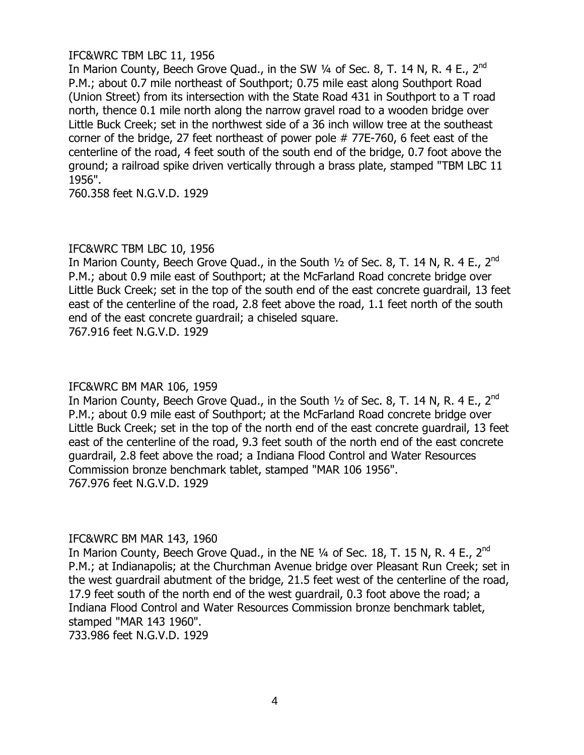# IFC&WRC TBM LBC 11, 1956

In Marion County, Beech Grove Quad., in the SW 1/4 of Sec. 8, T. 14 N, R. 4 E., 2<sup>nd</sup> P.M.; about 0.7 mile northeast of Southport; 0.75 mile east along Southport Road (Union Street) from its intersection with the State Road 431 in Southport to a T road north, thence 0.1 mile north along the narrow gravel road to a wooden bridge over Little Buck Creek; set in the northwest side of a 36 inch willow tree at the southeast corner of the bridge, 27 feet northeast of power pole # 77E-760, 6 feet east of the centerline of the road, 4 feet south of the south end of the bridge, 0.7 foot above the ground; a railroad spike driven vertically through a brass plate, stamped "TBM LBC 11 1956".

760.358 feet N.G.V.D. 1929

# IFC&WRC TBM LBC 10, 1956

In Marion County, Beech Grove Quad., in the South  $1/2$  of Sec. 8, T. 14 N, R. 4 E., 2<sup>nd</sup> P.M.; about 0.9 mile east of Southport; at the McFarland Road concrete bridge over Little Buck Creek; set in the top of the south end of the east concrete guardrail, 13 feet east of the centerline of the road, 2.8 feet above the road, 1.1 feet north of the south end of the east concrete guardrail; a chiseled square. 767.916 feet N.G.V.D. 1929

# IFC&WRC BM MAR 106, 1959

In Marion County, Beech Grove Quad., in the South  $1/2$  of Sec. 8, T. 14 N, R. 4 E., 2<sup>nd</sup> P.M.; about 0.9 mile east of Southport; at the McFarland Road concrete bridge over Little Buck Creek; set in the top of the north end of the east concrete guardrail, 13 feet east of the centerline of the road, 9.3 feet south of the north end of the east concrete guardrail, 2.8 feet above the road; a Indiana Flood Control and Water Resources Commission bronze benchmark tablet, stamped "MAR 106 1956". 767.976 feet N.G.V.D. 1929

# IFC&WRC BM MAR 143, 1960

In Marion County, Beech Grove Quad., in the NE  $1/4$  of Sec. 18, T. 15 N, R. 4 E., 2<sup>nd</sup> P.M.; at Indianapolis; at the Churchman Avenue bridge over Pleasant Run Creek; set in the west guardrail abutment of the bridge, 21.5 feet west of the centerline of the road, 17.9 feet south of the north end of the west guardrail, 0.3 foot above the road; a Indiana Flood Control and Water Resources Commission bronze benchmark tablet, stamped "MAR 143 1960".

733.986 feet N.G.V.D. 1929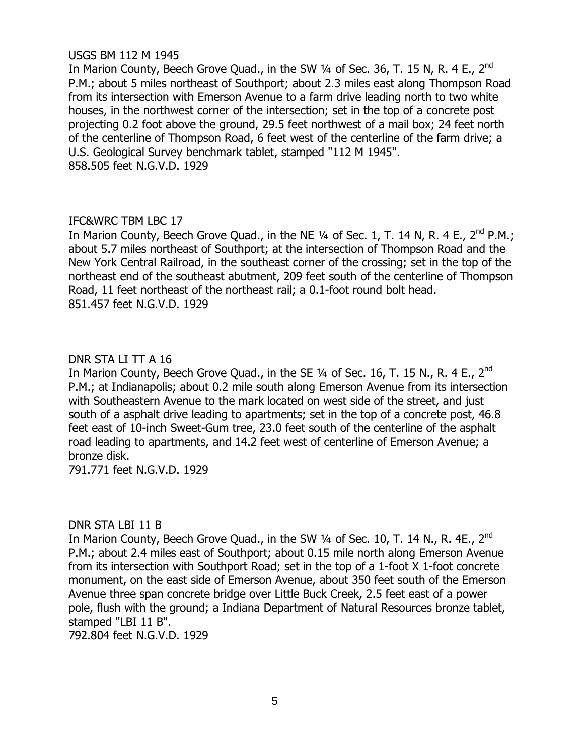# USGS BM 112 M 1945

In Marion County, Beech Grove Quad., in the SW 1/4 of Sec. 36, T. 15 N, R. 4 E., 2<sup>nd</sup> P.M.; about 5 miles northeast of Southport; about 2.3 miles east along Thompson Road from its intersection with Emerson Avenue to a farm drive leading north to two white houses, in the northwest corner of the intersection; set in the top of a concrete post projecting 0.2 foot above the ground, 29.5 feet northwest of a mail box; 24 feet north of the centerline of Thompson Road, 6 feet west of the centerline of the farm drive; a U.S. Geological Survey benchmark tablet, stamped "112 M 1945". 858.505 feet N.G.V.D. 1929

# IFC&WRC TBM LBC 17

In Marion County, Beech Grove Quad., in the NE  $1/4$  of Sec. 1, T. 14 N, R. 4 E., 2<sup>nd</sup> P.M.: about 5.7 miles northeast of Southport; at the intersection of Thompson Road and the New York Central Railroad, in the southeast corner of the crossing; set in the top of the northeast end of the southeast abutment, 209 feet south of the centerline of Thompson Road, 11 feet northeast of the northeast rail; a 0.1-foot round bolt head. 851.457 feet N.G.V.D. 1929

# DNR STA LI TT A 16

In Marion County, Beech Grove Quad., in the SE 1/4 of Sec. 16, T. 15 N., R. 4 E., 2<sup>nd</sup> P.M.; at Indianapolis; about 0.2 mile south along Emerson Avenue from its intersection with Southeastern Avenue to the mark located on west side of the street, and just south of a asphalt drive leading to apartments; set in the top of a concrete post, 46.8 feet east of 10-inch Sweet-Gum tree, 23.0 feet south of the centerline of the asphalt road leading to apartments, and 14.2 feet west of centerline of Emerson Avenue; a bronze disk.

791.771 feet N.G.V.D. 1929

# DNR STA LBI 11 B

In Marion County, Beech Grove Quad., in the SW 1/4 of Sec. 10, T. 14 N., R. 4E., 2<sup>nd</sup> P.M.; about 2.4 miles east of Southport; about 0.15 mile north along Emerson Avenue from its intersection with Southport Road; set in the top of a 1-foot X 1-foot concrete monument, on the east side of Emerson Avenue, about 350 feet south of the Emerson Avenue three span concrete bridge over Little Buck Creek, 2.5 feet east of a power pole, flush with the ground; a Indiana Department of Natural Resources bronze tablet, stamped "LBI 11 B".

792.804 feet N.G.V.D. 1929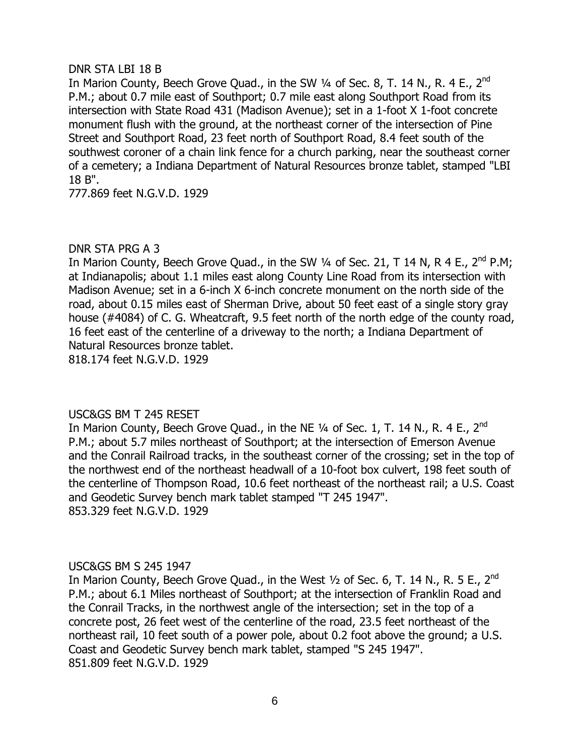# DNR STA LBI 18 B

In Marion County, Beech Grove Quad., in the SW  $\frac{1}{4}$  of Sec. 8, T. 14 N., R. 4 E.,  $2^{nd}$ P.M.; about 0.7 mile east of Southport; 0.7 mile east along Southport Road from its intersection with State Road 431 (Madison Avenue); set in a 1-foot X 1-foot concrete monument flush with the ground, at the northeast corner of the intersection of Pine Street and Southport Road, 23 feet north of Southport Road, 8.4 feet south of the southwest coroner of a chain link fence for a church parking, near the southeast corner of a cemetery; a Indiana Department of Natural Resources bronze tablet, stamped "LBI 18 B".

777.869 feet N.G.V.D. 1929

# DNR STA PRG A 3

In Marion County, Beech Grove Quad., in the SW  $\frac{1}{4}$  of Sec. 21, T 14 N, R 4 E., 2<sup>nd</sup> P.M; at Indianapolis; about 1.1 miles east along County Line Road from its intersection with Madison Avenue; set in a 6-inch X 6-inch concrete monument on the north side of the road, about 0.15 miles east of Sherman Drive, about 50 feet east of a single story gray house (#4084) of C. G. Wheatcraft, 9.5 feet north of the north edge of the county road, 16 feet east of the centerline of a driveway to the north; a Indiana Department of Natural Resources bronze tablet. 818.174 feet N.G.V.D. 1929

USC&GS BM T 245 RESET In Marion County, Beech Grove Quad., in the NE 1/4 of Sec. 1, T. 14 N., R. 4 E., 2<sup>nd</sup> P.M.; about 5.7 miles northeast of Southport; at the intersection of Emerson Avenue and the Conrail Railroad tracks, in the southeast corner of the crossing; set in the top of the northwest end of the northeast headwall of a 10-foot box culvert, 198 feet south of the centerline of Thompson Road, 10.6 feet northeast of the northeast rail; a U.S. Coast and Geodetic Survey bench mark tablet stamped "T 245 1947". 853.329 feet N.G.V.D. 1929

# USC&GS BM S 245 1947

In Marion County, Beech Grove Quad., in the West  $1/2$  of Sec. 6, T. 14 N., R. 5 E., 2<sup>nd</sup> P.M.; about 6.1 Miles northeast of Southport; at the intersection of Franklin Road and the Conrail Tracks, in the northwest angle of the intersection; set in the top of a concrete post, 26 feet west of the centerline of the road, 23.5 feet northeast of the northeast rail, 10 feet south of a power pole, about 0.2 foot above the ground; a U.S. Coast and Geodetic Survey bench mark tablet, stamped "S 245 1947". 851.809 feet N.G.V.D. 1929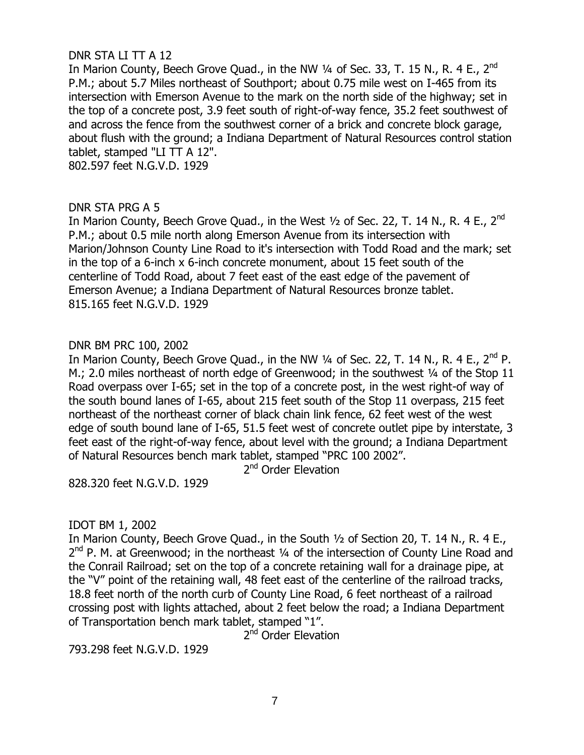# DNR STA LI TT A 12

In Marion County, Beech Grove Quad., in the NW 1/4 of Sec. 33, T. 15 N., R. 4 E., 2<sup>nd</sup> P.M.; about 5.7 Miles northeast of Southport; about 0.75 mile west on I-465 from its intersection with Emerson Avenue to the mark on the north side of the highway; set in the top of a concrete post, 3.9 feet south of right-of-way fence, 35.2 feet southwest of and across the fence from the southwest corner of a brick and concrete block garage, about flush with the ground; a Indiana Department of Natural Resources control station tablet, stamped "LI TT A 12".

802.597 feet N.G.V.D. 1929

# DNR STA PRG A 5

In Marion County, Beech Grove Quad., in the West  $1/2$  of Sec. 22, T. 14 N., R. 4 E., 2<sup>nd</sup> P.M.; about 0.5 mile north along Emerson Avenue from its intersection with Marion/Johnson County Line Road to it's intersection with Todd Road and the mark; set in the top of a 6-inch x 6-inch concrete monument, about 15 feet south of the centerline of Todd Road, about 7 feet east of the east edge of the pavement of Emerson Avenue; a Indiana Department of Natural Resources bronze tablet. 815.165 feet N.G.V.D. 1929

# DNR BM PRC 100, 2002

In Marion County, Beech Grove Quad., in the NW  $\frac{1}{4}$  of Sec. 22, T. 14 N., R. 4 E., 2<sup>nd</sup> P. M.; 2.0 miles northeast of north edge of Greenwood; in the southwest 1/4 of the Stop 11 Road overpass over I-65; set in the top of a concrete post, in the west right-of way of the south bound lanes of I-65, about 215 feet south of the Stop 11 overpass, 215 feet northeast of the northeast corner of black chain link fence, 62 feet west of the west edge of south bound lane of I-65, 51.5 feet west of concrete outlet pipe by interstate, 3 feet east of the right-of-way fence, about level with the ground; a Indiana Department of Natural Resources bench mark tablet, stamped "PRC 100 2002".

2<sup>nd</sup> Order Elevation

828.320 feet N.G.V.D. 1929

# IDOT BM 1, 2002

In Marion County, Beech Grove Quad., in the South ½ of Section 20, T. 14 N., R. 4 E., 2<sup>nd</sup> P. M. at Greenwood; in the northeast 1/4 of the intersection of County Line Road and the Conrail Railroad; set on the top of a concrete retaining wall for a drainage pipe, at the "V" point of the retaining wall, 48 feet east of the centerline of the railroad tracks, 18.8 feet north of the north curb of County Line Road, 6 feet northeast of a railroad crossing post with lights attached, about 2 feet below the road; a Indiana Department of Transportation bench mark tablet, stamped "1".

2<sup>nd</sup> Order Elevation

793.298 feet N.G.V.D. 1929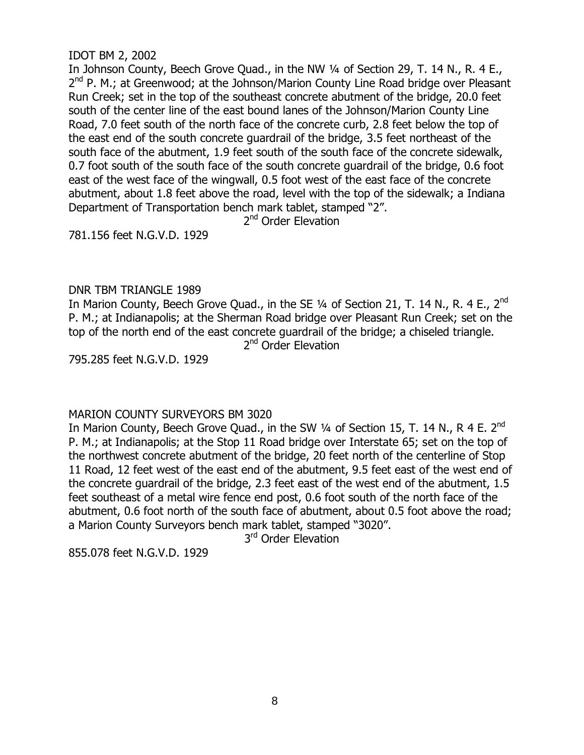# IDOT BM 2, 2002

In Johnson County, Beech Grove Quad., in the NW 1/4 of Section 29, T. 14 N., R. 4 E., 2<sup>nd</sup> P. M.; at Greenwood; at the Johnson/Marion County Line Road bridge over Pleasant Run Creek; set in the top of the southeast concrete abutment of the bridge, 20.0 feet south of the center line of the east bound lanes of the Johnson/Marion County Line Road, 7.0 feet south of the north face of the concrete curb, 2.8 feet below the top of the east end of the south concrete guardrail of the bridge, 3.5 feet northeast of the south face of the abutment, 1.9 feet south of the south face of the concrete sidewalk, 0.7 foot south of the south face of the south concrete guardrail of the bridge, 0.6 foot east of the west face of the wingwall, 0.5 foot west of the east face of the concrete abutment, about 1.8 feet above the road, level with the top of the sidewalk; a Indiana Department of Transportation bench mark tablet, stamped "2".

2<sup>nd</sup> Order Elevation

781.156 feet N.G.V.D. 1929

# DNR TBM TRIANGLE 1989

In Marion County, Beech Grove Quad., in the SE  $\frac{1}{4}$  of Section 21, T. 14 N., R. 4 E., 2<sup>nd</sup> P. M.; at Indianapolis; at the Sherman Road bridge over Pleasant Run Creek; set on the top of the north end of the east concrete guardrail of the bridge; a chiseled triangle.

2<sup>nd</sup> Order Elevation

795.285 feet N.G.V.D. 1929

# MARION COUNTY SURVEYORS BM 3020

In Marion County, Beech Grove Quad., in the SW  $\frac{1}{4}$  of Section 15, T. 14 N., R 4 E. 2<sup>nd</sup> P. M.; at Indianapolis; at the Stop 11 Road bridge over Interstate 65; set on the top of the northwest concrete abutment of the bridge, 20 feet north of the centerline of Stop 11 Road, 12 feet west of the east end of the abutment, 9.5 feet east of the west end of the concrete guardrail of the bridge, 2.3 feet east of the west end of the abutment, 1.5 feet southeast of a metal wire fence end post, 0.6 foot south of the north face of the abutment, 0.6 foot north of the south face of abutment, about 0.5 foot above the road; a Marion County Surveyors bench mark tablet, stamped "3020".

3<sup>rd</sup> Order Elevation

855.078 feet N.G.V.D. 1929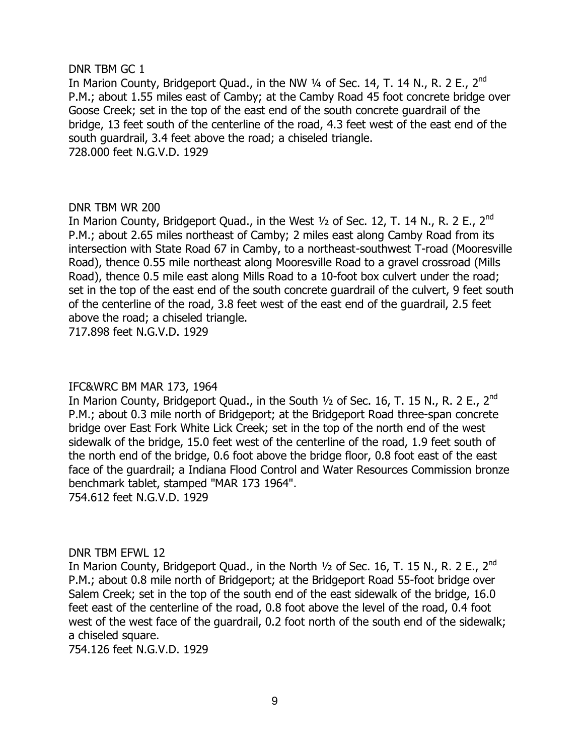#### DNR TBM GC 1

In Marion County, Bridgeport Quad., in the NW  $\frac{1}{4}$  of Sec. 14, T. 14 N., R. 2 E., 2<sup>nd</sup> P.M.; about 1.55 miles east of Camby; at the Camby Road 45 foot concrete bridge over Goose Creek; set in the top of the east end of the south concrete guardrail of the bridge, 13 feet south of the centerline of the road, 4.3 feet west of the east end of the south guardrail, 3.4 feet above the road; a chiseled triangle. 728.000 feet N.G.V.D. 1929

# DNR TBM WR 200

In Marion County, Bridgeport Quad., in the West  $1/2$  of Sec. 12, T. 14 N., R. 2 E., 2<sup>nd</sup> P.M.; about 2.65 miles northeast of Camby; 2 miles east along Camby Road from its intersection with State Road 67 in Camby, to a northeast-southwest T-road (Mooresville Road), thence 0.55 mile northeast along Mooresville Road to a gravel crossroad (Mills Road), thence 0.5 mile east along Mills Road to a 10-foot box culvert under the road; set in the top of the east end of the south concrete guardrail of the culvert, 9 feet south of the centerline of the road, 3.8 feet west of the east end of the guardrail, 2.5 feet above the road; a chiseled triangle.

717.898 feet N.G.V.D. 1929

# IFC&WRC BM MAR 173, 1964

In Marion County, Bridgeport Quad., in the South  $1/2$  of Sec. 16, T. 15 N., R. 2 E., 2<sup>nd</sup> P.M.; about 0.3 mile north of Bridgeport; at the Bridgeport Road three-span concrete bridge over East Fork White Lick Creek; set in the top of the north end of the west sidewalk of the bridge, 15.0 feet west of the centerline of the road, 1.9 feet south of the north end of the bridge, 0.6 foot above the bridge floor, 0.8 foot east of the east face of the guardrail; a Indiana Flood Control and Water Resources Commission bronze benchmark tablet, stamped "MAR 173 1964". 754.612 feet N.G.V.D. 1929

DNR TBM EFWL 12

In Marion County, Bridgeport Quad., in the North  $1/2$  of Sec. 16, T. 15 N., R. 2 E., 2<sup>nd</sup> P.M.; about 0.8 mile north of Bridgeport; at the Bridgeport Road 55-foot bridge over Salem Creek; set in the top of the south end of the east sidewalk of the bridge, 16.0 feet east of the centerline of the road, 0.8 foot above the level of the road, 0.4 foot west of the west face of the guardrail, 0.2 foot north of the south end of the sidewalk; a chiseled square.

754.126 feet N.G.V.D. 1929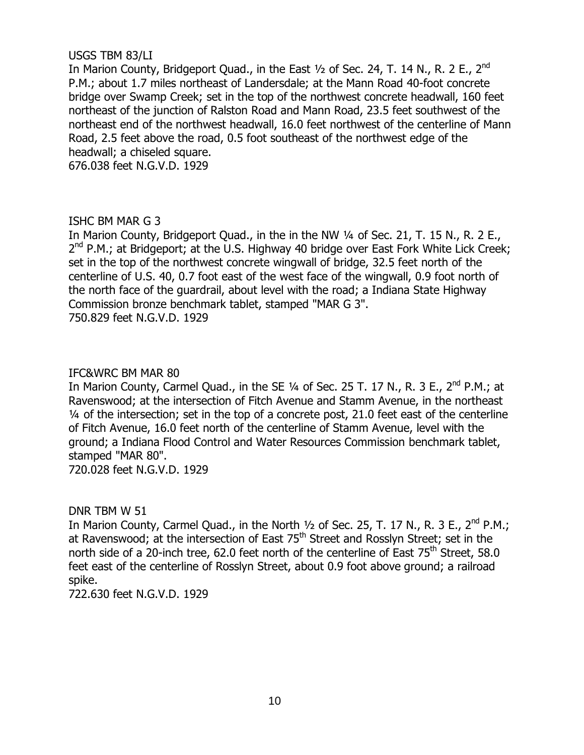# USGS TBM 83/LI

In Marion County, Bridgeport Quad., in the East  $1/2$  of Sec. 24, T. 14 N., R. 2 E., 2<sup>nd</sup> P.M.; about 1.7 miles northeast of Landersdale; at the Mann Road 40-foot concrete bridge over Swamp Creek; set in the top of the northwest concrete headwall, 160 feet northeast of the junction of Ralston Road and Mann Road, 23.5 feet southwest of the northeast end of the northwest headwall, 16.0 feet northwest of the centerline of Mann Road, 2.5 feet above the road, 0.5 foot southeast of the northwest edge of the headwall; a chiseled square.

676.038 feet N.G.V.D. 1929

# ISHC BM MAR G 3

In Marion County, Bridgeport Quad., in the in the NW ¼ of Sec. 21, T. 15 N., R. 2 E., 2<sup>nd</sup> P.M.; at Bridgeport; at the U.S. Highway 40 bridge over East Fork White Lick Creek; set in the top of the northwest concrete wingwall of bridge, 32.5 feet north of the centerline of U.S. 40, 0.7 foot east of the west face of the wingwall, 0.9 foot north of the north face of the guardrail, about level with the road; a Indiana State Highway Commission bronze benchmark tablet, stamped "MAR G 3". 750.829 feet N.G.V.D. 1929

# IFC&WRC BM MAR 80

In Marion County, Carmel Quad., in the SE  $\frac{1}{4}$  of Sec. 25 T. 17 N., R. 3 E., 2<sup>nd</sup> P.M.; at Ravenswood; at the intersection of Fitch Avenue and Stamm Avenue, in the northeast ¼ of the intersection; set in the top of a concrete post, 21.0 feet east of the centerline of Fitch Avenue, 16.0 feet north of the centerline of Stamm Avenue, level with the ground; a Indiana Flood Control and Water Resources Commission benchmark tablet, stamped "MAR 80". 720.028 feet N.G.V.D. 1929

# DNR TBM W 51

In Marion County, Carmel Quad., in the North  $\frac{1}{2}$  of Sec. 25, T. 17 N., R. 3 E., 2<sup>nd</sup> P.M.; at Ravenswood; at the intersection of East 75<sup>th</sup> Street and Rosslyn Street; set in the north side of a 20-inch tree, 62.0 feet north of the centerline of East  $75<sup>th</sup>$  Street, 58.0 feet east of the centerline of Rosslyn Street, about 0.9 foot above ground; a railroad spike.

722.630 feet N.G.V.D. 1929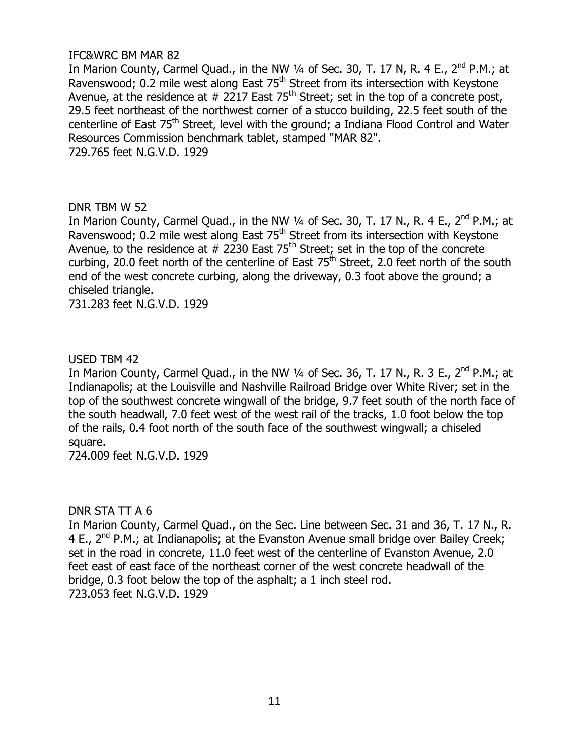# IFC&WRC BM MAR 82

In Marion County, Carmel Quad., in the NW  $\frac{1}{4}$  of Sec. 30, T. 17 N, R. 4 E., 2<sup>nd</sup> P.M.; at Ravenswood; 0.2 mile west along East 75<sup>th</sup> Street from its intersection with Keystone Avenue, at the residence at  $# 2217$  East 75<sup>th</sup> Street; set in the top of a concrete post, 29.5 feet northeast of the northwest corner of a stucco building, 22.5 feet south of the centerline of East 75<sup>th</sup> Street, level with the ground; a Indiana Flood Control and Water Resources Commission benchmark tablet, stamped "MAR 82". 729.765 feet N.G.V.D. 1929

# DNR TBM W 52

In Marion County, Carmel Quad., in the NW 1/4 of Sec. 30, T. 17 N., R. 4 E., 2<sup>nd</sup> P.M.; at Ravenswood; 0.2 mile west along East 75<sup>th</sup> Street from its intersection with Keystone Avenue, to the residence at  $# 2230$  East 75<sup>th</sup> Street; set in the top of the concrete curbing, 20.0 feet north of the centerline of East  $75<sup>th</sup>$  Street, 2.0 feet north of the south end of the west concrete curbing, along the driveway, 0.3 foot above the ground; a chiseled triangle.

731.283 feet N.G.V.D. 1929

#### USED TBM 42

In Marion County, Carmel Quad., in the NW  $\frac{1}{4}$  of Sec. 36, T. 17 N., R. 3 E., 2<sup>nd</sup> P.M.; at Indianapolis; at the Louisville and Nashville Railroad Bridge over White River; set in the top of the southwest concrete wingwall of the bridge, 9.7 feet south of the north face of the south headwall, 7.0 feet west of the west rail of the tracks, 1.0 foot below the top of the rails, 0.4 foot north of the south face of the southwest wingwall; a chiseled square.

724.009 feet N.G.V.D. 1929

# DNR STA TT A 6

In Marion County, Carmel Quad., on the Sec. Line between Sec. 31 and 36, T. 17 N., R. 4 E., 2<sup>nd</sup> P.M.; at Indianapolis; at the Evanston Avenue small bridge over Bailey Creek; set in the road in concrete, 11.0 feet west of the centerline of Evanston Avenue, 2.0 feet east of east face of the northeast corner of the west concrete headwall of the bridge, 0.3 foot below the top of the asphalt; a 1 inch steel rod. 723.053 feet N.G.V.D. 1929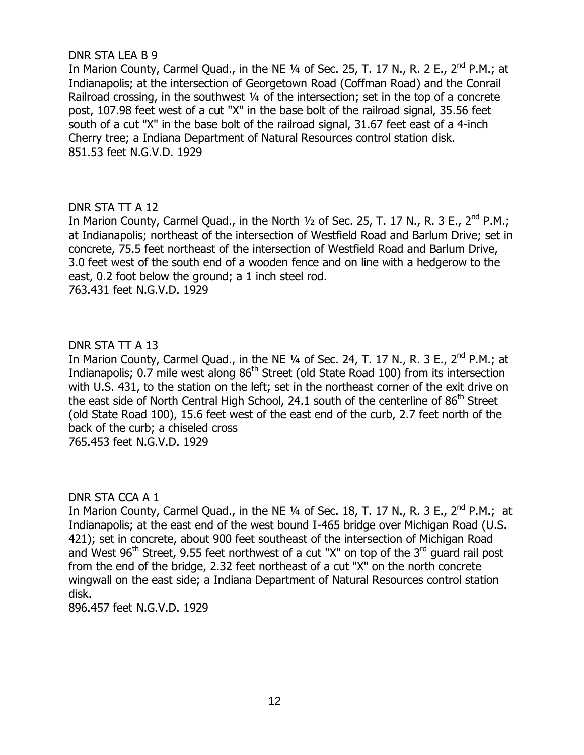# DNR STA LEA B 9

In Marion County, Carmel Quad., in the NE  $1/4$  of Sec. 25, T. 17 N., R. 2 E.,  $2^{nd}$  P.M.; at Indianapolis; at the intersection of Georgetown Road (Coffman Road) and the Conrail Railroad crossing, in the southwest 1/4 of the intersection; set in the top of a concrete post, 107.98 feet west of a cut "X" in the base bolt of the railroad signal, 35.56 feet south of a cut "X" in the base bolt of the railroad signal, 31.67 feet east of a 4-inch Cherry tree; a Indiana Department of Natural Resources control station disk. 851.53 feet N.G.V.D. 1929

# DNR STA TT A 12

In Marion County, Carmel Quad., in the North  $\frac{1}{2}$  of Sec. 25, T. 17 N., R. 3 E., 2<sup>nd</sup> P.M.; at Indianapolis; northeast of the intersection of Westfield Road and Barlum Drive; set in concrete, 75.5 feet northeast of the intersection of Westfield Road and Barlum Drive, 3.0 feet west of the south end of a wooden fence and on line with a hedgerow to the east, 0.2 foot below the ground; a 1 inch steel rod.

763.431 feet N.G.V.D. 1929

# DNR STA TT A 13

In Marion County, Carmel Quad., in the NE 1/4 of Sec. 24, T. 17 N., R. 3 E., 2<sup>nd</sup> P.M.; at Indianapolis; 0.7 mile west along 86<sup>th</sup> Street (old State Road 100) from its intersection with U.S. 431, to the station on the left; set in the northeast corner of the exit drive on the east side of North Central High School, 24.1 south of the centerline of 86<sup>th</sup> Street (old State Road 100), 15.6 feet west of the east end of the curb, 2.7 feet north of the back of the curb; a chiseled cross 765.453 feet N.G.V.D. 1929

# DNR STA CCA A 1

In Marion County, Carmel Quad., in the NE  $\frac{1}{4}$  of Sec. 18, T. 17 N., R. 3 E., 2<sup>nd</sup> P.M.; at Indianapolis; at the east end of the west bound I-465 bridge over Michigan Road (U.S. 421); set in concrete, about 900 feet southeast of the intersection of Michigan Road and West  $96<sup>th</sup>$  Street, 9.55 feet northwest of a cut "X" on top of the 3<sup>rd</sup> guard rail post from the end of the bridge, 2.32 feet northeast of a cut "X" on the north concrete wingwall on the east side; a Indiana Department of Natural Resources control station disk.

896.457 feet N.G.V.D. 1929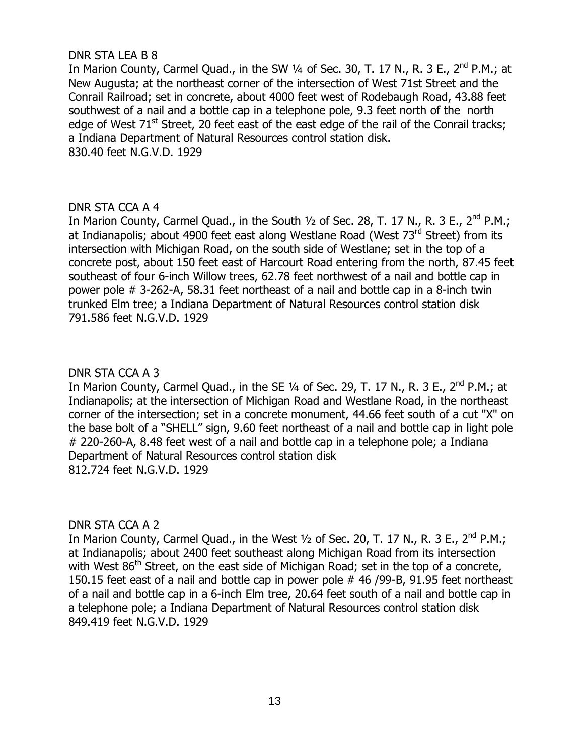# DNR STA LEA B 8

In Marion County, Carmel Quad., in the SW  $\frac{1}{4}$  of Sec. 30, T. 17 N., R. 3 E.,  $2^{nd}$  P.M.; at New Augusta; at the northeast corner of the intersection of West 71st Street and the Conrail Railroad; set in concrete, about 4000 feet west of Rodebaugh Road, 43.88 feet southwest of a nail and a bottle cap in a telephone pole, 9.3 feet north of the north edge of West  $71<sup>st</sup>$  Street, 20 feet east of the east edge of the rail of the Conrail tracks; a Indiana Department of Natural Resources control station disk. 830.40 feet N.G.V.D. 1929

# DNR STA CCA A 4

In Marion County, Carmel Quad., in the South  $1/2$  of Sec. 28, T. 17 N., R. 3 E., 2<sup>nd</sup> P.M.; at Indianapolis; about 4900 feet east along Westlane Road (West 73<sup>rd</sup> Street) from its intersection with Michigan Road, on the south side of Westlane; set in the top of a concrete post, about 150 feet east of Harcourt Road entering from the north, 87.45 feet southeast of four 6-inch Willow trees, 62.78 feet northwest of a nail and bottle cap in power pole # 3-262-A, 58.31 feet northeast of a nail and bottle cap in a 8-inch twin trunked Elm tree; a Indiana Department of Natural Resources control station disk 791.586 feet N.G.V.D. 1929

# DNR STA CCA A 3

In Marion County, Carmel Quad., in the SE 1/4 of Sec. 29, T. 17 N., R. 3 E., 2<sup>nd</sup> P.M.; at Indianapolis; at the intersection of Michigan Road and Westlane Road, in the northeast corner of the intersection; set in a concrete monument, 44.66 feet south of a cut "X" on the base bolt of a "SHELL" sign, 9.60 feet northeast of a nail and bottle cap in light pole # 220-260-A, 8.48 feet west of a nail and bottle cap in a telephone pole; a Indiana Department of Natural Resources control station disk 812.724 feet N.G.V.D. 1929

# DNR STA CCA A 2

In Marion County, Carmel Quad., in the West  $1/2$  of Sec. 20, T. 17 N., R. 3 E., 2<sup>nd</sup> P.M.: at Indianapolis; about 2400 feet southeast along Michigan Road from its intersection with West  $86<sup>th</sup>$  Street, on the east side of Michigan Road; set in the top of a concrete, 150.15 feet east of a nail and bottle cap in power pole # 46 /99-B, 91.95 feet northeast of a nail and bottle cap in a 6-inch Elm tree, 20.64 feet south of a nail and bottle cap in a telephone pole; a Indiana Department of Natural Resources control station disk 849.419 feet N.G.V.D. 1929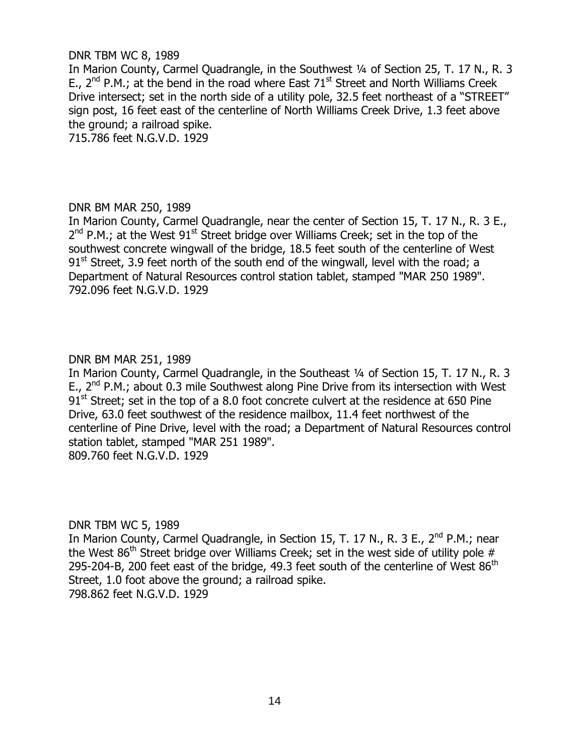## DNR TBM WC 8, 1989

In Marion County, Carmel Quadrangle, in the Southwest 1/4 of Section 25, T. 17 N., R. 3 E.,  $2^{nd}$  P.M.; at the bend in the road where East 71<sup>st</sup> Street and North Williams Creek Drive intersect; set in the north side of a utility pole, 32.5 feet northeast of a "STREET" sign post, 16 feet east of the centerline of North Williams Creek Drive, 1.3 feet above the ground; a railroad spike.

715.786 feet N.G.V.D. 1929

# DNR BM MAR 250, 1989

In Marion County, Carmel Quadrangle, near the center of Section 15, T. 17 N., R. 3 E.,  $2^{nd}$  P.M.; at the West 91<sup>st</sup> Street bridge over Williams Creek; set in the top of the southwest concrete wingwall of the bridge, 18.5 feet south of the centerline of West  $91<sup>st</sup>$  Street, 3.9 feet north of the south end of the wingwall, level with the road; a Department of Natural Resources control station tablet, stamped "MAR 250 1989". 792.096 feet N.G.V.D. 1929

# DNR BM MAR 251, 1989

In Marion County, Carmel Quadrangle, in the Southeast ¼ of Section 15, T. 17 N., R. 3 E.,  $2^{nd}$  P.M.; about 0.3 mile Southwest along Pine Drive from its intersection with West 91<sup>st</sup> Street; set in the top of a 8.0 foot concrete culvert at the residence at 650 Pine Drive, 63.0 feet southwest of the residence mailbox, 11.4 feet northwest of the centerline of Pine Drive, level with the road; a Department of Natural Resources control station tablet, stamped "MAR 251 1989". 809.760 feet N.G.V.D. 1929

DNR TBM WC 5, 1989

In Marion County, Carmel Quadrangle, in Section 15, T. 17 N., R. 3 E., 2<sup>nd</sup> P.M.; near the West  $86<sup>th</sup>$  Street bridge over Williams Creek; set in the west side of utility pole # 295-204-B, 200 feet east of the bridge, 49.3 feet south of the centerline of West  $86<sup>th</sup>$ Street, 1.0 foot above the ground; a railroad spike. 798.862 feet N.G.V.D. 1929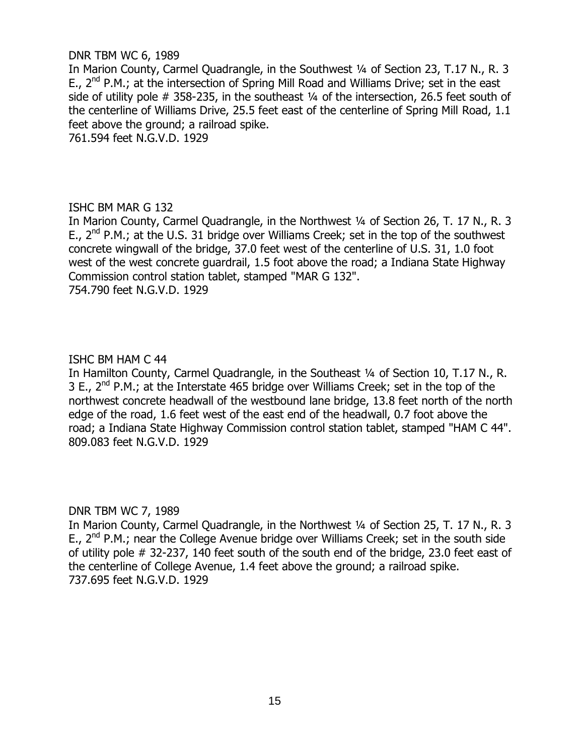## DNR TBM WC 6, 1989

In Marion County, Carmel Quadrangle, in the Southwest 1/4 of Section 23, T.17 N., R. 3 E.,  $2^{nd}$  P.M.; at the intersection of Spring Mill Road and Williams Drive; set in the east side of utility pole  $#$  358-235, in the southeast  $\frac{1}{4}$  of the intersection, 26.5 feet south of the centerline of Williams Drive, 25.5 feet east of the centerline of Spring Mill Road, 1.1 feet above the ground; a railroad spike.

761.594 feet N.G.V.D. 1929

# ISHC BM MAR G 132

In Marion County, Carmel Ouadrangle, in the Northwest 1/4 of Section 26, T. 17 N., R. 3 E.,  $2^{nd}$  P.M.; at the U.S. 31 bridge over Williams Creek; set in the top of the southwest concrete wingwall of the bridge, 37.0 feet west of the centerline of U.S. 31, 1.0 foot west of the west concrete guardrail, 1.5 foot above the road; a Indiana State Highway Commission control station tablet, stamped "MAR G 132". 754.790 feet N.G.V.D. 1929

# ISHC BM HAM C 44

In Hamilton County, Carmel Quadrangle, in the Southeast 1/4 of Section 10, T.17 N., R. 3 E.,  $2^{nd}$  P.M.; at the Interstate 465 bridge over Williams Creek; set in the top of the northwest concrete headwall of the westbound lane bridge, 13.8 feet north of the north edge of the road, 1.6 feet west of the east end of the headwall, 0.7 foot above the road; a Indiana State Highway Commission control station tablet, stamped "HAM C 44". 809.083 feet N.G.V.D. 1929

# DNR TBM WC 7, 1989

In Marion County, Carmel Ouadrangle, in the Northwest 1/4 of Section 25, T. 17 N., R. 3 E.,  $2^{nd}$  P.M.; near the College Avenue bridge over Williams Creek; set in the south side of utility pole # 32-237, 140 feet south of the south end of the bridge, 23.0 feet east of the centerline of College Avenue, 1.4 feet above the ground; a railroad spike. 737.695 feet N.G.V.D. 1929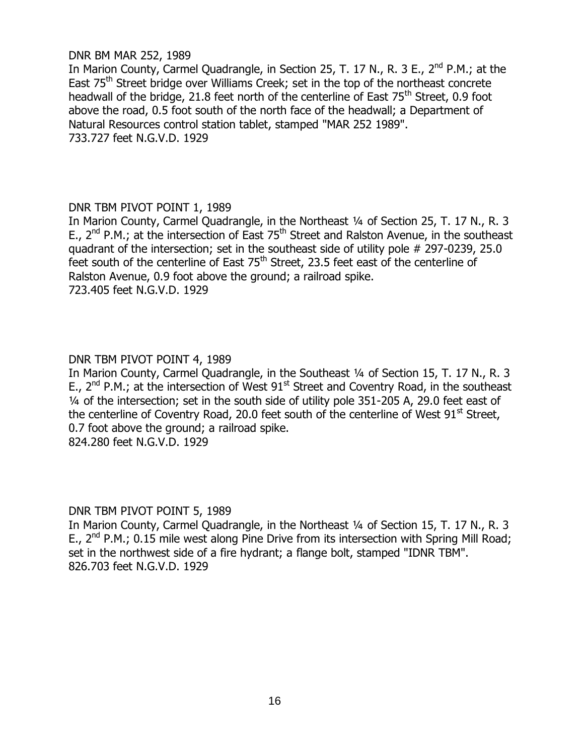## DNR BM MAR 252, 1989

In Marion County, Carmel Quadrangle, in Section 25, T. 17 N., R. 3 E., 2<sup>nd</sup> P.M.; at the East 75<sup>th</sup> Street bridge over Williams Creek; set in the top of the northeast concrete headwall of the bridge, 21.8 feet north of the centerline of East  $75<sup>th</sup>$  Street, 0.9 foot above the road, 0.5 foot south of the north face of the headwall; a Department of Natural Resources control station tablet, stamped "MAR 252 1989". 733.727 feet N.G.V.D. 1929

# DNR TBM PIVOT POINT 1, 1989

In Marion County, Carmel Quadrangle, in the Northeast ¼ of Section 25, T. 17 N., R. 3 E., 2<sup>nd</sup> P.M.; at the intersection of East 75<sup>th</sup> Street and Ralston Avenue, in the southeast quadrant of the intersection; set in the southeast side of utility pole # 297-0239, 25.0 feet south of the centerline of East  $75<sup>th</sup>$  Street, 23.5 feet east of the centerline of Ralston Avenue, 0.9 foot above the ground; a railroad spike. 723.405 feet N.G.V.D. 1929

# DNR TBM PIVOT POINT 4, 1989

In Marion County, Carmel Quadrangle, in the Southeast ¼ of Section 15, T. 17 N., R. 3 E.,  $2^{nd}$  P.M.; at the intersection of West  $91^{st}$  Street and Coventry Road, in the southeast ¼ of the intersection; set in the south side of utility pole 351-205 A, 29.0 feet east of the centerline of Coventry Road, 20.0 feet south of the centerline of West  $91<sup>st</sup>$  Street. 0.7 foot above the ground; a railroad spike. 824.280 feet N.G.V.D. 1929

# DNR TBM PIVOT POINT 5, 1989

In Marion County, Carmel Quadrangle, in the Northeast ¼ of Section 15, T. 17 N., R. 3 E.,  $2^{nd}$  P.M.; 0.15 mile west along Pine Drive from its intersection with Spring Mill Road; set in the northwest side of a fire hydrant; a flange bolt, stamped "IDNR TBM". 826.703 feet N.G.V.D. 1929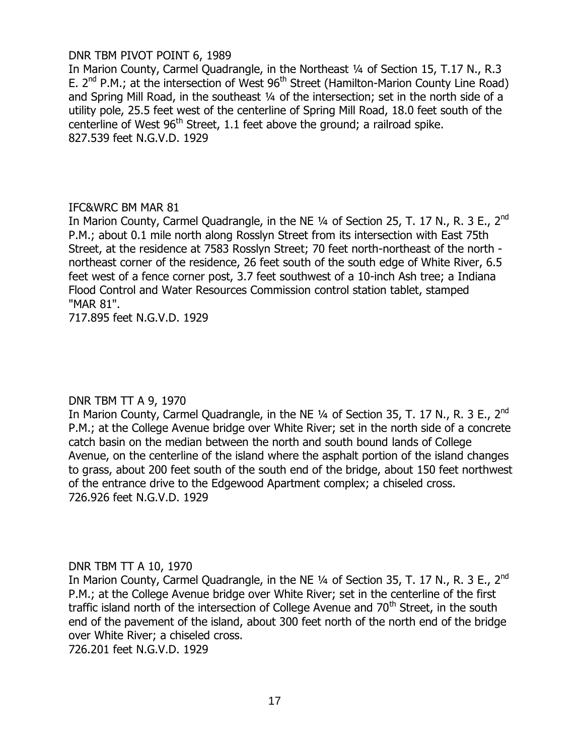# DNR TBM PIVOT POINT 6, 1989

In Marion County, Carmel Quadrangle, in the Northeast 1/4 of Section 15, T.17 N., R.3 E.  $2^{nd}$  P.M.; at the intersection of West  $96^{th}$  Street (Hamilton-Marion County Line Road) and Spring Mill Road, in the southeast 1/4 of the intersection; set in the north side of a utility pole, 25.5 feet west of the centerline of Spring Mill Road, 18.0 feet south of the centerline of West  $96<sup>th</sup>$  Street, 1.1 feet above the ground; a railroad spike. 827.539 feet N.G.V.D. 1929

# IFC&WRC BM MAR 81

In Marion County, Carmel Quadrangle, in the NE  $1/4$  of Section 25, T. 17 N., R. 3 E., 2<sup>nd</sup> P.M.; about 0.1 mile north along Rosslyn Street from its intersection with East 75th Street, at the residence at 7583 Rosslyn Street; 70 feet north-northeast of the north northeast corner of the residence, 26 feet south of the south edge of White River, 6.5 feet west of a fence corner post, 3.7 feet southwest of a 10-inch Ash tree; a Indiana Flood Control and Water Resources Commission control station tablet, stamped "MAR 81".

717.895 feet N.G.V.D. 1929

# DNR TBM TT A 9, 1970

In Marion County, Carmel Quadrangle, in the NE  $1/4$  of Section 35, T. 17 N., R. 3 E., 2<sup>nd</sup> P.M.; at the College Avenue bridge over White River; set in the north side of a concrete catch basin on the median between the north and south bound lands of College Avenue, on the centerline of the island where the asphalt portion of the island changes to grass, about 200 feet south of the south end of the bridge, about 150 feet northwest of the entrance drive to the Edgewood Apartment complex; a chiseled cross. 726.926 feet N.G.V.D. 1929

# DNR TBM TT A 10, 1970

In Marion County, Carmel Quadrangle, in the NE  $\frac{1}{4}$  of Section 35, T. 17 N., R. 3 E., 2<sup>nd</sup> P.M.; at the College Avenue bridge over White River; set in the centerline of the first traffic island north of the intersection of College Avenue and  $70<sup>th</sup>$  Street, in the south end of the pavement of the island, about 300 feet north of the north end of the bridge over White River; a chiseled cross.

726.201 feet N.G.V.D. 1929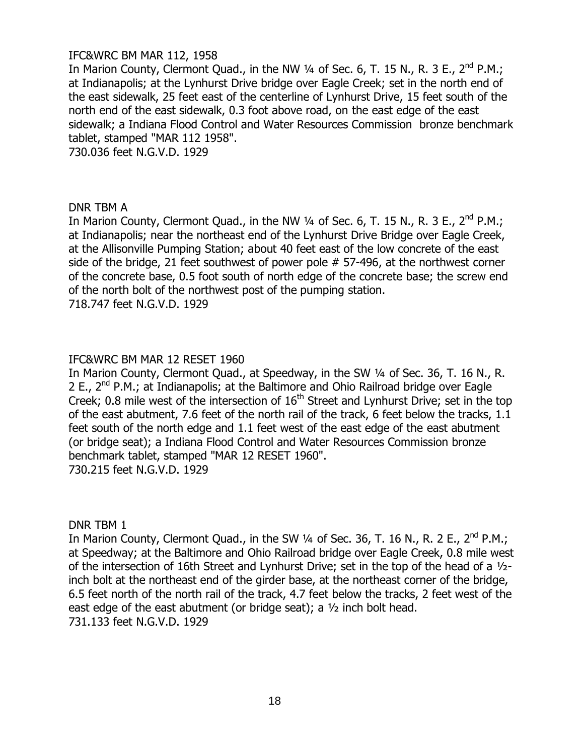# IFC&WRC BM MAR 112, 1958

In Marion County, Clermont Quad., in the NW  $\frac{1}{4}$  of Sec. 6, T. 15 N., R. 3 E., 2<sup>nd</sup> P.M.; at Indianapolis; at the Lynhurst Drive bridge over Eagle Creek; set in the north end of the east sidewalk, 25 feet east of the centerline of Lynhurst Drive, 15 feet south of the north end of the east sidewalk, 0.3 foot above road, on the east edge of the east sidewalk; a Indiana Flood Control and Water Resources Commission bronze benchmark tablet, stamped "MAR 112 1958".

730.036 feet N.G.V.D. 1929

#### DNR TBM A

In Marion County, Clermont Quad., in the NW  $\frac{1}{4}$  of Sec. 6, T. 15 N., R. 3 E., 2<sup>nd</sup> P.M.; at Indianapolis; near the northeast end of the Lynhurst Drive Bridge over Eagle Creek, at the Allisonville Pumping Station; about 40 feet east of the low concrete of the east side of the bridge, 21 feet southwest of power pole # 57-496, at the northwest corner of the concrete base, 0.5 foot south of north edge of the concrete base; the screw end of the north bolt of the northwest post of the pumping station. 718.747 feet N.G.V.D. 1929

# IFC&WRC BM MAR 12 RESET 1960

In Marion County, Clermont Quad., at Speedway, in the SW ¼ of Sec. 36, T. 16 N., R. 2 E., 2<sup>nd</sup> P.M.; at Indianapolis; at the Baltimore and Ohio Railroad bridge over Eagle Creek; 0.8 mile west of the intersection of  $16<sup>th</sup>$  Street and Lynhurst Drive; set in the top of the east abutment, 7.6 feet of the north rail of the track, 6 feet below the tracks, 1.1 feet south of the north edge and 1.1 feet west of the east edge of the east abutment (or bridge seat); a Indiana Flood Control and Water Resources Commission bronze benchmark tablet, stamped "MAR 12 RESET 1960". 730.215 feet N.G.V.D. 1929

DNR TBM 1

In Marion County, Clermont Quad., in the SW  $\frac{1}{4}$  of Sec. 36, T. 16 N., R. 2 E., 2<sup>nd</sup> P.M.; at Speedway; at the Baltimore and Ohio Railroad bridge over Eagle Creek, 0.8 mile west of the intersection of 16th Street and Lynhurst Drive; set in the top of the head of a ½ inch bolt at the northeast end of the girder base, at the northeast corner of the bridge, 6.5 feet north of the north rail of the track, 4.7 feet below the tracks, 2 feet west of the east edge of the east abutment (or bridge seat); a ½ inch bolt head. 731.133 feet N.G.V.D. 1929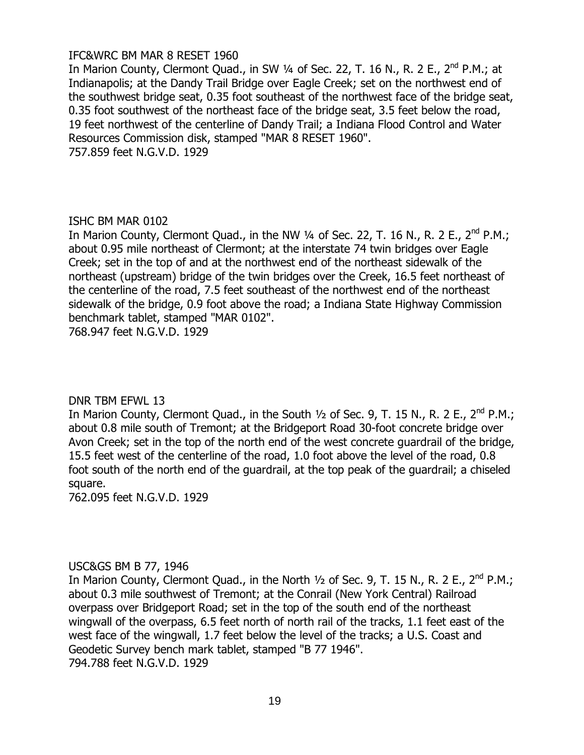# IFC&WRC BM MAR 8 RESET 1960

In Marion County, Clermont Quad., in SW ¼ of Sec. 22, T. 16 N., R. 2 E., 2<sup>nd</sup> P.M.; at Indianapolis; at the Dandy Trail Bridge over Eagle Creek; set on the northwest end of the southwest bridge seat, 0.35 foot southeast of the northwest face of the bridge seat, 0.35 foot southwest of the northeast face of the bridge seat, 3.5 feet below the road, 19 feet northwest of the centerline of Dandy Trail; a Indiana Flood Control and Water Resources Commission disk, stamped "MAR 8 RESET 1960". 757.859 feet N.G.V.D. 1929

# ISHC BM MAR 0102

In Marion County, Clermont Quad., in the NW 1/4 of Sec. 22, T. 16 N., R. 2 E., 2<sup>nd</sup> P.M.; about 0.95 mile northeast of Clermont; at the interstate 74 twin bridges over Eagle Creek; set in the top of and at the northwest end of the northeast sidewalk of the northeast (upstream) bridge of the twin bridges over the Creek, 16.5 feet northeast of the centerline of the road, 7.5 feet southeast of the northwest end of the northeast sidewalk of the bridge, 0.9 foot above the road; a Indiana State Highway Commission benchmark tablet, stamped "MAR 0102".

768.947 feet N.G.V.D. 1929

# DNR TBM EFWL 13

In Marion County, Clermont Quad., in the South  $\frac{1}{2}$  of Sec. 9, T. 15 N., R. 2 E., 2<sup>nd</sup> P.M.; about 0.8 mile south of Tremont; at the Bridgeport Road 30-foot concrete bridge over Avon Creek; set in the top of the north end of the west concrete guardrail of the bridge, 15.5 feet west of the centerline of the road, 1.0 foot above the level of the road, 0.8 foot south of the north end of the guardrail, at the top peak of the guardrail; a chiseled square.

762.095 feet N.G.V.D. 1929

# USC&GS BM B 77, 1946

In Marion County, Clermont Quad., in the North  $\frac{1}{2}$  of Sec. 9, T. 15 N., R. 2 E., 2<sup>nd</sup> P.M.; about 0.3 mile southwest of Tremont; at the Conrail (New York Central) Railroad overpass over Bridgeport Road; set in the top of the south end of the northeast wingwall of the overpass, 6.5 feet north of north rail of the tracks, 1.1 feet east of the west face of the wingwall, 1.7 feet below the level of the tracks; a U.S. Coast and Geodetic Survey bench mark tablet, stamped "B 77 1946". 794.788 feet N.G.V.D. 1929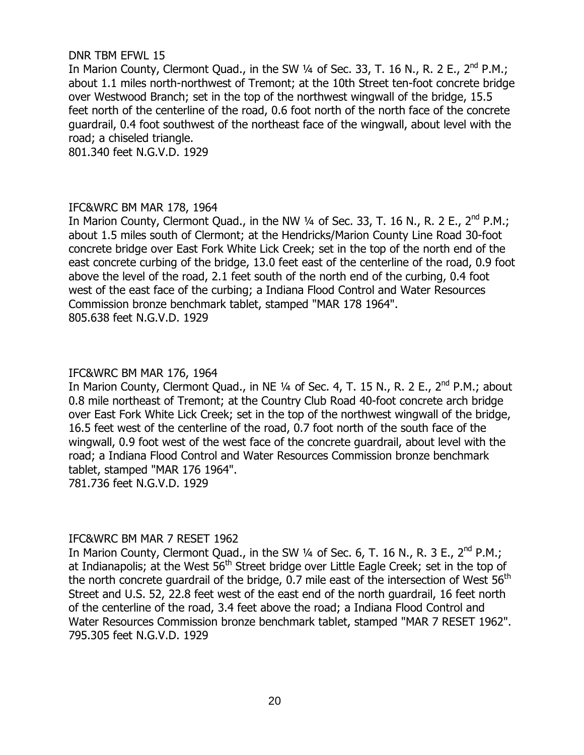# DNR TBM EFWL 15

In Marion County, Clermont Quad., in the SW  $\frac{1}{4}$  of Sec. 33, T. 16 N., R. 2 E., 2<sup>nd</sup> P.M.; about 1.1 miles north-northwest of Tremont; at the 10th Street ten-foot concrete bridge over Westwood Branch; set in the top of the northwest wingwall of the bridge, 15.5 feet north of the centerline of the road, 0.6 foot north of the north face of the concrete guardrail, 0.4 foot southwest of the northeast face of the wingwall, about level with the road; a chiseled triangle.

801.340 feet N.G.V.D. 1929

# IFC&WRC BM MAR 178, 1964

In Marion County, Clermont Quad., in the NW 1/4 of Sec. 33, T. 16 N., R. 2 E., 2<sup>nd</sup> P.M.; about 1.5 miles south of Clermont; at the Hendricks/Marion County Line Road 30-foot concrete bridge over East Fork White Lick Creek; set in the top of the north end of the east concrete curbing of the bridge, 13.0 feet east of the centerline of the road, 0.9 foot above the level of the road, 2.1 feet south of the north end of the curbing, 0.4 foot west of the east face of the curbing; a Indiana Flood Control and Water Resources Commission bronze benchmark tablet, stamped "MAR 178 1964". 805.638 feet N.G.V.D. 1929

# IFC&WRC BM MAR 176, 1964

In Marion County, Clermont Quad., in NE 1/4 of Sec. 4, T. 15 N., R. 2 E., 2<sup>nd</sup> P.M.; about 0.8 mile northeast of Tremont; at the Country Club Road 40-foot concrete arch bridge over East Fork White Lick Creek; set in the top of the northwest wingwall of the bridge, 16.5 feet west of the centerline of the road, 0.7 foot north of the south face of the wingwall, 0.9 foot west of the west face of the concrete guardrail, about level with the road; a Indiana Flood Control and Water Resources Commission bronze benchmark tablet, stamped "MAR 176 1964". 781.736 feet N.G.V.D. 1929

# IFC&WRC BM MAR 7 RESET 1962

In Marion County, Clermont Quad., in the SW 1/4 of Sec. 6, T. 16 N., R. 3 E., 2<sup>nd</sup> P.M.; at Indianapolis; at the West 56<sup>th</sup> Street bridge over Little Eagle Creek; set in the top of the north concrete guardrail of the bridge,  $0.7$  mile east of the intersection of West  $56<sup>th</sup>$ Street and U.S. 52, 22.8 feet west of the east end of the north guardrail, 16 feet north of the centerline of the road, 3.4 feet above the road; a Indiana Flood Control and Water Resources Commission bronze benchmark tablet, stamped "MAR 7 RESET 1962". 795.305 feet N.G.V.D. 1929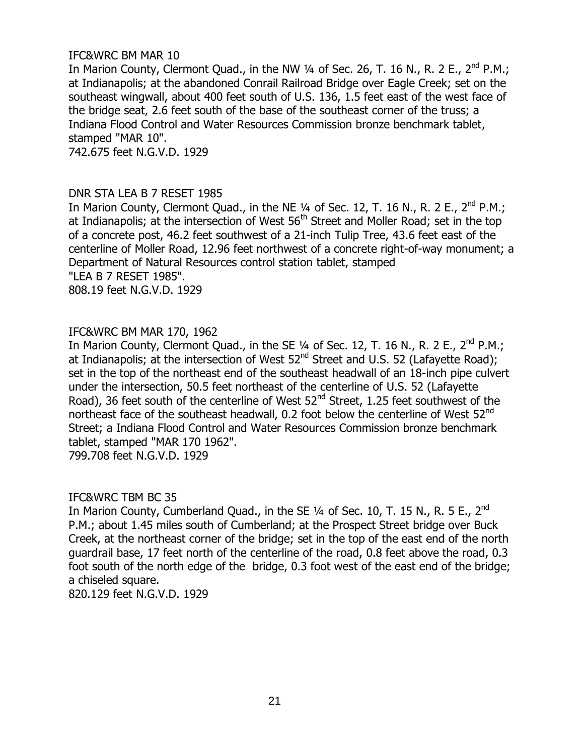# IFC&WRC BM MAR 10

In Marion County, Clermont Quad., in the NW  $\frac{1}{4}$  of Sec. 26, T. 16 N., R. 2 E., 2<sup>nd</sup> P.M.; at Indianapolis; at the abandoned Conrail Railroad Bridge over Eagle Creek; set on the southeast wingwall, about 400 feet south of U.S. 136, 1.5 feet east of the west face of the bridge seat, 2.6 feet south of the base of the southeast corner of the truss; a Indiana Flood Control and Water Resources Commission bronze benchmark tablet, stamped "MAR 10". 742.675 feet N.G.V.D. 1929

# DNR STA LEA B 7 RESET 1985

In Marion County, Clermont Quad., in the NE  $\frac{1}{4}$  of Sec. 12, T. 16 N., R. 2 E., 2<sup>nd</sup> P.M.; at Indianapolis; at the intersection of West  $56<sup>th</sup>$  Street and Moller Road; set in the top of a concrete post, 46.2 feet southwest of a 21-inch Tulip Tree, 43.6 feet east of the centerline of Moller Road, 12.96 feet northwest of a concrete right-of-way monument; a Department of Natural Resources control station tablet, stamped "LEA B 7 RESET 1985".

808.19 feet N.G.V.D. 1929

# IFC&WRC BM MAR 170, 1962

In Marion County, Clermont Quad., in the SE 1/4 of Sec. 12, T. 16 N., R. 2 E., 2<sup>nd</sup> P.M.; at Indianapolis; at the intersection of West  $52^{nd}$  Street and U.S. 52 (Lafayette Road); set in the top of the northeast end of the southeast headwall of an 18-inch pipe culvert under the intersection, 50.5 feet northeast of the centerline of U.S. 52 (Lafayette Road), 36 feet south of the centerline of West 52<sup>nd</sup> Street, 1.25 feet southwest of the northeast face of the southeast headwall, 0.2 foot below the centerline of West  $52^{nd}$ Street; a Indiana Flood Control and Water Resources Commission bronze benchmark tablet, stamped "MAR 170 1962". 799.708 feet N.G.V.D. 1929

# IFC&WRC TBM BC 35

In Marion County, Cumberland Quad., in the SE 1/4 of Sec. 10, T. 15 N., R. 5 E., 2<sup>nd</sup> P.M.; about 1.45 miles south of Cumberland; at the Prospect Street bridge over Buck Creek, at the northeast corner of the bridge; set in the top of the east end of the north guardrail base, 17 feet north of the centerline of the road, 0.8 feet above the road, 0.3 foot south of the north edge of the bridge, 0.3 foot west of the east end of the bridge; a chiseled square.

820.129 feet N.G.V.D. 1929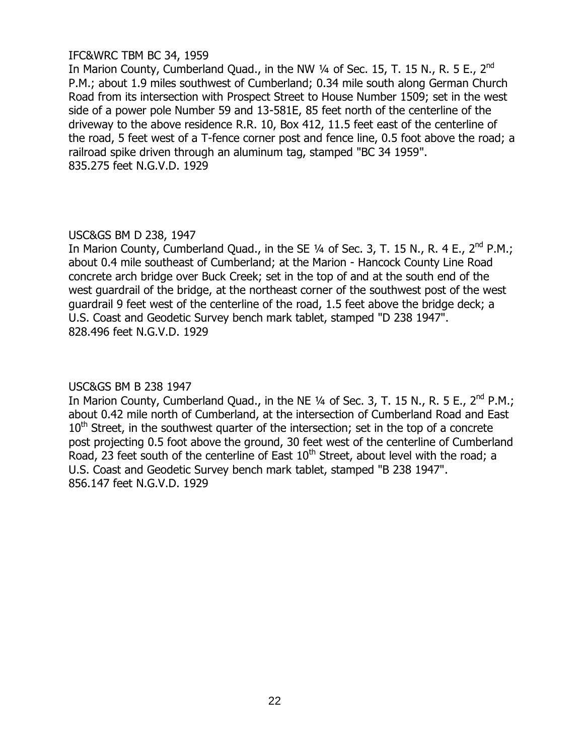# IFC&WRC TBM BC 34, 1959

In Marion County, Cumberland Quad., in the NW 1/4 of Sec. 15, T. 15 N., R. 5 E., 2<sup>nd</sup> P.M.; about 1.9 miles southwest of Cumberland; 0.34 mile south along German Church Road from its intersection with Prospect Street to House Number 1509; set in the west side of a power pole Number 59 and 13-581E, 85 feet north of the centerline of the driveway to the above residence R.R. 10, Box 412, 11.5 feet east of the centerline of the road, 5 feet west of a T-fence corner post and fence line, 0.5 foot above the road; a railroad spike driven through an aluminum tag, stamped "BC 34 1959". 835.275 feet N.G.V.D. 1929

# USC&GS BM D 238, 1947

In Marion County, Cumberland Quad., in the SE  $\frac{1}{4}$  of Sec. 3, T. 15 N., R. 4 E., 2<sup>nd</sup> P.M.; about 0.4 mile southeast of Cumberland; at the Marion - Hancock County Line Road concrete arch bridge over Buck Creek; set in the top of and at the south end of the west guardrail of the bridge, at the northeast corner of the southwest post of the west guardrail 9 feet west of the centerline of the road, 1.5 feet above the bridge deck; a U.S. Coast and Geodetic Survey bench mark tablet, stamped "D 238 1947". 828.496 feet N.G.V.D. 1929

# USC&GS BM B 238 1947

In Marion County, Cumberland Quad., in the NE  $\frac{1}{4}$  of Sec. 3, T. 15 N., R. 5 E., 2<sup>nd</sup> P.M.; about 0.42 mile north of Cumberland, at the intersection of Cumberland Road and East  $10<sup>th</sup>$  Street, in the southwest quarter of the intersection; set in the top of a concrete post projecting 0.5 foot above the ground, 30 feet west of the centerline of Cumberland Road, 23 feet south of the centerline of East  $10<sup>th</sup>$  Street, about level with the road; a U.S. Coast and Geodetic Survey bench mark tablet, stamped "B 238 1947". 856.147 feet N.G.V.D. 1929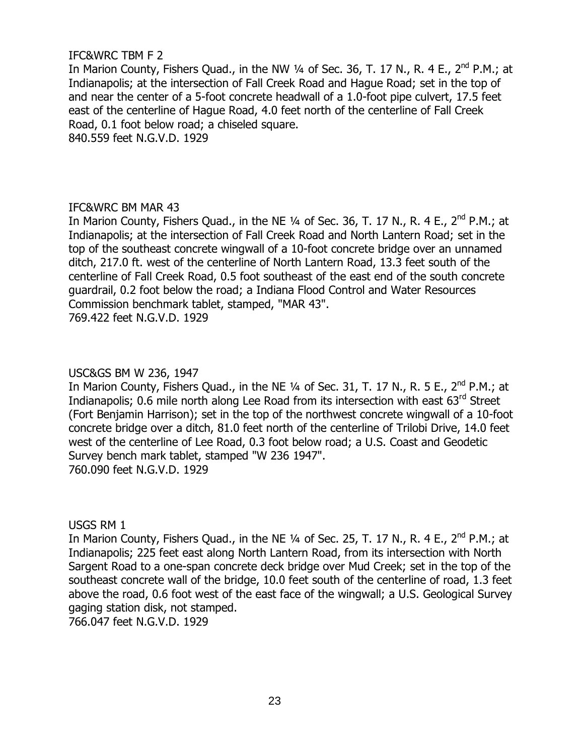# IFC&WRC TBM F 2

In Marion County, Fishers Quad., in the NW ¼ of Sec. 36, T. 17 N., R. 4 E., 2<sup>nd</sup> P.M.; at Indianapolis; at the intersection of Fall Creek Road and Hague Road; set in the top of and near the center of a 5-foot concrete headwall of a 1.0-foot pipe culvert, 17.5 feet east of the centerline of Hague Road, 4.0 feet north of the centerline of Fall Creek Road, 0.1 foot below road; a chiseled square. 840.559 feet N.G.V.D. 1929

# IFC&WRC BM MAR 43

In Marion County, Fishers Quad., in the NE ¼ of Sec. 36, T. 17 N., R. 4 E., 2<sup>nd</sup> P.M.; at Indianapolis; at the intersection of Fall Creek Road and North Lantern Road; set in the top of the southeast concrete wingwall of a 10-foot concrete bridge over an unnamed ditch, 217.0 ft. west of the centerline of North Lantern Road, 13.3 feet south of the centerline of Fall Creek Road, 0.5 foot southeast of the east end of the south concrete guardrail, 0.2 foot below the road; a Indiana Flood Control and Water Resources Commission benchmark tablet, stamped, "MAR 43". 769.422 feet N.G.V.D. 1929

# USC&GS BM W 236, 1947

In Marion County, Fishers Quad., in the NE  $\frac{1}{4}$  of Sec. 31, T. 17 N., R. 5 E., 2<sup>nd</sup> P.M.; at Indianapolis; 0.6 mile north along Lee Road from its intersection with east 63<sup>rd</sup> Street (Fort Benjamin Harrison); set in the top of the northwest concrete wingwall of a 10-foot concrete bridge over a ditch, 81.0 feet north of the centerline of Trilobi Drive, 14.0 feet west of the centerline of Lee Road, 0.3 foot below road; a U.S. Coast and Geodetic Survey bench mark tablet, stamped "W 236 1947". 760.090 feet N.G.V.D. 1929

USGS RM 1

In Marion County, Fishers Quad., in the NE 1/4 of Sec. 25, T. 17 N., R. 4 E., 2<sup>nd</sup> P.M.; at Indianapolis; 225 feet east along North Lantern Road, from its intersection with North Sargent Road to a one-span concrete deck bridge over Mud Creek; set in the top of the southeast concrete wall of the bridge, 10.0 feet south of the centerline of road, 1.3 feet above the road, 0.6 foot west of the east face of the wingwall; a U.S. Geological Survey gaging station disk, not stamped.

766.047 feet N.G.V.D. 1929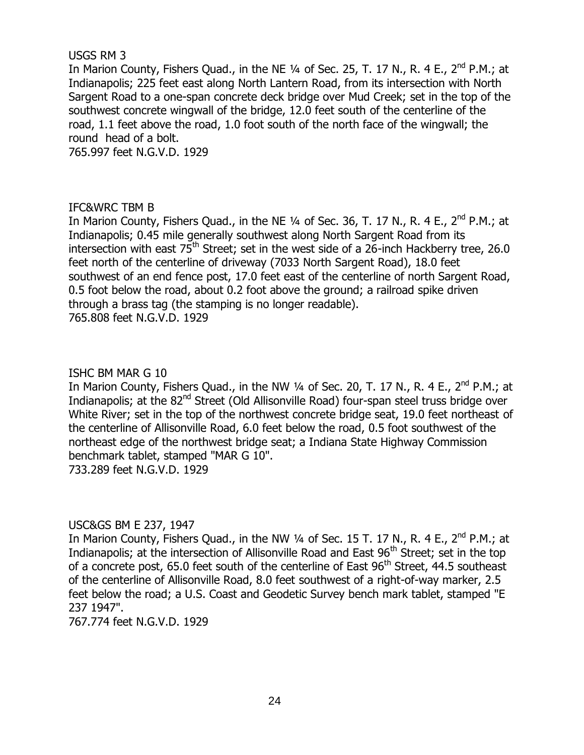# USGS RM 3

In Marion County, Fishers Quad., in the NE 1⁄4 of Sec. 25, T. 17 N., R. 4 E., 2<sup>nd</sup> P.M.; at Indianapolis; 225 feet east along North Lantern Road, from its intersection with North Sargent Road to a one-span concrete deck bridge over Mud Creek; set in the top of the southwest concrete wingwall of the bridge, 12.0 feet south of the centerline of the road, 1.1 feet above the road, 1.0 foot south of the north face of the wingwall; the round head of a bolt.

765.997 feet N.G.V.D. 1929

# IFC&WRC TBM B

In Marion County, Fishers Quad., in the NE 1⁄4 of Sec. 36, T. 17 N., R. 4 E., 2<sup>nd</sup> P.M.; at Indianapolis; 0.45 mile generally southwest along North Sargent Road from its intersection with east  $75^{\text{th}}$  Street; set in the west side of a 26-inch Hackberry tree, 26.0 feet north of the centerline of driveway (7033 North Sargent Road), 18.0 feet southwest of an end fence post, 17.0 feet east of the centerline of north Sargent Road, 0.5 foot below the road, about 0.2 foot above the ground; a railroad spike driven through a brass tag (the stamping is no longer readable). 765.808 feet N.G.V.D. 1929

# ISHC BM MAR G 10

In Marion County, Fishers Quad., in the NW ¼ of Sec. 20, T. 17 N., R. 4 E., 2<sup>nd</sup> P.M.; at Indianapolis; at the 82<sup>nd</sup> Street (Old Allisonville Road) four-span steel truss bridge over White River; set in the top of the northwest concrete bridge seat, 19.0 feet northeast of the centerline of Allisonville Road, 6.0 feet below the road, 0.5 foot southwest of the northeast edge of the northwest bridge seat; a Indiana State Highway Commission benchmark tablet, stamped "MAR G 10". 733.289 feet N.G.V.D. 1929

# USC&GS BM E 237, 1947

In Marion County, Fishers Quad., in the NW 1/4 of Sec. 15 T. 17 N., R. 4 E., 2<sup>nd</sup> P.M.; at Indianapolis; at the intersection of Allisonville Road and East  $96<sup>th</sup>$  Street; set in the top of a concrete post,  $65.0$  feet south of the centerline of East  $96<sup>th</sup>$  Street,  $44.5$  southeast of the centerline of Allisonville Road, 8.0 feet southwest of a right-of-way marker, 2.5 feet below the road; a U.S. Coast and Geodetic Survey bench mark tablet, stamped "E 237 1947".

767.774 feet N.G.V.D. 1929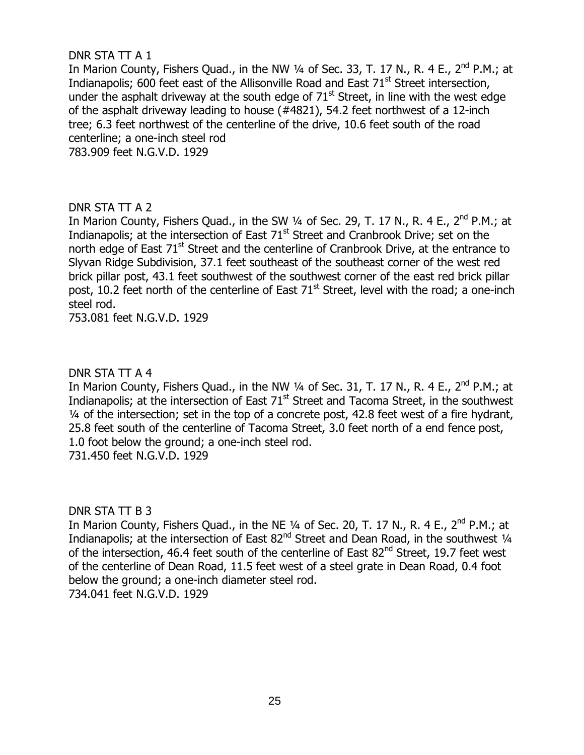# DNR STA TT A 1

In Marion County, Fishers Quad., in the NW  $\frac{1}{4}$  of Sec. 33, T. 17 N., R. 4 E., 2<sup>nd</sup> P.M.; at Indianapolis; 600 feet east of the Allisonville Road and East 71<sup>st</sup> Street intersection, under the asphalt driveway at the south edge of  $71<sup>st</sup>$  Street, in line with the west edge of the asphalt driveway leading to house (#4821), 54.2 feet northwest of a 12-inch tree; 6.3 feet northwest of the centerline of the drive, 10.6 feet south of the road centerline; a one-inch steel rod 783.909 feet N.G.V.D. 1929

# DNR STA TT A 2

In Marion County, Fishers Quad., in the SW ¼ of Sec. 29, T. 17 N., R. 4 E., 2<sup>nd</sup> P.M.; at Indianapolis; at the intersection of East  $71<sup>st</sup>$  Street and Cranbrook Drive; set on the north edge of East 71<sup>st</sup> Street and the centerline of Cranbrook Drive, at the entrance to Slyvan Ridge Subdivision, 37.1 feet southeast of the southeast corner of the west red brick pillar post, 43.1 feet southwest of the southwest corner of the east red brick pillar post, 10.2 feet north of the centerline of East  $71<sup>st</sup>$  Street, level with the road; a one-inch steel rod.

753.081 feet N.G.V.D. 1929

# DNR STA TT A 4

In Marion County, Fishers Quad., in the NW ¼ of Sec. 31, T. 17 N., R. 4 E., 2<sup>nd</sup> P.M.; at Indianapolis; at the intersection of East  $71<sup>st</sup>$  Street and Tacoma Street, in the southwest ¼ of the intersection; set in the top of a concrete post, 42.8 feet west of a fire hydrant, 25.8 feet south of the centerline of Tacoma Street, 3.0 feet north of a end fence post, 1.0 foot below the ground; a one-inch steel rod. 731.450 feet N.G.V.D. 1929

# DNR STA TT B 3

In Marion County, Fishers Quad., in the NE 1⁄4 of Sec. 20, T. 17 N., R. 4 E., 2<sup>nd</sup> P.M.; at Indianapolis; at the intersection of East 82<sup>nd</sup> Street and Dean Road, in the southwest 1/4 of the intersection, 46.4 feet south of the centerline of East 82<sup>nd</sup> Street, 19.7 feet west of the centerline of Dean Road, 11.5 feet west of a steel grate in Dean Road, 0.4 foot below the ground; a one-inch diameter steel rod. 734.041 feet N.G.V.D. 1929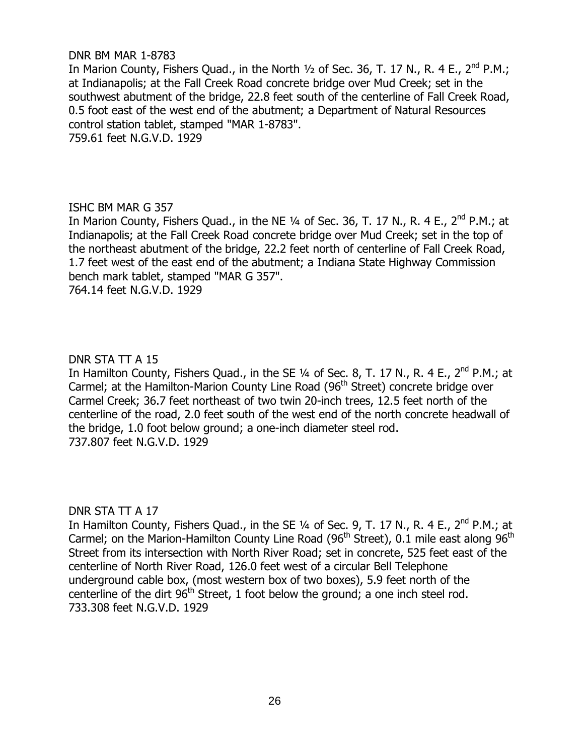## DNR BM MAR 1-8783

In Marion County, Fishers Quad., in the North  $\frac{1}{2}$  of Sec. 36, T. 17 N., R. 4 E., 2<sup>nd</sup> P.M.; at Indianapolis; at the Fall Creek Road concrete bridge over Mud Creek; set in the southwest abutment of the bridge, 22.8 feet south of the centerline of Fall Creek Road, 0.5 foot east of the west end of the abutment; a Department of Natural Resources control station tablet, stamped "MAR 1-8783". 759.61 feet N.G.V.D. 1929

# ISHC BM MAR G 357

In Marion County, Fishers Quad., in the NE 1⁄4 of Sec. 36, T. 17 N., R. 4 E., 2<sup>nd</sup> P.M.; at Indianapolis; at the Fall Creek Road concrete bridge over Mud Creek; set in the top of the northeast abutment of the bridge, 22.2 feet north of centerline of Fall Creek Road, 1.7 feet west of the east end of the abutment; a Indiana State Highway Commission bench mark tablet, stamped "MAR G 357".

764.14 feet N.G.V.D. 1929

# DNR STA TT A 15

In Hamilton County, Fishers Quad., in the SE 1/4 of Sec. 8, T. 17 N., R. 4 E., 2<sup>nd</sup> P.M.; at Carmel; at the Hamilton-Marion County Line Road (96<sup>th</sup> Street) concrete bridge over Carmel Creek; 36.7 feet northeast of two twin 20-inch trees, 12.5 feet north of the centerline of the road, 2.0 feet south of the west end of the north concrete headwall of the bridge, 1.0 foot below ground; a one-inch diameter steel rod. 737.807 feet N.G.V.D. 1929

#### DNR STA TT A 17

In Hamilton County, Fishers Quad., in the SE 1/4 of Sec. 9, T. 17 N., R. 4 E., 2<sup>nd</sup> P.M.; at Carmel; on the Marion-Hamilton County Line Road ( $96<sup>th</sup>$  Street), 0.1 mile east along  $96<sup>th</sup>$ Street from its intersection with North River Road; set in concrete, 525 feet east of the centerline of North River Road, 126.0 feet west of a circular Bell Telephone underground cable box, (most western box of two boxes), 5.9 feet north of the centerline of the dirt  $96<sup>th</sup>$  Street, 1 foot below the ground; a one inch steel rod. 733.308 feet N.G.V.D. 1929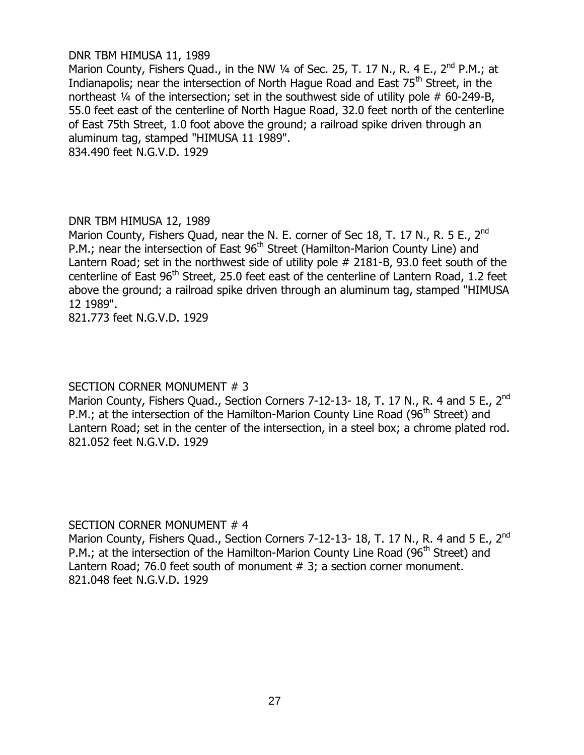# DNR TBM HIMUSA 11, 1989

Marion County, Fishers Quad., in the NW  $\frac{1}{4}$  of Sec. 25, T. 17 N., R. 4 E., 2<sup>nd</sup> P.M.; at Indianapolis; near the intersection of North Hague Road and East 75<sup>th</sup> Street, in the northeast ¼ of the intersection; set in the southwest side of utility pole # 60-249-B, 55.0 feet east of the centerline of North Hague Road, 32.0 feet north of the centerline of East 75th Street, 1.0 foot above the ground; a railroad spike driven through an aluminum tag, stamped "HIMUSA 11 1989". 834.490 feet N.G.V.D. 1929

# DNR TBM HIMUSA 12, 1989

Marion County, Fishers Quad, near the N. E. corner of Sec 18, T. 17 N., R. 5 E., 2<sup>nd</sup> P.M.; near the intersection of East 96<sup>th</sup> Street (Hamilton-Marion County Line) and Lantern Road; set in the northwest side of utility pole # 2181-B, 93.0 feet south of the centerline of East  $96<sup>th</sup>$  Street, 25.0 feet east of the centerline of Lantern Road, 1.2 feet above the ground; a railroad spike driven through an aluminum tag, stamped "HIMUSA 12 1989".

821.773 feet N.G.V.D. 1929

# SECTION CORNER MONUMENT # 3

Marion County, Fishers Quad., Section Corners 7-12-13-18, T. 17 N., R. 4 and 5 E., 2<sup>nd</sup> P.M.; at the intersection of the Hamilton-Marion County Line Road (96<sup>th</sup> Street) and Lantern Road; set in the center of the intersection, in a steel box; a chrome plated rod. 821.052 feet N.G.V.D. 1929

# SECTION CORNER MONUMENT # 4

Marion County, Fishers Quad., Section Corners 7-12-13- 18, T. 17 N., R. 4 and 5 E., 2<sup>nd</sup> P.M.; at the intersection of the Hamilton-Marion County Line Road (96<sup>th</sup> Street) and Lantern Road; 76.0 feet south of monument # 3; a section corner monument. 821.048 feet N.G.V.D. 1929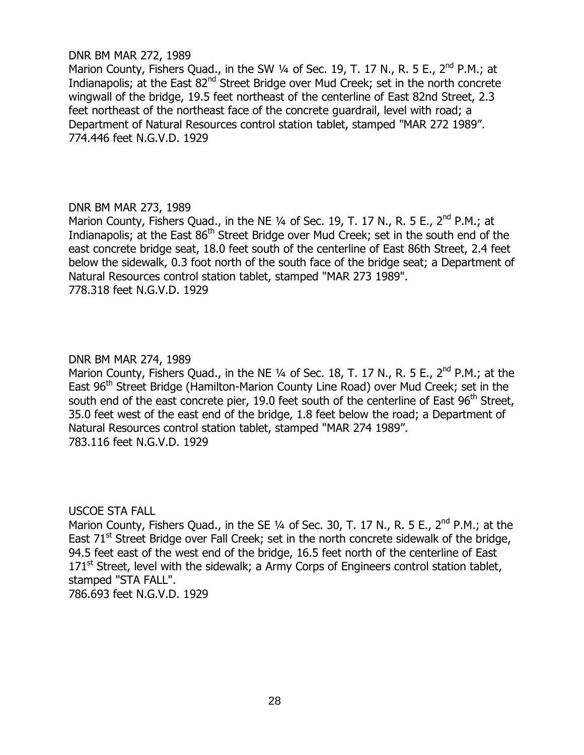## DNR BM MAR 272, 1989

Marion County, Fishers Quad., in the SW  $\frac{1}{4}$  of Sec. 19, T. 17 N., R. 5 E., 2<sup>nd</sup> P.M.; at Indianapolis; at the East 82<sup>nd</sup> Street Bridge over Mud Creek; set in the north concrete wingwall of the bridge, 19.5 feet northeast of the centerline of East 82nd Street, 2.3 feet northeast of the northeast face of the concrete guardrail, level with road; a Department of Natural Resources control station tablet, stamped "MAR 272 1989". 774.446 feet N.G.V.D. 1929

# DNR BM MAR 273, 1989

Marion County, Fishers Quad., in the NE 1/4 of Sec. 19, T. 17 N., R. 5 E., 2<sup>nd</sup> P.M.; at Indianapolis; at the East 86<sup>th</sup> Street Bridge over Mud Creek; set in the south end of the east concrete bridge seat, 18.0 feet south of the centerline of East 86th Street, 2.4 feet below the sidewalk, 0.3 foot north of the south face of the bridge seat; a Department of Natural Resources control station tablet, stamped "MAR 273 1989". 778.318 feet N.G.V.D. 1929

# DNR BM MAR 274, 1989

Marion County, Fishers Quad., in the NE 1/4 of Sec. 18, T. 17 N., R. 5 E., 2<sup>nd</sup> P.M.; at the East 96<sup>th</sup> Street Bridge (Hamilton-Marion County Line Road) over Mud Creek; set in the south end of the east concrete pier, 19.0 feet south of the centerline of East  $96<sup>th</sup>$  Street, 35.0 feet west of the east end of the bridge, 1.8 feet below the road; a Department of Natural Resources control station tablet, stamped "MAR 274 1989". 783.116 feet N.G.V.D. 1929

# USCOE STA FALL

Marion County, Fishers Quad., in the SE  $\frac{1}{4}$  of Sec. 30, T. 17 N., R. 5 E., 2<sup>nd</sup> P.M.; at the East  $71<sup>st</sup>$  Street Bridge over Fall Creek; set in the north concrete sidewalk of the bridge, 94.5 feet east of the west end of the bridge, 16.5 feet north of the centerline of East  $171<sup>st</sup>$  Street, level with the sidewalk; a Army Corps of Engineers control station tablet, stamped "STA FALL".

786.693 feet N.G.V.D. 1929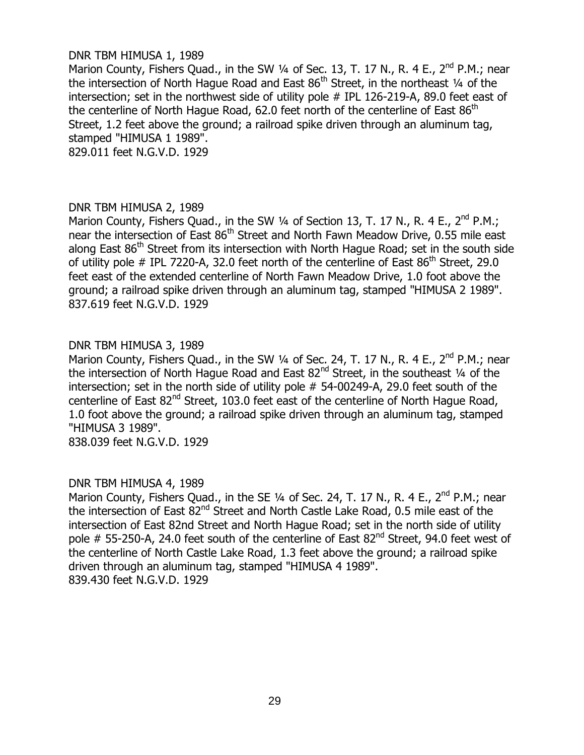## DNR TBM HIMUSA 1, 1989

Marion County, Fishers Quad., in the SW 1/4 of Sec. 13, T. 17 N., R. 4 E., 2<sup>nd</sup> P.M.: near the intersection of North Hague Road and East  $86<sup>th</sup>$  Street, in the northeast  $\frac{1}{4}$  of the intersection; set in the northwest side of utility pole # IPL 126-219-A, 89.0 feet east of the centerline of North Hague Road, 62.0 feet north of the centerline of East  $86<sup>th</sup>$ Street, 1.2 feet above the ground; a railroad spike driven through an aluminum tag, stamped "HIMUSA 1 1989".

829.011 feet N.G.V.D. 1929

#### DNR TBM HIMUSA 2, 1989

Marion County, Fishers Quad., in the SW 1/4 of Section 13, T. 17 N., R. 4 E., 2<sup>nd</sup> P.M.; near the intersection of East 86<sup>th</sup> Street and North Fawn Meadow Drive, 0.55 mile east along East 86<sup>th</sup> Street from its intersection with North Hague Road; set in the south side of utility pole  $\#$  IPL 7220-A, 32.0 feet north of the centerline of East 86<sup>th</sup> Street, 29.0 feet east of the extended centerline of North Fawn Meadow Drive, 1.0 foot above the ground; a railroad spike driven through an aluminum tag, stamped "HIMUSA 2 1989". 837.619 feet N.G.V.D. 1929

#### DNR TBM HIMUSA 3, 1989

Marion County, Fishers Quad., in the SW  $\frac{1}{4}$  of Sec. 24, T. 17 N., R. 4 E., 2<sup>nd</sup> P.M.; near the intersection of North Hague Road and East  $82<sup>nd</sup>$  Street, in the southeast  $\frac{1}{4}$  of the intersection; set in the north side of utility pole # 54-00249-A, 29.0 feet south of the centerline of East  $82^{nd}$  Street, 103.0 feet east of the centerline of North Hague Road, 1.0 foot above the ground; a railroad spike driven through an aluminum tag, stamped "HIMUSA 3 1989".

838.039 feet N.G.V.D. 1929

# DNR TBM HIMUSA 4, 1989

Marion County, Fishers Quad., in the SE 1/4 of Sec. 24, T. 17 N., R. 4 E., 2<sup>nd</sup> P.M.; near the intersection of East 82<sup>nd</sup> Street and North Castle Lake Road, 0.5 mile east of the intersection of East 82nd Street and North Hague Road; set in the north side of utility pole # 55-250-A, 24.0 feet south of the centerline of East 82<sup>nd</sup> Street, 94.0 feet west of the centerline of North Castle Lake Road, 1.3 feet above the ground; a railroad spike driven through an aluminum tag, stamped "HIMUSA 4 1989". 839.430 feet N.G.V.D. 1929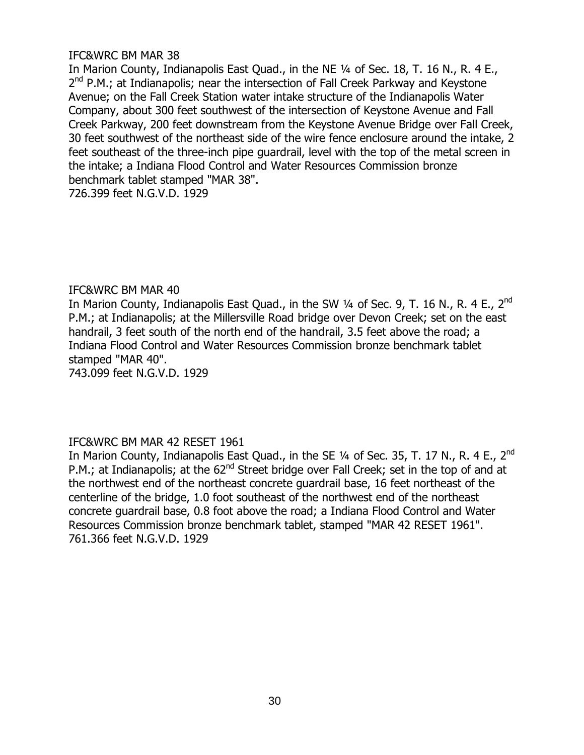# IFC&WRC BM MAR 38

In Marion County, Indianapolis East Quad., in the NE 1/4 of Sec. 18, T. 16 N., R. 4 E., 2<sup>nd</sup> P.M.; at Indianapolis; near the intersection of Fall Creek Parkway and Keystone Avenue; on the Fall Creek Station water intake structure of the Indianapolis Water Company, about 300 feet southwest of the intersection of Keystone Avenue and Fall Creek Parkway, 200 feet downstream from the Keystone Avenue Bridge over Fall Creek, 30 feet southwest of the northeast side of the wire fence enclosure around the intake, 2 feet southeast of the three-inch pipe guardrail, level with the top of the metal screen in the intake; a Indiana Flood Control and Water Resources Commission bronze benchmark tablet stamped "MAR 38".

726.399 feet N.G.V.D. 1929

# IFC&WRC BM MAR 40

In Marion County, Indianapolis East Quad., in the SW 1/4 of Sec. 9, T. 16 N., R. 4 E., 2<sup>nd</sup> P.M.; at Indianapolis; at the Millersville Road bridge over Devon Creek; set on the east handrail, 3 feet south of the north end of the handrail, 3.5 feet above the road; a Indiana Flood Control and Water Resources Commission bronze benchmark tablet stamped "MAR 40".

743.099 feet N.G.V.D. 1929

# IFC&WRC BM MAR 42 RESET 1961

In Marion County, Indianapolis East Quad., in the SE 1/4 of Sec. 35, T. 17 N., R. 4 E., 2<sup>nd</sup> P.M.; at Indianapolis; at the 62<sup>nd</sup> Street bridge over Fall Creek; set in the top of and at the northwest end of the northeast concrete guardrail base, 16 feet northeast of the centerline of the bridge, 1.0 foot southeast of the northwest end of the northeast concrete guardrail base, 0.8 foot above the road; a Indiana Flood Control and Water Resources Commission bronze benchmark tablet, stamped "MAR 42 RESET 1961". 761.366 feet N.G.V.D. 1929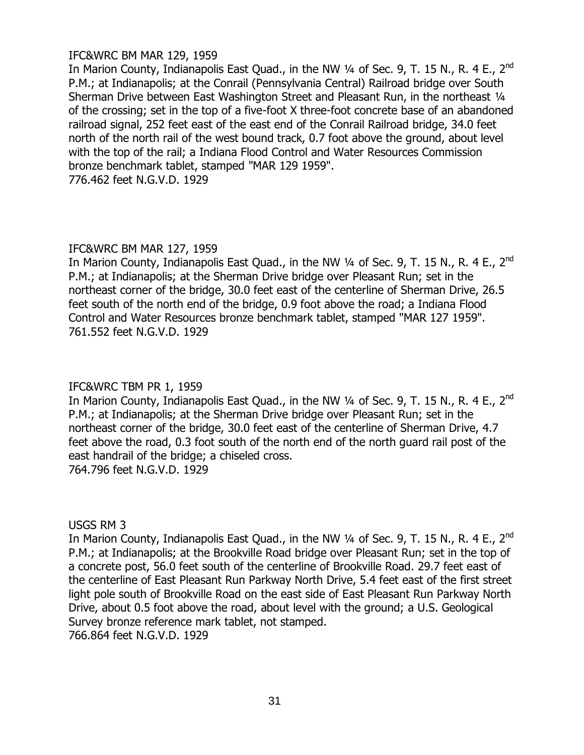# IFC&WRC BM MAR 129, 1959

In Marion County, Indianapolis East Quad., in the NW 1⁄4 of Sec. 9, T. 15 N., R. 4 E., 2<sup>nd</sup> P.M.; at Indianapolis; at the Conrail (Pennsylvania Central) Railroad bridge over South Sherman Drive between East Washington Street and Pleasant Run, in the northeast 1/4 of the crossing; set in the top of a five-foot X three-foot concrete base of an abandoned railroad signal, 252 feet east of the east end of the Conrail Railroad bridge, 34.0 feet north of the north rail of the west bound track, 0.7 foot above the ground, about level with the top of the rail; a Indiana Flood Control and Water Resources Commission bronze benchmark tablet, stamped "MAR 129 1959". 776.462 feet N.G.V.D. 1929

# IFC&WRC BM MAR 127, 1959

In Marion County, Indianapolis East Quad., in the NW 1⁄4 of Sec. 9, T. 15 N., R. 4 E., 2<sup>nd</sup> P.M.; at Indianapolis; at the Sherman Drive bridge over Pleasant Run; set in the northeast corner of the bridge, 30.0 feet east of the centerline of Sherman Drive, 26.5 feet south of the north end of the bridge, 0.9 foot above the road; a Indiana Flood Control and Water Resources bronze benchmark tablet, stamped "MAR 127 1959". 761.552 feet N.G.V.D. 1929

# IFC&WRC TBM PR 1, 1959

In Marion County, Indianapolis East Quad., in the NW 1⁄4 of Sec. 9, T. 15 N., R. 4 E., 2<sup>nd</sup> P.M.; at Indianapolis; at the Sherman Drive bridge over Pleasant Run; set in the northeast corner of the bridge, 30.0 feet east of the centerline of Sherman Drive, 4.7 feet above the road, 0.3 foot south of the north end of the north guard rail post of the east handrail of the bridge; a chiseled cross. 764.796 feet N.G.V.D. 1929

# USGS RM 3

In Marion County, Indianapolis East Quad., in the NW 1/4 of Sec. 9, T. 15 N., R. 4 E., 2<sup>nd</sup> P.M.; at Indianapolis; at the Brookville Road bridge over Pleasant Run; set in the top of a concrete post, 56.0 feet south of the centerline of Brookville Road. 29.7 feet east of the centerline of East Pleasant Run Parkway North Drive, 5.4 feet east of the first street light pole south of Brookville Road on the east side of East Pleasant Run Parkway North Drive, about 0.5 foot above the road, about level with the ground; a U.S. Geological Survey bronze reference mark tablet, not stamped.

766.864 feet N.G.V.D. 1929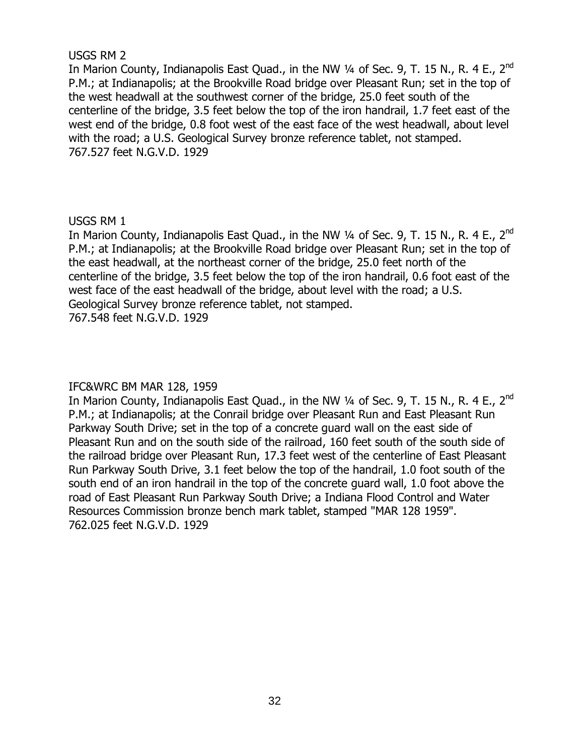# USGS RM 2

In Marion County, Indianapolis East Quad., in the NW 1⁄4 of Sec. 9, T. 15 N., R. 4 E., 2<sup>nd</sup> P.M.; at Indianapolis; at the Brookville Road bridge over Pleasant Run; set in the top of the west headwall at the southwest corner of the bridge, 25.0 feet south of the centerline of the bridge, 3.5 feet below the top of the iron handrail, 1.7 feet east of the west end of the bridge, 0.8 foot west of the east face of the west headwall, about level with the road; a U.S. Geological Survey bronze reference tablet, not stamped. 767.527 feet N.G.V.D. 1929

# USGS RM 1

In Marion County, Indianapolis East Quad., in the NW 1⁄4 of Sec. 9, T. 15 N., R. 4 E., 2<sup>nd</sup> P.M.; at Indianapolis; at the Brookville Road bridge over Pleasant Run; set in the top of the east headwall, at the northeast corner of the bridge, 25.0 feet north of the centerline of the bridge, 3.5 feet below the top of the iron handrail, 0.6 foot east of the west face of the east headwall of the bridge, about level with the road; a U.S. Geological Survey bronze reference tablet, not stamped. 767.548 feet N.G.V.D. 1929

# IFC&WRC BM MAR 128, 1959

In Marion County, Indianapolis East Quad., in the NW 1⁄4 of Sec. 9, T. 15 N., R. 4 E., 2<sup>nd</sup> P.M.; at Indianapolis; at the Conrail bridge over Pleasant Run and East Pleasant Run Parkway South Drive; set in the top of a concrete guard wall on the east side of Pleasant Run and on the south side of the railroad, 160 feet south of the south side of the railroad bridge over Pleasant Run, 17.3 feet west of the centerline of East Pleasant Run Parkway South Drive, 3.1 feet below the top of the handrail, 1.0 foot south of the south end of an iron handrail in the top of the concrete guard wall, 1.0 foot above the road of East Pleasant Run Parkway South Drive; a Indiana Flood Control and Water Resources Commission bronze bench mark tablet, stamped "MAR 128 1959". 762.025 feet N.G.V.D. 1929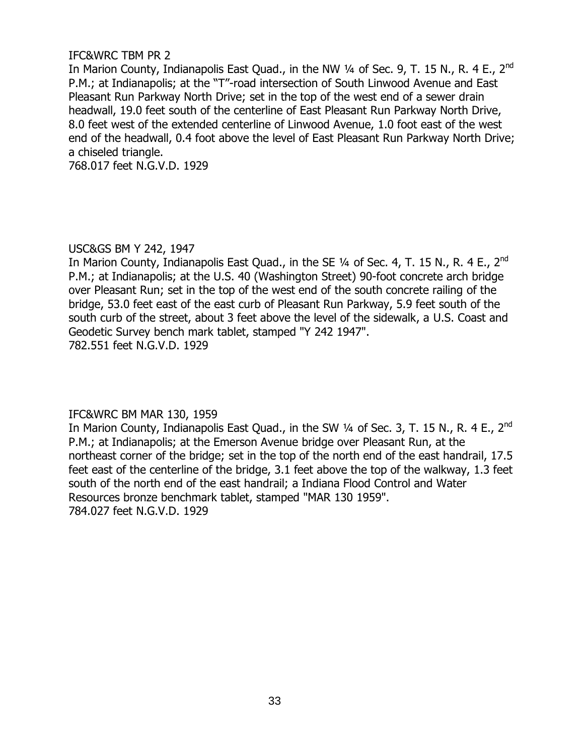# IFC&WRC TBM PR 2

In Marion County, Indianapolis East Ouad., in the NW 1/4 of Sec. 9, T. 15 N., R. 4 E., 2<sup>nd</sup> P.M.; at Indianapolis; at the "T"-road intersection of South Linwood Avenue and East Pleasant Run Parkway North Drive; set in the top of the west end of a sewer drain headwall, 19.0 feet south of the centerline of East Pleasant Run Parkway North Drive, 8.0 feet west of the extended centerline of Linwood Avenue, 1.0 foot east of the west end of the headwall, 0.4 foot above the level of East Pleasant Run Parkway North Drive; a chiseled triangle.

768.017 feet N.G.V.D. 1929

# USC&GS BM Y 242, 1947

In Marion County, Indianapolis East Quad., in the SE  $\frac{1}{4}$  of Sec. 4, T. 15 N., R. 4 E., 2<sup>nd</sup> P.M.; at Indianapolis; at the U.S. 40 (Washington Street) 90-foot concrete arch bridge over Pleasant Run; set in the top of the west end of the south concrete railing of the bridge, 53.0 feet east of the east curb of Pleasant Run Parkway, 5.9 feet south of the south curb of the street, about 3 feet above the level of the sidewalk, a U.S. Coast and Geodetic Survey bench mark tablet, stamped "Y 242 1947". 782.551 feet N.G.V.D. 1929

# IFC&WRC BM MAR 130, 1959

In Marion County, Indianapolis East Quad., in the SW 1/4 of Sec. 3, T. 15 N., R. 4 E., 2<sup>nd</sup> P.M.; at Indianapolis; at the Emerson Avenue bridge over Pleasant Run, at the northeast corner of the bridge; set in the top of the north end of the east handrail, 17.5 feet east of the centerline of the bridge, 3.1 feet above the top of the walkway, 1.3 feet south of the north end of the east handrail; a Indiana Flood Control and Water Resources bronze benchmark tablet, stamped "MAR 130 1959". 784.027 feet N.G.V.D. 1929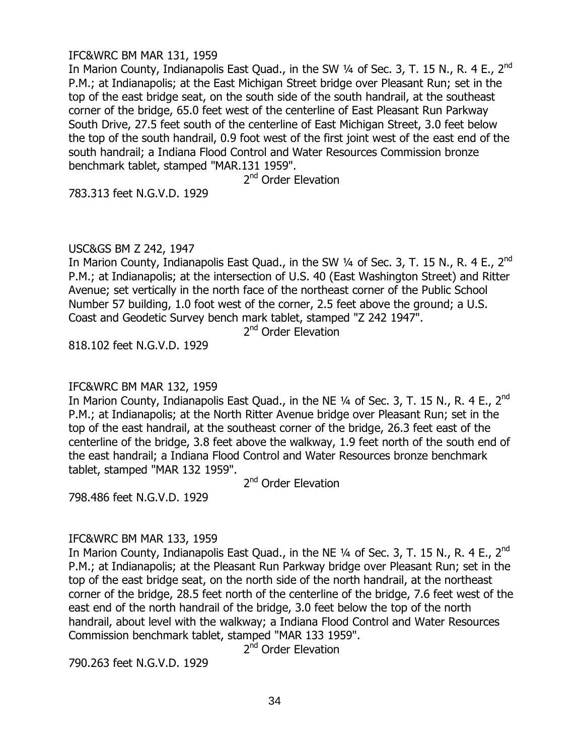## IFC&WRC BM MAR 131, 1959

In Marion County, Indianapolis East Ouad., in the SW 1/4 of Sec. 3, T. 15 N., R. 4 E., 2<sup>nd</sup> P.M.; at Indianapolis; at the East Michigan Street bridge over Pleasant Run; set in the top of the east bridge seat, on the south side of the south handrail, at the southeast corner of the bridge, 65.0 feet west of the centerline of East Pleasant Run Parkway South Drive, 27.5 feet south of the centerline of East Michigan Street, 3.0 feet below the top of the south handrail, 0.9 foot west of the first joint west of the east end of the south handrail; a Indiana Flood Control and Water Resources Commission bronze benchmark tablet, stamped "MAR.131 1959".

2<sup>nd</sup> Order Elevation

783.313 feet N.G.V.D. 1929

# USC&GS BM Z 242, 1947

In Marion County, Indianapolis East Quad., in the SW 1/4 of Sec. 3, T. 15 N., R. 4 E., 2<sup>nd</sup> P.M.; at Indianapolis; at the intersection of U.S. 40 (East Washington Street) and Ritter Avenue; set vertically in the north face of the northeast corner of the Public School Number 57 building, 1.0 foot west of the corner, 2.5 feet above the ground; a U.S. Coast and Geodetic Survey bench mark tablet, stamped "Z 242 1947".

2<sup>nd</sup> Order Elevation

818.102 feet N.G.V.D. 1929

# IFC&WRC BM MAR 132, 1959

In Marion County, Indianapolis East Quad., in the NE  $\frac{1}{4}$  of Sec. 3, T. 15 N., R. 4 E., 2<sup>nd</sup> P.M.; at Indianapolis; at the North Ritter Avenue bridge over Pleasant Run; set in the top of the east handrail, at the southeast corner of the bridge, 26.3 feet east of the centerline of the bridge, 3.8 feet above the walkway, 1.9 feet north of the south end of the east handrail; a Indiana Flood Control and Water Resources bronze benchmark tablet, stamped "MAR 132 1959".

2<sup>nd</sup> Order Elevation

798.486 feet N.G.V.D. 1929

# IFC&WRC BM MAR 133, 1959

In Marion County, Indianapolis East Quad., in the NE 1/4 of Sec. 3, T. 15 N., R. 4 E., 2<sup>nd</sup> P.M.; at Indianapolis; at the Pleasant Run Parkway bridge over Pleasant Run; set in the top of the east bridge seat, on the north side of the north handrail, at the northeast corner of the bridge, 28.5 feet north of the centerline of the bridge, 7.6 feet west of the east end of the north handrail of the bridge, 3.0 feet below the top of the north handrail, about level with the walkway; a Indiana Flood Control and Water Resources Commission benchmark tablet, stamped "MAR 133 1959".

2<sup>nd</sup> Order Elevation

790.263 feet N.G.V.D. 1929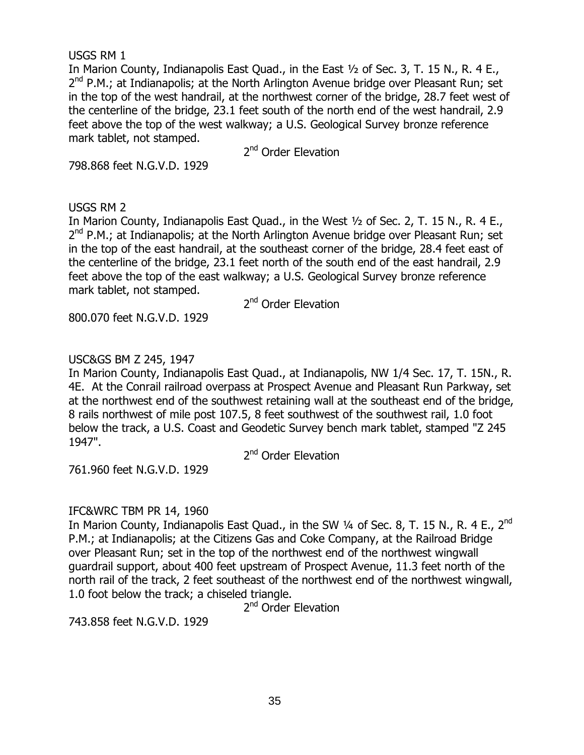# USGS RM 1

In Marion County, Indianapolis East Quad., in the East ½ of Sec. 3, T. 15 N., R. 4 E., 2<sup>nd</sup> P.M.; at Indianapolis; at the North Arlington Avenue bridge over Pleasant Run; set in the top of the west handrail, at the northwest corner of the bridge, 28.7 feet west of the centerline of the bridge, 23.1 feet south of the north end of the west handrail, 2.9 feet above the top of the west walkway; a U.S. Geological Survey bronze reference mark tablet, not stamped.

2<sup>nd</sup> Order Elevation

798.868 feet N.G.V.D. 1929

# USGS RM 2

In Marion County, Indianapolis East Quad., in the West ½ of Sec. 2, T. 15 N., R. 4 E., 2<sup>nd</sup> P.M.; at Indianapolis; at the North Arlington Avenue bridge over Pleasant Run; set in the top of the east handrail, at the southeast corner of the bridge, 28.4 feet east of the centerline of the bridge, 23.1 feet north of the south end of the east handrail, 2.9 feet above the top of the east walkway; a U.S. Geological Survey bronze reference mark tablet, not stamped.

800.070 feet N.G.V.D. 1929

2<sup>nd</sup> Order Elevation

# USC&GS BM Z 245, 1947

In Marion County, Indianapolis East Quad., at Indianapolis, NW 1/4 Sec. 17, T. 15N., R. 4E. At the Conrail railroad overpass at Prospect Avenue and Pleasant Run Parkway, set at the northwest end of the southwest retaining wall at the southeast end of the bridge, 8 rails northwest of mile post 107.5, 8 feet southwest of the southwest rail, 1.0 foot below the track, a U.S. Coast and Geodetic Survey bench mark tablet, stamped "Z 245 1947".

2<sup>nd</sup> Order Elevation

761.960 feet N.G.V.D. 1929

# IFC&WRC TBM PR 14, 1960

In Marion County, Indianapolis East Quad., in the SW 1/4 of Sec. 8, T. 15 N., R. 4 E., 2<sup>nd</sup> P.M.; at Indianapolis; at the Citizens Gas and Coke Company, at the Railroad Bridge over Pleasant Run; set in the top of the northwest end of the northwest wingwall guardrail support, about 400 feet upstream of Prospect Avenue, 11.3 feet north of the north rail of the track, 2 feet southeast of the northwest end of the northwest wingwall, 1.0 foot below the track; a chiseled triangle.

2<sup>nd</sup> Order Elevation

743.858 feet N.G.V.D. 1929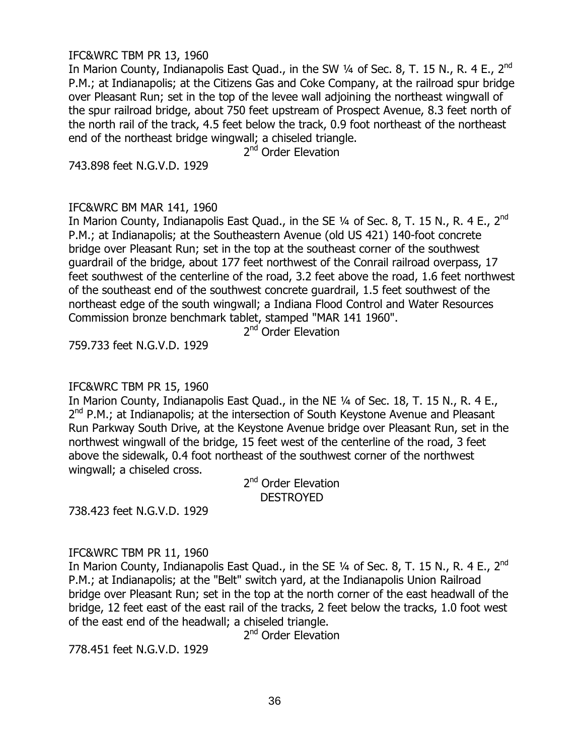#### IFC&WRC TBM PR 13, 1960

In Marion County, Indianapolis East Quad., in the SW 1/4 of Sec. 8, T. 15 N., R. 4 E., 2<sup>nd</sup> P.M.; at Indianapolis; at the Citizens Gas and Coke Company, at the railroad spur bridge over Pleasant Run; set in the top of the levee wall adjoining the northeast wingwall of the spur railroad bridge, about 750 feet upstream of Prospect Avenue, 8.3 feet north of the north rail of the track, 4.5 feet below the track, 0.9 foot northeast of the northeast end of the northeast bridge wingwall; a chiseled triangle.

2<sup>nd</sup> Order Elevation

743.898 feet N.G.V.D. 1929

### IFC&WRC BM MAR 141, 1960

In Marion County, Indianapolis East Quad., in the SE 1/4 of Sec. 8, T. 15 N., R. 4 E., 2<sup>nd</sup> P.M.; at Indianapolis; at the Southeastern Avenue (old US 421) 140-foot concrete bridge over Pleasant Run; set in the top at the southeast corner of the southwest guardrail of the bridge, about 177 feet northwest of the Conrail railroad overpass, 17 feet southwest of the centerline of the road, 3.2 feet above the road, 1.6 feet northwest of the southeast end of the southwest concrete guardrail, 1.5 feet southwest of the northeast edge of the south wingwall; a Indiana Flood Control and Water Resources Commission bronze benchmark tablet, stamped "MAR 141 1960".

2<sup>nd</sup> Order Elevation

759.733 feet N.G.V.D. 1929

### IFC&WRC TBM PR 15, 1960

In Marion County, Indianapolis East Ouad., in the NE 1/4 of Sec. 18, T. 15 N., R. 4 E., 2<sup>nd</sup> P.M.; at Indianapolis; at the intersection of South Keystone Avenue and Pleasant Run Parkway South Drive, at the Keystone Avenue bridge over Pleasant Run, set in the northwest wingwall of the bridge, 15 feet west of the centerline of the road, 3 feet above the sidewalk, 0.4 foot northeast of the southwest corner of the northwest wingwall; a chiseled cross.

> 2<sup>nd</sup> Order Elevation DESTROYED

738.423 feet N.G.V.D. 1929

### IFC&WRC TBM PR 11, 1960

In Marion County, Indianapolis East Quad., in the SE 1/4 of Sec. 8, T. 15 N., R. 4 E., 2<sup>nd</sup> P.M.; at Indianapolis; at the "Belt" switch yard, at the Indianapolis Union Railroad bridge over Pleasant Run; set in the top at the north corner of the east headwall of the bridge, 12 feet east of the east rail of the tracks, 2 feet below the tracks, 1.0 foot west of the east end of the headwall; a chiseled triangle.

2<sup>nd</sup> Order Elevation

778.451 feet N.G.V.D. 1929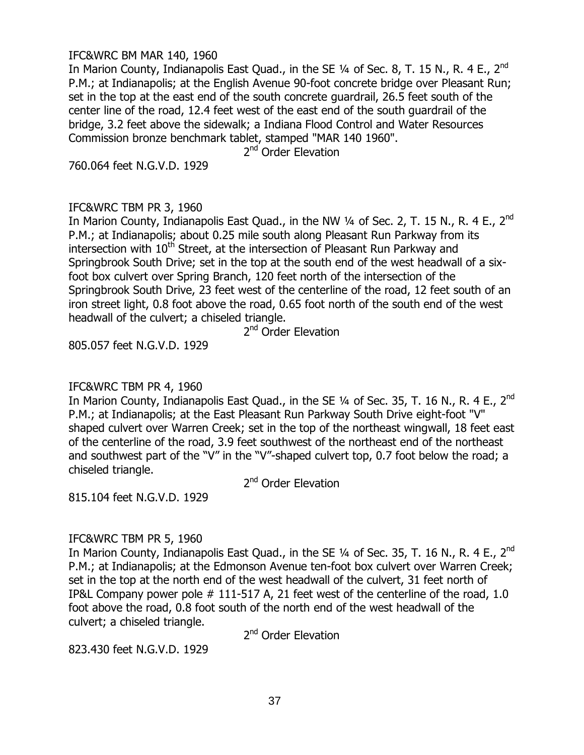#### IFC&WRC BM MAR 140, 1960

In Marion County, Indianapolis East Ouad., in the SE 1/4 of Sec. 8, T. 15 N., R. 4 E., 2<sup>nd</sup> P.M.; at Indianapolis; at the English Avenue 90-foot concrete bridge over Pleasant Run; set in the top at the east end of the south concrete guardrail, 26.5 feet south of the center line of the road, 12.4 feet west of the east end of the south guardrail of the bridge, 3.2 feet above the sidewalk; a Indiana Flood Control and Water Resources Commission bronze benchmark tablet, stamped "MAR 140 1960".

2<sup>nd</sup> Order Elevation

760.064 feet N.G.V.D. 1929

### IFC&WRC TBM PR 3, 1960

In Marion County, Indianapolis East Quad., in the NW 1/4 of Sec. 2, T. 15 N., R. 4 E., 2<sup>nd</sup> P.M.; at Indianapolis; about 0.25 mile south along Pleasant Run Parkway from its intersection with  $10<sup>th</sup>$  Street, at the intersection of Pleasant Run Parkway and Springbrook South Drive; set in the top at the south end of the west headwall of a sixfoot box culvert over Spring Branch, 120 feet north of the intersection of the Springbrook South Drive, 23 feet west of the centerline of the road, 12 feet south of an iron street light, 0.8 foot above the road, 0.65 foot north of the south end of the west headwall of the culvert; a chiseled triangle.

2<sup>nd</sup> Order Elevation

805.057 feet N.G.V.D. 1929

### IFC&WRC TBM PR 4, 1960

In Marion County, Indianapolis East Quad., in the SE 1⁄4 of Sec. 35, T. 16 N., R. 4 E., 2<sup>nd</sup> P.M.; at Indianapolis; at the East Pleasant Run Parkway South Drive eight-foot "V" shaped culvert over Warren Creek; set in the top of the northeast wingwall, 18 feet east of the centerline of the road, 3.9 feet southwest of the northeast end of the northeast and southwest part of the "V" in the "V"-shaped culvert top, 0.7 foot below the road; a chiseled triangle.

2<sup>nd</sup> Order Elevation

815.104 feet N.G.V.D. 1929

# IFC&WRC TBM PR 5, 1960

In Marion County, Indianapolis East Quad., in the SE 1⁄4 of Sec. 35, T. 16 N., R. 4 E., 2<sup>nd</sup> P.M.; at Indianapolis; at the Edmonson Avenue ten-foot box culvert over Warren Creek; set in the top at the north end of the west headwall of the culvert, 31 feet north of IP&L Company power pole # 111-517 A, 21 feet west of the centerline of the road, 1.0 foot above the road, 0.8 foot south of the north end of the west headwall of the culvert; a chiseled triangle.

2<sup>nd</sup> Order Elevation

823.430 feet N.G.V.D. 1929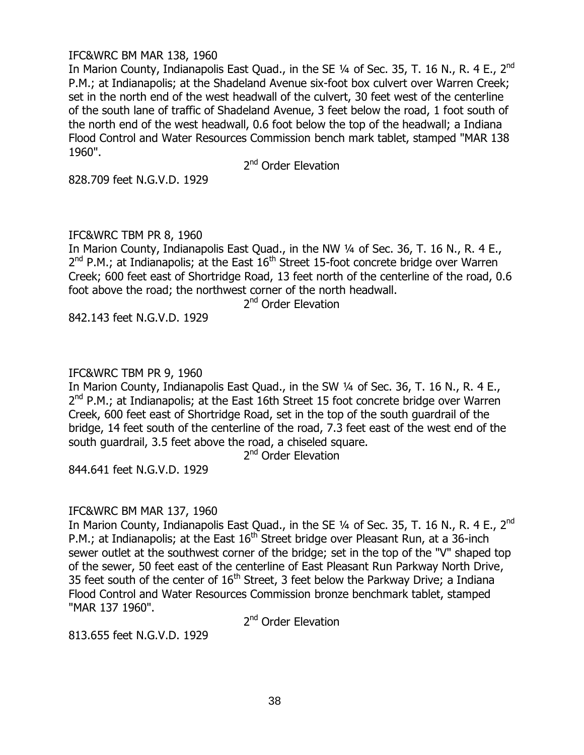### IFC&WRC BM MAR 138, 1960

In Marion County, Indianapolis East Quad., in the SE 1⁄4 of Sec. 35, T. 16 N., R. 4 E., 2<sup>nd</sup> P.M.; at Indianapolis; at the Shadeland Avenue six-foot box culvert over Warren Creek; set in the north end of the west headwall of the culvert, 30 feet west of the centerline of the south lane of traffic of Shadeland Avenue, 3 feet below the road, 1 foot south of the north end of the west headwall, 0.6 foot below the top of the headwall; a Indiana Flood Control and Water Resources Commission bench mark tablet, stamped "MAR 138 1960".

2<sup>nd</sup> Order Elevation

828.709 feet N.G.V.D. 1929

### IFC&WRC TBM PR 8, 1960

In Marion County, Indianapolis East Quad., in the NW ¼ of Sec. 36, T. 16 N., R. 4 E.,  $2^{nd}$  P.M.; at Indianapolis; at the East  $16^{th}$  Street 15-foot concrete bridge over Warren Creek; 600 feet east of Shortridge Road, 13 feet north of the centerline of the road, 0.6 foot above the road; the northwest corner of the north headwall.

2<sup>nd</sup> Order Elevation

842.143 feet N.G.V.D. 1929

# IFC&WRC TBM PR 9, 1960

In Marion County, Indianapolis East Quad., in the SW ¼ of Sec. 36, T. 16 N., R. 4 E., 2<sup>nd</sup> P.M.; at Indianapolis; at the East 16th Street 15 foot concrete bridge over Warren Creek, 600 feet east of Shortridge Road, set in the top of the south guardrail of the bridge, 14 feet south of the centerline of the road, 7.3 feet east of the west end of the south guardrail, 3.5 feet above the road, a chiseled square.

2<sup>nd</sup> Order Elevation

844.641 feet N.G.V.D. 1929

### IFC&WRC BM MAR 137, 1960

In Marion County, Indianapolis East Quad., in the SE 1/4 of Sec. 35, T. 16 N., R. 4 E., 2<sup>nd</sup> P.M.; at Indianapolis; at the East  $16^{th}$  Street bridge over Pleasant Run, at a 36-inch sewer outlet at the southwest corner of the bridge; set in the top of the "V" shaped top of the sewer, 50 feet east of the centerline of East Pleasant Run Parkway North Drive, 35 feet south of the center of  $16<sup>th</sup>$  Street, 3 feet below the Parkway Drive; a Indiana Flood Control and Water Resources Commission bronze benchmark tablet, stamped "MAR 137 1960".

2<sup>nd</sup> Order Elevation

813.655 feet N.G.V.D. 1929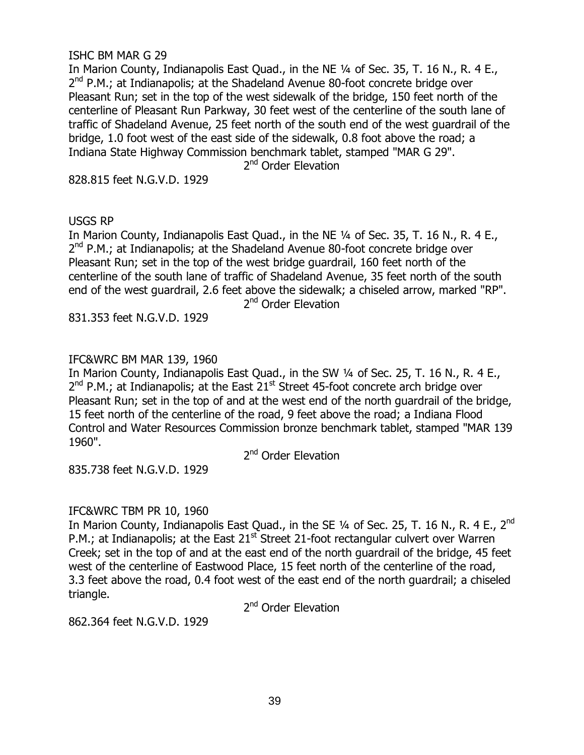### ISHC BM MAR G 29

In Marion County, Indianapolis East Quad., in the NE 1/4 of Sec. 35, T. 16 N., R. 4 E., 2<sup>nd</sup> P.M.; at Indianapolis; at the Shadeland Avenue 80-foot concrete bridge over Pleasant Run; set in the top of the west sidewalk of the bridge, 150 feet north of the centerline of Pleasant Run Parkway, 30 feet west of the centerline of the south lane of traffic of Shadeland Avenue, 25 feet north of the south end of the west guardrail of the bridge, 1.0 foot west of the east side of the sidewalk, 0.8 foot above the road; a Indiana State Highway Commission benchmark tablet, stamped "MAR G 29".

2<sup>nd</sup> Order Elevation

828.815 feet N.G.V.D. 1929

#### USGS RP

In Marion County, Indianapolis East Quad., in the NE 1/4 of Sec. 35, T. 16 N., R. 4 E., 2<sup>nd</sup> P.M.; at Indianapolis; at the Shadeland Avenue 80-foot concrete bridge over Pleasant Run; set in the top of the west bridge guardrail, 160 feet north of the centerline of the south lane of traffic of Shadeland Avenue, 35 feet north of the south end of the west guardrail, 2.6 feet above the sidewalk; a chiseled arrow, marked "RP". 2<sup>nd</sup> Order Elevation

831.353 feet N.G.V.D. 1929

### IFC&WRC BM MAR 139, 1960

In Marion County, Indianapolis East Quad., in the SW ¼ of Sec. 25, T. 16 N., R. 4 E., 2<sup>nd</sup> P.M.; at Indianapolis; at the East 21<sup>st</sup> Street 45-foot concrete arch bridge over Pleasant Run; set in the top of and at the west end of the north guardrail of the bridge, 15 feet north of the centerline of the road, 9 feet above the road; a Indiana Flood Control and Water Resources Commission bronze benchmark tablet, stamped "MAR 139 1960".

2<sup>nd</sup> Order Elevation

835.738 feet N.G.V.D. 1929

### IFC&WRC TBM PR 10, 1960

In Marion County, Indianapolis East Quad., in the SE 1/4 of Sec. 25, T. 16 N., R. 4 E., 2<sup>nd</sup> P.M.; at Indianapolis; at the East  $21<sup>st</sup>$  Street 21-foot rectangular culvert over Warren Creek; set in the top of and at the east end of the north guardrail of the bridge, 45 feet west of the centerline of Eastwood Place, 15 feet north of the centerline of the road, 3.3 feet above the road, 0.4 foot west of the east end of the north guardrail; a chiseled triangle.

2<sup>nd</sup> Order Elevation

862.364 feet N.G.V.D. 1929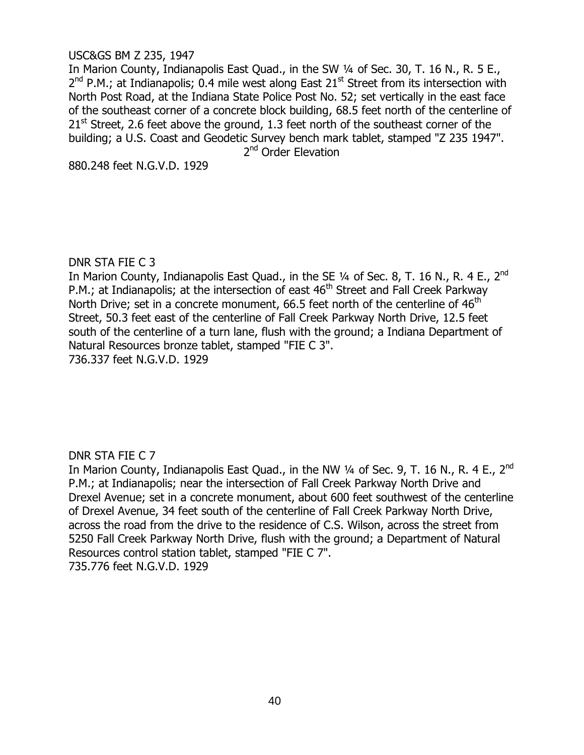### USC&GS BM Z 235, 1947

In Marion County, Indianapolis East Quad., in the SW ¼ of Sec. 30, T. 16 N., R. 5 E.,  $2^{nd}$  P.M.; at Indianapolis; 0.4 mile west along East 21<sup>st</sup> Street from its intersection with North Post Road, at the Indiana State Police Post No. 52; set vertically in the east face of the southeast corner of a concrete block building, 68.5 feet north of the centerline of  $21<sup>st</sup>$  Street, 2.6 feet above the ground, 1.3 feet north of the southeast corner of the building; a U.S. Coast and Geodetic Survey bench mark tablet, stamped "Z 235 1947". 2<sup>nd</sup> Order Elevation

880.248 feet N.G.V.D. 1929

### DNR STA FIE C 3

In Marion County, Indianapolis East Quad., in the SE 1/4 of Sec. 8, T. 16 N., R. 4 E., 2<sup>nd</sup> P.M.; at Indianapolis; at the intersection of east  $46<sup>th</sup>$  Street and Fall Creek Parkway North Drive; set in a concrete monument, 66.5 feet north of the centerline of  $46<sup>th</sup>$ Street, 50.3 feet east of the centerline of Fall Creek Parkway North Drive, 12.5 feet south of the centerline of a turn lane, flush with the ground; a Indiana Department of Natural Resources bronze tablet, stamped "FIE C 3". 736.337 feet N.G.V.D. 1929

# DNR STA FIE C 7

In Marion County, Indianapolis East Quad., in the NW 1⁄4 of Sec. 9, T. 16 N., R. 4 E., 2<sup>nd</sup> P.M.; at Indianapolis; near the intersection of Fall Creek Parkway North Drive and Drexel Avenue; set in a concrete monument, about 600 feet southwest of the centerline of Drexel Avenue, 34 feet south of the centerline of Fall Creek Parkway North Drive, across the road from the drive to the residence of C.S. Wilson, across the street from 5250 Fall Creek Parkway North Drive, flush with the ground; a Department of Natural Resources control station tablet, stamped "FIE C 7". 735.776 feet N.G.V.D. 1929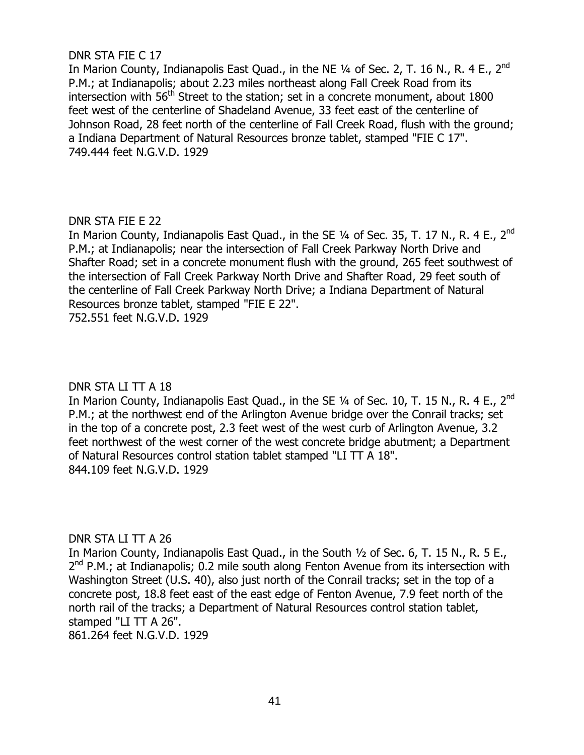# DNR STA FIE C 17

In Marion County, Indianapolis East Quad., in the NE 1/4 of Sec. 2, T. 16 N., R. 4 E., 2<sup>nd</sup> P.M.; at Indianapolis; about 2.23 miles northeast along Fall Creek Road from its intersection with 56<sup>th</sup> Street to the station; set in a concrete monument, about 1800 feet west of the centerline of Shadeland Avenue, 33 feet east of the centerline of Johnson Road, 28 feet north of the centerline of Fall Creek Road, flush with the ground; a Indiana Department of Natural Resources bronze tablet, stamped "FIE C 17". 749.444 feet N.G.V.D. 1929

# DNR STA FIE E 22

In Marion County, Indianapolis East Quad., in the SE 1/4 of Sec. 35, T. 17 N., R. 4 E., 2<sup>nd</sup> P.M.; at Indianapolis; near the intersection of Fall Creek Parkway North Drive and Shafter Road; set in a concrete monument flush with the ground, 265 feet southwest of the intersection of Fall Creek Parkway North Drive and Shafter Road, 29 feet south of the centerline of Fall Creek Parkway North Drive; a Indiana Department of Natural Resources bronze tablet, stamped "FIE E 22".

752.551 feet N.G.V.D. 1929

# DNR STA LI TT A 18

In Marion County, Indianapolis East Quad., in the SE 1⁄4 of Sec. 10, T. 15 N., R. 4 E., 2<sup>nd</sup> P.M.; at the northwest end of the Arlington Avenue bridge over the Conrail tracks; set in the top of a concrete post, 2.3 feet west of the west curb of Arlington Avenue, 3.2 feet northwest of the west corner of the west concrete bridge abutment; a Department of Natural Resources control station tablet stamped "LI TT A 18". 844.109 feet N.G.V.D. 1929

### DNR STA LI TT A 26

In Marion County, Indianapolis East Quad., in the South ½ of Sec. 6, T. 15 N., R. 5 E., 2<sup>nd</sup> P.M.; at Indianapolis; 0.2 mile south along Fenton Avenue from its intersection with Washington Street (U.S. 40), also just north of the Conrail tracks; set in the top of a concrete post, 18.8 feet east of the east edge of Fenton Avenue, 7.9 feet north of the north rail of the tracks; a Department of Natural Resources control station tablet, stamped "LI TT A 26".

861.264 feet N.G.V.D. 1929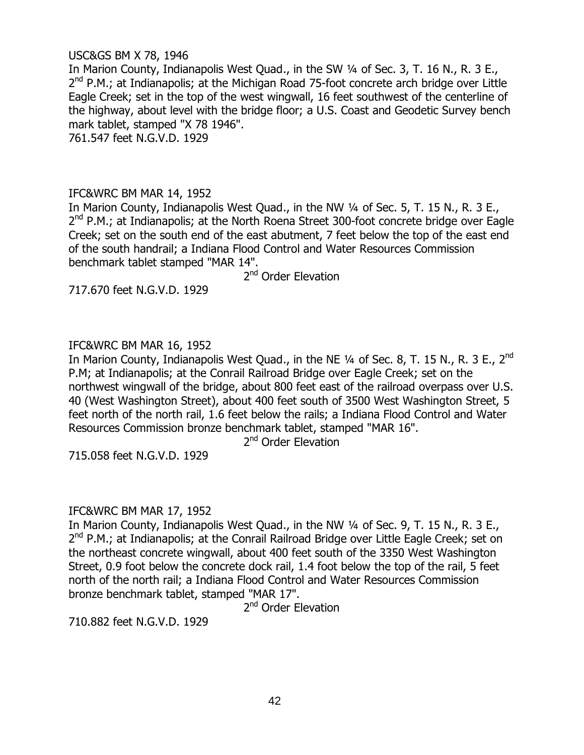### USC&GS BM X 78, 1946

In Marion County, Indianapolis West Quad., in the SW ¼ of Sec. 3, T. 16 N., R. 3 E., 2<sup>nd</sup> P.M.; at Indianapolis; at the Michigan Road 75-foot concrete arch bridge over Little Eagle Creek; set in the top of the west wingwall, 16 feet southwest of the centerline of the highway, about level with the bridge floor; a U.S. Coast and Geodetic Survey bench mark tablet, stamped "X 78 1946". 761.547 feet N.G.V.D. 1929

### IFC&WRC BM MAR 14, 1952

In Marion County, Indianapolis West Quad., in the NW 1/4 of Sec. 5, T. 15 N., R. 3 E., 2<sup>nd</sup> P.M.; at Indianapolis; at the North Roena Street 300-foot concrete bridge over Eagle Creek; set on the south end of the east abutment, 7 feet below the top of the east end of the south handrail; a Indiana Flood Control and Water Resources Commission benchmark tablet stamped "MAR 14".

2<sup>nd</sup> Order Elevation

717.670 feet N.G.V.D. 1929

### IFC&WRC BM MAR 16, 1952

In Marion County, Indianapolis West Quad., in the NE 1/4 of Sec. 8, T. 15 N., R. 3 E., 2<sup>nd</sup> P.M; at Indianapolis; at the Conrail Railroad Bridge over Eagle Creek; set on the northwest wingwall of the bridge, about 800 feet east of the railroad overpass over U.S. 40 (West Washington Street), about 400 feet south of 3500 West Washington Street, 5 feet north of the north rail, 1.6 feet below the rails; a Indiana Flood Control and Water Resources Commission bronze benchmark tablet, stamped "MAR 16".

2<sup>nd</sup> Order Elevation

715.058 feet N.G.V.D. 1929

### IFC&WRC BM MAR 17, 1952

In Marion County, Indianapolis West Ouad., in the NW 1/4 of Sec. 9, T. 15 N., R. 3 E., 2<sup>nd</sup> P.M.; at Indianapolis; at the Conrail Railroad Bridge over Little Eagle Creek; set on the northeast concrete wingwall, about 400 feet south of the 3350 West Washington Street, 0.9 foot below the concrete dock rail, 1.4 foot below the top of the rail, 5 feet north of the north rail; a Indiana Flood Control and Water Resources Commission bronze benchmark tablet, stamped "MAR 17".

2<sup>nd</sup> Order Elevation

710.882 feet N.G.V.D. 1929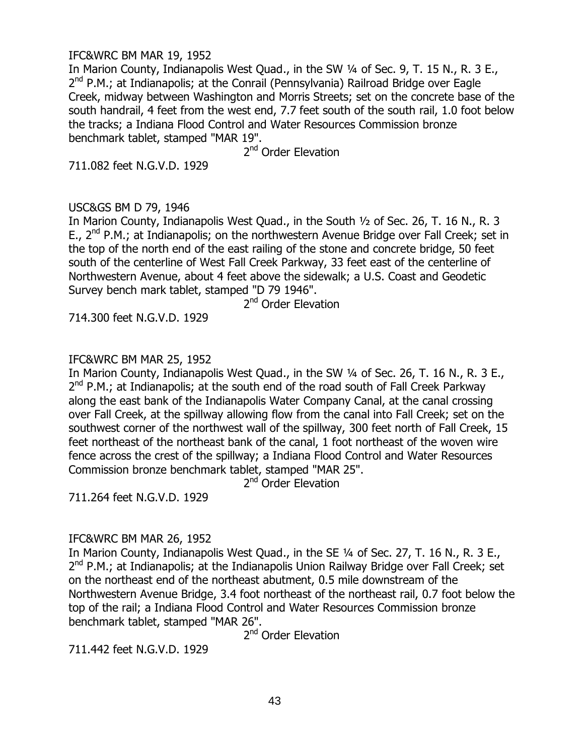#### IFC&WRC BM MAR 19, 1952

In Marion County, Indianapolis West Quad., in the SW 1/4 of Sec. 9, T. 15 N., R. 3 E., 2<sup>nd</sup> P.M.; at Indianapolis; at the Conrail (Pennsylvania) Railroad Bridge over Eagle Creek, midway between Washington and Morris Streets; set on the concrete base of the south handrail, 4 feet from the west end, 7.7 feet south of the south rail, 1.0 foot below the tracks; a Indiana Flood Control and Water Resources Commission bronze benchmark tablet, stamped "MAR 19".

2<sup>nd</sup> Order Elevation

711.082 feet N.G.V.D. 1929

### USC&GS BM D 79, 1946

In Marion County, Indianapolis West Quad., in the South ½ of Sec. 26, T. 16 N., R. 3 E., 2<sup>nd</sup> P.M.; at Indianapolis; on the northwestern Avenue Bridge over Fall Creek; set in the top of the north end of the east railing of the stone and concrete bridge, 50 feet south of the centerline of West Fall Creek Parkway, 33 feet east of the centerline of Northwestern Avenue, about 4 feet above the sidewalk; a U.S. Coast and Geodetic Survey bench mark tablet, stamped "D 79 1946".

2<sup>nd</sup> Order Elevation

714.300 feet N.G.V.D. 1929

# IFC&WRC BM MAR 25, 1952

In Marion County, Indianapolis West Quad., in the SW ¼ of Sec. 26, T. 16 N., R. 3 E., 2<sup>nd</sup> P.M.; at Indianapolis; at the south end of the road south of Fall Creek Parkway along the east bank of the Indianapolis Water Company Canal, at the canal crossing over Fall Creek, at the spillway allowing flow from the canal into Fall Creek; set on the southwest corner of the northwest wall of the spillway, 300 feet north of Fall Creek, 15 feet northeast of the northeast bank of the canal, 1 foot northeast of the woven wire fence across the crest of the spillway; a Indiana Flood Control and Water Resources Commission bronze benchmark tablet, stamped "MAR 25".

2<sup>nd</sup> Order Elevation

711.264 feet N.G.V.D. 1929

# IFC&WRC BM MAR 26, 1952

In Marion County, Indianapolis West Quad., in the SE 1/4 of Sec. 27, T. 16 N., R. 3 E., 2<sup>nd</sup> P.M.; at Indianapolis; at the Indianapolis Union Railway Bridge over Fall Creek; set on the northeast end of the northeast abutment, 0.5 mile downstream of the Northwestern Avenue Bridge, 3.4 foot northeast of the northeast rail, 0.7 foot below the top of the rail; a Indiana Flood Control and Water Resources Commission bronze benchmark tablet, stamped "MAR 26".

2<sup>nd</sup> Order Elevation

711.442 feet N.G.V.D. 1929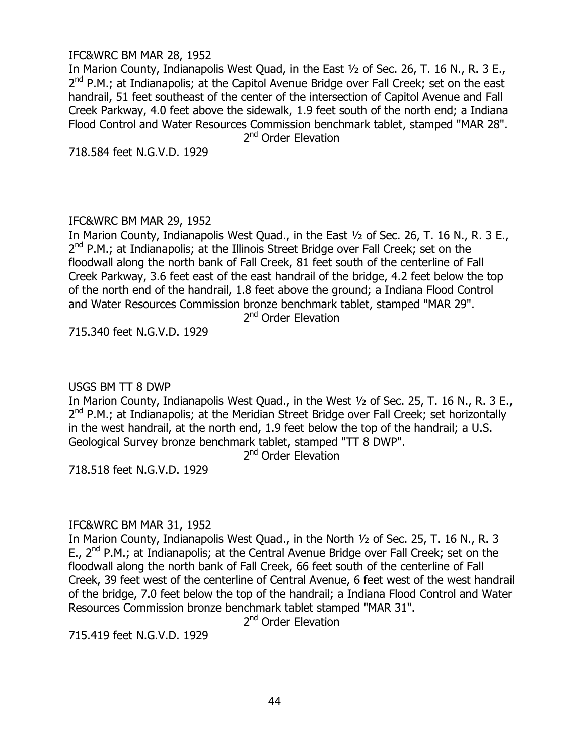#### IFC&WRC BM MAR 28, 1952

In Marion County, Indianapolis West Quad, in the East ½ of Sec. 26, T. 16 N., R. 3 E., 2<sup>nd</sup> P.M.; at Indianapolis; at the Capitol Avenue Bridge over Fall Creek; set on the east handrail, 51 feet southeast of the center of the intersection of Capitol Avenue and Fall Creek Parkway, 4.0 feet above the sidewalk, 1.9 feet south of the north end; a Indiana Flood Control and Water Resources Commission benchmark tablet, stamped "MAR 28".

2<sup>nd</sup> Order Elevation

718.584 feet N.G.V.D. 1929

#### IFC&WRC BM MAR 29, 1952

In Marion County, Indianapolis West Quad., in the East ½ of Sec. 26, T. 16 N., R. 3 E., 2<sup>nd</sup> P.M.; at Indianapolis; at the Illinois Street Bridge over Fall Creek; set on the floodwall along the north bank of Fall Creek, 81 feet south of the centerline of Fall Creek Parkway, 3.6 feet east of the east handrail of the bridge, 4.2 feet below the top of the north end of the handrail, 1.8 feet above the ground; a Indiana Flood Control and Water Resources Commission bronze benchmark tablet, stamped "MAR 29".

2<sup>nd</sup> Order Elevation

715.340 feet N.G.V.D. 1929

### USGS BM TT 8 DWP

In Marion County, Indianapolis West Quad., in the West ½ of Sec. 25, T. 16 N., R. 3 E., 2<sup>nd</sup> P.M.; at Indianapolis; at the Meridian Street Bridge over Fall Creek; set horizontally in the west handrail, at the north end, 1.9 feet below the top of the handrail; a U.S. Geological Survey bronze benchmark tablet, stamped "TT 8 DWP".

2<sup>nd</sup> Order Elevation

718.518 feet N.G.V.D. 1929

### IFC&WRC BM MAR 31, 1952

In Marion County, Indianapolis West Quad., in the North ½ of Sec. 25, T. 16 N., R. 3 E., 2<sup>nd</sup> P.M.; at Indianapolis; at the Central Avenue Bridge over Fall Creek; set on the floodwall along the north bank of Fall Creek, 66 feet south of the centerline of Fall Creek, 39 feet west of the centerline of Central Avenue, 6 feet west of the west handrail of the bridge, 7.0 feet below the top of the handrail; a Indiana Flood Control and Water Resources Commission bronze benchmark tablet stamped "MAR 31".

2<sup>nd</sup> Order Elevation

715.419 feet N.G.V.D. 1929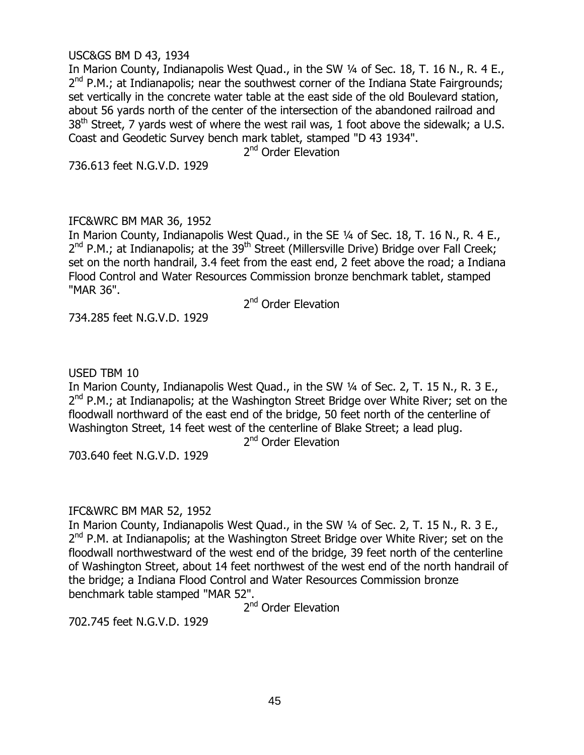### USC&GS BM D 43, 1934

In Marion County, Indianapolis West Quad., in the SW 1/4 of Sec. 18, T. 16 N., R. 4 E., 2<sup>nd</sup> P.M.; at Indianapolis; near the southwest corner of the Indiana State Fairgrounds; set vertically in the concrete water table at the east side of the old Boulevard station, about 56 yards north of the center of the intersection of the abandoned railroad and  $38<sup>th</sup>$  Street, 7 yards west of where the west rail was, 1 foot above the sidewalk; a U.S. Coast and Geodetic Survey bench mark tablet, stamped "D 43 1934".

2<sup>nd</sup> Order Elevation

736.613 feet N.G.V.D. 1929

### IFC&WRC BM MAR 36, 1952

In Marion County, Indianapolis West Quad., in the SE 1/4 of Sec. 18, T. 16 N., R. 4 E., 2<sup>nd</sup> P.M.; at Indianapolis; at the 39<sup>th</sup> Street (Millersville Drive) Bridge over Fall Creek; set on the north handrail, 3.4 feet from the east end, 2 feet above the road; a Indiana Flood Control and Water Resources Commission bronze benchmark tablet, stamped "MAR 36".

2<sup>nd</sup> Order Elevation

734.285 feet N.G.V.D. 1929

### USED TBM 10

In Marion County, Indianapolis West Quad., in the SW ¼ of Sec. 2, T. 15 N., R. 3 E., 2<sup>nd</sup> P.M.; at Indianapolis; at the Washington Street Bridge over White River; set on the floodwall northward of the east end of the bridge, 50 feet north of the centerline of Washington Street, 14 feet west of the centerline of Blake Street; a lead plug.

2<sup>nd</sup> Order Elevation

703.640 feet N.G.V.D. 1929

### IFC&WRC BM MAR 52, 1952

In Marion County, Indianapolis West Ouad., in the SW 1/4 of Sec. 2, T. 15 N., R. 3 E., 2<sup>nd</sup> P.M. at Indianapolis; at the Washington Street Bridge over White River; set on the floodwall northwestward of the west end of the bridge, 39 feet north of the centerline of Washington Street, about 14 feet northwest of the west end of the north handrail of the bridge; a Indiana Flood Control and Water Resources Commission bronze benchmark table stamped "MAR 52".

2<sup>nd</sup> Order Elevation

702.745 feet N.G.V.D. 1929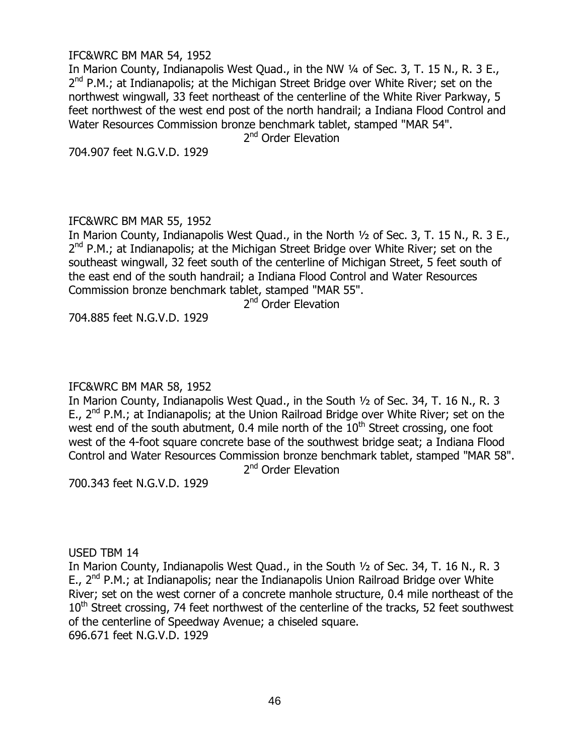#### IFC&WRC BM MAR 54, 1952

In Marion County, Indianapolis West Quad., in the NW 1/4 of Sec. 3, T. 15 N., R. 3 E., 2<sup>nd</sup> P.M.; at Indianapolis; at the Michigan Street Bridge over White River; set on the northwest wingwall, 33 feet northeast of the centerline of the White River Parkway, 5 feet northwest of the west end post of the north handrail; a Indiana Flood Control and Water Resources Commission bronze benchmark tablet, stamped "MAR 54".

2<sup>nd</sup> Order Elevation

704.907 feet N.G.V.D. 1929

#### IFC&WRC BM MAR 55, 1952

In Marion County, Indianapolis West Quad., in the North ½ of Sec. 3, T. 15 N., R. 3 E., 2<sup>nd</sup> P.M.; at Indianapolis; at the Michigan Street Bridge over White River; set on the southeast wingwall, 32 feet south of the centerline of Michigan Street, 5 feet south of the east end of the south handrail; a Indiana Flood Control and Water Resources Commission bronze benchmark tablet, stamped "MAR 55".

2<sup>nd</sup> Order Elevation

704.885 feet N.G.V.D. 1929

### IFC&WRC BM MAR 58, 1952

In Marion County, Indianapolis West Quad., in the South ½ of Sec. 34, T. 16 N., R. 3 E., 2<sup>nd</sup> P.M.; at Indianapolis; at the Union Railroad Bridge over White River; set on the west end of the south abutment, 0.4 mile north of the  $10<sup>th</sup>$  Street crossing, one foot west of the 4-foot square concrete base of the southwest bridge seat; a Indiana Flood Control and Water Resources Commission bronze benchmark tablet, stamped "MAR 58". 2<sup>nd</sup> Order Elevation

700.343 feet N.G.V.D. 1929

### USED TBM 14

In Marion County, Indianapolis West Quad., in the South ½ of Sec. 34, T. 16 N., R. 3 E., 2<sup>nd</sup> P.M.; at Indianapolis; near the Indianapolis Union Railroad Bridge over White River; set on the west corner of a concrete manhole structure, 0.4 mile northeast of the  $10<sup>th</sup>$  Street crossing, 74 feet northwest of the centerline of the tracks, 52 feet southwest of the centerline of Speedway Avenue; a chiseled square. 696.671 feet N.G.V.D. 1929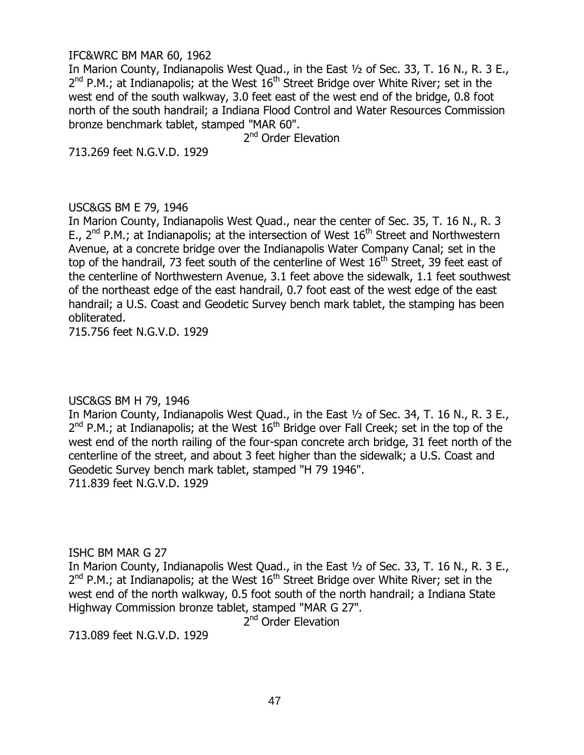#### IFC&WRC BM MAR 60, 1962

In Marion County, Indianapolis West Quad., in the East ½ of Sec. 33, T. 16 N., R. 3 E.,  $2^{nd}$  P.M.; at Indianapolis; at the West  $16^{th}$  Street Bridge over White River; set in the west end of the south walkway, 3.0 feet east of the west end of the bridge, 0.8 foot north of the south handrail; a Indiana Flood Control and Water Resources Commission bronze benchmark tablet, stamped "MAR 60".

2<sup>nd</sup> Order Elevation

713.269 feet N.G.V.D. 1929

### USC&GS BM E 79, 1946

In Marion County, Indianapolis West Quad., near the center of Sec. 35, T. 16 N., R. 3 E.,  $2^{nd}$  P.M.; at Indianapolis; at the intersection of West  $16^{th}$  Street and Northwestern Avenue, at a concrete bridge over the Indianapolis Water Company Canal; set in the top of the handrail, 73 feet south of the centerline of West  $16<sup>th</sup>$  Street, 39 feet east of the centerline of Northwestern Avenue, 3.1 feet above the sidewalk, 1.1 feet southwest of the northeast edge of the east handrail, 0.7 foot east of the west edge of the east handrail; a U.S. Coast and Geodetic Survey bench mark tablet, the stamping has been obliterated.

715.756 feet N.G.V.D. 1929

### USC&GS BM H 79, 1946

In Marion County, Indianapolis West Quad., in the East ½ of Sec. 34, T. 16 N., R. 3 E.,  $2^{nd}$  P.M.; at Indianapolis; at the West  $16^{th}$  Bridge over Fall Creek; set in the top of the west end of the north railing of the four-span concrete arch bridge, 31 feet north of the centerline of the street, and about 3 feet higher than the sidewalk; a U.S. Coast and Geodetic Survey bench mark tablet, stamped "H 79 1946". 711.839 feet N.G.V.D. 1929

ISHC BM MAR G 27

In Marion County, Indianapolis West Quad., in the East ½ of Sec. 33, T. 16 N., R. 3 E.,  $2^{nd}$  P.M.; at Indianapolis; at the West  $16^{th}$  Street Bridge over White River; set in the west end of the north walkway, 0.5 foot south of the north handrail; a Indiana State Highway Commission bronze tablet, stamped "MAR G 27".

2<sup>nd</sup> Order Elevation

713.089 feet N.G.V.D. 1929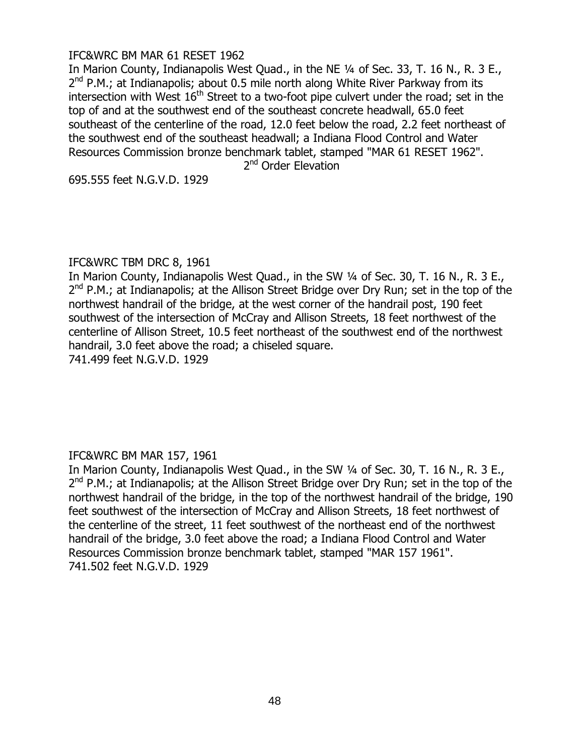### IFC&WRC BM MAR 61 RESET 1962

In Marion County, Indianapolis West Quad., in the NE ¼ of Sec. 33, T. 16 N., R. 3 E., 2<sup>nd</sup> P.M.; at Indianapolis; about 0.5 mile north along White River Parkway from its intersection with West  $16<sup>th</sup>$  Street to a two-foot pipe culvert under the road; set in the top of and at the southwest end of the southeast concrete headwall, 65.0 feet southeast of the centerline of the road, 12.0 feet below the road, 2.2 feet northeast of the southwest end of the southeast headwall; a Indiana Flood Control and Water Resources Commission bronze benchmark tablet, stamped "MAR 61 RESET 1962".

2<sup>nd</sup> Order Elevation

695.555 feet N.G.V.D. 1929

### IFC&WRC TBM DRC 8, 1961

In Marion County, Indianapolis West Quad., in the SW 1/4 of Sec. 30, T. 16 N., R. 3 E., 2<sup>nd</sup> P.M.; at Indianapolis; at the Allison Street Bridge over Dry Run; set in the top of the northwest handrail of the bridge, at the west corner of the handrail post, 190 feet southwest of the intersection of McCray and Allison Streets, 18 feet northwest of the centerline of Allison Street, 10.5 feet northeast of the southwest end of the northwest handrail, 3.0 feet above the road; a chiseled square. 741.499 feet N.G.V.D. 1929

### IFC&WRC BM MAR 157, 1961

In Marion County, Indianapolis West Quad., in the SW ¼ of Sec. 30, T. 16 N., R. 3 E., 2<sup>nd</sup> P.M.; at Indianapolis; at the Allison Street Bridge over Dry Run; set in the top of the northwest handrail of the bridge, in the top of the northwest handrail of the bridge, 190 feet southwest of the intersection of McCray and Allison Streets, 18 feet northwest of the centerline of the street, 11 feet southwest of the northeast end of the northwest handrail of the bridge, 3.0 feet above the road; a Indiana Flood Control and Water Resources Commission bronze benchmark tablet, stamped "MAR 157 1961". 741.502 feet N.G.V.D. 1929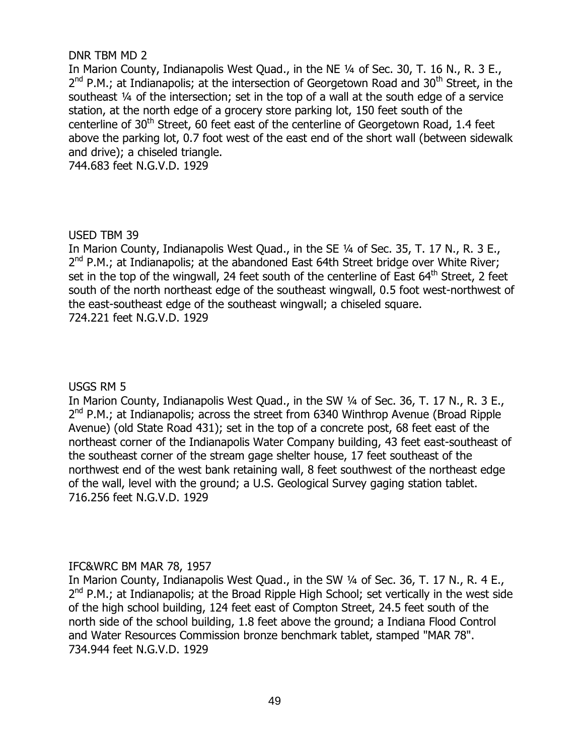### DNR TBM MD 2

In Marion County, Indianapolis West Quad., in the NE ¼ of Sec. 30, T. 16 N., R. 3 E., 2<sup>nd</sup> P.M.; at Indianapolis; at the intersection of Georgetown Road and 30<sup>th</sup> Street, in the southeast 1/4 of the intersection; set in the top of a wall at the south edge of a service station, at the north edge of a grocery store parking lot, 150 feet south of the centerline of 30<sup>th</sup> Street, 60 feet east of the centerline of Georgetown Road, 1.4 feet above the parking lot, 0.7 foot west of the east end of the short wall (between sidewalk and drive); a chiseled triangle.

744.683 feet N.G.V.D. 1929

# USED TBM 39

In Marion County, Indianapolis West Quad., in the SE ¼ of Sec. 35, T. 17 N., R. 3 E., 2<sup>nd</sup> P.M.; at Indianapolis; at the abandoned East 64th Street bridge over White River; set in the top of the wingwall, 24 feet south of the centerline of East  $64<sup>th</sup>$  Street, 2 feet south of the north northeast edge of the southeast wingwall, 0.5 foot west-northwest of the east-southeast edge of the southeast wingwall; a chiseled square. 724.221 feet N.G.V.D. 1929

### USGS RM 5

In Marion County, Indianapolis West Quad., in the SW 1/4 of Sec. 36, T. 17 N., R. 3 E., 2<sup>nd</sup> P.M.; at Indianapolis; across the street from 6340 Winthrop Avenue (Broad Ripple Avenue) (old State Road 431); set in the top of a concrete post, 68 feet east of the northeast corner of the Indianapolis Water Company building, 43 feet east-southeast of the southeast corner of the stream gage shelter house, 17 feet southeast of the northwest end of the west bank retaining wall, 8 feet southwest of the northeast edge of the wall, level with the ground; a U.S. Geological Survey gaging station tablet. 716.256 feet N.G.V.D. 1929

### IFC&WRC BM MAR 78, 1957

In Marion County, Indianapolis West Quad., in the SW ¼ of Sec. 36, T. 17 N., R. 4 E., 2<sup>nd</sup> P.M.; at Indianapolis; at the Broad Ripple High School; set vertically in the west side of the high school building, 124 feet east of Compton Street, 24.5 feet south of the north side of the school building, 1.8 feet above the ground; a Indiana Flood Control and Water Resources Commission bronze benchmark tablet, stamped "MAR 78". 734.944 feet N.G.V.D. 1929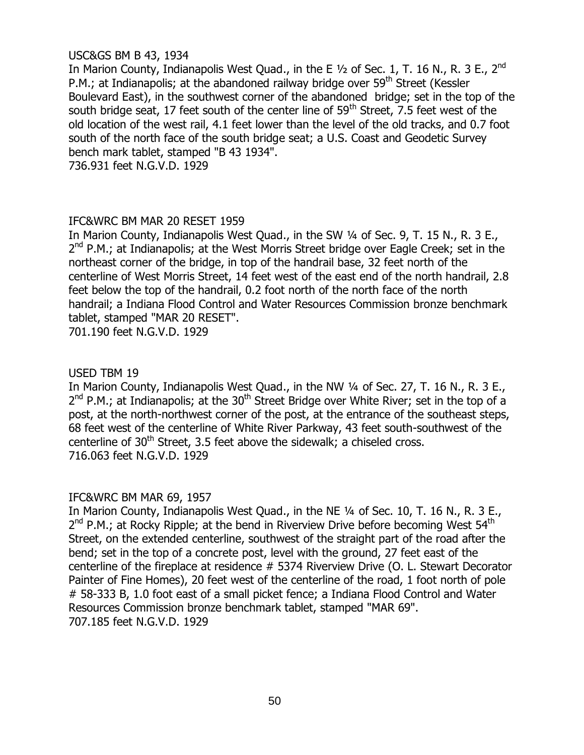# USC&GS BM B 43, 1934

In Marion County, Indianapolis West Quad., in the E 1/2 of Sec. 1, T. 16 N., R. 3 E., 2<sup>nd</sup> P.M.; at Indianapolis; at the abandoned railway bridge over  $59<sup>th</sup>$  Street (Kessler Boulevard East), in the southwest corner of the abandoned bridge; set in the top of the south bridge seat, 17 feet south of the center line of  $59<sup>th</sup>$  Street, 7.5 feet west of the old location of the west rail, 4.1 feet lower than the level of the old tracks, and 0.7 foot south of the north face of the south bridge seat; a U.S. Coast and Geodetic Survey bench mark tablet, stamped "B 43 1934".

736.931 feet N.G.V.D. 1929

### IFC&WRC BM MAR 20 RESET 1959

In Marion County, Indianapolis West Quad., in the SW 1/4 of Sec. 9, T. 15 N., R. 3 E., 2<sup>nd</sup> P.M.; at Indianapolis; at the West Morris Street bridge over Eagle Creek; set in the northeast corner of the bridge, in top of the handrail base, 32 feet north of the centerline of West Morris Street, 14 feet west of the east end of the north handrail, 2.8 feet below the top of the handrail, 0.2 foot north of the north face of the north handrail; a Indiana Flood Control and Water Resources Commission bronze benchmark tablet, stamped "MAR 20 RESET".

701.190 feet N.G.V.D. 1929

# USED TBM 19

In Marion County, Indianapolis West Quad., in the NW 1/4 of Sec. 27, T. 16 N., R. 3 E., 2<sup>nd</sup> P.M.; at Indianapolis; at the 30<sup>th</sup> Street Bridge over White River; set in the top of a post, at the north-northwest corner of the post, at the entrance of the southeast steps, 68 feet west of the centerline of White River Parkway, 43 feet south-southwest of the centerline of 30<sup>th</sup> Street, 3.5 feet above the sidewalk; a chiseled cross. 716.063 feet N.G.V.D. 1929

### IFC&WRC BM MAR 69, 1957

In Marion County, Indianapolis West Quad., in the NE 1/4 of Sec. 10, T. 16 N., R. 3 E., 2<sup>nd</sup> P.M.; at Rocky Ripple; at the bend in Riverview Drive before becoming West 54<sup>th</sup> Street, on the extended centerline, southwest of the straight part of the road after the bend; set in the top of a concrete post, level with the ground, 27 feet east of the centerline of the fireplace at residence # 5374 Riverview Drive (O. L. Stewart Decorator Painter of Fine Homes), 20 feet west of the centerline of the road, 1 foot north of pole # 58-333 B, 1.0 foot east of a small picket fence; a Indiana Flood Control and Water Resources Commission bronze benchmark tablet, stamped "MAR 69". 707.185 feet N.G.V.D. 1929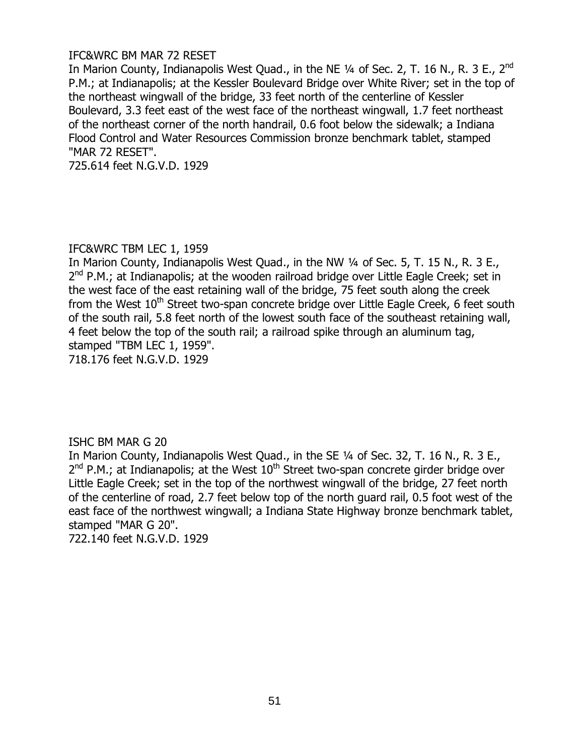#### IFC&WRC BM MAR 72 RESET

In Marion County, Indianapolis West Quad., in the NE 1/4 of Sec. 2, T. 16 N., R. 3 E., 2<sup>nd</sup> P.M.; at Indianapolis; at the Kessler Boulevard Bridge over White River; set in the top of the northeast wingwall of the bridge, 33 feet north of the centerline of Kessler Boulevard, 3.3 feet east of the west face of the northeast wingwall, 1.7 feet northeast of the northeast corner of the north handrail, 0.6 foot below the sidewalk; a Indiana Flood Control and Water Resources Commission bronze benchmark tablet, stamped "MAR 72 RESET".

725.614 feet N.G.V.D. 1929

### IFC&WRC TBM LEC 1, 1959

In Marion County, Indianapolis West Quad., in the NW 1/4 of Sec. 5, T. 15 N., R. 3 E., 2<sup>nd</sup> P.M.; at Indianapolis; at the wooden railroad bridge over Little Eagle Creek; set in the west face of the east retaining wall of the bridge, 75 feet south along the creek from the West  $10<sup>th</sup>$  Street two-span concrete bridge over Little Eagle Creek, 6 feet south of the south rail, 5.8 feet north of the lowest south face of the southeast retaining wall, 4 feet below the top of the south rail; a railroad spike through an aluminum tag, stamped "TBM LEC 1, 1959". 718.176 feet N.G.V.D. 1929

### ISHC BM MAR G 20

In Marion County, Indianapolis West Quad., in the SE 1/4 of Sec. 32, T. 16 N., R. 3 E.,  $2^{nd}$  P.M.; at Indianapolis; at the West  $10^{th}$  Street two-span concrete girder bridge over Little Eagle Creek; set in the top of the northwest wingwall of the bridge, 27 feet north of the centerline of road, 2.7 feet below top of the north guard rail, 0.5 foot west of the east face of the northwest wingwall; a Indiana State Highway bronze benchmark tablet, stamped "MAR G 20".

722.140 feet N.G.V.D. 1929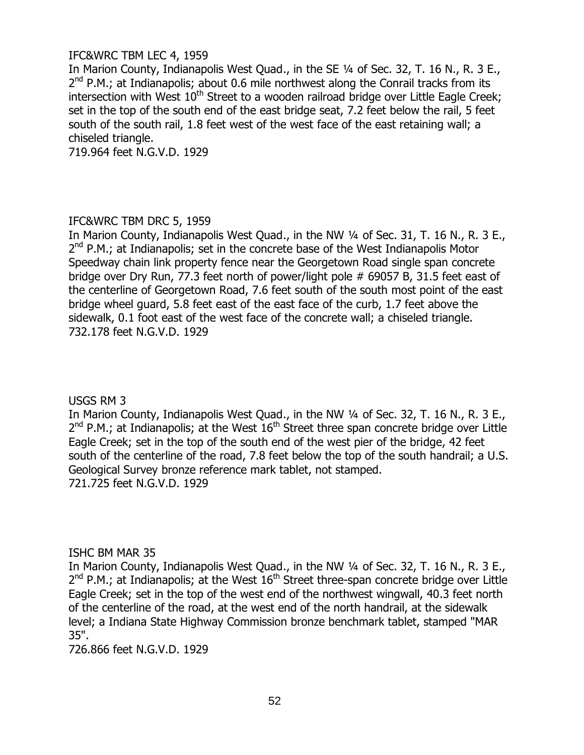### IFC&WRC TBM LEC 4, 1959

In Marion County, Indianapolis West Quad., in the SE ¼ of Sec. 32, T. 16 N., R. 3 E., 2<sup>nd</sup> P.M.; at Indianapolis; about 0.6 mile northwest along the Conrail tracks from its intersection with West  $10<sup>th</sup>$  Street to a wooden railroad bridge over Little Eagle Creek; set in the top of the south end of the east bridge seat, 7.2 feet below the rail, 5 feet south of the south rail, 1.8 feet west of the west face of the east retaining wall; a chiseled triangle.

719.964 feet N.G.V.D. 1929

# IFC&WRC TBM DRC 5, 1959

In Marion County, Indianapolis West Quad., in the NW 1/4 of Sec. 31, T. 16 N., R. 3 E., 2<sup>nd</sup> P.M.; at Indianapolis; set in the concrete base of the West Indianapolis Motor Speedway chain link property fence near the Georgetown Road single span concrete bridge over Dry Run, 77.3 feet north of power/light pole # 69057 B, 31.5 feet east of the centerline of Georgetown Road, 7.6 feet south of the south most point of the east bridge wheel guard, 5.8 feet east of the east face of the curb, 1.7 feet above the sidewalk, 0.1 foot east of the west face of the concrete wall; a chiseled triangle. 732.178 feet N.G.V.D. 1929

### USGS RM 3

In Marion County, Indianapolis West Quad., in the NW 1/4 of Sec. 32, T. 16 N., R. 3 E.,  $2^{nd}$  P.M.; at Indianapolis; at the West  $16^{th}$  Street three span concrete bridge over Little Eagle Creek; set in the top of the south end of the west pier of the bridge, 42 feet south of the centerline of the road, 7.8 feet below the top of the south handrail; a U.S. Geological Survey bronze reference mark tablet, not stamped. 721.725 feet N.G.V.D. 1929

### ISHC BM MAR 35

In Marion County, Indianapolis West Quad., in the NW 1/4 of Sec. 32, T. 16 N., R. 3 E.,  $2^{nd}$  P.M.; at Indianapolis; at the West  $16^{th}$  Street three-span concrete bridge over Little Eagle Creek; set in the top of the west end of the northwest wingwall, 40.3 feet north of the centerline of the road, at the west end of the north handrail, at the sidewalk level; a Indiana State Highway Commission bronze benchmark tablet, stamped "MAR 35".

726.866 feet N.G.V.D. 1929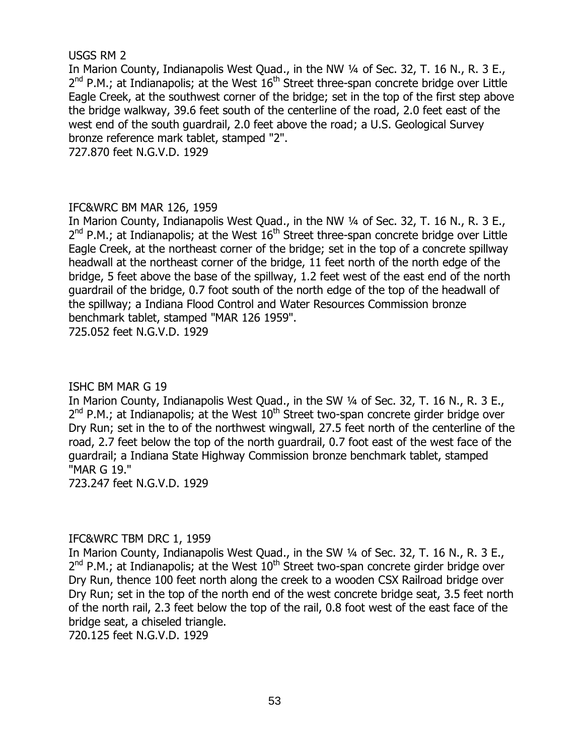#### USGS RM 2

In Marion County, Indianapolis West Quad., in the NW 1/4 of Sec. 32, T. 16 N., R. 3 E.,  $2^{nd}$  P.M.; at Indianapolis; at the West  $16^{th}$  Street three-span concrete bridge over Little Eagle Creek, at the southwest corner of the bridge; set in the top of the first step above the bridge walkway, 39.6 feet south of the centerline of the road, 2.0 feet east of the west end of the south guardrail, 2.0 feet above the road; a U.S. Geological Survey bronze reference mark tablet, stamped "2". 727.870 feet N.G.V.D. 1929

# IFC&WRC BM MAR 126, 1959

In Marion County, Indianapolis West Quad., in the NW 1/4 of Sec. 32, T. 16 N., R. 3 E.,  $2^{nd}$  P.M.; at Indianapolis; at the West  $16^{th}$  Street three-span concrete bridge over Little Eagle Creek, at the northeast corner of the bridge; set in the top of a concrete spillway headwall at the northeast corner of the bridge, 11 feet north of the north edge of the bridge, 5 feet above the base of the spillway, 1.2 feet west of the east end of the north guardrail of the bridge, 0.7 foot south of the north edge of the top of the headwall of the spillway; a Indiana Flood Control and Water Resources Commission bronze benchmark tablet, stamped "MAR 126 1959".

725.052 feet N.G.V.D. 1929

### ISHC BM MAR G 19

In Marion County, Indianapolis West Quad., in the SW 1/4 of Sec. 32, T. 16 N., R. 3 E.,  $2^{nd}$  P.M.; at Indianapolis; at the West  $10^{th}$  Street two-span concrete girder bridge over Dry Run; set in the to of the northwest wingwall, 27.5 feet north of the centerline of the road, 2.7 feet below the top of the north guardrail, 0.7 foot east of the west face of the guardrail; a Indiana State Highway Commission bronze benchmark tablet, stamped "MAR G 19."

723.247 feet N.G.V.D. 1929

### IFC&WRC TBM DRC 1, 1959

In Marion County, Indianapolis West Quad., in the SW 1/4 of Sec. 32, T. 16 N., R. 3 E.,  $2^{nd}$  P.M.; at Indianapolis; at the West  $10^{th}$  Street two-span concrete girder bridge over Dry Run, thence 100 feet north along the creek to a wooden CSX Railroad bridge over Dry Run; set in the top of the north end of the west concrete bridge seat, 3.5 feet north of the north rail, 2.3 feet below the top of the rail, 0.8 foot west of the east face of the bridge seat, a chiseled triangle.

720.125 feet N.G.V.D. 1929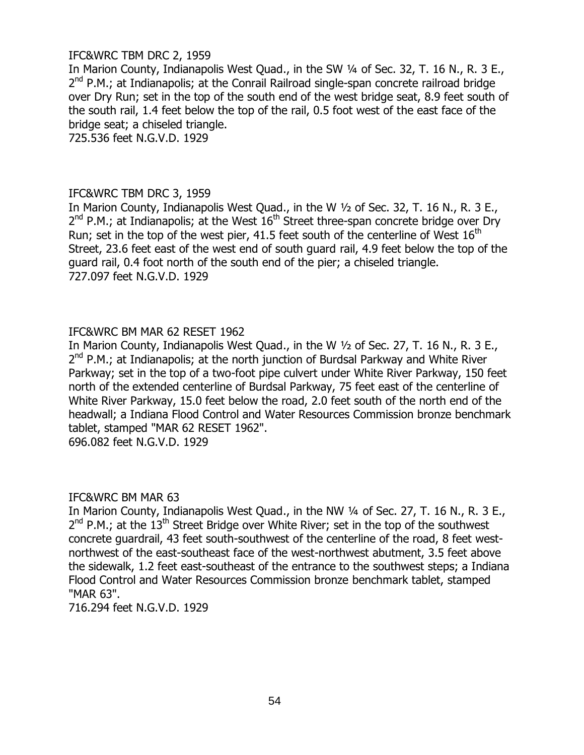### IFC&WRC TBM DRC 2, 1959

In Marion County, Indianapolis West Quad., in the SW 1/4 of Sec. 32, T. 16 N., R. 3 E., 2<sup>nd</sup> P.M.; at Indianapolis; at the Conrail Railroad single-span concrete railroad bridge over Dry Run; set in the top of the south end of the west bridge seat, 8.9 feet south of the south rail, 1.4 feet below the top of the rail, 0.5 foot west of the east face of the bridge seat; a chiseled triangle.

725.536 feet N.G.V.D. 1929

#### IFC&WRC TBM DRC 3, 1959

In Marion County, Indianapolis West Quad., in the W ½ of Sec. 32, T. 16 N., R. 3 E.,  $2^{nd}$  P.M.; at Indianapolis; at the West  $16^{th}$  Street three-span concrete bridge over Dry Run; set in the top of the west pier, 41.5 feet south of the centerline of West  $16<sup>th</sup>$ Street, 23.6 feet east of the west end of south guard rail, 4.9 feet below the top of the guard rail, 0.4 foot north of the south end of the pier; a chiseled triangle. 727.097 feet N.G.V.D. 1929

### IFC&WRC BM MAR 62 RESET 1962

In Marion County, Indianapolis West Quad., in the W ½ of Sec. 27, T. 16 N., R. 3 E., 2<sup>nd</sup> P.M.; at Indianapolis; at the north junction of Burdsal Parkway and White River Parkway; set in the top of a two-foot pipe culvert under White River Parkway, 150 feet north of the extended centerline of Burdsal Parkway, 75 feet east of the centerline of White River Parkway, 15.0 feet below the road, 2.0 feet south of the north end of the headwall; a Indiana Flood Control and Water Resources Commission bronze benchmark tablet, stamped "MAR 62 RESET 1962".

696.082 feet N.G.V.D. 1929

### IFC&WRC BM MAR 63

In Marion County, Indianapolis West Quad., in the NW 1/4 of Sec. 27, T. 16 N., R. 3 E.,  $2^{nd}$  P.M.; at the  $13^{th}$  Street Bridge over White River; set in the top of the southwest concrete guardrail, 43 feet south-southwest of the centerline of the road, 8 feet westnorthwest of the east-southeast face of the west-northwest abutment, 3.5 feet above the sidewalk, 1.2 feet east-southeast of the entrance to the southwest steps; a Indiana Flood Control and Water Resources Commission bronze benchmark tablet, stamped "MAR 63".

716.294 feet N.G.V.D. 1929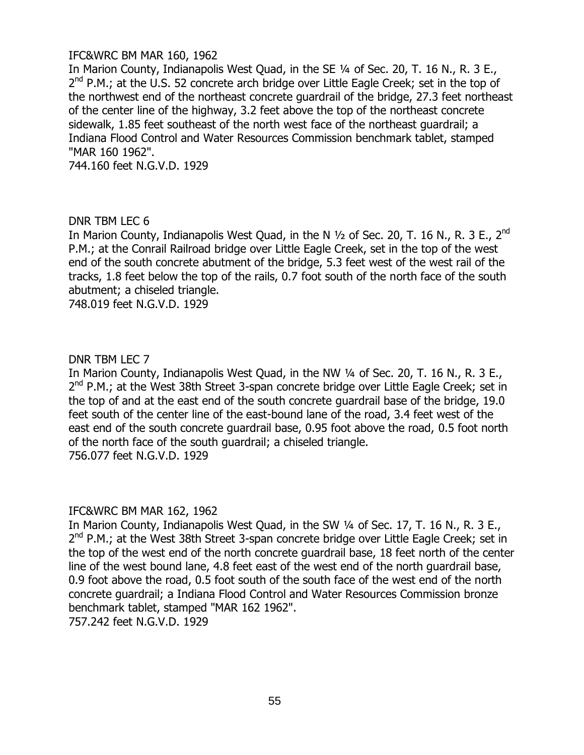### IFC&WRC BM MAR 160, 1962

In Marion County, Indianapolis West Quad, in the SE 1/4 of Sec. 20, T. 16 N., R. 3 E., 2<sup>nd</sup> P.M.; at the U.S. 52 concrete arch bridge over Little Eagle Creek; set in the top of the northwest end of the northeast concrete guardrail of the bridge, 27.3 feet northeast of the center line of the highway, 3.2 feet above the top of the northeast concrete sidewalk, 1.85 feet southeast of the north west face of the northeast guardrail; a Indiana Flood Control and Water Resources Commission benchmark tablet, stamped "MAR 160 1962".

744.160 feet N.G.V.D. 1929

#### DNR TBM LEC 6

In Marion County, Indianapolis West Quad, in the N  $\frac{1}{2}$  of Sec. 20, T. 16 N., R. 3 E., 2<sup>nd</sup> P.M.; at the Conrail Railroad bridge over Little Eagle Creek, set in the top of the west end of the south concrete abutment of the bridge, 5.3 feet west of the west rail of the tracks, 1.8 feet below the top of the rails, 0.7 foot south of the north face of the south abutment; a chiseled triangle.

748.019 feet N.G.V.D. 1929

#### DNR TBM LEC 7

In Marion County, Indianapolis West Quad, in the NW ¼ of Sec. 20, T. 16 N., R. 3 E., 2<sup>nd</sup> P.M.; at the West 38th Street 3-span concrete bridge over Little Eagle Creek; set in the top of and at the east end of the south concrete guardrail base of the bridge, 19.0 feet south of the center line of the east-bound lane of the road, 3.4 feet west of the east end of the south concrete guardrail base, 0.95 foot above the road, 0.5 foot north of the north face of the south guardrail; a chiseled triangle. 756.077 feet N.G.V.D. 1929

#### IFC&WRC BM MAR 162, 1962

In Marion County, Indianapolis West Quad, in the SW ¼ of Sec. 17, T. 16 N., R. 3 E., 2<sup>nd</sup> P.M.; at the West 38th Street 3-span concrete bridge over Little Eagle Creek; set in the top of the west end of the north concrete guardrail base, 18 feet north of the center line of the west bound lane, 4.8 feet east of the west end of the north guardrail base, 0.9 foot above the road, 0.5 foot south of the south face of the west end of the north concrete guardrail; a Indiana Flood Control and Water Resources Commission bronze benchmark tablet, stamped "MAR 162 1962".

757.242 feet N.G.V.D. 1929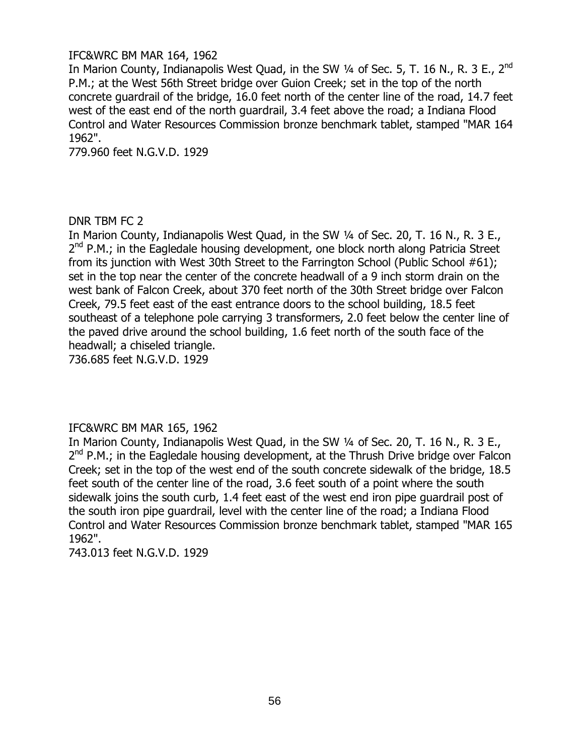### IFC&WRC BM MAR 164, 1962

In Marion County, Indianapolis West Quad, in the SW 1/4 of Sec. 5, T. 16 N., R. 3 E., 2<sup>nd</sup> P.M.; at the West 56th Street bridge over Guion Creek; set in the top of the north concrete guardrail of the bridge, 16.0 feet north of the center line of the road, 14.7 feet west of the east end of the north guardrail, 3.4 feet above the road; a Indiana Flood Control and Water Resources Commission bronze benchmark tablet, stamped "MAR 164 1962".

779.960 feet N.G.V.D. 1929

### DNR TBM FC 2

In Marion County, Indianapolis West Quad, in the SW ¼ of Sec. 20, T. 16 N., R. 3 E., 2<sup>nd</sup> P.M.; in the Eagledale housing development, one block north along Patricia Street from its junction with West 30th Street to the Farrington School (Public School #61); set in the top near the center of the concrete headwall of a 9 inch storm drain on the west bank of Falcon Creek, about 370 feet north of the 30th Street bridge over Falcon Creek, 79.5 feet east of the east entrance doors to the school building, 18.5 feet southeast of a telephone pole carrying 3 transformers, 2.0 feet below the center line of the paved drive around the school building, 1.6 feet north of the south face of the headwall; a chiseled triangle.

736.685 feet N.G.V.D. 1929

### IFC&WRC BM MAR 165, 1962

In Marion County, Indianapolis West Quad, in the SW ¼ of Sec. 20, T. 16 N., R. 3 E., 2<sup>nd</sup> P.M.; in the Eagledale housing development, at the Thrush Drive bridge over Falcon Creek; set in the top of the west end of the south concrete sidewalk of the bridge, 18.5 feet south of the center line of the road, 3.6 feet south of a point where the south sidewalk joins the south curb, 1.4 feet east of the west end iron pipe guardrail post of the south iron pipe guardrail, level with the center line of the road; a Indiana Flood Control and Water Resources Commission bronze benchmark tablet, stamped "MAR 165 1962".

743.013 feet N.G.V.D. 1929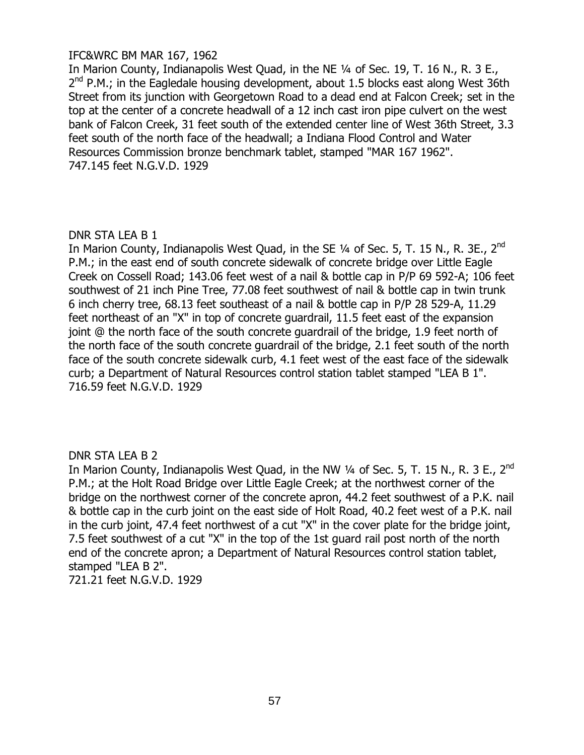### IFC&WRC BM MAR 167, 1962

In Marion County, Indianapolis West Quad, in the NE ¼ of Sec. 19, T. 16 N., R. 3 E.,  $2^{nd}$  P.M.; in the Eagledale housing development, about 1.5 blocks east along West 36th Street from its junction with Georgetown Road to a dead end at Falcon Creek; set in the top at the center of a concrete headwall of a 12 inch cast iron pipe culvert on the west bank of Falcon Creek, 31 feet south of the extended center line of West 36th Street, 3.3 feet south of the north face of the headwall; a Indiana Flood Control and Water Resources Commission bronze benchmark tablet, stamped "MAR 167 1962". 747.145 feet N.G.V.D. 1929

# DNR STA LEA B 1

In Marion County, Indianapolis West Quad, in the SE 1/4 of Sec. 5, T. 15 N., R. 3E., 2<sup>nd</sup> P.M.; in the east end of south concrete sidewalk of concrete bridge over Little Eagle Creek on Cossell Road; 143.06 feet west of a nail & bottle cap in P/P 69 592-A; 106 feet southwest of 21 inch Pine Tree, 77.08 feet southwest of nail & bottle cap in twin trunk 6 inch cherry tree, 68.13 feet southeast of a nail & bottle cap in P/P 28 529-A, 11.29 feet northeast of an "X" in top of concrete guardrail, 11.5 feet east of the expansion joint @ the north face of the south concrete guardrail of the bridge, 1.9 feet north of the north face of the south concrete guardrail of the bridge, 2.1 feet south of the north face of the south concrete sidewalk curb, 4.1 feet west of the east face of the sidewalk curb; a Department of Natural Resources control station tablet stamped "LEA B 1". 716.59 feet N.G.V.D. 1929

# DNR STA LEA B 2

In Marion County, Indianapolis West Quad, in the NW 1/4 of Sec. 5, T. 15 N., R. 3 E., 2<sup>nd</sup> P.M.; at the Holt Road Bridge over Little Eagle Creek; at the northwest corner of the bridge on the northwest corner of the concrete apron, 44.2 feet southwest of a P.K. nail & bottle cap in the curb joint on the east side of Holt Road, 40.2 feet west of a P.K. nail in the curb joint, 47.4 feet northwest of a cut "X" in the cover plate for the bridge joint, 7.5 feet southwest of a cut "X" in the top of the 1st guard rail post north of the north end of the concrete apron; a Department of Natural Resources control station tablet, stamped "LEA B 2". 721.21 feet N.G.V.D. 1929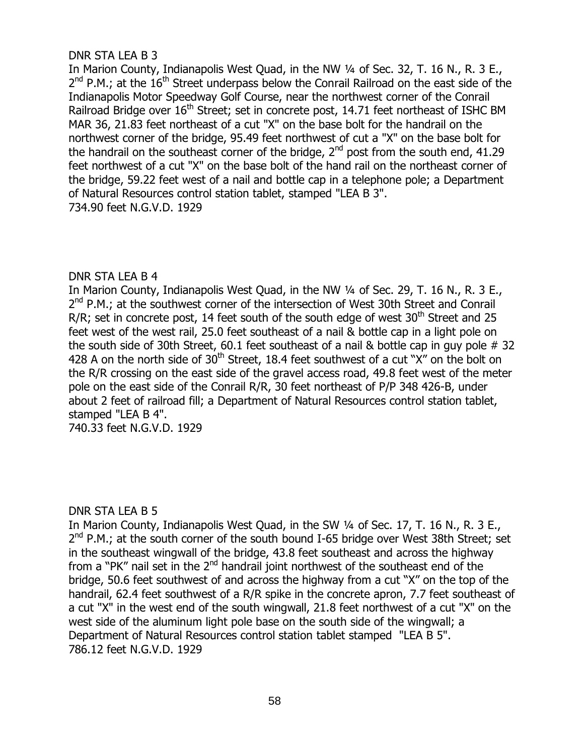# DNR STA LEA B 3

In Marion County, Indianapolis West Quad, in the NW ¼ of Sec. 32, T. 16 N., R. 3 E.,  $2^{nd}$  P.M.; at the  $16^{th}$  Street underpass below the Conrail Railroad on the east side of the Indianapolis Motor Speedway Golf Course, near the northwest corner of the Conrail Railroad Bridge over 16<sup>th</sup> Street; set in concrete post, 14.71 feet northeast of ISHC BM MAR 36, 21.83 feet northeast of a cut "X" on the base bolt for the handrail on the northwest corner of the bridge, 95.49 feet northwest of cut a "X" on the base bolt for the handrail on the southeast corner of the bridge,  $2^{nd}$  post from the south end, 41.29 feet northwest of a cut "X" on the base bolt of the hand rail on the northeast corner of the bridge, 59.22 feet west of a nail and bottle cap in a telephone pole; a Department of Natural Resources control station tablet, stamped "LEA B 3". 734.90 feet N.G.V.D. 1929

# DNR STA LEA B 4

In Marion County, Indianapolis West Quad, in the NW ¼ of Sec. 29, T. 16 N., R. 3 E., 2<sup>nd</sup> P.M.; at the southwest corner of the intersection of West 30th Street and Conrail R/R; set in concrete post, 14 feet south of the south edge of west  $30<sup>th</sup>$  Street and 25 feet west of the west rail, 25.0 feet southeast of a nail & bottle cap in a light pole on the south side of 30th Street, 60.1 feet southeast of a nail & bottle cap in guy pole  $#$  32 428 A on the north side of  $30<sup>th</sup>$  Street, 18.4 feet southwest of a cut "X" on the bolt on the R/R crossing on the east side of the gravel access road, 49.8 feet west of the meter pole on the east side of the Conrail R/R, 30 feet northeast of P/P 348 426-B, under about 2 feet of railroad fill; a Department of Natural Resources control station tablet, stamped "LEA B 4".

740.33 feet N.G.V.D. 1929

### DNR STA LEA B 5

In Marion County, Indianapolis West Quad, in the SW ¼ of Sec. 17, T. 16 N., R. 3 E., 2<sup>nd</sup> P.M.; at the south corner of the south bound I-65 bridge over West 38th Street; set in the southeast wingwall of the bridge, 43.8 feet southeast and across the highway from a "PK" nail set in the 2<sup>nd</sup> handrail joint northwest of the southeast end of the bridge, 50.6 feet southwest of and across the highway from a cut "X" on the top of the handrail, 62.4 feet southwest of a R/R spike in the concrete apron, 7.7 feet southeast of a cut "X" in the west end of the south wingwall, 21.8 feet northwest of a cut "X" on the west side of the aluminum light pole base on the south side of the wingwall; a Department of Natural Resources control station tablet stamped "LEA B 5". 786.12 feet N.G.V.D. 1929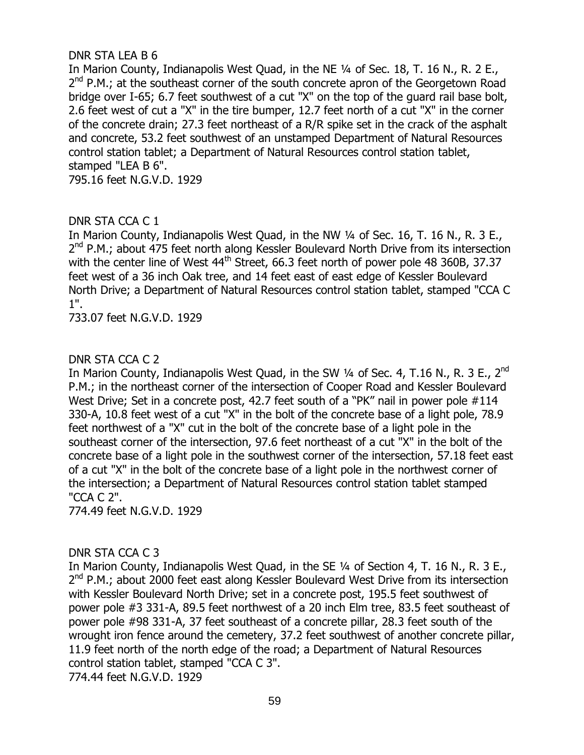# DNR STA LEA B 6

In Marion County, Indianapolis West Quad, in the NE 1/4 of Sec. 18, T. 16 N., R. 2 E., 2<sup>nd</sup> P.M.; at the southeast corner of the south concrete apron of the Georgetown Road bridge over I-65; 6.7 feet southwest of a cut "X" on the top of the guard rail base bolt, 2.6 feet west of cut a "X" in the tire bumper, 12.7 feet north of a cut "X" in the corner of the concrete drain; 27.3 feet northeast of a R/R spike set in the crack of the asphalt and concrete, 53.2 feet southwest of an unstamped Department of Natural Resources control station tablet; a Department of Natural Resources control station tablet, stamped "LEA B 6".

795.16 feet N.G.V.D. 1929

# DNR STA CCA C 1

In Marion County, Indianapolis West Quad, in the NW ¼ of Sec. 16, T. 16 N., R. 3 E., 2<sup>nd</sup> P.M.; about 475 feet north along Kessler Boulevard North Drive from its intersection with the center line of West 44<sup>th</sup> Street, 66.3 feet north of power pole 48 360B, 37.37 feet west of a 36 inch Oak tree, and 14 feet east of east edge of Kessler Boulevard North Drive; a Department of Natural Resources control station tablet, stamped "CCA C 1".

733.07 feet N.G.V.D. 1929

### DNR STA CCA C 2

In Marion County, Indianapolis West Quad, in the SW 1/4 of Sec. 4, T.16 N., R. 3 E., 2<sup>nd</sup> P.M.; in the northeast corner of the intersection of Cooper Road and Kessler Boulevard West Drive; Set in a concrete post, 42.7 feet south of a "PK" nail in power pole #114 330-A, 10.8 feet west of a cut "X" in the bolt of the concrete base of a light pole, 78.9 feet northwest of a "X" cut in the bolt of the concrete base of a light pole in the southeast corner of the intersection, 97.6 feet northeast of a cut "X" in the bolt of the concrete base of a light pole in the southwest corner of the intersection, 57.18 feet east of a cut "X" in the bolt of the concrete base of a light pole in the northwest corner of the intersection; a Department of Natural Resources control station tablet stamped "CCA C 2".

774.49 feet N.G.V.D. 1929

### DNR STA CCA C 3

In Marion County, Indianapolis West Quad, in the SE 1/4 of Section 4, T. 16 N., R. 3 E., 2<sup>nd</sup> P.M.; about 2000 feet east along Kessler Boulevard West Drive from its intersection with Kessler Boulevard North Drive; set in a concrete post, 195.5 feet southwest of power pole #3 331-A, 89.5 feet northwest of a 20 inch Elm tree, 83.5 feet southeast of power pole #98 331-A, 37 feet southeast of a concrete pillar, 28.3 feet south of the wrought iron fence around the cemetery, 37.2 feet southwest of another concrete pillar, 11.9 feet north of the north edge of the road; a Department of Natural Resources control station tablet, stamped "CCA C 3". 774.44 feet N.G.V.D. 1929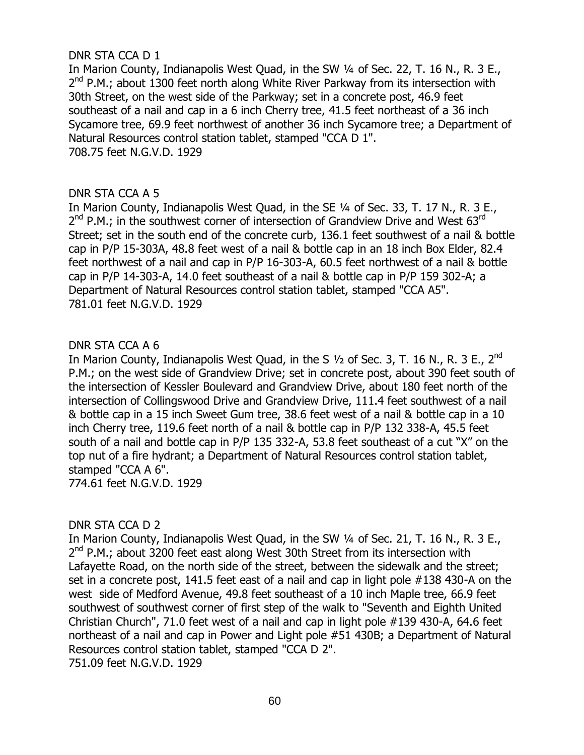### DNR STA CCA D 1

In Marion County, Indianapolis West Quad, in the SW ¼ of Sec. 22, T. 16 N., R. 3 E., 2<sup>nd</sup> P.M.; about 1300 feet north along White River Parkway from its intersection with 30th Street, on the west side of the Parkway; set in a concrete post, 46.9 feet southeast of a nail and cap in a 6 inch Cherry tree, 41.5 feet northeast of a 36 inch Sycamore tree, 69.9 feet northwest of another 36 inch Sycamore tree; a Department of Natural Resources control station tablet, stamped "CCA D 1". 708.75 feet N.G.V.D. 1929

### DNR STA CCA A 5

In Marion County, Indianapolis West Quad, in the SE ¼ of Sec. 33, T. 17 N., R. 3 E., 2<sup>nd</sup> P.M.; in the southwest corner of intersection of Grandview Drive and West 63<sup>rd</sup> Street; set in the south end of the concrete curb, 136.1 feet southwest of a nail & bottle cap in P/P 15-303A, 48.8 feet west of a nail & bottle cap in an 18 inch Box Elder, 82.4 feet northwest of a nail and cap in P/P 16-303-A, 60.5 feet northwest of a nail & bottle cap in P/P 14-303-A, 14.0 feet southeast of a nail & bottle cap in P/P 159 302-A; a Department of Natural Resources control station tablet, stamped "CCA A5". 781.01 feet N.G.V.D. 1929

### DNR STA CCA A 6

In Marion County, Indianapolis West Quad, in the S  $1/2$  of Sec. 3, T. 16 N., R. 3 E., 2<sup>nd</sup> P.M.; on the west side of Grandview Drive; set in concrete post, about 390 feet south of the intersection of Kessler Boulevard and Grandview Drive, about 180 feet north of the intersection of Collingswood Drive and Grandview Drive, 111.4 feet southwest of a nail & bottle cap in a 15 inch Sweet Gum tree, 38.6 feet west of a nail & bottle cap in a 10 inch Cherry tree, 119.6 feet north of a nail & bottle cap in P/P 132 338-A, 45.5 feet south of a nail and bottle cap in P/P 135 332-A, 53.8 feet southeast of a cut "X" on the top nut of a fire hydrant; a Department of Natural Resources control station tablet, stamped "CCA A 6". 774.61 feet N.G.V.D. 1929

### DNR STA CCA D 2

In Marion County, Indianapolis West Quad, in the SW ¼ of Sec. 21, T. 16 N., R. 3 E., 2<sup>nd</sup> P.M.; about 3200 feet east along West 30th Street from its intersection with Lafayette Road, on the north side of the street, between the sidewalk and the street; set in a concrete post, 141.5 feet east of a nail and cap in light pole #138 430-A on the west side of Medford Avenue, 49.8 feet southeast of a 10 inch Maple tree, 66.9 feet southwest of southwest corner of first step of the walk to "Seventh and Eighth United Christian Church", 71.0 feet west of a nail and cap in light pole #139 430-A, 64.6 feet northeast of a nail and cap in Power and Light pole #51 430B; a Department of Natural Resources control station tablet, stamped "CCA D 2". 751.09 feet N.G.V.D. 1929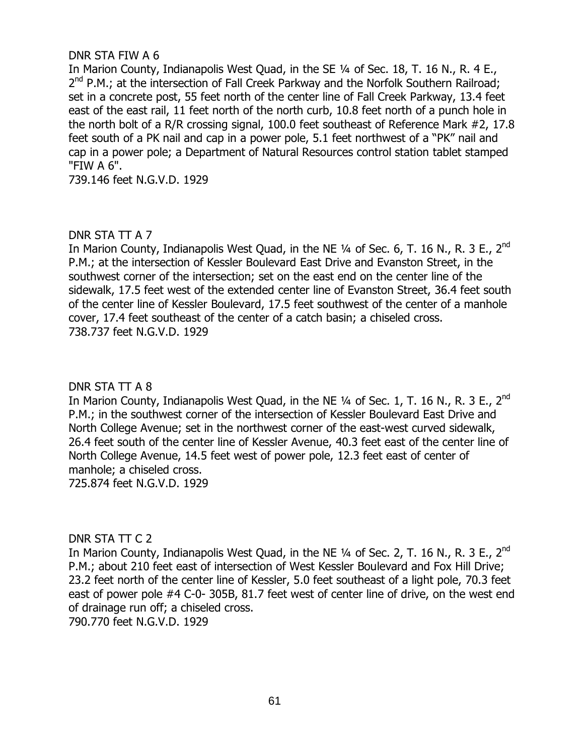### DNR STA FIW A 6

In Marion County, Indianapolis West Quad, in the SE 1/4 of Sec. 18, T. 16 N., R. 4 E., 2<sup>nd</sup> P.M.; at the intersection of Fall Creek Parkway and the Norfolk Southern Railroad; set in a concrete post, 55 feet north of the center line of Fall Creek Parkway, 13.4 feet east of the east rail, 11 feet north of the north curb, 10.8 feet north of a punch hole in the north bolt of a R/R crossing signal, 100.0 feet southeast of Reference Mark #2, 17.8 feet south of a PK nail and cap in a power pole, 5.1 feet northwest of a "PK" nail and cap in a power pole; a Department of Natural Resources control station tablet stamped "FIW A 6".

739.146 feet N.G.V.D. 1929

### DNR STA TT A 7

In Marion County, Indianapolis West Quad, in the NE 1/4 of Sec. 6, T. 16 N., R. 3 E., 2<sup>nd</sup> P.M.; at the intersection of Kessler Boulevard East Drive and Evanston Street, in the southwest corner of the intersection; set on the east end on the center line of the sidewalk, 17.5 feet west of the extended center line of Evanston Street, 36.4 feet south of the center line of Kessler Boulevard, 17.5 feet southwest of the center of a manhole cover, 17.4 feet southeast of the center of a catch basin; a chiseled cross. 738.737 feet N.G.V.D. 1929

### DNR STA TT A 8

In Marion County, Indianapolis West Quad, in the NE 1/4 of Sec. 1, T. 16 N., R. 3 E., 2<sup>nd</sup> P.M.; in the southwest corner of the intersection of Kessler Boulevard East Drive and North College Avenue; set in the northwest corner of the east-west curved sidewalk, 26.4 feet south of the center line of Kessler Avenue, 40.3 feet east of the center line of North College Avenue, 14.5 feet west of power pole, 12.3 feet east of center of manhole; a chiseled cross. 725.874 feet N.G.V.D. 1929

### DNR STA TT C 2

In Marion County, Indianapolis West Quad, in the NE 1/4 of Sec. 2, T. 16 N., R. 3 E., 2<sup>nd</sup> P.M.; about 210 feet east of intersection of West Kessler Boulevard and Fox Hill Drive; 23.2 feet north of the center line of Kessler, 5.0 feet southeast of a light pole, 70.3 feet east of power pole #4 C-0- 305B, 81.7 feet west of center line of drive, on the west end of drainage run off; a chiseled cross.

790.770 feet N.G.V.D. 1929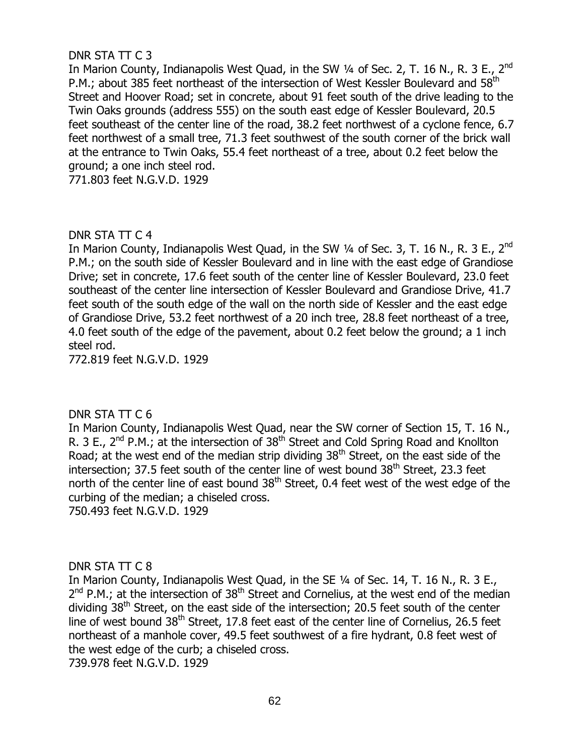# DNR STA TT C 3

In Marion County, Indianapolis West Quad, in the SW 1/4 of Sec. 2, T. 16 N., R. 3 E., 2<sup>nd</sup> P.M.; about 385 feet northeast of the intersection of West Kessler Boulevard and 58<sup>th</sup> Street and Hoover Road; set in concrete, about 91 feet south of the drive leading to the Twin Oaks grounds (address 555) on the south east edge of Kessler Boulevard, 20.5 feet southeast of the center line of the road, 38.2 feet northwest of a cyclone fence, 6.7 feet northwest of a small tree, 71.3 feet southwest of the south corner of the brick wall at the entrance to Twin Oaks, 55.4 feet northeast of a tree, about 0.2 feet below the ground; a one inch steel rod.

771.803 feet N.G.V.D. 1929

# DNR STA TT C 4

In Marion County, Indianapolis West Quad, in the SW 1/4 of Sec. 3, T. 16 N., R. 3 E., 2<sup>nd</sup> P.M.; on the south side of Kessler Boulevard and in line with the east edge of Grandiose Drive; set in concrete, 17.6 feet south of the center line of Kessler Boulevard, 23.0 feet southeast of the center line intersection of Kessler Boulevard and Grandiose Drive, 41.7 feet south of the south edge of the wall on the north side of Kessler and the east edge of Grandiose Drive, 53.2 feet northwest of a 20 inch tree, 28.8 feet northeast of a tree, 4.0 feet south of the edge of the pavement, about 0.2 feet below the ground; a 1 inch steel rod.

772.819 feet N.G.V.D. 1929

### DNR STA TT C 6

In Marion County, Indianapolis West Quad, near the SW corner of Section 15, T. 16 N., R. 3 E., 2<sup>nd</sup> P.M.; at the intersection of 38<sup>th</sup> Street and Cold Spring Road and Knollton Road; at the west end of the median strip dividing  $38<sup>th</sup>$  Street, on the east side of the intersection; 37.5 feet south of the center line of west bound  $38<sup>th</sup>$  Street, 23.3 feet north of the center line of east bound 38<sup>th</sup> Street, 0.4 feet west of the west edge of the curbing of the median; a chiseled cross.

750.493 feet N.G.V.D. 1929

### DNR STA TT C 8

In Marion County, Indianapolis West Quad, in the SE ¼ of Sec. 14, T. 16 N., R. 3 E.,  $2^{nd}$  P.M.; at the intersection of 38<sup>th</sup> Street and Cornelius, at the west end of the median dividing  $38<sup>th</sup>$  Street, on the east side of the intersection; 20.5 feet south of the center line of west bound  $38<sup>th</sup>$  Street, 17.8 feet east of the center line of Cornelius, 26.5 feet northeast of a manhole cover, 49.5 feet southwest of a fire hydrant, 0.8 feet west of the west edge of the curb; a chiseled cross. 739.978 feet N.G.V.D. 1929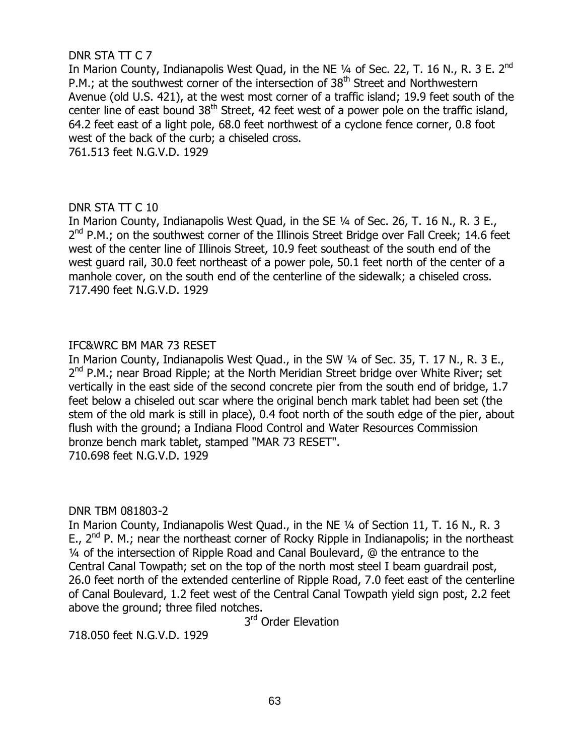# DNR STA TT C 7

In Marion County, Indianapolis West Quad, in the NE 1/4 of Sec. 22, T. 16 N., R. 3 E. 2<sup>nd</sup> P.M.; at the southwest corner of the intersection of 38<sup>th</sup> Street and Northwestern Avenue (old U.S. 421), at the west most corner of a traffic island; 19.9 feet south of the center line of east bound 38<sup>th</sup> Street, 42 feet west of a power pole on the traffic island, 64.2 feet east of a light pole, 68.0 feet northwest of a cyclone fence corner, 0.8 foot west of the back of the curb; a chiseled cross. 761.513 feet N.G.V.D. 1929

### DNR STA TT C 10

In Marion County, Indianapolis West Ouad, in the SE 1/4 of Sec. 26, T. 16 N., R. 3 E., 2<sup>nd</sup> P.M.; on the southwest corner of the Illinois Street Bridge over Fall Creek; 14.6 feet west of the center line of Illinois Street, 10.9 feet southeast of the south end of the west guard rail, 30.0 feet northeast of a power pole, 50.1 feet north of the center of a manhole cover, on the south end of the centerline of the sidewalk; a chiseled cross. 717.490 feet N.G.V.D. 1929

### IFC&WRC BM MAR 73 RESET

In Marion County, Indianapolis West Quad., in the SW 1/4 of Sec. 35, T. 17 N., R. 3 E., 2<sup>nd</sup> P.M.; near Broad Ripple; at the North Meridian Street bridge over White River; set vertically in the east side of the second concrete pier from the south end of bridge, 1.7 feet below a chiseled out scar where the original bench mark tablet had been set (the stem of the old mark is still in place), 0.4 foot north of the south edge of the pier, about flush with the ground; a Indiana Flood Control and Water Resources Commission bronze bench mark tablet, stamped "MAR 73 RESET". 710.698 feet N.G.V.D. 1929

### DNR TBM 081803-2

In Marion County, Indianapolis West Quad., in the NE ¼ of Section 11, T. 16 N., R. 3 E.,  $2^{nd}$  P. M.; near the northeast corner of Rocky Ripple in Indianapolis; in the northeast ¼ of the intersection of Ripple Road and Canal Boulevard, @ the entrance to the Central Canal Towpath; set on the top of the north most steel I beam guardrail post, 26.0 feet north of the extended centerline of Ripple Road, 7.0 feet east of the centerline of Canal Boulevard, 1.2 feet west of the Central Canal Towpath yield sign post, 2.2 feet above the ground; three filed notches.

3<sup>rd</sup> Order Elevation

718.050 feet N.G.V.D. 1929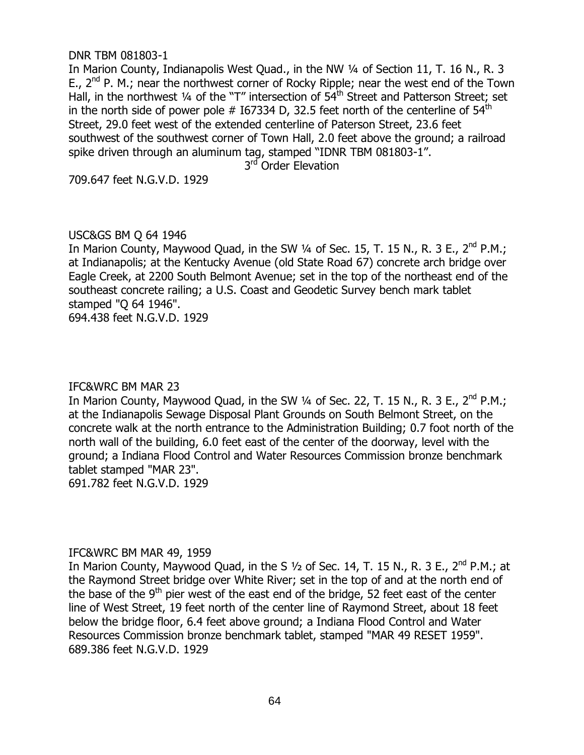#### DNR TBM 081803-1

In Marion County, Indianapolis West Quad., in the NW 1/4 of Section 11, T. 16 N., R. 3 E.,  $2^{nd}$  P. M.; near the northwest corner of Rocky Ripple; near the west end of the Town Hall, in the northwest 1/4 of the "T" intersection of 54<sup>th</sup> Street and Patterson Street; set in the north side of power pole  $#$  167334 D, 32.5 feet north of the centerline of 54<sup>th</sup> Street, 29.0 feet west of the extended centerline of Paterson Street, 23.6 feet southwest of the southwest corner of Town Hall, 2.0 feet above the ground; a railroad spike driven through an aluminum tag, stamped "IDNR TBM 081803-1".

3<sup>rd</sup> Order Elevation

709.647 feet N.G.V.D. 1929

### USC&GS BM Q 64 1946

In Marion County, Maywood Quad, in the SW 1/4 of Sec. 15, T. 15 N., R. 3 E., 2<sup>nd</sup> P.M.; at Indianapolis; at the Kentucky Avenue (old State Road 67) concrete arch bridge over Eagle Creek, at 2200 South Belmont Avenue; set in the top of the northeast end of the southeast concrete railing; a U.S. Coast and Geodetic Survey bench mark tablet stamped "Q 64 1946".

694.438 feet N.G.V.D. 1929

### IFC&WRC BM MAR 23

In Marion County, Maywood Quad, in the SW 1/4 of Sec. 22, T. 15 N., R. 3 E., 2<sup>nd</sup> P.M.; at the Indianapolis Sewage Disposal Plant Grounds on South Belmont Street, on the concrete walk at the north entrance to the Administration Building; 0.7 foot north of the north wall of the building, 6.0 feet east of the center of the doorway, level with the ground; a Indiana Flood Control and Water Resources Commission bronze benchmark tablet stamped "MAR 23". 691.782 feet N.G.V.D. 1929

### IFC&WRC BM MAR 49, 1959

In Marion County, Maywood Quad, in the S  $1/2$  of Sec. 14, T. 15 N., R. 3 E.,  $2^{nd}$  P.M.; at the Raymond Street bridge over White River; set in the top of and at the north end of the base of the 9<sup>th</sup> pier west of the east end of the bridge, 52 feet east of the center line of West Street, 19 feet north of the center line of Raymond Street, about 18 feet below the bridge floor, 6.4 feet above ground; a Indiana Flood Control and Water Resources Commission bronze benchmark tablet, stamped "MAR 49 RESET 1959". 689.386 feet N.G.V.D. 1929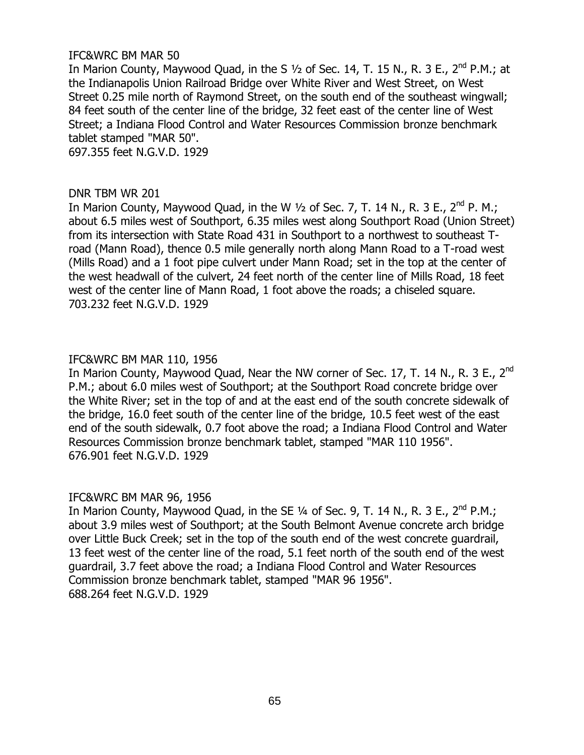### IFC&WRC BM MAR 50

In Marion County, Maywood Quad, in the S  $1/2$  of Sec. 14, T. 15 N., R. 3 E.,  $2^{nd}$  P.M.; at the Indianapolis Union Railroad Bridge over White River and West Street, on West Street 0.25 mile north of Raymond Street, on the south end of the southeast wingwall; 84 feet south of the center line of the bridge, 32 feet east of the center line of West Street; a Indiana Flood Control and Water Resources Commission bronze benchmark tablet stamped "MAR 50". 697.355 feet N.G.V.D. 1929

### DNR TBM WR 201

In Marion County, Maywood Quad, in the W  $1/2$  of Sec. 7, T. 14 N., R. 3 E., 2<sup>nd</sup> P. M.; about 6.5 miles west of Southport, 6.35 miles west along Southport Road (Union Street) from its intersection with State Road 431 in Southport to a northwest to southeast Troad (Mann Road), thence 0.5 mile generally north along Mann Road to a T-road west (Mills Road) and a 1 foot pipe culvert under Mann Road; set in the top at the center of the west headwall of the culvert, 24 feet north of the center line of Mills Road, 18 feet west of the center line of Mann Road, 1 foot above the roads; a chiseled square. 703.232 feet N.G.V.D. 1929

### IFC&WRC BM MAR 110, 1956

In Marion County, Maywood Quad, Near the NW corner of Sec. 17, T. 14 N., R. 3 E., 2<sup>nd</sup> P.M.; about 6.0 miles west of Southport; at the Southport Road concrete bridge over the White River; set in the top of and at the east end of the south concrete sidewalk of the bridge, 16.0 feet south of the center line of the bridge, 10.5 feet west of the east end of the south sidewalk, 0.7 foot above the road; a Indiana Flood Control and Water Resources Commission bronze benchmark tablet, stamped "MAR 110 1956". 676.901 feet N.G.V.D. 1929

### IFC&WRC BM MAR 96, 1956

In Marion County, Maywood Quad, in the SE 1/4 of Sec. 9, T. 14 N., R. 3 E., 2<sup>nd</sup> P.M.; about 3.9 miles west of Southport; at the South Belmont Avenue concrete arch bridge over Little Buck Creek; set in the top of the south end of the west concrete guardrail, 13 feet west of the center line of the road, 5.1 feet north of the south end of the west guardrail, 3.7 feet above the road; a Indiana Flood Control and Water Resources Commission bronze benchmark tablet, stamped "MAR 96 1956". 688.264 feet N.G.V.D. 1929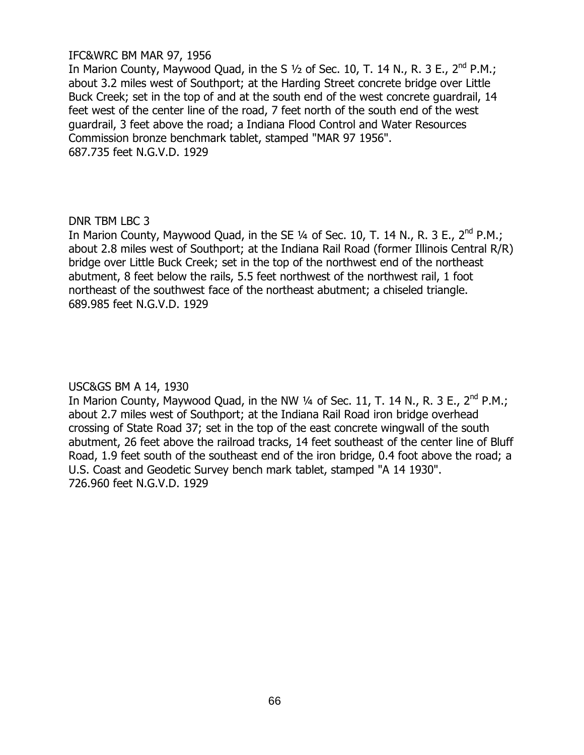### IFC&WRC BM MAR 97, 1956

In Marion County, Maywood Quad, in the S  $1/2$  of Sec. 10, T. 14 N., R. 3 E., 2<sup>nd</sup> P.M.; about 3.2 miles west of Southport; at the Harding Street concrete bridge over Little Buck Creek; set in the top of and at the south end of the west concrete guardrail, 14 feet west of the center line of the road, 7 feet north of the south end of the west guardrail, 3 feet above the road; a Indiana Flood Control and Water Resources Commission bronze benchmark tablet, stamped "MAR 97 1956". 687.735 feet N.G.V.D. 1929

### DNR TBM LBC 3

In Marion County, Maywood Quad, in the SE 1/4 of Sec. 10, T. 14 N., R. 3 E., 2<sup>nd</sup> P.M.: about 2.8 miles west of Southport; at the Indiana Rail Road (former Illinois Central R/R) bridge over Little Buck Creek; set in the top of the northwest end of the northeast abutment, 8 feet below the rails, 5.5 feet northwest of the northwest rail, 1 foot northeast of the southwest face of the northeast abutment; a chiseled triangle. 689.985 feet N.G.V.D. 1929

# USC&GS BM A 14, 1930

In Marion County, Maywood Quad, in the NW  $\frac{1}{4}$  of Sec. 11, T. 14 N., R. 3 E., 2<sup>nd</sup> P.M.; about 2.7 miles west of Southport; at the Indiana Rail Road iron bridge overhead crossing of State Road 37; set in the top of the east concrete wingwall of the south abutment, 26 feet above the railroad tracks, 14 feet southeast of the center line of Bluff Road, 1.9 feet south of the southeast end of the iron bridge, 0.4 foot above the road; a U.S. Coast and Geodetic Survey bench mark tablet, stamped "A 14 1930". 726.960 feet N.G.V.D. 1929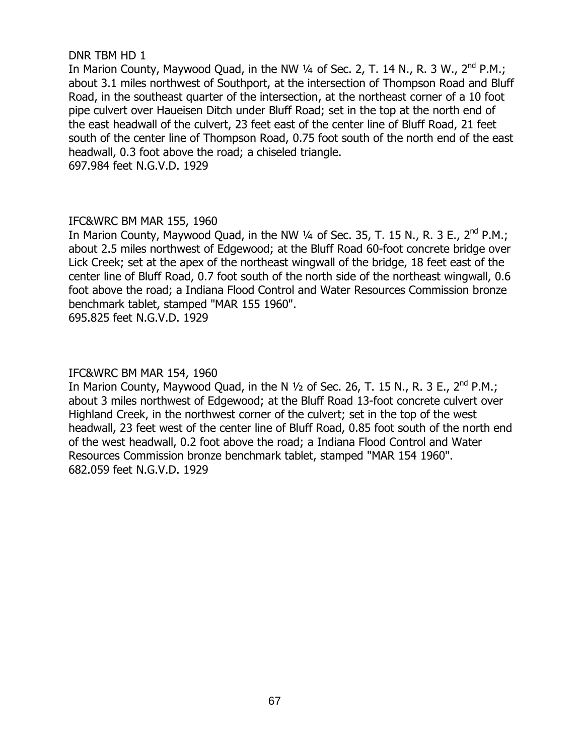### DNR TBM HD 1

In Marion County, Maywood Quad, in the NW  $\frac{1}{4}$  of Sec. 2, T. 14 N., R. 3 W.,  $2^{nd}$  P.M.; about 3.1 miles northwest of Southport, at the intersection of Thompson Road and Bluff Road, in the southeast quarter of the intersection, at the northeast corner of a 10 foot pipe culvert over Haueisen Ditch under Bluff Road; set in the top at the north end of the east headwall of the culvert, 23 feet east of the center line of Bluff Road, 21 feet south of the center line of Thompson Road, 0.75 foot south of the north end of the east headwall, 0.3 foot above the road; a chiseled triangle.

697.984 feet N.G.V.D. 1929

# IFC&WRC BM MAR 155, 1960

In Marion County, Maywood Quad, in the NW 1/4 of Sec. 35, T. 15 N., R. 3 E., 2<sup>nd</sup> P.M.; about 2.5 miles northwest of Edgewood; at the Bluff Road 60-foot concrete bridge over Lick Creek; set at the apex of the northeast wingwall of the bridge, 18 feet east of the center line of Bluff Road, 0.7 foot south of the north side of the northeast wingwall, 0.6 foot above the road; a Indiana Flood Control and Water Resources Commission bronze benchmark tablet, stamped "MAR 155 1960".

695.825 feet N.G.V.D. 1929

# IFC&WRC BM MAR 154, 1960

In Marion County, Maywood Quad, in the N  $\frac{1}{2}$  of Sec. 26, T. 15 N., R. 3 E., 2<sup>nd</sup> P.M.; about 3 miles northwest of Edgewood; at the Bluff Road 13-foot concrete culvert over Highland Creek, in the northwest corner of the culvert; set in the top of the west headwall, 23 feet west of the center line of Bluff Road, 0.85 foot south of the north end of the west headwall, 0.2 foot above the road; a Indiana Flood Control and Water Resources Commission bronze benchmark tablet, stamped "MAR 154 1960". 682.059 feet N.G.V.D. 1929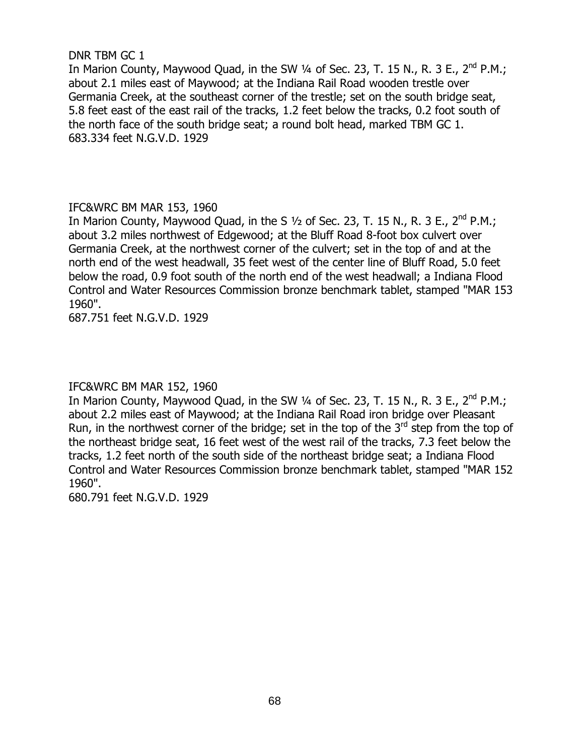### DNR TBM GC 1

In Marion County, Maywood Quad, in the SW  $\frac{1}{4}$  of Sec. 23, T. 15 N., R. 3 E., 2<sup>nd</sup> P.M.; about 2.1 miles east of Maywood; at the Indiana Rail Road wooden trestle over Germania Creek, at the southeast corner of the trestle; set on the south bridge seat, 5.8 feet east of the east rail of the tracks, 1.2 feet below the tracks, 0.2 foot south of the north face of the south bridge seat; a round bolt head, marked TBM GC 1. 683.334 feet N.G.V.D. 1929

### IFC&WRC BM MAR 153, 1960

In Marion County, Maywood Quad, in the S  $1/2$  of Sec. 23, T. 15 N., R. 3 E., 2<sup>nd</sup> P.M.; about 3.2 miles northwest of Edgewood; at the Bluff Road 8-foot box culvert over Germania Creek, at the northwest corner of the culvert; set in the top of and at the north end of the west headwall, 35 feet west of the center line of Bluff Road, 5.0 feet below the road, 0.9 foot south of the north end of the west headwall; a Indiana Flood Control and Water Resources Commission bronze benchmark tablet, stamped "MAR 153 1960".

687.751 feet N.G.V.D. 1929

### IFC&WRC BM MAR 152, 1960

In Marion County, Maywood Quad, in the SW  $\frac{1}{4}$  of Sec. 23, T. 15 N., R. 3 E., 2<sup>nd</sup> P.M.; about 2.2 miles east of Maywood; at the Indiana Rail Road iron bridge over Pleasant Run, in the northwest corner of the bridge; set in the top of the 3rd step from the top of the northeast bridge seat, 16 feet west of the west rail of the tracks, 7.3 feet below the tracks, 1.2 feet north of the south side of the northeast bridge seat; a Indiana Flood Control and Water Resources Commission bronze benchmark tablet, stamped "MAR 152 1960".

680.791 feet N.G.V.D. 1929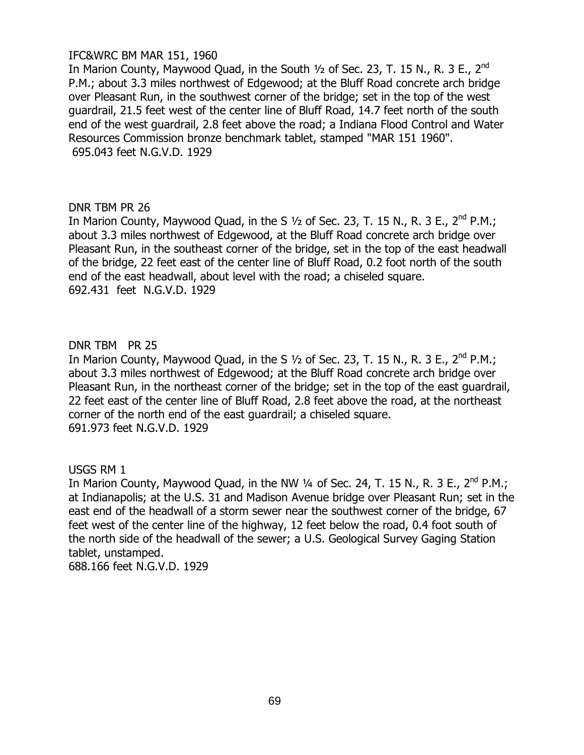### IFC&WRC BM MAR 151, 1960

In Marion County, Maywood Quad, in the South 1/2 of Sec. 23, T. 15 N., R. 3 E., 2<sup>nd</sup> P.M.; about 3.3 miles northwest of Edgewood; at the Bluff Road concrete arch bridge over Pleasant Run, in the southwest corner of the bridge; set in the top of the west guardrail, 21.5 feet west of the center line of Bluff Road, 14.7 feet north of the south end of the west guardrail, 2.8 feet above the road; a Indiana Flood Control and Water Resources Commission bronze benchmark tablet, stamped "MAR 151 1960". 695.043 feet N.G.V.D. 1929

#### DNR TBM PR 26

In Marion County, Maywood Quad, in the S  $1/2$  of Sec. 23, T. 15 N., R. 3 E., 2<sup>nd</sup> P.M.; about 3.3 miles northwest of Edgewood, at the Bluff Road concrete arch bridge over Pleasant Run, in the southeast corner of the bridge, set in the top of the east headwall of the bridge, 22 feet east of the center line of Bluff Road, 0.2 foot north of the south end of the east headwall, about level with the road; a chiseled square. 692.431 feet N.G.V.D. 1929

#### DNR TBM PR 25

In Marion County, Maywood Quad, in the S  $1/2$  of Sec. 23, T. 15 N., R. 3 E., 2<sup>nd</sup> P.M.; about 3.3 miles northwest of Edgewood; at the Bluff Road concrete arch bridge over Pleasant Run, in the northeast corner of the bridge; set in the top of the east guardrail, 22 feet east of the center line of Bluff Road, 2.8 feet above the road, at the northeast corner of the north end of the east guardrail; a chiseled square. 691.973 feet N.G.V.D. 1929

#### USGS RM 1

In Marion County, Maywood Quad, in the NW  $\frac{1}{4}$  of Sec. 24, T. 15 N., R. 3 E., 2<sup>nd</sup> P.M.; at Indianapolis; at the U.S. 31 and Madison Avenue bridge over Pleasant Run; set in the east end of the headwall of a storm sewer near the southwest corner of the bridge, 67 feet west of the center line of the highway, 12 feet below the road, 0.4 foot south of the north side of the headwall of the sewer; a U.S. Geological Survey Gaging Station tablet, unstamped.

688.166 feet N.G.V.D. 1929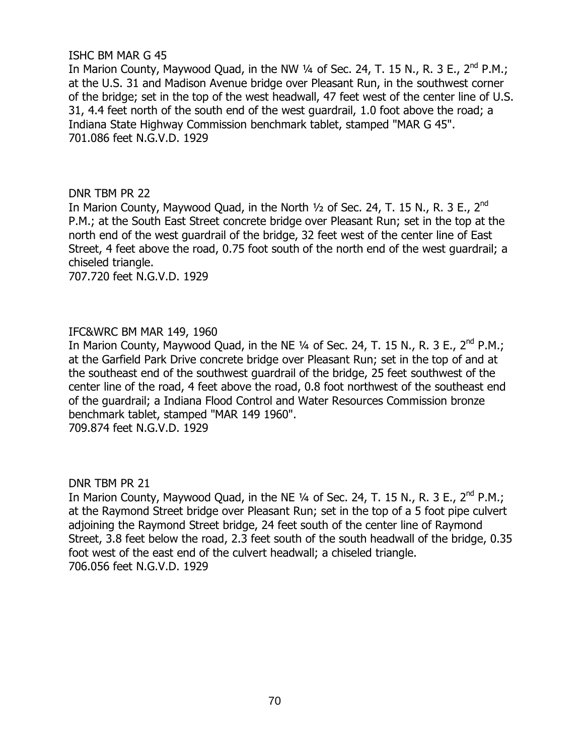### ISHC BM MAR G 45

In Marion County, Maywood Quad, in the NW  $\frac{1}{4}$  of Sec. 24, T. 15 N., R. 3 E., 2<sup>nd</sup> P.M.; at the U.S. 31 and Madison Avenue bridge over Pleasant Run, in the southwest corner of the bridge; set in the top of the west headwall, 47 feet west of the center line of U.S. 31, 4.4 feet north of the south end of the west guardrail, 1.0 foot above the road; a Indiana State Highway Commission benchmark tablet, stamped "MAR G 45". 701.086 feet N.G.V.D. 1929

# DNR TBM PR 22

In Marion County, Maywood Quad, in the North  $\frac{1}{2}$  of Sec. 24, T. 15 N., R. 3 E., 2<sup>nd</sup> P.M.; at the South East Street concrete bridge over Pleasant Run; set in the top at the north end of the west guardrail of the bridge, 32 feet west of the center line of East Street, 4 feet above the road, 0.75 foot south of the north end of the west guardrail; a chiseled triangle.

707.720 feet N.G.V.D. 1929

# IFC&WRC BM MAR 149, 1960

In Marion County, Maywood Quad, in the NE  $\frac{1}{4}$  of Sec. 24, T. 15 N., R. 3 E., 2<sup>nd</sup> P.M.; at the Garfield Park Drive concrete bridge over Pleasant Run; set in the top of and at the southeast end of the southwest guardrail of the bridge, 25 feet southwest of the center line of the road, 4 feet above the road, 0.8 foot northwest of the southeast end of the guardrail; a Indiana Flood Control and Water Resources Commission bronze benchmark tablet, stamped "MAR 149 1960".

709.874 feet N.G.V.D. 1929

DNR TBM PR 21

In Marion County, Maywood Quad, in the NE  $\frac{1}{4}$  of Sec. 24, T. 15 N., R. 3 E., 2<sup>nd</sup> P.M.; at the Raymond Street bridge over Pleasant Run; set in the top of a 5 foot pipe culvert adioining the Raymond Street bridge, 24 feet south of the center line of Raymond Street, 3.8 feet below the road, 2.3 feet south of the south headwall of the bridge, 0.35 foot west of the east end of the culvert headwall; a chiseled triangle. 706.056 feet N.G.V.D. 1929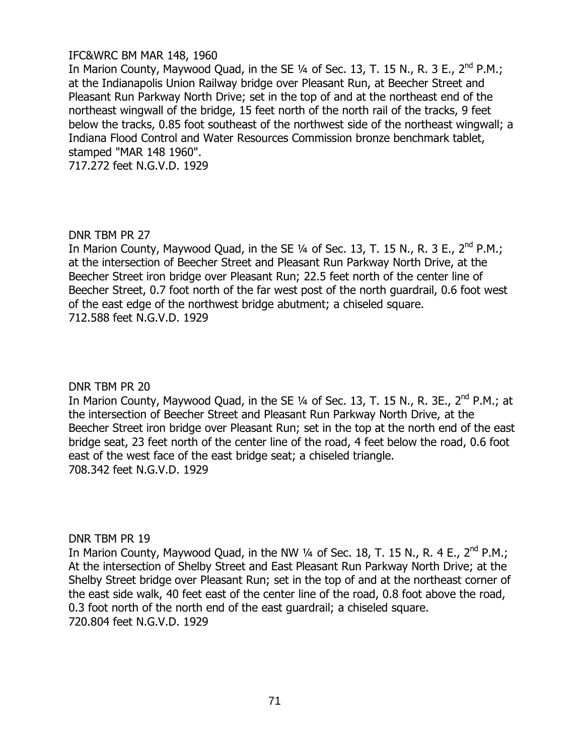### IFC&WRC BM MAR 148, 1960

In Marion County, Maywood Quad, in the SE 1/4 of Sec. 13, T. 15 N., R. 3 E., 2<sup>nd</sup> P.M.; at the Indianapolis Union Railway bridge over Pleasant Run, at Beecher Street and Pleasant Run Parkway North Drive; set in the top of and at the northeast end of the northeast wingwall of the bridge, 15 feet north of the north rail of the tracks, 9 feet below the tracks, 0.85 foot southeast of the northwest side of the northeast wingwall; a Indiana Flood Control and Water Resources Commission bronze benchmark tablet, stamped "MAR 148 1960".

717.272 feet N.G.V.D. 1929

# DNR TBM PR 27

In Marion County, Maywood Quad, in the SE  $\frac{1}{4}$  of Sec. 13, T. 15 N., R. 3 E., 2<sup>nd</sup> P.M.; at the intersection of Beecher Street and Pleasant Run Parkway North Drive, at the Beecher Street iron bridge over Pleasant Run; 22.5 feet north of the center line of Beecher Street, 0.7 foot north of the far west post of the north guardrail, 0.6 foot west of the east edge of the northwest bridge abutment; a chiseled square. 712.588 feet N.G.V.D. 1929

### DNR TBM PR 20

In Marion County, Maywood Quad, in the SE 1/4 of Sec. 13, T. 15 N., R. 3E., 2<sup>nd</sup> P.M.; at the intersection of Beecher Street and Pleasant Run Parkway North Drive, at the Beecher Street iron bridge over Pleasant Run; set in the top at the north end of the east bridge seat, 23 feet north of the center line of the road, 4 feet below the road, 0.6 foot east of the west face of the east bridge seat; a chiseled triangle. 708.342 feet N.G.V.D. 1929

### DNR TBM PR 19

In Marion County, Maywood Quad, in the NW 1/4 of Sec. 18, T. 15 N., R. 4 E., 2<sup>nd</sup> P.M.; At the intersection of Shelby Street and East Pleasant Run Parkway North Drive; at the Shelby Street bridge over Pleasant Run; set in the top of and at the northeast corner of the east side walk, 40 feet east of the center line of the road, 0.8 foot above the road, 0.3 foot north of the north end of the east guardrail; a chiseled square. 720.804 feet N.G.V.D. 1929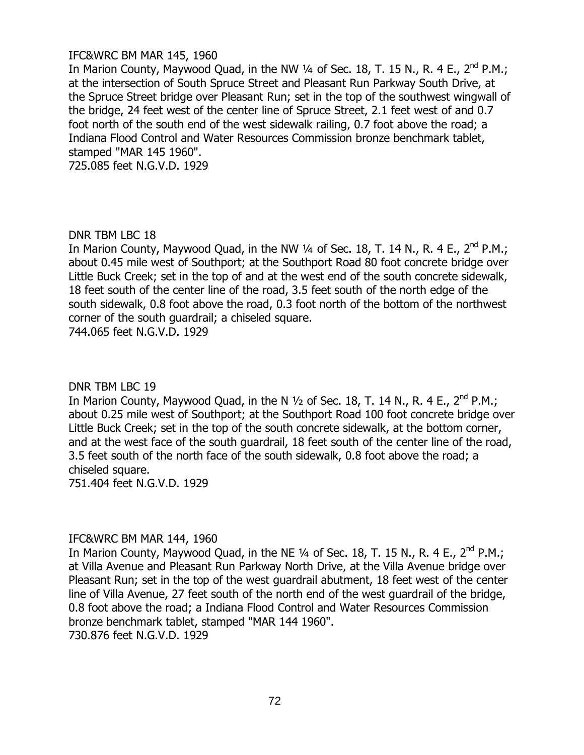## IFC&WRC BM MAR 145, 1960

In Marion County, Maywood Quad, in the NW 1/4 of Sec. 18, T. 15 N., R. 4 E., 2<sup>nd</sup> P.M.; at the intersection of South Spruce Street and Pleasant Run Parkway South Drive, at the Spruce Street bridge over Pleasant Run; set in the top of the southwest wingwall of the bridge, 24 feet west of the center line of Spruce Street, 2.1 feet west of and 0.7 foot north of the south end of the west sidewalk railing, 0.7 foot above the road; a Indiana Flood Control and Water Resources Commission bronze benchmark tablet, stamped "MAR 145 1960".

725.085 feet N.G.V.D. 1929

### DNR TBM LBC 18

In Marion County, Maywood Quad, in the NW  $\frac{1}{4}$  of Sec. 18, T. 14 N., R. 4 E., 2<sup>nd</sup> P.M.; about 0.45 mile west of Southport; at the Southport Road 80 foot concrete bridge over Little Buck Creek; set in the top of and at the west end of the south concrete sidewalk, 18 feet south of the center line of the road, 3.5 feet south of the north edge of the south sidewalk, 0.8 foot above the road, 0.3 foot north of the bottom of the northwest corner of the south guardrail; a chiseled square.

744.065 feet N.G.V.D. 1929

### DNR TBM LBC 19

In Marion County, Maywood Quad, in the N  $\frac{1}{2}$  of Sec. 18, T. 14 N., R. 4 E., 2<sup>nd</sup> P.M.; about 0.25 mile west of Southport; at the Southport Road 100 foot concrete bridge over Little Buck Creek; set in the top of the south concrete sidewalk, at the bottom corner, and at the west face of the south guardrail, 18 feet south of the center line of the road, 3.5 feet south of the north face of the south sidewalk, 0.8 foot above the road; a chiseled square.

751.404 feet N.G.V.D. 1929

### IFC&WRC BM MAR 144, 1960

In Marion County, Maywood Quad, in the NE  $\frac{1}{4}$  of Sec. 18, T. 15 N., R. 4 E., 2<sup>nd</sup> P.M.; at Villa Avenue and Pleasant Run Parkway North Drive, at the Villa Avenue bridge over Pleasant Run; set in the top of the west guardrail abutment, 18 feet west of the center line of Villa Avenue, 27 feet south of the north end of the west guardrail of the bridge, 0.8 foot above the road; a Indiana Flood Control and Water Resources Commission bronze benchmark tablet, stamped "MAR 144 1960". 730.876 feet N.G.V.D. 1929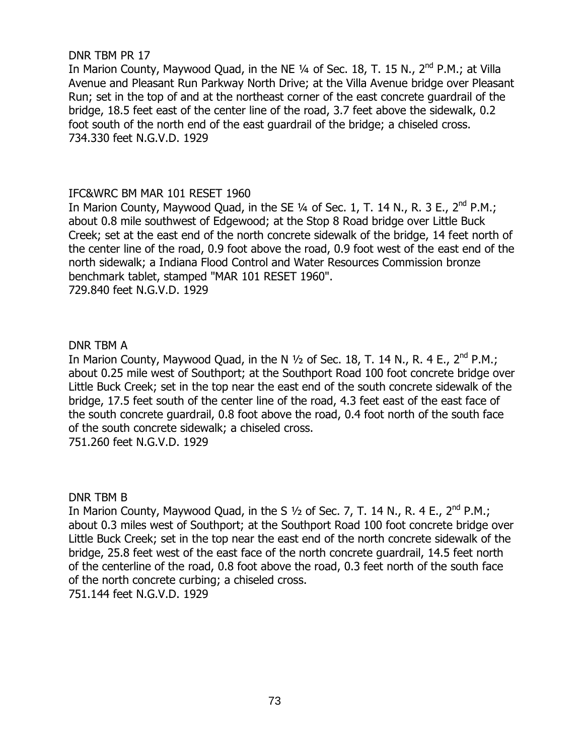### DNR TBM PR 17

In Marion County, Maywood Quad, in the NE 1/4 of Sec. 18, T. 15 N., 2<sup>nd</sup> P.M.; at Villa Avenue and Pleasant Run Parkway North Drive; at the Villa Avenue bridge over Pleasant Run; set in the top of and at the northeast corner of the east concrete guardrail of the bridge, 18.5 feet east of the center line of the road, 3.7 feet above the sidewalk, 0.2 foot south of the north end of the east guardrail of the bridge; a chiseled cross. 734.330 feet N.G.V.D. 1929

### IFC&WRC BM MAR 101 RESET 1960

In Marion County, Maywood Quad, in the SE 1/4 of Sec. 1, T. 14 N., R. 3 E., 2<sup>nd</sup> P.M.; about 0.8 mile southwest of Edgewood; at the Stop 8 Road bridge over Little Buck Creek; set at the east end of the north concrete sidewalk of the bridge, 14 feet north of the center line of the road, 0.9 foot above the road, 0.9 foot west of the east end of the north sidewalk; a Indiana Flood Control and Water Resources Commission bronze benchmark tablet, stamped "MAR 101 RESET 1960". 729.840 feet N.G.V.D. 1929

#### DNR TBM A

In Marion County, Maywood Quad, in the N  $\frac{1}{2}$  of Sec. 18, T. 14 N., R. 4 E., 2<sup>nd</sup> P.M.; about 0.25 mile west of Southport; at the Southport Road 100 foot concrete bridge over Little Buck Creek; set in the top near the east end of the south concrete sidewalk of the bridge, 17.5 feet south of the center line of the road, 4.3 feet east of the east face of the south concrete guardrail, 0.8 foot above the road, 0.4 foot north of the south face of the south concrete sidewalk; a chiseled cross. 751.260 feet N.G.V.D. 1929

DNR TBM B

In Marion County, Maywood Quad, in the S  $1/2$  of Sec. 7, T. 14 N., R. 4 E., 2<sup>nd</sup> P.M.; about 0.3 miles west of Southport; at the Southport Road 100 foot concrete bridge over Little Buck Creek; set in the top near the east end of the north concrete sidewalk of the bridge, 25.8 feet west of the east face of the north concrete guardrail, 14.5 feet north of the centerline of the road, 0.8 foot above the road, 0.3 feet north of the south face of the north concrete curbing; a chiseled cross. 751.144 feet N.G.V.D. 1929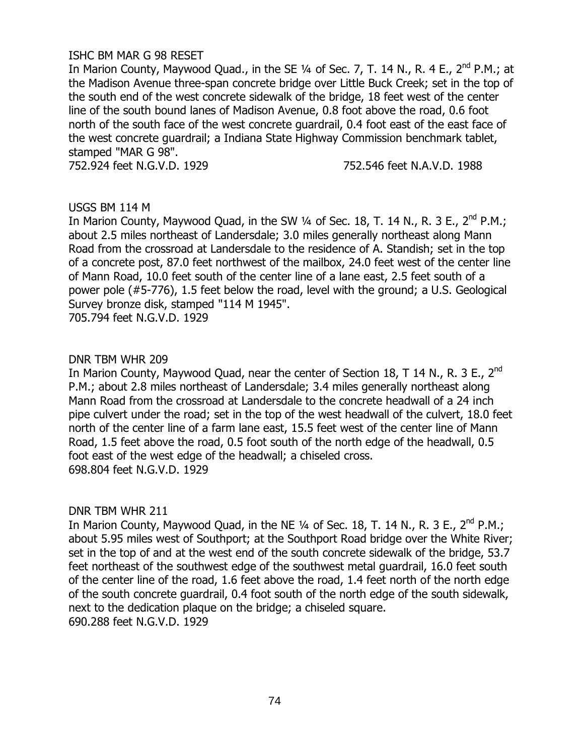#### ISHC BM MAR G 98 RESET

In Marion County, Maywood Quad., in the SE  $\frac{1}{4}$  of Sec. 7, T. 14 N., R. 4 E., 2<sup>nd</sup> P.M.; at the Madison Avenue three-span concrete bridge over Little Buck Creek; set in the top of the south end of the west concrete sidewalk of the bridge, 18 feet west of the center line of the south bound lanes of Madison Avenue, 0.8 foot above the road, 0.6 foot north of the south face of the west concrete guardrail, 0.4 foot east of the east face of the west concrete guardrail; a Indiana State Highway Commission benchmark tablet, stamped "MAR G 98".

752.924 feet N.G.V.D. 1929 752.546 feet N.A.V.D. 1988

#### USGS BM 114 M

In Marion County, Maywood Quad, in the SW  $\frac{1}{4}$  of Sec. 18, T. 14 N., R. 3 E., 2<sup>nd</sup> P.M.; about 2.5 miles northeast of Landersdale; 3.0 miles generally northeast along Mann Road from the crossroad at Landersdale to the residence of A. Standish; set in the top of a concrete post, 87.0 feet northwest of the mailbox, 24.0 feet west of the center line of Mann Road, 10.0 feet south of the center line of a lane east, 2.5 feet south of a power pole (#5-776), 1.5 feet below the road, level with the ground; a U.S. Geological Survey bronze disk, stamped "114 M 1945".

705.794 feet N.G.V.D. 1929

#### DNR TBM WHR 209

In Marion County, Maywood Quad, near the center of Section 18, T 14 N., R. 3 E., 2<sup>nd</sup> P.M.; about 2.8 miles northeast of Landersdale; 3.4 miles generally northeast along Mann Road from the crossroad at Landersdale to the concrete headwall of a 24 inch pipe culvert under the road; set in the top of the west headwall of the culvert, 18.0 feet north of the center line of a farm lane east, 15.5 feet west of the center line of Mann Road, 1.5 feet above the road, 0.5 foot south of the north edge of the headwall, 0.5 foot east of the west edge of the headwall; a chiseled cross. 698.804 feet N.G.V.D. 1929

#### DNR TBM WHR 211

In Marion County, Maywood Quad, in the NE  $\frac{1}{4}$  of Sec. 18, T. 14 N., R. 3 E., 2<sup>nd</sup> P.M.; about 5.95 miles west of Southport; at the Southport Road bridge over the White River; set in the top of and at the west end of the south concrete sidewalk of the bridge, 53.7 feet northeast of the southwest edge of the southwest metal guardrail, 16.0 feet south of the center line of the road, 1.6 feet above the road, 1.4 feet north of the north edge of the south concrete guardrail, 0.4 foot south of the north edge of the south sidewalk, next to the dedication plaque on the bridge; a chiseled square. 690.288 feet N.G.V.D. 1929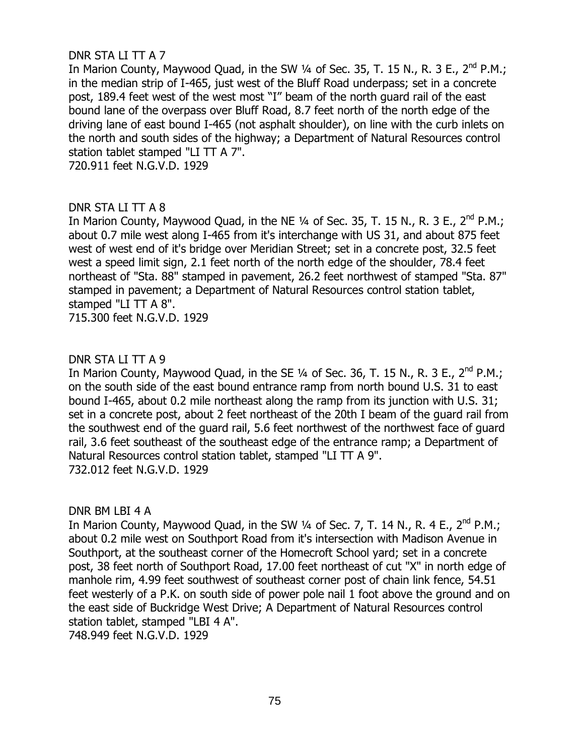# DNR STA LI TT A 7

In Marion County, Maywood Quad, in the SW  $\frac{1}{4}$  of Sec. 35, T. 15 N., R. 3 E., 2<sup>nd</sup> P.M.; in the median strip of I-465, just west of the Bluff Road underpass; set in a concrete post, 189.4 feet west of the west most "I" beam of the north guard rail of the east bound lane of the overpass over Bluff Road, 8.7 feet north of the north edge of the driving lane of east bound I-465 (not asphalt shoulder), on line with the curb inlets on the north and south sides of the highway; a Department of Natural Resources control station tablet stamped "LI TT A 7".

720.911 feet N.G.V.D. 1929

### DNR STA LI TT A 8

In Marion County, Maywood Quad, in the NE  $\frac{1}{4}$  of Sec. 35, T. 15 N., R. 3 E., 2<sup>nd</sup> P.M.; about 0.7 mile west along I-465 from it's interchange with US 31, and about 875 feet west of west end of it's bridge over Meridian Street; set in a concrete post, 32.5 feet west a speed limit sign, 2.1 feet north of the north edge of the shoulder, 78.4 feet northeast of "Sta. 88" stamped in pavement, 26.2 feet northwest of stamped "Sta. 87" stamped in pavement; a Department of Natural Resources control station tablet, stamped "LI TT A 8".

715.300 feet N.G.V.D. 1929

# DNR STA LI TT A 9

In Marion County, Maywood Quad, in the SE 1/4 of Sec. 36, T. 15 N., R. 3 E., 2<sup>nd</sup> P.M.; on the south side of the east bound entrance ramp from north bound U.S. 31 to east bound I-465, about 0.2 mile northeast along the ramp from its junction with U.S. 31; set in a concrete post, about 2 feet northeast of the 20th I beam of the guard rail from the southwest end of the guard rail, 5.6 feet northwest of the northwest face of guard rail, 3.6 feet southeast of the southeast edge of the entrance ramp; a Department of Natural Resources control station tablet, stamped "LI TT A 9". 732.012 feet N.G.V.D. 1929

### DNR BM LBI 4 A

In Marion County, Maywood Quad, in the SW 1/4 of Sec. 7, T. 14 N., R. 4 E., 2<sup>nd</sup> P.M.; about 0.2 mile west on Southport Road from it's intersection with Madison Avenue in Southport, at the southeast corner of the Homecroft School yard; set in a concrete post, 38 feet north of Southport Road, 17.00 feet northeast of cut "X" in north edge of manhole rim, 4.99 feet southwest of southeast corner post of chain link fence, 54.51 feet westerly of a P.K. on south side of power pole nail 1 foot above the ground and on the east side of Buckridge West Drive; A Department of Natural Resources control station tablet, stamped "LBI 4 A".

748.949 feet N.G.V.D. 1929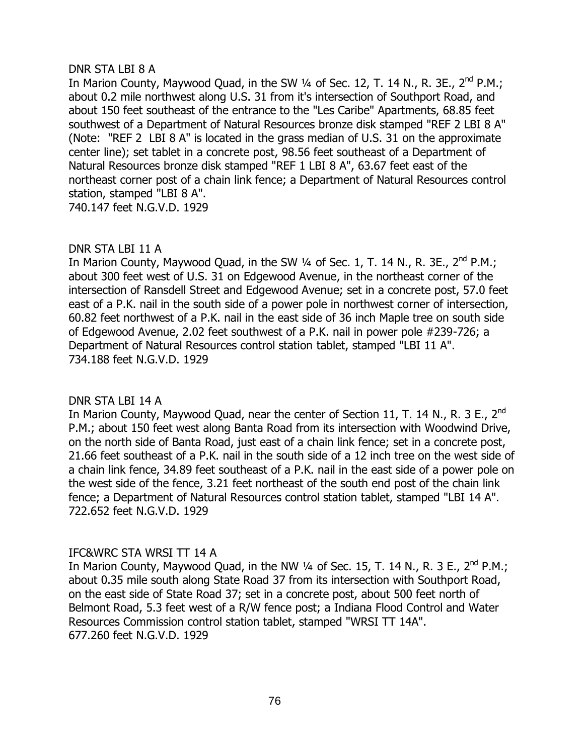## DNR STA LBI 8 A

In Marion County, Maywood Quad, in the SW 1/4 of Sec. 12, T. 14 N., R. 3E., 2<sup>nd</sup> P.M.; about 0.2 mile northwest along U.S. 31 from it's intersection of Southport Road, and about 150 feet southeast of the entrance to the "Les Caribe" Apartments, 68.85 feet southwest of a Department of Natural Resources bronze disk stamped "REF 2 LBI 8 A" (Note: "REF 2 LBI 8 A" is located in the grass median of U.S. 31 on the approximate center line); set tablet in a concrete post, 98.56 feet southeast of a Department of Natural Resources bronze disk stamped "REF 1 LBI 8 A", 63.67 feet east of the northeast corner post of a chain link fence; a Department of Natural Resources control station, stamped "LBI 8 A". 740.147 feet N.G.V.D. 1929

# DNR STA LBI 11 A

In Marion County, Maywood Quad, in the SW  $\frac{1}{4}$  of Sec. 1, T. 14 N., R. 3E., 2<sup>nd</sup> P.M.; about 300 feet west of U.S. 31 on Edgewood Avenue, in the northeast corner of the intersection of Ransdell Street and Edgewood Avenue; set in a concrete post, 57.0 feet east of a P.K. nail in the south side of a power pole in northwest corner of intersection, 60.82 feet northwest of a P.K. nail in the east side of 36 inch Maple tree on south side of Edgewood Avenue, 2.02 feet southwest of a P.K. nail in power pole #239-726; a Department of Natural Resources control station tablet, stamped "LBI 11 A". 734.188 feet N.G.V.D. 1929

# DNR STA LBI 14 A

In Marion County, Maywood Quad, near the center of Section 11, T. 14 N., R. 3 E., 2<sup>nd</sup> P.M.; about 150 feet west along Banta Road from its intersection with Woodwind Drive, on the north side of Banta Road, just east of a chain link fence; set in a concrete post, 21.66 feet southeast of a P.K. nail in the south side of a 12 inch tree on the west side of a chain link fence, 34.89 feet southeast of a P.K. nail in the east side of a power pole on the west side of the fence, 3.21 feet northeast of the south end post of the chain link fence; a Department of Natural Resources control station tablet, stamped "LBI 14 A". 722.652 feet N.G.V.D. 1929

# IFC&WRC STA WRSI TT 14 A

In Marion County, Maywood Quad, in the NW 1/4 of Sec. 15, T. 14 N., R. 3 E., 2<sup>nd</sup> P.M.; about 0.35 mile south along State Road 37 from its intersection with Southport Road, on the east side of State Road 37; set in a concrete post, about 500 feet north of Belmont Road, 5.3 feet west of a R/W fence post; a Indiana Flood Control and Water Resources Commission control station tablet, stamped "WRSI TT 14A". 677.260 feet N.G.V.D. 1929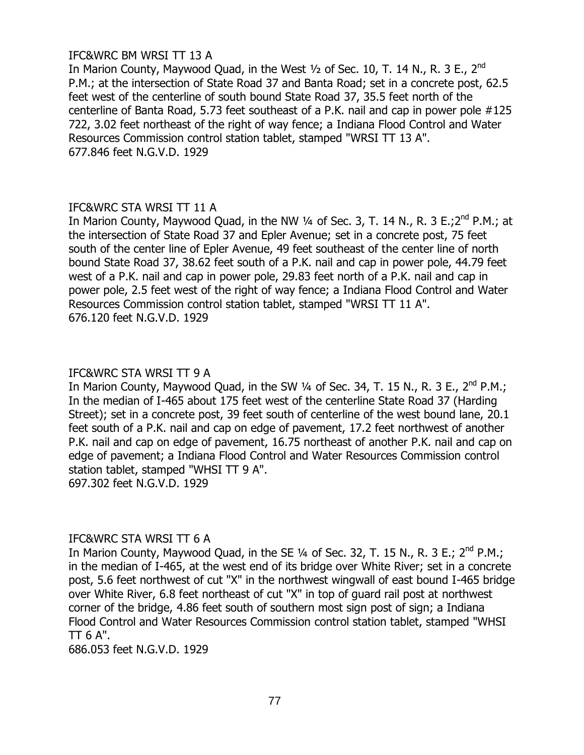# IFC&WRC BM WRSI TT 13 A

In Marion County, Maywood Quad, in the West  $\frac{1}{2}$  of Sec. 10, T. 14 N., R. 3 E., 2<sup>nd</sup> P.M.; at the intersection of State Road 37 and Banta Road; set in a concrete post, 62.5 feet west of the centerline of south bound State Road 37, 35.5 feet north of the centerline of Banta Road, 5.73 feet southeast of a P.K. nail and cap in power pole #125 722, 3.02 feet northeast of the right of way fence; a Indiana Flood Control and Water Resources Commission control station tablet, stamped "WRSI TT 13 A". 677.846 feet N.G.V.D. 1929

### IFC&WRC STA WRSI TT 11 A

In Marion County, Maywood Quad, in the NW  $\frac{1}{4}$  of Sec. 3, T. 14 N., R. 3 E.;2<sup>nd</sup> P.M.; at the intersection of State Road 37 and Epler Avenue; set in a concrete post, 75 feet south of the center line of Epler Avenue, 49 feet southeast of the center line of north bound State Road 37, 38.62 feet south of a P.K. nail and cap in power pole, 44.79 feet west of a P.K. nail and cap in power pole, 29.83 feet north of a P.K. nail and cap in power pole, 2.5 feet west of the right of way fence; a Indiana Flood Control and Water Resources Commission control station tablet, stamped "WRSI TT 11 A". 676.120 feet N.G.V.D. 1929

# IFC&WRC STA WRSI TT 9 A

In Marion County, Maywood Quad, in the SW  $\frac{1}{4}$  of Sec. 34, T. 15 N., R. 3 E., 2<sup>nd</sup> P.M.; In the median of I-465 about 175 feet west of the centerline State Road 37 (Harding Street); set in a concrete post, 39 feet south of centerline of the west bound lane, 20.1 feet south of a P.K. nail and cap on edge of pavement, 17.2 feet northwest of another P.K. nail and cap on edge of pavement, 16.75 northeast of another P.K. nail and cap on edge of pavement; a Indiana Flood Control and Water Resources Commission control station tablet, stamped "WHSI TT 9 A". 697.302 feet N.G.V.D. 1929

### IFC&WRC STA WRSI TT 6 A

In Marion County, Maywood Quad, in the SE 1/4 of Sec. 32, T. 15 N., R. 3 E.; 2<sup>nd</sup> P.M.; in the median of I-465, at the west end of its bridge over White River; set in a concrete post, 5.6 feet northwest of cut "X" in the northwest wingwall of east bound I-465 bridge over White River, 6.8 feet northeast of cut "X" in top of guard rail post at northwest corner of the bridge, 4.86 feet south of southern most sign post of sign; a Indiana Flood Control and Water Resources Commission control station tablet, stamped "WHSI  $TT$  6 A".

686.053 feet N.G.V.D. 1929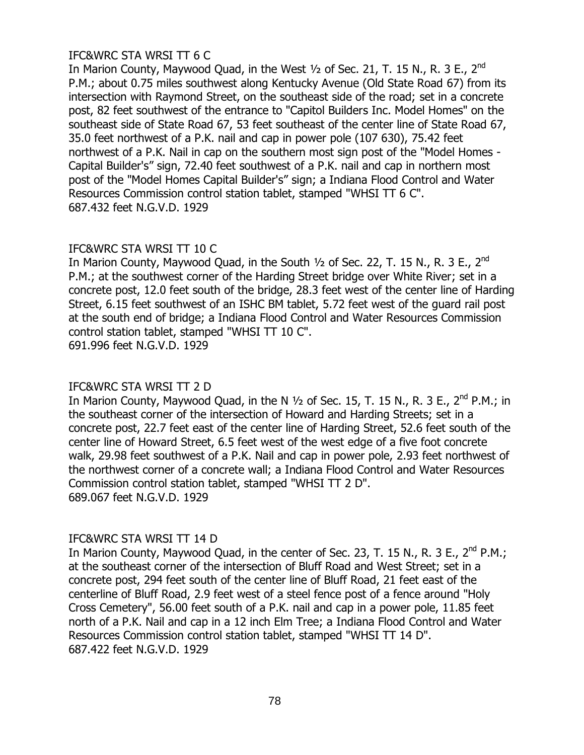# IFC&WRC STA WRSI TT 6 C

In Marion County, Maywood Quad, in the West  $1/2$  of Sec. 21, T. 15 N., R. 3 E., 2<sup>nd</sup> P.M.; about 0.75 miles southwest along Kentucky Avenue (Old State Road 67) from its intersection with Raymond Street, on the southeast side of the road; set in a concrete post, 82 feet southwest of the entrance to "Capitol Builders Inc. Model Homes" on the southeast side of State Road 67, 53 feet southeast of the center line of State Road 67, 35.0 feet northwest of a P.K. nail and cap in power pole (107 630), 75.42 feet northwest of a P.K. Nail in cap on the southern most sign post of the "Model Homes - Capital Builder's" sign, 72.40 feet southwest of a P.K. nail and cap in northern most post of the "Model Homes Capital Builder's" sign; a Indiana Flood Control and Water Resources Commission control station tablet, stamped "WHSI TT 6 C". 687.432 feet N.G.V.D. 1929

### IFC&WRC STA WRSI TT 10 C

In Marion County, Maywood Quad, in the South  $\frac{1}{2}$  of Sec. 22, T. 15 N., R. 3 E., 2<sup>nd</sup> P.M.; at the southwest corner of the Harding Street bridge over White River; set in a concrete post, 12.0 feet south of the bridge, 28.3 feet west of the center line of Harding Street, 6.15 feet southwest of an ISHC BM tablet, 5.72 feet west of the guard rail post at the south end of bridge; a Indiana Flood Control and Water Resources Commission control station tablet, stamped "WHSI TT 10 C". 691.996 feet N.G.V.D. 1929

# IFC&WRC STA WRSI TT 2 D

In Marion County, Maywood Quad, in the N  $1/2$  of Sec. 15, T. 15 N., R. 3 E., 2<sup>nd</sup> P.M.: in the southeast corner of the intersection of Howard and Harding Streets; set in a concrete post, 22.7 feet east of the center line of Harding Street, 52.6 feet south of the center line of Howard Street, 6.5 feet west of the west edge of a five foot concrete walk, 29.98 feet southwest of a P.K. Nail and cap in power pole, 2.93 feet northwest of the northwest corner of a concrete wall; a Indiana Flood Control and Water Resources Commission control station tablet, stamped "WHSI TT 2 D". 689.067 feet N.G.V.D. 1929

# IFC&WRC STA WRSI TT 14 D

In Marion County, Maywood Quad, in the center of Sec. 23, T. 15 N., R. 3 E., 2<sup>nd</sup> P.M.; at the southeast corner of the intersection of Bluff Road and West Street; set in a concrete post, 294 feet south of the center line of Bluff Road, 21 feet east of the centerline of Bluff Road, 2.9 feet west of a steel fence post of a fence around "Holy Cross Cemetery", 56.00 feet south of a P.K. nail and cap in a power pole, 11.85 feet north of a P.K. Nail and cap in a 12 inch Elm Tree; a Indiana Flood Control and Water Resources Commission control station tablet, stamped "WHSI TT 14 D". 687.422 feet N.G.V.D. 1929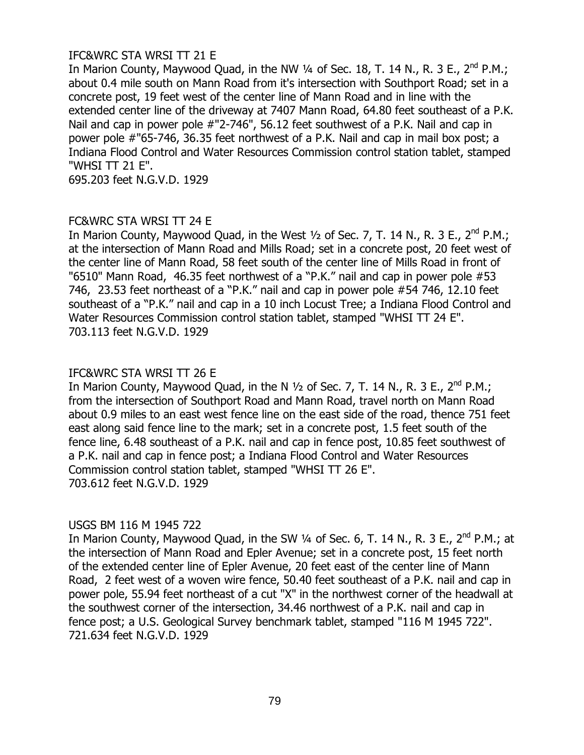# IFC&WRC STA WRSI TT 21 E

In Marion County, Maywood Quad, in the NW  $\frac{1}{4}$  of Sec. 18, T. 14 N., R. 3 E., 2<sup>nd</sup> P.M.; about 0.4 mile south on Mann Road from it's intersection with Southport Road; set in a concrete post, 19 feet west of the center line of Mann Road and in line with the extended center line of the driveway at 7407 Mann Road, 64.80 feet southeast of a P.K. Nail and cap in power pole #"2-746", 56.12 feet southwest of a P.K. Nail and cap in power pole #"65-746, 36.35 feet northwest of a P.K. Nail and cap in mail box post; a Indiana Flood Control and Water Resources Commission control station tablet, stamped "WHSI TT 21 E".

695.203 feet N.G.V.D. 1929

### FC&WRC STA WRSI TT 24 E

In Marion County, Maywood Quad, in the West  $\frac{1}{2}$  of Sec. 7, T. 14 N., R. 3 E., 2<sup>nd</sup> P.M.; at the intersection of Mann Road and Mills Road; set in a concrete post, 20 feet west of the center line of Mann Road, 58 feet south of the center line of Mills Road in front of "6510" Mann Road, 46.35 feet northwest of a "P.K." nail and cap in power pole #53 746, 23.53 feet northeast of a "P.K." nail and cap in power pole #54 746, 12.10 feet southeast of a "P.K." nail and cap in a 10 inch Locust Tree; a Indiana Flood Control and Water Resources Commission control station tablet, stamped "WHSI TT 24 E". 703.113 feet N.G.V.D. 1929

# IFC&WRC STA WRSI TT 26 E

In Marion County, Maywood Quad, in the N  $\frac{1}{2}$  of Sec. 7, T. 14 N., R. 3 E., 2<sup>nd</sup> P.M.; from the intersection of Southport Road and Mann Road, travel north on Mann Road about 0.9 miles to an east west fence line on the east side of the road, thence 751 feet east along said fence line to the mark; set in a concrete post, 1.5 feet south of the fence line, 6.48 southeast of a P.K. nail and cap in fence post, 10.85 feet southwest of a P.K. nail and cap in fence post; a Indiana Flood Control and Water Resources Commission control station tablet, stamped "WHSI TT 26 E". 703.612 feet N.G.V.D. 1929

### USGS BM 116 M 1945 722

In Marion County, Maywood Quad, in the SW 1/4 of Sec. 6, T. 14 N., R. 3 E., 2<sup>nd</sup> P.M.; at the intersection of Mann Road and Epler Avenue; set in a concrete post, 15 feet north of the extended center line of Epler Avenue, 20 feet east of the center line of Mann Road, 2 feet west of a woven wire fence, 50.40 feet southeast of a P.K. nail and cap in power pole, 55.94 feet northeast of a cut "X" in the northwest corner of the headwall at the southwest corner of the intersection, 34.46 northwest of a P.K. nail and cap in fence post; a U.S. Geological Survey benchmark tablet, stamped "116 M 1945 722". 721.634 feet N.G.V.D. 1929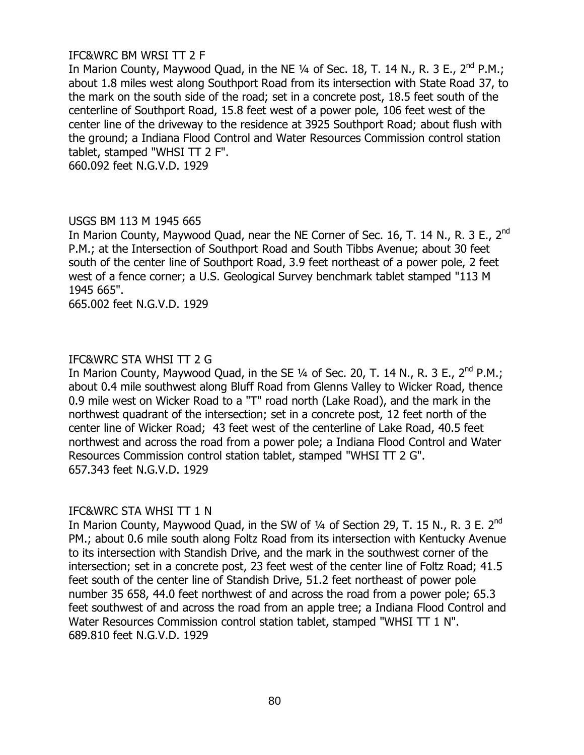# IFC&WRC BM WRSI TT 2 F

In Marion County, Maywood Quad, in the NE  $\frac{1}{4}$  of Sec. 18, T. 14 N., R. 3 E., 2<sup>nd</sup> P.M.; about 1.8 miles west along Southport Road from its intersection with State Road 37, to the mark on the south side of the road; set in a concrete post, 18.5 feet south of the centerline of Southport Road, 15.8 feet west of a power pole, 106 feet west of the center line of the driveway to the residence at 3925 Southport Road; about flush with the ground; a Indiana Flood Control and Water Resources Commission control station tablet, stamped "WHSI TT 2 F".

660.092 feet N.G.V.D. 1929

### USGS BM 113 M 1945 665

In Marion County, Maywood Quad, near the NE Corner of Sec. 16, T. 14 N., R. 3 E., 2<sup>nd</sup> P.M.; at the Intersection of Southport Road and South Tibbs Avenue; about 30 feet south of the center line of Southport Road, 3.9 feet northeast of a power pole, 2 feet west of a fence corner; a U.S. Geological Survey benchmark tablet stamped "113 M 1945 665".

665.002 feet N.G.V.D. 1929

# IFC&WRC STA WHSI TT 2 G

In Marion County, Maywood Quad, in the SE 1/4 of Sec. 20, T. 14 N., R. 3 E., 2<sup>nd</sup> P.M.; about 0.4 mile southwest along Bluff Road from Glenns Valley to Wicker Road, thence 0.9 mile west on Wicker Road to a "T" road north (Lake Road), and the mark in the northwest quadrant of the intersection; set in a concrete post, 12 feet north of the center line of Wicker Road; 43 feet west of the centerline of Lake Road, 40.5 feet northwest and across the road from a power pole; a Indiana Flood Control and Water Resources Commission control station tablet, stamped "WHSI TT 2 G". 657.343 feet N.G.V.D. 1929

### IFC&WRC STA WHSI TT 1 N

In Marion County, Maywood Quad, in the SW of 1/4 of Section 29, T. 15 N., R. 3 E. 2<sup>nd</sup> PM.; about 0.6 mile south along Foltz Road from its intersection with Kentucky Avenue to its intersection with Standish Drive, and the mark in the southwest corner of the intersection; set in a concrete post, 23 feet west of the center line of Foltz Road; 41.5 feet south of the center line of Standish Drive, 51.2 feet northeast of power pole number 35 658, 44.0 feet northwest of and across the road from a power pole; 65.3 feet southwest of and across the road from an apple tree; a Indiana Flood Control and Water Resources Commission control station tablet, stamped "WHSI TT 1 N". 689.810 feet N.G.V.D. 1929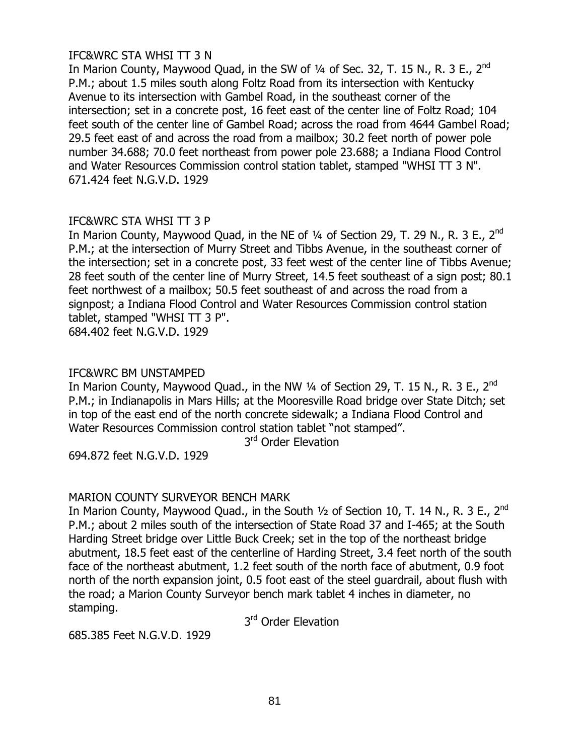# IFC&WRC STA WHSI TT 3 N

In Marion County, Maywood Quad, in the SW of  $\frac{1}{4}$  of Sec. 32, T. 15 N., R. 3 E., 2<sup>nd</sup> P.M.; about 1.5 miles south along Foltz Road from its intersection with Kentucky Avenue to its intersection with Gambel Road, in the southeast corner of the intersection; set in a concrete post, 16 feet east of the center line of Foltz Road; 104 feet south of the center line of Gambel Road; across the road from 4644 Gambel Road; 29.5 feet east of and across the road from a mailbox; 30.2 feet north of power pole number 34.688; 70.0 feet northeast from power pole 23.688; a Indiana Flood Control and Water Resources Commission control station tablet, stamped "WHSI TT 3 N". 671.424 feet N.G.V.D. 1929

### IFC&WRC STA WHSI TT 3 P

In Marion County, Maywood Quad, in the NE of  $\frac{1}{4}$  of Section 29, T. 29 N., R. 3 E., 2<sup>nd</sup> P.M.; at the intersection of Murry Street and Tibbs Avenue, in the southeast corner of the intersection; set in a concrete post, 33 feet west of the center line of Tibbs Avenue; 28 feet south of the center line of Murry Street, 14.5 feet southeast of a sign post; 80.1 feet northwest of a mailbox; 50.5 feet southeast of and across the road from a signpost; a Indiana Flood Control and Water Resources Commission control station tablet, stamped "WHSI TT 3 P".

684.402 feet N.G.V.D. 1929

# IFC&WRC BM UNSTAMPED

In Marion County, Maywood Quad., in the NW  $\frac{1}{4}$  of Section 29, T. 15 N., R. 3 E., 2<sup>nd</sup> P.M.; in Indianapolis in Mars Hills; at the Mooresville Road bridge over State Ditch; set in top of the east end of the north concrete sidewalk; a Indiana Flood Control and Water Resources Commission control station tablet "not stamped".

3<sup>rd</sup> Order Elevation

694.872 feet N.G.V.D. 1929

# MARION COUNTY SURVEYOR BENCH MARK

In Marion County, Maywood Quad., in the South  $1/2$  of Section 10, T. 14 N., R. 3 E., 2<sup>nd</sup> P.M.; about 2 miles south of the intersection of State Road 37 and I-465; at the South Harding Street bridge over Little Buck Creek; set in the top of the northeast bridge abutment, 18.5 feet east of the centerline of Harding Street, 3.4 feet north of the south face of the northeast abutment, 1.2 feet south of the north face of abutment, 0.9 foot north of the north expansion joint, 0.5 foot east of the steel guardrail, about flush with the road; a Marion County Surveyor bench mark tablet 4 inches in diameter, no stamping.

3<sup>rd</sup> Order Elevation

685.385 Feet N.G.V.D. 1929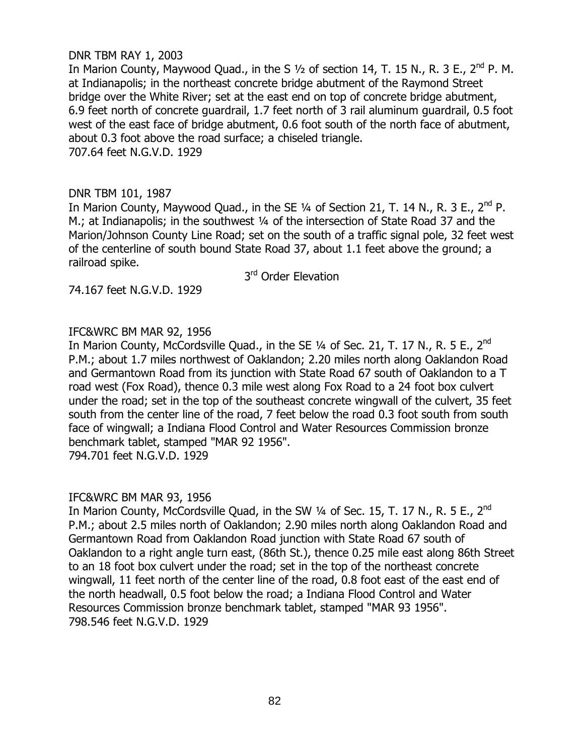## DNR TBM RAY 1, 2003

In Marion County, Maywood Quad., in the S  $1/2$  of section 14, T. 15 N., R. 3 E., 2<sup>nd</sup> P. M. at Indianapolis; in the northeast concrete bridge abutment of the Raymond Street bridge over the White River; set at the east end on top of concrete bridge abutment, 6.9 feet north of concrete guardrail, 1.7 feet north of 3 rail aluminum guardrail, 0.5 foot west of the east face of bridge abutment, 0.6 foot south of the north face of abutment, about 0.3 foot above the road surface; a chiseled triangle. 707.64 feet N.G.V.D. 1929

# DNR TBM 101, 1987

In Marion County, Maywood Quad., in the SE  $\frac{1}{4}$  of Section 21, T. 14 N., R. 3 E., 2<sup>nd</sup> P. M.; at Indianapolis; in the southwest 1/4 of the intersection of State Road 37 and the Marion/Johnson County Line Road; set on the south of a traffic signal pole, 32 feet west of the centerline of south bound State Road 37, about 1.1 feet above the ground; a railroad spike.

3<sup>rd</sup> Order Elevation

74.167 feet N.G.V.D. 1929

# IFC&WRC BM MAR 92, 1956

In Marion County, McCordsville Quad., in the SE  $\frac{1}{4}$  of Sec. 21, T. 17 N., R. 5 E., 2<sup>nd</sup> P.M.; about 1.7 miles northwest of Oaklandon; 2.20 miles north along Oaklandon Road and Germantown Road from its junction with State Road 67 south of Oaklandon to a T road west (Fox Road), thence 0.3 mile west along Fox Road to a 24 foot box culvert under the road; set in the top of the southeast concrete wingwall of the culvert, 35 feet south from the center line of the road, 7 feet below the road 0.3 foot south from south face of wingwall; a Indiana Flood Control and Water Resources Commission bronze benchmark tablet, stamped "MAR 92 1956". 794.701 feet N.G.V.D. 1929

### IFC&WRC BM MAR 93, 1956

In Marion County, McCordsville Quad, in the SW 1/4 of Sec. 15, T. 17 N., R. 5 E., 2<sup>nd</sup> P.M.; about 2.5 miles north of Oaklandon; 2.90 miles north along Oaklandon Road and Germantown Road from Oaklandon Road junction with State Road 67 south of Oaklandon to a right angle turn east, (86th St.), thence 0.25 mile east along 86th Street to an 18 foot box culvert under the road; set in the top of the northeast concrete wingwall, 11 feet north of the center line of the road, 0.8 foot east of the east end of the north headwall, 0.5 foot below the road; a Indiana Flood Control and Water Resources Commission bronze benchmark tablet, stamped "MAR 93 1956". 798.546 feet N.G.V.D. 1929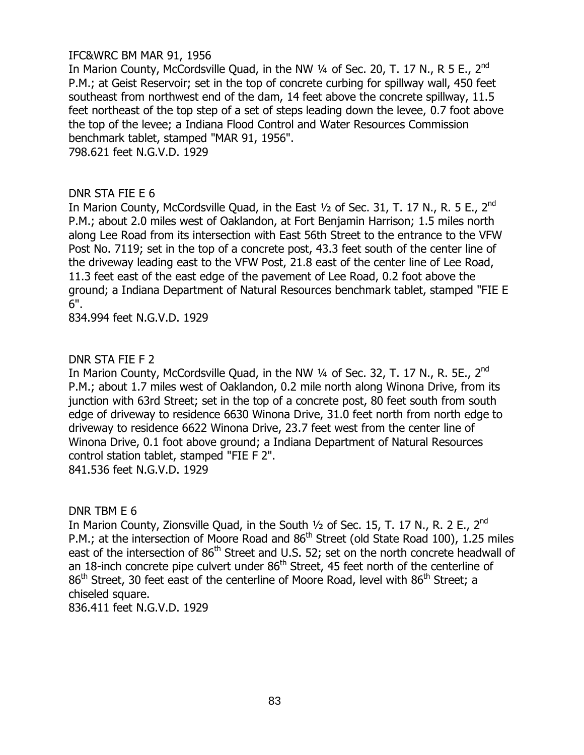## IFC&WRC BM MAR 91, 1956

In Marion County, McCordsville Quad, in the NW 1/4 of Sec. 20, T. 17 N., R 5 E., 2<sup>nd</sup> P.M.; at Geist Reservoir; set in the top of concrete curbing for spillway wall, 450 feet southeast from northwest end of the dam, 14 feet above the concrete spillway, 11.5 feet northeast of the top step of a set of steps leading down the levee, 0.7 foot above the top of the levee; a Indiana Flood Control and Water Resources Commission benchmark tablet, stamped "MAR 91, 1956".

798.621 feet N.G.V.D. 1929

### DNR STA FIE E 6

In Marion County, McCordsville Quad, in the East  $\frac{1}{2}$  of Sec. 31, T. 17 N., R. 5 E., 2<sup>nd</sup> P.M.; about 2.0 miles west of Oaklandon, at Fort Benjamin Harrison; 1.5 miles north along Lee Road from its intersection with East 56th Street to the entrance to the VFW Post No. 7119; set in the top of a concrete post, 43.3 feet south of the center line of the driveway leading east to the VFW Post, 21.8 east of the center line of Lee Road, 11.3 feet east of the east edge of the pavement of Lee Road, 0.2 foot above the ground; a Indiana Department of Natural Resources benchmark tablet, stamped "FIE E 6".

834.994 feet N.G.V.D. 1929

### DNR STA FIE F 2

In Marion County, McCordsville Quad, in the NW 1/4 of Sec. 32, T. 17 N., R. 5E., 2<sup>nd</sup> P.M.; about 1.7 miles west of Oaklandon, 0.2 mile north along Winona Drive, from its junction with 63rd Street; set in the top of a concrete post, 80 feet south from south edge of driveway to residence 6630 Winona Drive, 31.0 feet north from north edge to driveway to residence 6622 Winona Drive, 23.7 feet west from the center line of Winona Drive, 0.1 foot above ground; a Indiana Department of Natural Resources control station tablet, stamped "FIE F 2". 841.536 feet N.G.V.D. 1929

DNR TBM E 6

In Marion County, Zionsville Quad, in the South 1/2 of Sec. 15, T. 17 N., R. 2 E., 2<sup>nd</sup> P.M.; at the intersection of Moore Road and 86<sup>th</sup> Street (old State Road 100), 1.25 miles east of the intersection of  $86<sup>th</sup>$  Street and U.S. 52; set on the north concrete headwall of an 18-inch concrete pipe culvert under  $86<sup>th</sup>$  Street, 45 feet north of the centerline of  $86<sup>th</sup>$  Street, 30 feet east of the centerline of Moore Road, level with  $86<sup>th</sup>$  Street; a chiseled square.

836.411 feet N.G.V.D. 1929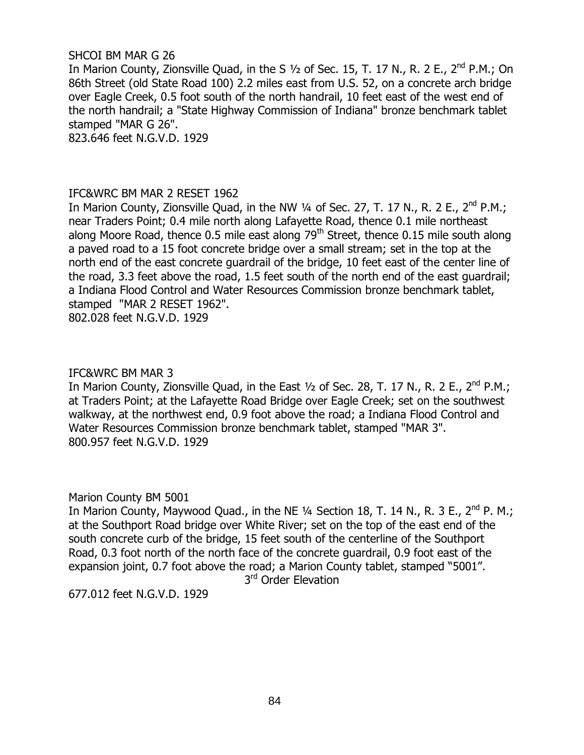### SHCOI BM MAR G 26

In Marion County, Zionsville Quad, in the S  $1/2$  of Sec. 15, T. 17 N., R. 2 E., 2<sup>nd</sup> P.M.; On 86th Street (old State Road 100) 2.2 miles east from U.S. 52, on a concrete arch bridge over Eagle Creek, 0.5 foot south of the north handrail, 10 feet east of the west end of the north handrail; a "State Highway Commission of Indiana" bronze benchmark tablet stamped "MAR G 26".

823.646 feet N.G.V.D. 1929

### IFC&WRC BM MAR 2 RESET 1962

In Marion County, Zionsville Quad, in the NW  $\frac{1}{4}$  of Sec. 27, T. 17 N., R. 2 E., 2<sup>nd</sup> P.M.; near Traders Point; 0.4 mile north along Lafayette Road, thence 0.1 mile northeast along Moore Road, thence 0.5 mile east along  $79<sup>th</sup>$  Street, thence 0.15 mile south along a paved road to a 15 foot concrete bridge over a small stream; set in the top at the north end of the east concrete guardrail of the bridge, 10 feet east of the center line of the road, 3.3 feet above the road, 1.5 feet south of the north end of the east guardrail; a Indiana Flood Control and Water Resources Commission bronze benchmark tablet, stamped "MAR 2 RESET 1962". 802.028 feet N.G.V.D. 1929

### IFC&WRC BM MAR 3

In Marion County, Zionsville Quad, in the East  $\frac{1}{2}$  of Sec. 28, T. 17 N., R. 2 E., 2<sup>nd</sup> P.M.; at Traders Point; at the Lafayette Road Bridge over Eagle Creek; set on the southwest walkway, at the northwest end, 0.9 foot above the road; a Indiana Flood Control and Water Resources Commission bronze benchmark tablet, stamped "MAR 3". 800.957 feet N.G.V.D. 1929

### Marion County BM 5001

In Marion County, Maywood Quad., in the NE  $\frac{1}{4}$  Section 18, T. 14 N., R. 3 E., 2<sup>nd</sup> P. M.; at the Southport Road bridge over White River; set on the top of the east end of the south concrete curb of the bridge, 15 feet south of the centerline of the Southport Road, 0.3 foot north of the north face of the concrete guardrail, 0.9 foot east of the expansion joint, 0.7 foot above the road; a Marion County tablet, stamped "5001".

3<sup>rd</sup> Order Elevation

677.012 feet N.G.V.D. 1929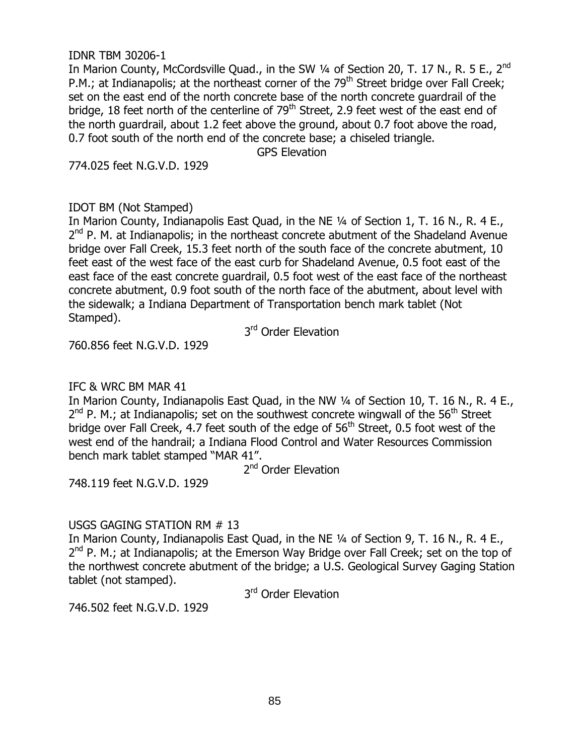### IDNR TBM 30206-1

In Marion County, McCordsville Quad., in the SW 1/4 of Section 20, T. 17 N., R. 5 E., 2<sup>nd</sup> P.M.; at Indianapolis; at the northeast corner of the 79<sup>th</sup> Street bridge over Fall Creek; set on the east end of the north concrete base of the north concrete guardrail of the bridge, 18 feet north of the centerline of  $79<sup>th</sup>$  Street, 2.9 feet west of the east end of the north guardrail, about 1.2 feet above the ground, about 0.7 foot above the road, 0.7 foot south of the north end of the concrete base; a chiseled triangle.

GPS Elevation

774.025 feet N.G.V.D. 1929

# IDOT BM (Not Stamped)

In Marion County, Indianapolis East Quad, in the NE 1/4 of Section 1, T. 16 N., R. 4 E., 2<sup>nd</sup> P. M. at Indianapolis; in the northeast concrete abutment of the Shadeland Avenue bridge over Fall Creek, 15.3 feet north of the south face of the concrete abutment, 10 feet east of the west face of the east curb for Shadeland Avenue, 0.5 foot east of the east face of the east concrete guardrail, 0.5 foot west of the east face of the northeast concrete abutment, 0.9 foot south of the north face of the abutment, about level with the sidewalk; a Indiana Department of Transportation bench mark tablet (Not Stamped).

3<sup>rd</sup> Order Elevation

760.856 feet N.G.V.D. 1929

# IFC & WRC BM MAR 41

In Marion County, Indianapolis East Quad, in the NW 1/4 of Section 10, T. 16 N., R. 4 E.,  $2^{nd}$  P. M.; at Indianapolis; set on the southwest concrete wingwall of the 56<sup>th</sup> Street bridge over Fall Creek, 4.7 feet south of the edge of  $56<sup>th</sup>$  Street, 0.5 foot west of the west end of the handrail; a Indiana Flood Control and Water Resources Commission bench mark tablet stamped "MAR 41".

2<sup>nd</sup> Order Elevation

748.119 feet N.G.V.D. 1929

# USGS GAGING STATION RM # 13

In Marion County, Indianapolis East Quad, in the NE 1/4 of Section 9, T. 16 N., R. 4 E., 2<sup>nd</sup> P. M.; at Indianapolis; at the Emerson Way Bridge over Fall Creek; set on the top of the northwest concrete abutment of the bridge; a U.S. Geological Survey Gaging Station tablet (not stamped).

3<sup>rd</sup> Order Elevation

746.502 feet N.G.V.D. 1929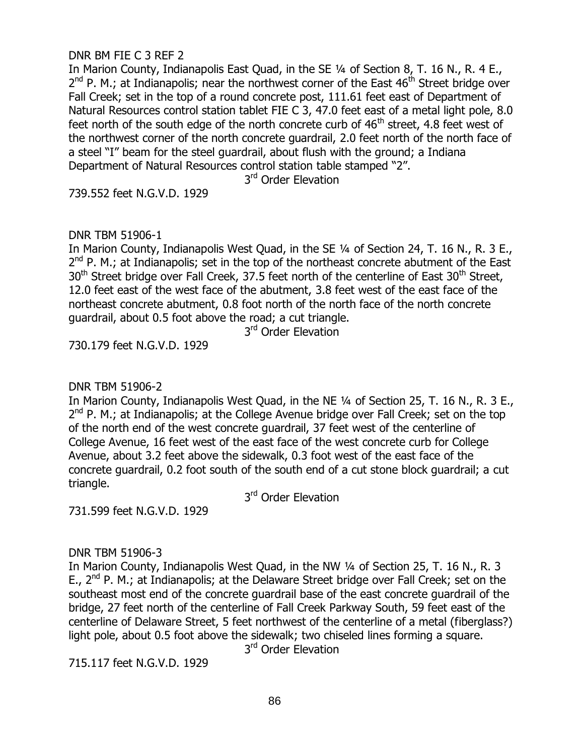## DNR BM FIE C 3 REF 2

In Marion County, Indianapolis East Quad, in the SE 1/4 of Section 8, T. 16 N., R. 4 E., 2<sup>nd</sup> P. M.; at Indianapolis; near the northwest corner of the East 46<sup>th</sup> Street bridge over Fall Creek; set in the top of a round concrete post, 111.61 feet east of Department of Natural Resources control station tablet FIE C 3, 47.0 feet east of a metal light pole, 8.0 feet north of the south edge of the north concrete curb of  $46<sup>th</sup>$  street, 4.8 feet west of the northwest corner of the north concrete guardrail, 2.0 feet north of the north face of a steel "I" beam for the steel guardrail, about flush with the ground; a Indiana Department of Natural Resources control station table stamped "2".

3<sup>rd</sup> Order Elevation

739.552 feet N.G.V.D. 1929

# DNR TBM 51906-1

In Marion County, Indianapolis West Quad, in the SE 1/4 of Section 24, T. 16 N., R. 3 E.,  $2^{nd}$  P. M.; at Indianapolis; set in the top of the northeast concrete abutment of the East  $30<sup>th</sup>$  Street bridge over Fall Creek, 37.5 feet north of the centerline of East  $30<sup>th</sup>$  Street, 12.0 feet east of the west face of the abutment, 3.8 feet west of the east face of the northeast concrete abutment, 0.8 foot north of the north face of the north concrete guardrail, about 0.5 foot above the road; a cut triangle.

3<sup>rd</sup> Order Elevation

730.179 feet N.G.V.D. 1929

DNR TBM 51906-2

In Marion County, Indianapolis West Quad, in the NE 1/4 of Section 25, T. 16 N., R. 3 E., 2<sup>nd</sup> P. M.; at Indianapolis; at the College Avenue bridge over Fall Creek; set on the top of the north end of the west concrete guardrail, 37 feet west of the centerline of College Avenue, 16 feet west of the east face of the west concrete curb for College Avenue, about 3.2 feet above the sidewalk, 0.3 foot west of the east face of the concrete guardrail, 0.2 foot south of the south end of a cut stone block guardrail; a cut triangle.

3<sup>rd</sup> Order Elevation

731.599 feet N.G.V.D. 1929

### DNR TBM 51906-3

In Marion County, Indianapolis West Quad, in the NW ¼ of Section 25, T. 16 N., R. 3 E.,  $2^{nd}$  P. M.; at Indianapolis; at the Delaware Street bridge over Fall Creek; set on the southeast most end of the concrete guardrail base of the east concrete guardrail of the bridge, 27 feet north of the centerline of Fall Creek Parkway South, 59 feet east of the centerline of Delaware Street, 5 feet northwest of the centerline of a metal (fiberglass?) light pole, about 0.5 foot above the sidewalk; two chiseled lines forming a square.

3<sup>rd</sup> Order Elevation

715.117 feet N.G.V.D. 1929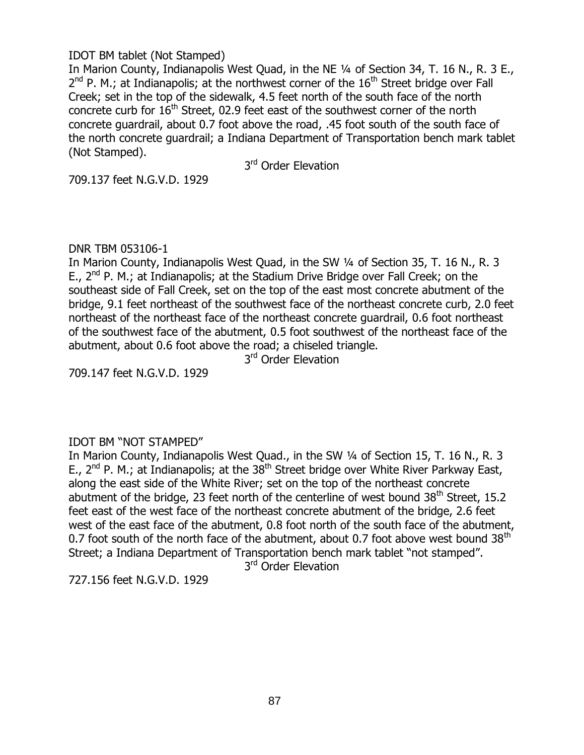# IDOT BM tablet (Not Stamped)

In Marion County, Indianapolis West Quad, in the NE 1/4 of Section 34, T. 16 N., R. 3 E.,  $2^{nd}$  P. M.; at Indianapolis; at the northwest corner of the  $16^{th}$  Street bridge over Fall Creek; set in the top of the sidewalk, 4.5 feet north of the south face of the north concrete curb for  $16<sup>th</sup>$  Street, 02.9 feet east of the southwest corner of the north concrete guardrail, about 0.7 foot above the road, .45 foot south of the south face of the north concrete guardrail; a Indiana Department of Transportation bench mark tablet (Not Stamped).

3<sup>rd</sup> Order Elevation

709.137 feet N.G.V.D. 1929

### DNR TBM 053106-1

In Marion County, Indianapolis West Quad, in the SW ¼ of Section 35, T. 16 N., R. 3 E.,  $2^{nd}$  P. M.; at Indianapolis; at the Stadium Drive Bridge over Fall Creek; on the southeast side of Fall Creek, set on the top of the east most concrete abutment of the bridge, 9.1 feet northeast of the southwest face of the northeast concrete curb, 2.0 feet northeast of the northeast face of the northeast concrete guardrail, 0.6 foot northeast of the southwest face of the abutment, 0.5 foot southwest of the northeast face of the abutment, about 0.6 foot above the road; a chiseled triangle.

3<sup>rd</sup> Order Elevation

709.147 feet N.G.V.D. 1929

### IDOT BM "NOT STAMPED"

In Marion County, Indianapolis West Quad., in the SW ¼ of Section 15, T. 16 N., R. 3 E.,  $2^{nd}$  P. M.; at Indianapolis; at the  $38^{th}$  Street bridge over White River Parkway East, along the east side of the White River; set on the top of the northeast concrete abutment of the bridge, 23 feet north of the centerline of west bound  $38<sup>th</sup>$  Street, 15.2 feet east of the west face of the northeast concrete abutment of the bridge, 2.6 feet west of the east face of the abutment, 0.8 foot north of the south face of the abutment, 0.7 foot south of the north face of the abutment, about 0.7 foot above west bound  $38<sup>th</sup>$ Street; a Indiana Department of Transportation bench mark tablet "not stamped".

3<sup>rd</sup> Order Elevation

727.156 feet N.G.V.D. 1929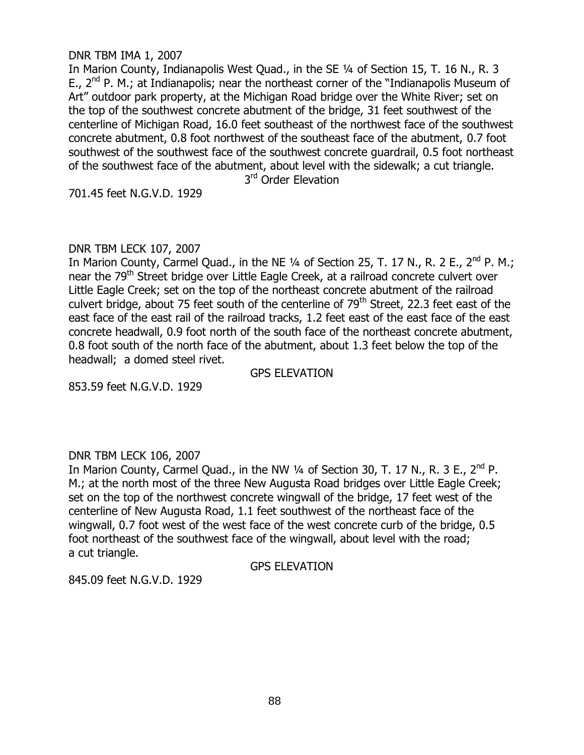DNR TBM IMA 1, 2007

In Marion County, Indianapolis West Quad., in the SE ¼ of Section 15, T. 16 N., R. 3 E.,  $2^{nd}$  P. M.; at Indianapolis; near the northeast corner of the "Indianapolis Museum of Art" outdoor park property, at the Michigan Road bridge over the White River; set on the top of the southwest concrete abutment of the bridge, 31 feet southwest of the centerline of Michigan Road, 16.0 feet southeast of the northwest face of the southwest concrete abutment, 0.8 foot northwest of the southeast face of the abutment, 0.7 foot southwest of the southwest face of the southwest concrete guardrail, 0.5 foot northeast of the southwest face of the abutment, about level with the sidewalk; a cut triangle. 3<sup>rd</sup> Order Elevation

701.45 feet N.G.V.D. 1929

### DNR TBM LECK 107, 2007

In Marion County, Carmel Quad., in the NE  $\frac{1}{4}$  of Section 25, T. 17 N., R. 2 E., 2<sup>nd</sup> P. M.; near the 79<sup>th</sup> Street bridge over Little Eagle Creek, at a railroad concrete culvert over Little Eagle Creek; set on the top of the northeast concrete abutment of the railroad culvert bridge, about 75 feet south of the centerline of 79<sup>th</sup> Street, 22.3 feet east of the east face of the east rail of the railroad tracks, 1.2 feet east of the east face of the east concrete headwall, 0.9 foot north of the south face of the northeast concrete abutment, 0.8 foot south of the north face of the abutment, about 1.3 feet below the top of the headwall; a domed steel rivet.

GPS ELEVATION

853.59 feet N.G.V.D. 1929

### DNR TBM LECK 106, 2007

In Marion County, Carmel Quad., in the NW  $\frac{1}{4}$  of Section 30, T. 17 N., R. 3 E., 2<sup>nd</sup> P. M.; at the north most of the three New Augusta Road bridges over Little Eagle Creek; set on the top of the northwest concrete wingwall of the bridge, 17 feet west of the centerline of New Augusta Road, 1.1 feet southwest of the northeast face of the wingwall, 0.7 foot west of the west face of the west concrete curb of the bridge, 0.5 foot northeast of the southwest face of the wingwall, about level with the road; a cut triangle.

GPS ELEVATION

845.09 feet N.G.V.D. 1929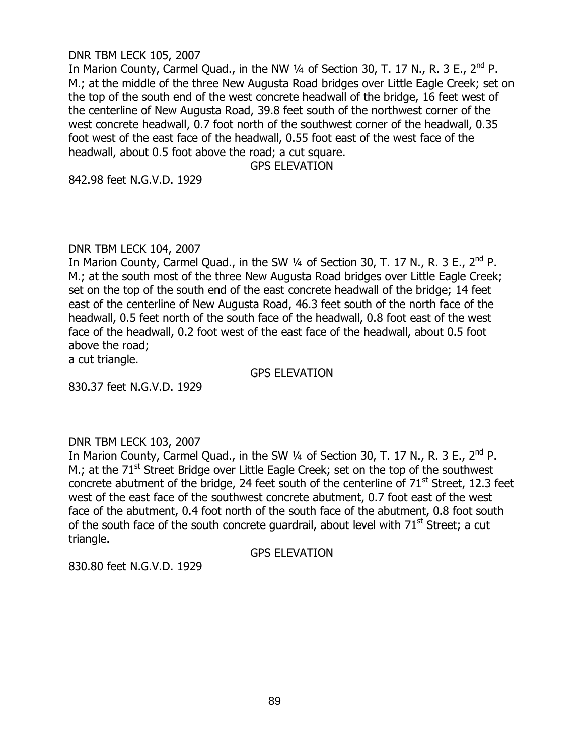#### DNR TBM LECK 105, 2007

In Marion County, Carmel Quad., in the NW 1/4 of Section 30, T. 17 N., R. 3 E., 2<sup>nd</sup> P. M.; at the middle of the three New Augusta Road bridges over Little Eagle Creek; set on the top of the south end of the west concrete headwall of the bridge, 16 feet west of the centerline of New Augusta Road, 39.8 feet south of the northwest corner of the west concrete headwall, 0.7 foot north of the southwest corner of the headwall, 0.35 foot west of the east face of the headwall, 0.55 foot east of the west face of the headwall, about 0.5 foot above the road; a cut square.

GPS ELEVATION

842.98 feet N.G.V.D. 1929

#### DNR TBM LECK 104, 2007

In Marion County, Carmel Quad., in the SW  $\frac{1}{4}$  of Section 30, T. 17 N., R. 3 E., 2<sup>nd</sup> P. M.; at the south most of the three New Augusta Road bridges over Little Eagle Creek; set on the top of the south end of the east concrete headwall of the bridge; 14 feet east of the centerline of New Augusta Road, 46.3 feet south of the north face of the headwall, 0.5 feet north of the south face of the headwall, 0.8 foot east of the west face of the headwall, 0.2 foot west of the east face of the headwall, about 0.5 foot above the road;

a cut triangle.

GPS ELEVATION

830.37 feet N.G.V.D. 1929

### DNR TBM LECK 103, 2007

In Marion County, Carmel Quad., in the SW  $\frac{1}{4}$  of Section 30, T. 17 N., R. 3 E., 2<sup>nd</sup> P. M.; at the  $71<sup>st</sup>$  Street Bridge over Little Eagle Creek; set on the top of the southwest concrete abutment of the bridge, 24 feet south of the centerline of  $71<sup>st</sup>$  Street, 12.3 feet west of the east face of the southwest concrete abutment, 0.7 foot east of the west face of the abutment, 0.4 foot north of the south face of the abutment, 0.8 foot south of the south face of the south concrete guardrail, about level with  $71<sup>st</sup>$  Street; a cut triangle.

GPS ELEVATION

830.80 feet N.G.V.D. 1929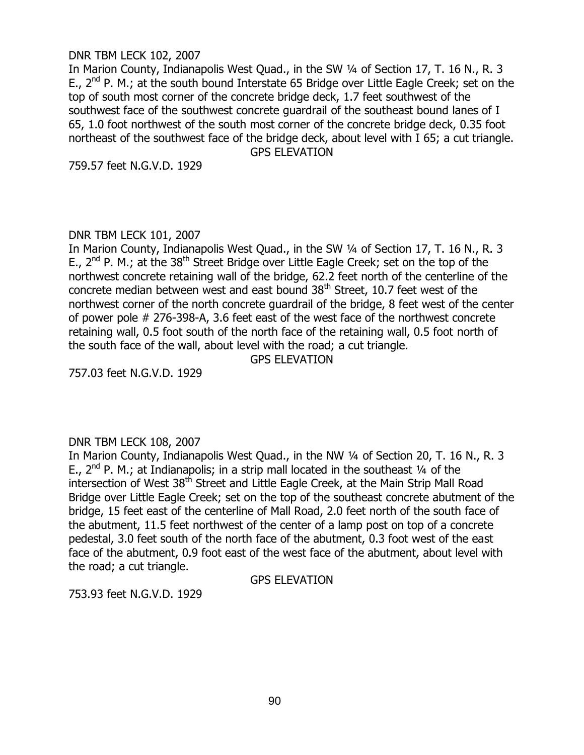#### DNR TBM LECK 102, 2007

In Marion County, Indianapolis West Quad., in the SW 1/4 of Section 17, T. 16 N., R. 3 E.,  $2^{nd}$  P. M.; at the south bound Interstate 65 Bridge over Little Eagle Creek; set on the top of south most corner of the concrete bridge deck, 1.7 feet southwest of the southwest face of the southwest concrete guardrail of the southeast bound lanes of I 65, 1.0 foot northwest of the south most corner of the concrete bridge deck, 0.35 foot northeast of the southwest face of the bridge deck, about level with I 65; a cut triangle.

GPS ELEVATION

759.57 feet N.G.V.D. 1929

# DNR TBM LECK 101, 2007

In Marion County, Indianapolis West Quad., in the SW ¼ of Section 17, T. 16 N., R. 3 E.,  $2^{nd}$  P. M.; at the  $38^{th}$  Street Bridge over Little Eagle Creek; set on the top of the northwest concrete retaining wall of the bridge, 62.2 feet north of the centerline of the concrete median between west and east bound 38<sup>th</sup> Street, 10.7 feet west of the northwest corner of the north concrete guardrail of the bridge, 8 feet west of the center of power pole # 276-398-A, 3.6 feet east of the west face of the northwest concrete retaining wall, 0.5 foot south of the north face of the retaining wall, 0.5 foot north of the south face of the wall, about level with the road; a cut triangle.

GPS ELEVATION

757.03 feet N.G.V.D. 1929

### DNR TBM LECK 108, 2007

In Marion County, Indianapolis West Quad., in the NW 1/4 of Section 20, T. 16 N., R. 3 E.,  $2^{nd}$  P. M.; at Indianapolis; in a strip mall located in the southeast  $\frac{1}{4}$  of the intersection of West 38<sup>th</sup> Street and Little Eagle Creek, at the Main Strip Mall Road Bridge over Little Eagle Creek; set on the top of the southeast concrete abutment of the bridge, 15 feet east of the centerline of Mall Road, 2.0 feet north of the south face of the abutment, 11.5 feet northwest of the center of a lamp post on top of a concrete pedestal, 3.0 feet south of the north face of the abutment, 0.3 foot west of the east face of the abutment, 0.9 foot east of the west face of the abutment, about level with the road; a cut triangle.

### GPS ELEVATION

753.93 feet N.G.V.D. 1929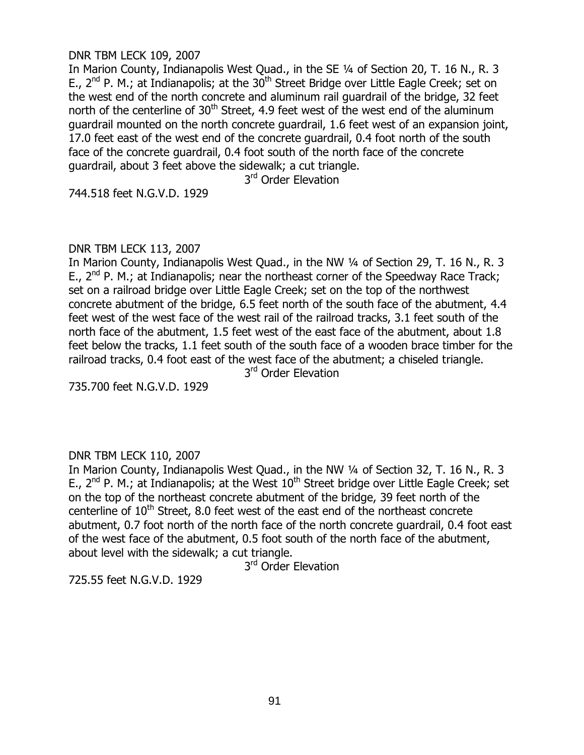#### DNR TBM LECK 109, 2007

In Marion County, Indianapolis West Quad., in the SE ¼ of Section 20, T. 16 N., R. 3 E.,  $2^{nd}$  P. M.; at Indianapolis; at the  $30^{th}$  Street Bridge over Little Eagle Creek; set on the west end of the north concrete and aluminum rail guardrail of the bridge, 32 feet north of the centerline of  $30<sup>th</sup>$  Street, 4.9 feet west of the west end of the aluminum guardrail mounted on the north concrete guardrail, 1.6 feet west of an expansion joint, 17.0 feet east of the west end of the concrete guardrail, 0.4 foot north of the south face of the concrete guardrail, 0.4 foot south of the north face of the concrete guardrail, about 3 feet above the sidewalk; a cut triangle.

3<sup>rd</sup> Order Elevation

744.518 feet N.G.V.D. 1929

### DNR TBM LECK 113, 2007

In Marion County, Indianapolis West Quad., in the NW 1/4 of Section 29, T. 16 N., R. 3 E.,  $2^{nd}$  P. M.; at Indianapolis; near the northeast corner of the Speedway Race Track; set on a railroad bridge over Little Eagle Creek; set on the top of the northwest concrete abutment of the bridge, 6.5 feet north of the south face of the abutment, 4.4 feet west of the west face of the west rail of the railroad tracks, 3.1 feet south of the north face of the abutment, 1.5 feet west of the east face of the abutment, about 1.8 feet below the tracks, 1.1 feet south of the south face of a wooden brace timber for the railroad tracks, 0.4 foot east of the west face of the abutment; a chiseled triangle.

3<sup>rd</sup> Order Elevation

735.700 feet N.G.V.D. 1929

# DNR TBM LECK 110, 2007

In Marion County, Indianapolis West Quad., in the NW 1/4 of Section 32, T. 16 N., R. 3 E.,  $2^{nd}$  P. M.; at Indianapolis; at the West  $10^{th}$  Street bridge over Little Eagle Creek; set on the top of the northeast concrete abutment of the bridge, 39 feet north of the centerline of  $10<sup>th</sup>$  Street, 8.0 feet west of the east end of the northeast concrete abutment, 0.7 foot north of the north face of the north concrete guardrail, 0.4 foot east of the west face of the abutment, 0.5 foot south of the north face of the abutment, about level with the sidewalk; a cut triangle.

3<sup>rd</sup> Order Elevation

725.55 feet N.G.V.D. 1929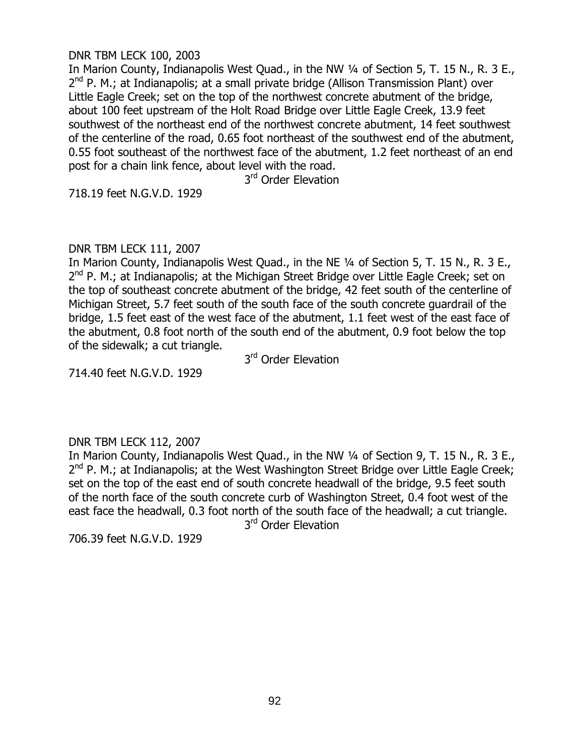#### DNR TBM LECK 100, 2003

In Marion County, Indianapolis West Quad., in the NW 1/4 of Section 5, T. 15 N., R. 3 E., 2<sup>nd</sup> P. M.; at Indianapolis; at a small private bridge (Allison Transmission Plant) over Little Eagle Creek; set on the top of the northwest concrete abutment of the bridge, about 100 feet upstream of the Holt Road Bridge over Little Eagle Creek, 13.9 feet southwest of the northeast end of the northwest concrete abutment, 14 feet southwest of the centerline of the road, 0.65 foot northeast of the southwest end of the abutment, 0.55 foot southeast of the northwest face of the abutment, 1.2 feet northeast of an end post for a chain link fence, about level with the road.

3<sup>rd</sup> Order Elevation

718.19 feet N.G.V.D. 1929

# DNR TBM LECK 111, 2007

In Marion County, Indianapolis West Quad., in the NE 1/4 of Section 5, T. 15 N., R. 3 E., 2<sup>nd</sup> P. M.; at Indianapolis; at the Michigan Street Bridge over Little Eagle Creek; set on the top of southeast concrete abutment of the bridge, 42 feet south of the centerline of Michigan Street, 5.7 feet south of the south face of the south concrete guardrail of the bridge, 1.5 feet east of the west face of the abutment, 1.1 feet west of the east face of the abutment, 0.8 foot north of the south end of the abutment, 0.9 foot below the top of the sidewalk; a cut triangle.

3<sup>rd</sup> Order Elevation

714.40 feet N.G.V.D. 1929

### DNR TBM LECK 112, 2007

In Marion County, Indianapolis West Quad., in the NW 1/4 of Section 9, T. 15 N., R. 3 E., 2<sup>nd</sup> P. M.; at Indianapolis; at the West Washington Street Bridge over Little Eagle Creek; set on the top of the east end of south concrete headwall of the bridge, 9.5 feet south of the north face of the south concrete curb of Washington Street, 0.4 foot west of the east face the headwall, 0.3 foot north of the south face of the headwall; a cut triangle.

3<sup>rd</sup> Order Elevation

706.39 feet N.G.V.D. 1929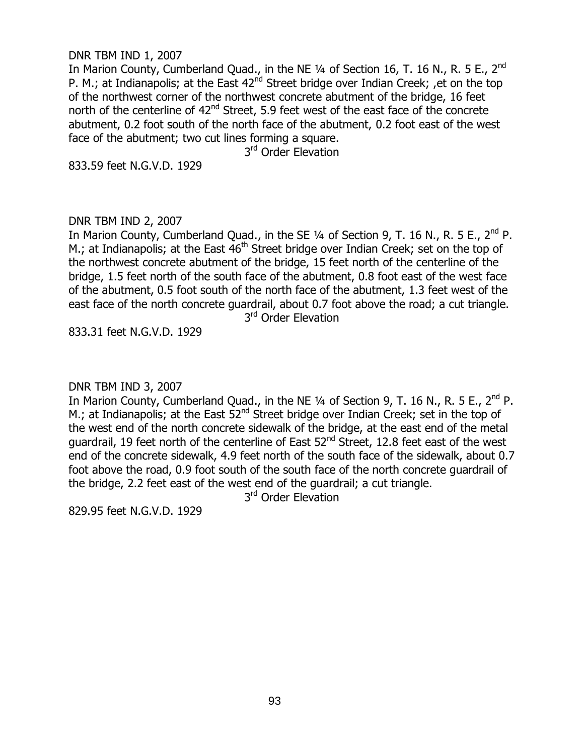#### DNR TBM IND 1, 2007

In Marion County, Cumberland Quad., in the NE  $\frac{1}{4}$  of Section 16, T. 16 N., R. 5 E., 2<sup>nd</sup> P. M.; at Indianapolis; at the East  $42<sup>nd</sup>$  Street bridge over Indian Creek; , et on the top of the northwest corner of the northwest concrete abutment of the bridge, 16 feet north of the centerline of  $42<sup>nd</sup>$  Street, 5.9 feet west of the east face of the concrete abutment, 0.2 foot south of the north face of the abutment, 0.2 foot east of the west face of the abutment; two cut lines forming a square.

3<sup>rd</sup> Order Elevation

833.59 feet N.G.V.D. 1929

### DNR TBM IND 2, 2007

In Marion County, Cumberland Quad., in the SE  $\frac{1}{4}$  of Section 9, T. 16 N., R. 5 E., 2<sup>nd</sup> P. M.; at Indianapolis; at the East  $46<sup>th</sup>$  Street bridge over Indian Creek; set on the top of the northwest concrete abutment of the bridge, 15 feet north of the centerline of the bridge, 1.5 feet north of the south face of the abutment, 0.8 foot east of the west face of the abutment, 0.5 foot south of the north face of the abutment, 1.3 feet west of the east face of the north concrete guardrail, about 0.7 foot above the road; a cut triangle. 3<sup>rd</sup> Order Elevation

833.31 feet N.G.V.D. 1929

DNR TBM IND 3, 2007

In Marion County, Cumberland Quad., in the NE 1/4 of Section 9, T. 16 N., R. 5 E., 2<sup>nd</sup> P. M.; at Indianapolis; at the East  $52^{nd}$  Street bridge over Indian Creek; set in the top of the west end of the north concrete sidewalk of the bridge, at the east end of the metal guardrail, 19 feet north of the centerline of East  $52<sup>nd</sup>$  Street, 12.8 feet east of the west end of the concrete sidewalk, 4.9 feet north of the south face of the sidewalk, about 0.7 foot above the road, 0.9 foot south of the south face of the north concrete guardrail of the bridge, 2.2 feet east of the west end of the guardrail; a cut triangle.

3<sup>rd</sup> Order Elevation

829.95 feet N.G.V.D. 1929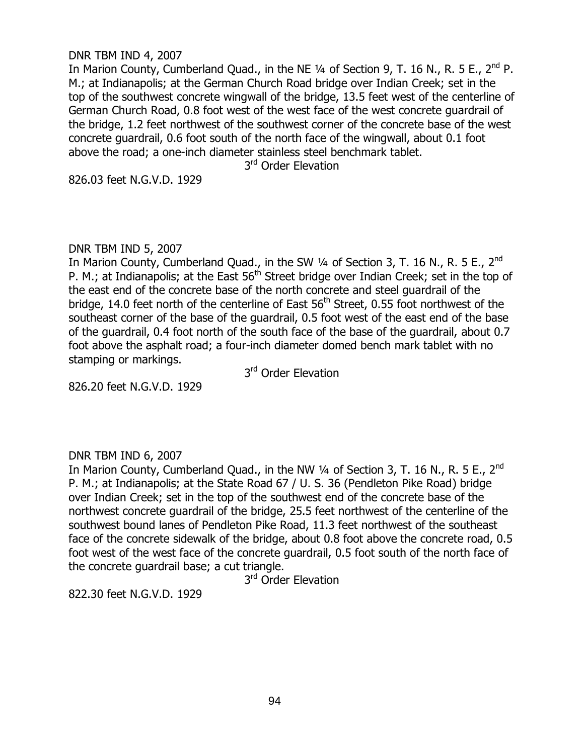#### DNR TBM IND 4, 2007

In Marion County, Cumberland Quad., in the NE  $\frac{1}{4}$  of Section 9, T. 16 N., R. 5 E., 2<sup>nd</sup> P. M.; at Indianapolis; at the German Church Road bridge over Indian Creek; set in the top of the southwest concrete wingwall of the bridge, 13.5 feet west of the centerline of German Church Road, 0.8 foot west of the west face of the west concrete guardrail of the bridge, 1.2 feet northwest of the southwest corner of the concrete base of the west concrete guardrail, 0.6 foot south of the north face of the wingwall, about 0.1 foot above the road; a one-inch diameter stainless steel benchmark tablet.

3<sup>rd</sup> Order Elevation

826.03 feet N.G.V.D. 1929

#### DNR TBM IND 5, 2007

In Marion County, Cumberland Quad., in the SW 1/4 of Section 3, T. 16 N., R. 5 E., 2<sup>nd</sup> P. M.; at Indianapolis; at the East  $56<sup>th</sup>$  Street bridge over Indian Creek; set in the top of the east end of the concrete base of the north concrete and steel guardrail of the bridge, 14.0 feet north of the centerline of East  $56<sup>th</sup>$  Street, 0.55 foot northwest of the southeast corner of the base of the guardrail, 0.5 foot west of the east end of the base of the guardrail, 0.4 foot north of the south face of the base of the guardrail, about 0.7 foot above the asphalt road; a four-inch diameter domed bench mark tablet with no stamping or markings.

3<sup>rd</sup> Order Elevation

826.20 feet N.G.V.D. 1929

### DNR TBM IND 6, 2007

In Marion County, Cumberland Quad., in the NW  $\frac{1}{4}$  of Section 3, T. 16 N., R. 5 E., 2<sup>nd</sup> P. M.; at Indianapolis; at the State Road 67 / U. S. 36 (Pendleton Pike Road) bridge over Indian Creek; set in the top of the southwest end of the concrete base of the northwest concrete guardrail of the bridge, 25.5 feet northwest of the centerline of the southwest bound lanes of Pendleton Pike Road, 11.3 feet northwest of the southeast face of the concrete sidewalk of the bridge, about 0.8 foot above the concrete road, 0.5 foot west of the west face of the concrete guardrail, 0.5 foot south of the north face of the concrete guardrail base; a cut triangle.

3<sup>rd</sup> Order Elevation

822.30 feet N.G.V.D. 1929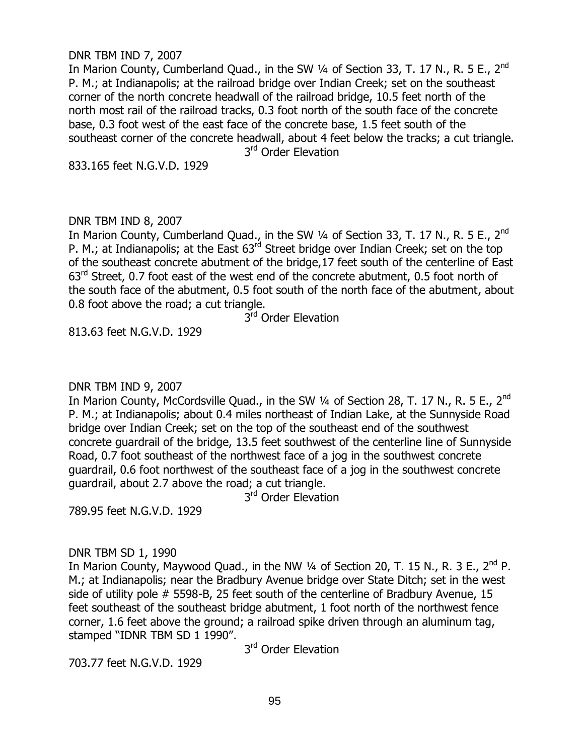#### DNR TBM IND 7, 2007

In Marion County, Cumberland Quad., in the SW 1/4 of Section 33, T. 17 N., R. 5 E., 2<sup>nd</sup> P. M.; at Indianapolis; at the railroad bridge over Indian Creek; set on the southeast corner of the north concrete headwall of the railroad bridge, 10.5 feet north of the north most rail of the railroad tracks, 0.3 foot north of the south face of the concrete base, 0.3 foot west of the east face of the concrete base, 1.5 feet south of the southeast corner of the concrete headwall, about 4 feet below the tracks; a cut triangle. 3<sup>rd</sup> Order Elevation

833.165 feet N.G.V.D. 1929

### DNR TBM IND 8, 2007

In Marion County, Cumberland Quad., in the SW 1/4 of Section 33, T. 17 N., R. 5 E., 2<sup>nd</sup> P. M.; at Indianapolis; at the East 63<sup>rd</sup> Street bridge over Indian Creek; set on the top of the southeast concrete abutment of the bridge,17 feet south of the centerline of East  $63<sup>rd</sup>$  Street, 0.7 foot east of the west end of the concrete abutment, 0.5 foot north of the south face of the abutment, 0.5 foot south of the north face of the abutment, about 0.8 foot above the road; a cut triangle.

3<sup>rd</sup> Order Elevation

813.63 feet N.G.V.D. 1929

DNR TBM IND 9, 2007

In Marion County, McCordsville Quad., in the SW 1/4 of Section 28, T. 17 N., R. 5 E., 2<sup>nd</sup> P. M.; at Indianapolis; about 0.4 miles northeast of Indian Lake, at the Sunnyside Road bridge over Indian Creek; set on the top of the southeast end of the southwest concrete guardrail of the bridge, 13.5 feet southwest of the centerline line of Sunnyside Road, 0.7 foot southeast of the northwest face of a jog in the southwest concrete guardrail, 0.6 foot northwest of the southeast face of a jog in the southwest concrete guardrail, about 2.7 above the road; a cut triangle.

3<sup>rd</sup> Order Elevation

789.95 feet N.G.V.D. 1929

### DNR TBM SD 1, 1990

In Marion County, Maywood Quad., in the NW  $\frac{1}{4}$  of Section 20, T. 15 N., R. 3 E., 2<sup>nd</sup> P. M.; at Indianapolis; near the Bradbury Avenue bridge over State Ditch; set in the west side of utility pole # 5598-B, 25 feet south of the centerline of Bradbury Avenue, 15 feet southeast of the southeast bridge abutment, 1 foot north of the northwest fence corner, 1.6 feet above the ground; a railroad spike driven through an aluminum tag, stamped "IDNR TBM SD 1 1990".

3<sup>rd</sup> Order Elevation

703.77 feet N.G.V.D. 1929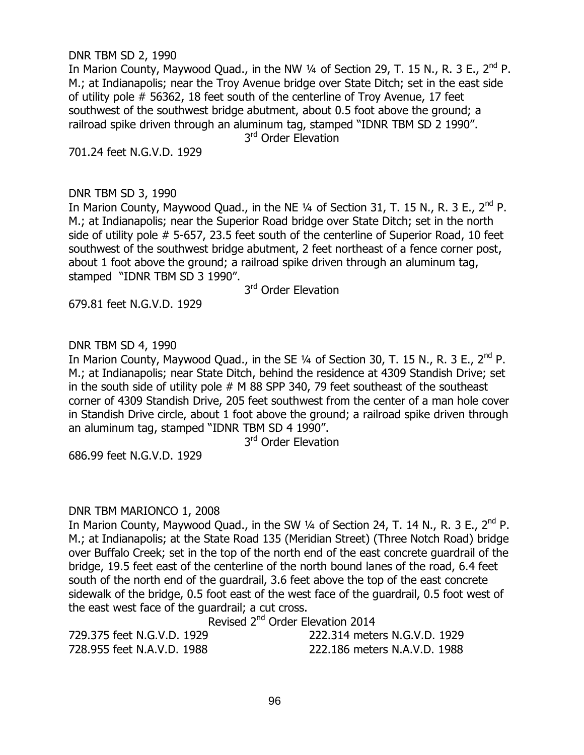DNR TBM SD 2, 1990

In Marion County, Maywood Quad., in the NW  $\frac{1}{4}$  of Section 29, T. 15 N., R. 3 E., 2<sup>nd</sup> P. M.; at Indianapolis; near the Troy Avenue bridge over State Ditch; set in the east side of utility pole # 56362, 18 feet south of the centerline of Troy Avenue, 17 feet southwest of the southwest bridge abutment, about 0.5 foot above the ground; a railroad spike driven through an aluminum tag, stamped "IDNR TBM SD 2 1990".

3<sup>rd</sup> Order Elevation

701.24 feet N.G.V.D. 1929

# DNR TBM SD 3, 1990

In Marion County, Maywood Quad., in the NE 1/4 of Section 31, T. 15 N., R. 3 E., 2<sup>nd</sup> P. M.; at Indianapolis; near the Superior Road bridge over State Ditch; set in the north side of utility pole # 5-657, 23.5 feet south of the centerline of Superior Road, 10 feet southwest of the southwest bridge abutment, 2 feet northeast of a fence corner post, about 1 foot above the ground; a railroad spike driven through an aluminum tag, stamped "IDNR TBM SD 3 1990".

3<sup>rd</sup> Order Elevation

679.81 feet N.G.V.D. 1929

# DNR TBM SD 4, 1990

In Marion County, Maywood Quad., in the SE  $\frac{1}{4}$  of Section 30, T. 15 N., R. 3 E., 2<sup>nd</sup> P. M.; at Indianapolis; near State Ditch, behind the residence at 4309 Standish Drive; set in the south side of utility pole # M 88 SPP 340, 79 feet southeast of the southeast corner of 4309 Standish Drive, 205 feet southwest from the center of a man hole cover in Standish Drive circle, about 1 foot above the ground; a railroad spike driven through an aluminum tag, stamped "IDNR TBM SD 4 1990".

3<sup>rd</sup> Order Elevation

686.99 feet N.G.V.D. 1929

### DNR TBM MARIONCO 1, 2008

In Marion County, Maywood Ouad., in the SW  $\frac{1}{4}$  of Section 24, T. 14 N., R. 3 E., 2<sup>nd</sup> P. M.; at Indianapolis; at the State Road 135 (Meridian Street) (Three Notch Road) bridge over Buffalo Creek; set in the top of the north end of the east concrete guardrail of the bridge, 19.5 feet east of the centerline of the north bound lanes of the road, 6.4 feet south of the north end of the guardrail, 3.6 feet above the top of the east concrete sidewalk of the bridge, 0.5 foot east of the west face of the guardrail, 0.5 foot west of the east west face of the guardrail; a cut cross.

Revised 2nd Order Elevation 2014

| 729.375 feet N.G.V.D. 1929 | 222.314 meters N.G.V.D. 1929 |
|----------------------------|------------------------------|
| 728.955 feet N.A.V.D. 1988 | 222.186 meters N.A.V.D. 1988 |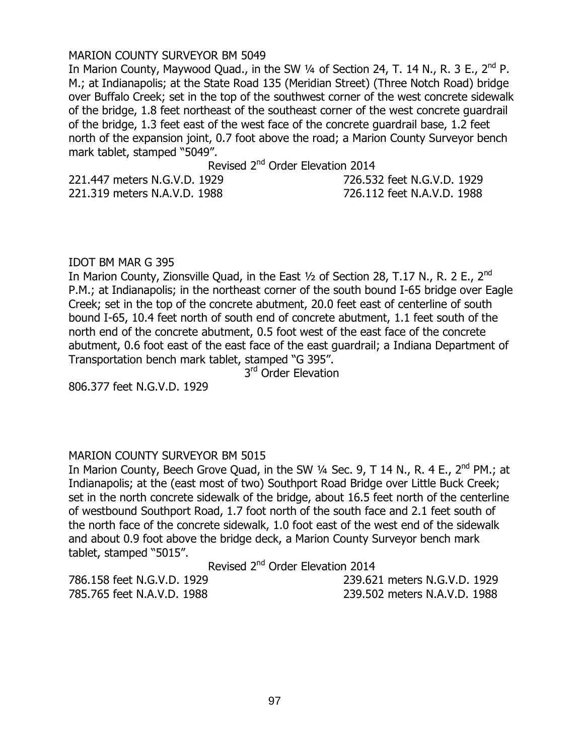### MARION COUNTY SURVEYOR BM 5049

In Marion County, Maywood Quad., in the SW  $\frac{1}{4}$  of Section 24, T. 14 N., R. 3 E., 2<sup>nd</sup> P. M.; at Indianapolis; at the State Road 135 (Meridian Street) (Three Notch Road) bridge over Buffalo Creek; set in the top of the southwest corner of the west concrete sidewalk of the bridge, 1.8 feet northeast of the southeast corner of the west concrete guardrail of the bridge, 1.3 feet east of the west face of the concrete guardrail base, 1.2 feet north of the expansion joint, 0.7 foot above the road; a Marion County Surveyor bench mark tablet, stamped "5049".

Revised 2<sup>nd</sup> Order Elevation 2014

| 221.447 meters N.G.V.D. 1929 | 726.532 feet N.G.V.D. 1929 |
|------------------------------|----------------------------|
| 221.319 meters N.A.V.D. 1988 | 726.112 feet N.A.V.D. 1988 |

#### IDOT BM MAR G 395

In Marion County, Zionsville Quad, in the East  $1/2$  of Section 28, T.17 N., R. 2 E., 2<sup>nd</sup> P.M.; at Indianapolis; in the northeast corner of the south bound I-65 bridge over Eagle Creek; set in the top of the concrete abutment, 20.0 feet east of centerline of south bound I-65, 10.4 feet north of south end of concrete abutment, 1.1 feet south of the north end of the concrete abutment, 0.5 foot west of the east face of the concrete abutment, 0.6 foot east of the east face of the east guardrail; a Indiana Department of Transportation bench mark tablet, stamped "G 395".

3<sup>rd</sup> Order Elevation

806.377 feet N.G.V.D. 1929

### MARION COUNTY SURVEYOR BM 5015

In Marion County, Beech Grove Quad, in the SW  $\frac{1}{4}$  Sec. 9, T 14 N., R. 4 E., 2<sup>nd</sup> PM.; at Indianapolis; at the (east most of two) Southport Road Bridge over Little Buck Creek; set in the north concrete sidewalk of the bridge, about 16.5 feet north of the centerline of westbound Southport Road, 1.7 foot north of the south face and 2.1 feet south of the north face of the concrete sidewalk, 1.0 foot east of the west end of the sidewalk and about 0.9 foot above the bridge deck, a Marion County Surveyor bench mark tablet, stamped "5015".

Revised 2<sup>nd</sup> Order Elevation 2014

786.158 feet N.G.V.D. 1929 239.621 meters N.G.V.D. 1929 785.765 feet N.A.V.D. 1988 239.502 meters N.A.V.D. 1988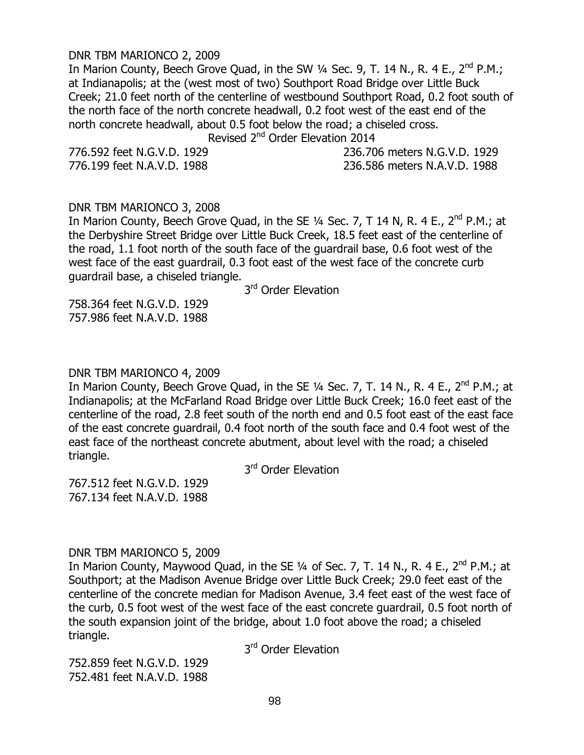#### DNR TBM MARIONCO 2, 2009

In Marion County, Beech Grove Quad, in the SW  $\frac{1}{4}$  Sec. 9, T. 14 N., R. 4 E., 2<sup>nd</sup> P.M.; at Indianapolis; at the (west most of two) Southport Road Bridge over Little Buck Creek; 21.0 feet north of the centerline of westbound Southport Road, 0.2 foot south of the north face of the north concrete headwall, 0.2 foot west of the east end of the north concrete headwall, about 0.5 foot below the road; a chiseled cross.

Revised 2<sup>nd</sup> Order Elevation 2014

776.592 feet N.G.V.D. 1929 236.706 meters N.G.V.D. 1929 776.199 feet N.A.V.D. 1988 236.586 meters N.A.V.D. 1988

#### DNR TBM MARIONCO 3, 2008

In Marion County, Beech Grove Quad, in the SE  $1/4$  Sec. 7, T 14 N, R. 4 E.,  $2^{nd}$  P.M.; at the Derbyshire Street Bridge over Little Buck Creek, 18.5 feet east of the centerline of the road, 1.1 foot north of the south face of the guardrail base, 0.6 foot west of the west face of the east guardrail, 0.3 foot east of the west face of the concrete curb guardrail base, a chiseled triangle.

3<sup>rd</sup> Order Elevation

758.364 feet N.G.V.D. 1929 757.986 feet N.A.V.D. 1988

## DNR TBM MARIONCO 4, 2009

In Marion County, Beech Grove Quad, in the SE  $1/4$  Sec. 7, T. 14 N., R. 4 E.,  $2^{nd}$  P.M.; at Indianapolis; at the McFarland Road Bridge over Little Buck Creek; 16.0 feet east of the centerline of the road, 2.8 feet south of the north end and 0.5 foot east of the east face of the east concrete guardrail, 0.4 foot north of the south face and 0.4 foot west of the east face of the northeast concrete abutment, about level with the road; a chiseled triangle.

3<sup>rd</sup> Order Elevation

767.512 feet N.G.V.D. 1929 767.134 feet N.A.V.D. 1988

### DNR TBM MARIONCO 5, 2009

In Marion County, Maywood Quad, in the SE  $\frac{1}{4}$  of Sec. 7, T. 14 N., R. 4 E.,  $2^{nd}$  P.M.; at Southport; at the Madison Avenue Bridge over Little Buck Creek; 29.0 feet east of the centerline of the concrete median for Madison Avenue, 3.4 feet east of the west face of the curb, 0.5 foot west of the west face of the east concrete guardrail, 0.5 foot north of the south expansion joint of the bridge, about 1.0 foot above the road; a chiseled triangle.

3<sup>rd</sup> Order Elevation

752.859 feet N.G.V.D. 1929 752.481 feet N.A.V.D. 1988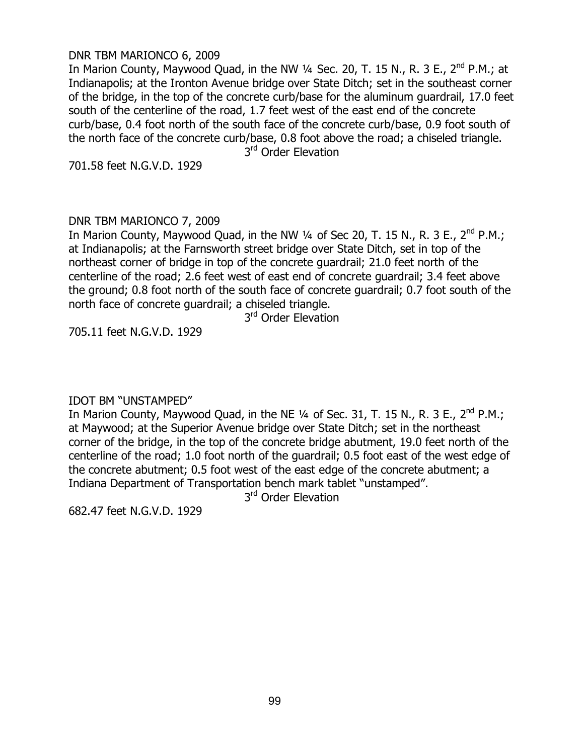#### DNR TBM MARIONCO 6, 2009

In Marion County, Maywood Quad, in the NW  $\frac{1}{4}$  Sec. 20, T. 15 N., R. 3 E., 2<sup>nd</sup> P.M.; at Indianapolis; at the Ironton Avenue bridge over State Ditch; set in the southeast corner of the bridge, in the top of the concrete curb/base for the aluminum guardrail, 17.0 feet south of the centerline of the road, 1.7 feet west of the east end of the concrete curb/base, 0.4 foot north of the south face of the concrete curb/base, 0.9 foot south of the north face of the concrete curb/base, 0.8 foot above the road; a chiseled triangle.

3<sup>rd</sup> Order Elevation

701.58 feet N.G.V.D. 1929

### DNR TBM MARIONCO 7, 2009

In Marion County, Maywood Quad, in the NW 1/4 of Sec 20, T. 15 N., R. 3 E., 2<sup>nd</sup> P.M.: at Indianapolis; at the Farnsworth street bridge over State Ditch, set in top of the northeast corner of bridge in top of the concrete guardrail; 21.0 feet north of the centerline of the road; 2.6 feet west of east end of concrete guardrail; 3.4 feet above the ground; 0.8 foot north of the south face of concrete guardrail; 0.7 foot south of the north face of concrete guardrail; a chiseled triangle.

3<sup>rd</sup> Order Elevation

705.11 feet N.G.V.D. 1929

### IDOT BM "UNSTAMPED"

In Marion County, Maywood Quad, in the NE 1/4 of Sec. 31, T. 15 N., R. 3 E., 2<sup>nd</sup> P.M.; at Maywood; at the Superior Avenue bridge over State Ditch; set in the northeast corner of the bridge, in the top of the concrete bridge abutment, 19.0 feet north of the centerline of the road; 1.0 foot north of the guardrail; 0.5 foot east of the west edge of the concrete abutment; 0.5 foot west of the east edge of the concrete abutment; a Indiana Department of Transportation bench mark tablet "unstamped".

3<sup>rd</sup> Order Elevation

682.47 feet N.G.V.D. 1929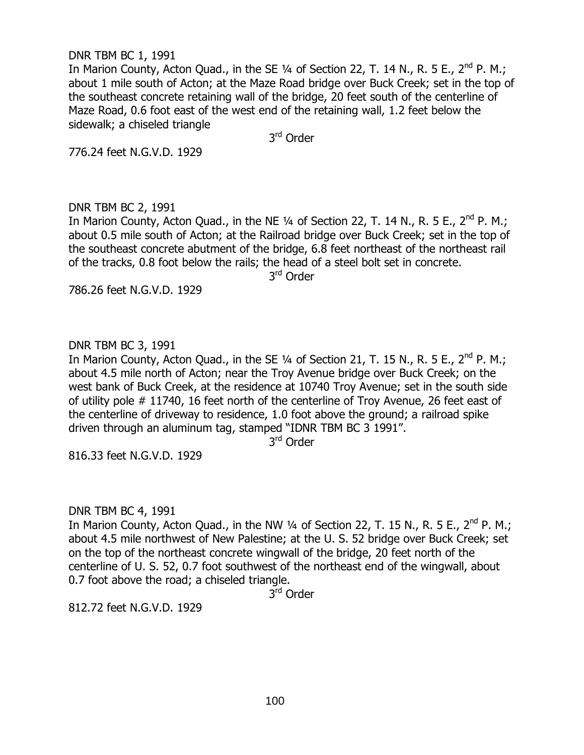## DNR TBM BC 1, 1991

In Marion County, Acton Quad., in the SE  $\frac{1}{4}$  of Section 22, T. 14 N., R. 5 E., 2<sup>nd</sup> P. M.; about 1 mile south of Acton; at the Maze Road bridge over Buck Creek; set in the top of the southeast concrete retaining wall of the bridge, 20 feet south of the centerline of Maze Road, 0.6 foot east of the west end of the retaining wall, 1.2 feet below the sidewalk; a chiseled triangle

3<sup>rd</sup> Order

776.24 feet N.G.V.D. 1929

# DNR TBM BC 2, 1991

In Marion County, Acton Quad., in the NE  $\frac{1}{4}$  of Section 22, T. 14 N., R. 5 E., 2<sup>nd</sup> P. M.; about 0.5 mile south of Acton; at the Railroad bridge over Buck Creek; set in the top of the southeast concrete abutment of the bridge, 6.8 feet northeast of the northeast rail of the tracks, 0.8 foot below the rails; the head of a steel bolt set in concrete.

3<sup>rd</sup> Order

786.26 feet N.G.V.D. 1929

# DNR TBM BC 3, 1991

In Marion County, Acton Quad., in the SE  $\frac{1}{4}$  of Section 21, T. 15 N., R. 5 E., 2<sup>nd</sup> P. M.; about 4.5 mile north of Acton; near the Troy Avenue bridge over Buck Creek; on the west bank of Buck Creek, at the residence at 10740 Troy Avenue; set in the south side of utility pole # 11740, 16 feet north of the centerline of Troy Avenue, 26 feet east of the centerline of driveway to residence, 1.0 foot above the ground; a railroad spike driven through an aluminum tag, stamped "IDNR TBM BC 3 1991".

3<sup>rd</sup> Order

816.33 feet N.G.V.D. 1929

DNR TBM BC 4, 1991

In Marion County, Acton Ouad., in the NW  $\frac{1}{4}$  of Section 22, T. 15 N., R. 5 E., 2<sup>nd</sup> P. M.; about 4.5 mile northwest of New Palestine; at the U. S. 52 bridge over Buck Creek; set on the top of the northeast concrete wingwall of the bridge, 20 feet north of the centerline of U. S. 52, 0.7 foot southwest of the northeast end of the wingwall, about 0.7 foot above the road; a chiseled triangle.

3<sup>rd</sup> Order

812.72 feet N.G.V.D. 1929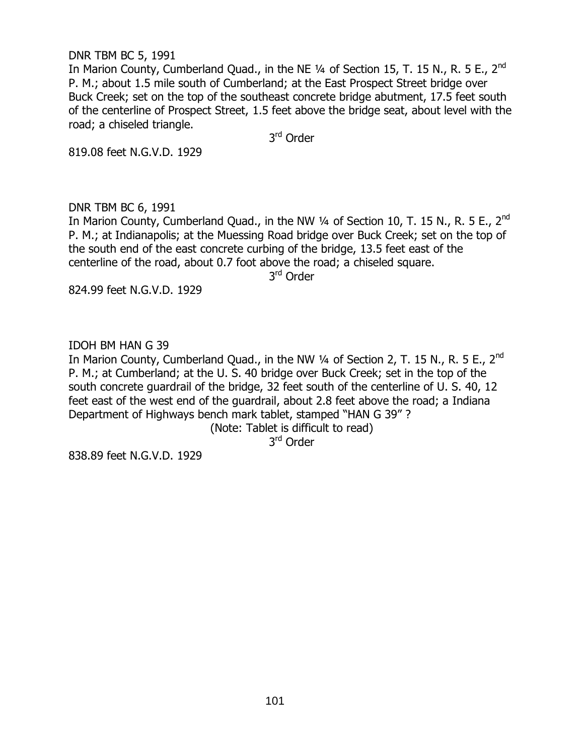### DNR TBM BC 5, 1991

In Marion County, Cumberland Quad., in the NE  $\frac{1}{4}$  of Section 15, T. 15 N., R. 5 E., 2<sup>nd</sup> P. M.; about 1.5 mile south of Cumberland; at the East Prospect Street bridge over Buck Creek; set on the top of the southeast concrete bridge abutment, 17.5 feet south of the centerline of Prospect Street, 1.5 feet above the bridge seat, about level with the road; a chiseled triangle.

3<sup>rd</sup> Order

819.08 feet N.G.V.D. 1929

### DNR TBM BC 6, 1991

In Marion County, Cumberland Quad., in the NW 1/4 of Section 10, T. 15 N., R. 5 E., 2<sup>nd</sup> P. M.; at Indianapolis; at the Muessing Road bridge over Buck Creek; set on the top of the south end of the east concrete curbing of the bridge, 13.5 feet east of the centerline of the road, about 0.7 foot above the road; a chiseled square.

3<sup>rd</sup> Order

824.99 feet N.G.V.D. 1929

IDOH BM HAN G 39

In Marion County, Cumberland Quad., in the NW  $\frac{1}{4}$  of Section 2, T. 15 N., R. 5 E., 2<sup>nd</sup> P. M.; at Cumberland; at the U. S. 40 bridge over Buck Creek; set in the top of the south concrete guardrail of the bridge, 32 feet south of the centerline of U. S. 40, 12 feet east of the west end of the guardrail, about 2.8 feet above the road; a Indiana Department of Highways bench mark tablet, stamped "HAN G 39" ?

(Note: Tablet is difficult to read)

3<sup>rd</sup> Order

838.89 feet N.G.V.D. 1929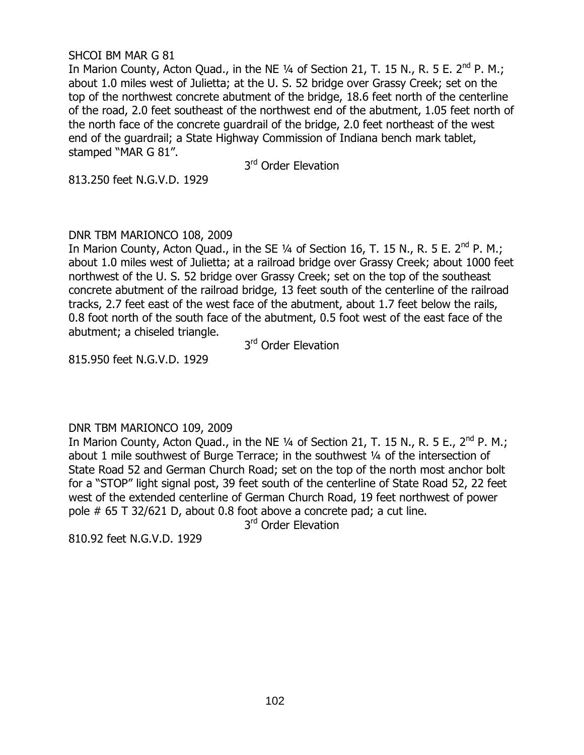### SHCOI BM MAR G 81

In Marion County, Acton Quad., in the NE  $1/4$  of Section 21, T. 15 N., R. 5 E. 2<sup>nd</sup> P. M.: about 1.0 miles west of Julietta; at the U. S. 52 bridge over Grassy Creek; set on the top of the northwest concrete abutment of the bridge, 18.6 feet north of the centerline of the road, 2.0 feet southeast of the northwest end of the abutment, 1.05 feet north of the north face of the concrete guardrail of the bridge, 2.0 feet northeast of the west end of the guardrail; a State Highway Commission of Indiana bench mark tablet, stamped "MAR G 81".

3<sup>rd</sup> Order Elevation

813.250 feet N.G.V.D. 1929

# DNR TBM MARIONCO 108, 2009

In Marion County, Acton Quad., in the SE 1/4 of Section 16, T. 15 N., R. 5 E. 2<sup>nd</sup> P. M.; about 1.0 miles west of Julietta; at a railroad bridge over Grassy Creek; about 1000 feet northwest of the U. S. 52 bridge over Grassy Creek; set on the top of the southeast concrete abutment of the railroad bridge, 13 feet south of the centerline of the railroad tracks, 2.7 feet east of the west face of the abutment, about 1.7 feet below the rails, 0.8 foot north of the south face of the abutment, 0.5 foot west of the east face of the abutment; a chiseled triangle.

3<sup>rd</sup> Order Elevation

815.950 feet N.G.V.D. 1929

DNR TBM MARIONCO 109, 2009

In Marion County, Acton Quad., in the NE 1/4 of Section 21, T. 15 N., R. 5 E., 2<sup>nd</sup> P. M.; about 1 mile southwest of Burge Terrace; in the southwest ¼ of the intersection of State Road 52 and German Church Road; set on the top of the north most anchor bolt for a "STOP" light signal post, 39 feet south of the centerline of State Road 52, 22 feet west of the extended centerline of German Church Road, 19 feet northwest of power pole # 65 T 32/621 D, about 0.8 foot above a concrete pad; a cut line.

3<sup>rd</sup> Order Elevation

810.92 feet N.G.V.D. 1929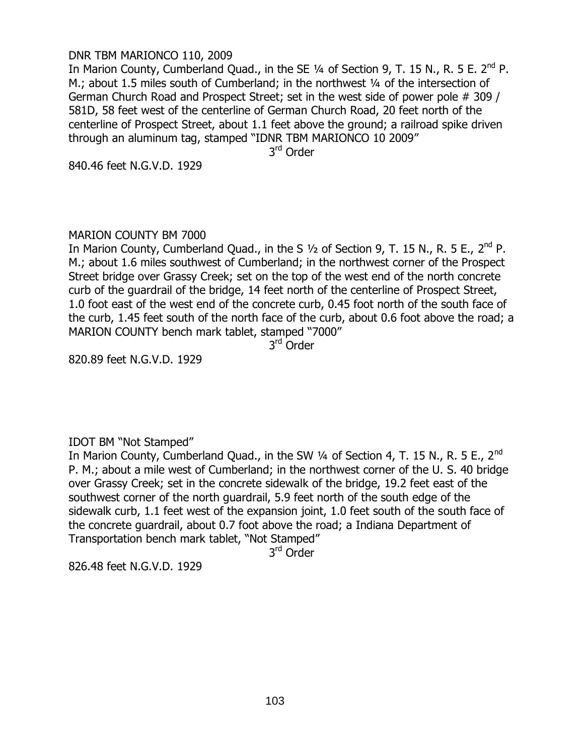## DNR TBM MARIONCO 110, 2009

In Marion County, Cumberland Quad., in the SE  $\frac{1}{4}$  of Section 9, T. 15 N., R. 5 E. 2<sup>nd</sup> P. M.; about 1.5 miles south of Cumberland; in the northwest 1/4 of the intersection of German Church Road and Prospect Street; set in the west side of power pole # 309 / 581D, 58 feet west of the centerline of German Church Road, 20 feet north of the centerline of Prospect Street, about 1.1 feet above the ground; a railroad spike driven through an aluminum tag, stamped "IDNR TBM MARIONCO 10 2009"

3<sup>rd</sup> Order

840.46 feet N.G.V.D. 1929

# MARION COUNTY BM 7000

In Marion County, Cumberland Quad., in the S  $1/2$  of Section 9, T. 15 N., R. 5 E., 2<sup>nd</sup> P. M.; about 1.6 miles southwest of Cumberland; in the northwest corner of the Prospect Street bridge over Grassy Creek; set on the top of the west end of the north concrete curb of the guardrail of the bridge, 14 feet north of the centerline of Prospect Street, 1.0 foot east of the west end of the concrete curb, 0.45 foot north of the south face of the curb, 1.45 feet south of the north face of the curb, about 0.6 foot above the road; a MARION COUNTY bench mark tablet, stamped "7000"

3<sup>rd</sup> Order

820.89 feet N.G.V.D. 1929

# IDOT BM "Not Stamped"

In Marion County, Cumberland Quad., in the SW  $\frac{1}{4}$  of Section 4, T. 15 N., R. 5 E., 2<sup>nd</sup> P. M.; about a mile west of Cumberland; in the northwest corner of the U. S. 40 bridge over Grassy Creek; set in the concrete sidewalk of the bridge, 19.2 feet east of the southwest corner of the north guardrail, 5.9 feet north of the south edge of the sidewalk curb, 1.1 feet west of the expansion joint, 1.0 feet south of the south face of the concrete guardrail, about 0.7 foot above the road; a Indiana Department of Transportation bench mark tablet, "Not Stamped"

3<sup>rd</sup> Order

826.48 feet N.G.V.D. 1929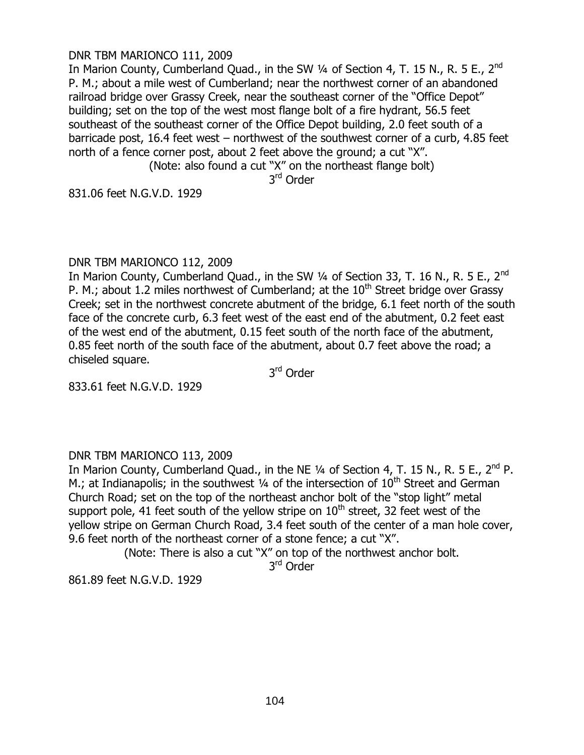## DNR TBM MARIONCO 111, 2009

In Marion County, Cumberland Quad., in the SW  $\frac{1}{4}$  of Section 4, T. 15 N., R. 5 E., 2<sup>nd</sup> P. M.; about a mile west of Cumberland; near the northwest corner of an abandoned railroad bridge over Grassy Creek, near the southeast corner of the "Office Depot" building; set on the top of the west most flange bolt of a fire hydrant, 56.5 feet southeast of the southeast corner of the Office Depot building, 2.0 feet south of a barricade post, 16.4 feet west – northwest of the southwest corner of a curb, 4.85 feet north of a fence corner post, about 2 feet above the ground; a cut "X".

(Note: also found a cut "X" on the northeast flange bolt)

3<sup>rd</sup> Order

831.06 feet N.G.V.D. 1929

# DNR TBM MARIONCO 112, 2009

In Marion County, Cumberland Quad., in the SW 1/4 of Section 33, T. 16 N., R. 5 E., 2<sup>nd</sup> P. M.; about 1.2 miles northwest of Cumberland; at the  $10<sup>th</sup>$  Street bridge over Grassy Creek; set in the northwest concrete abutment of the bridge, 6.1 feet north of the south face of the concrete curb, 6.3 feet west of the east end of the abutment, 0.2 feet east of the west end of the abutment, 0.15 feet south of the north face of the abutment, 0.85 feet north of the south face of the abutment, about 0.7 feet above the road; a chiseled square.

3<sup>rd</sup> Order

833.61 feet N.G.V.D. 1929

# DNR TBM MARIONCO 113, 2009

In Marion County, Cumberland Quad., in the NE  $\frac{1}{4}$  of Section 4, T. 15 N., R. 5 E., 2<sup>nd</sup> P. M.; at Indianapolis; in the southwest  $\frac{1}{4}$  of the intersection of  $10^{\text{th}}$  Street and German Church Road; set on the top of the northeast anchor bolt of the "stop light" metal support pole, 41 feet south of the yellow stripe on  $10<sup>th</sup>$  street, 32 feet west of the yellow stripe on German Church Road, 3.4 feet south of the center of a man hole cover, 9.6 feet north of the northeast corner of a stone fence; a cut "X".

(Note: There is also a cut "X" on top of the northwest anchor bolt.

3<sup>rd</sup> Order

861.89 feet N.G.V.D. 1929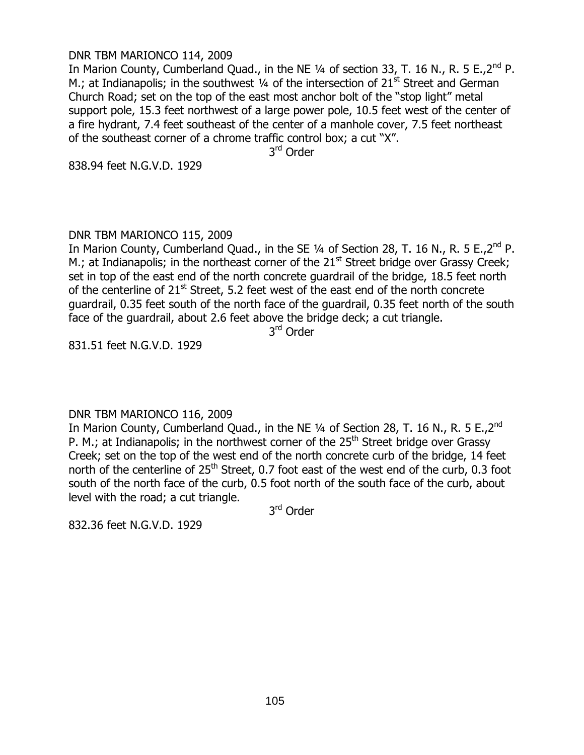## DNR TBM MARIONCO 114, 2009

In Marion County, Cumberland Quad., in the NE  $\frac{1}{4}$  of section 33, T. 16 N., R. 5 E., 2<sup>nd</sup> P. M.; at Indianapolis; in the southwest  $\frac{1}{4}$  of the intersection of 21<sup>st</sup> Street and German Church Road; set on the top of the east most anchor bolt of the "stop light" metal support pole, 15.3 feet northwest of a large power pole, 10.5 feet west of the center of a fire hydrant, 7.4 feet southeast of the center of a manhole cover, 7.5 feet northeast of the southeast corner of a chrome traffic control box; a cut "X".

3<sup>rd</sup> Order

838.94 feet N.G.V.D. 1929

# DNR TBM MARIONCO 115, 2009

In Marion County, Cumberland Quad., in the SE 1/4 of Section 28, T. 16 N., R. 5 E., 2<sup>nd</sup> P. M.; at Indianapolis; in the northeast corner of the 21<sup>st</sup> Street bridge over Grassy Creek; set in top of the east end of the north concrete guardrail of the bridge, 18.5 feet north of the centerline of 21<sup>st</sup> Street, 5.2 feet west of the east end of the north concrete guardrail, 0.35 feet south of the north face of the guardrail, 0.35 feet north of the south face of the guardrail, about 2.6 feet above the bridge deck; a cut triangle.

3<sup>rd</sup> Order

831.51 feet N.G.V.D. 1929

# DNR TBM MARIONCO 116, 2009

In Marion County, Cumberland Quad., in the NE 1/4 of Section 28, T. 16 N., R. 5 E.,2<sup>nd</sup> P. M.; at Indianapolis; in the northwest corner of the  $25<sup>th</sup>$  Street bridge over Grassy Creek; set on the top of the west end of the north concrete curb of the bridge, 14 feet north of the centerline of 25<sup>th</sup> Street, 0.7 foot east of the west end of the curb, 0.3 foot south of the north face of the curb, 0.5 foot north of the south face of the curb, about level with the road; a cut triangle.

3<sup>rd</sup> Order

832.36 feet N.G.V.D. 1929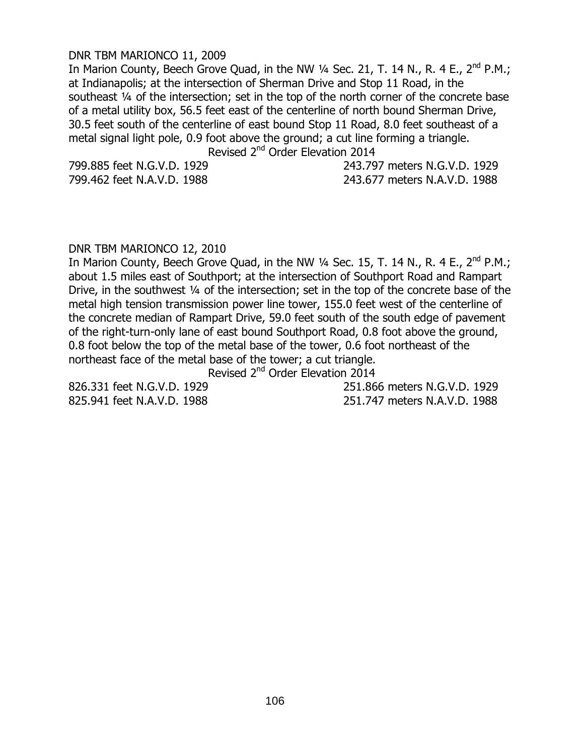#### DNR TBM MARIONCO 11, 2009

In Marion County, Beech Grove Quad, in the NW  $\frac{1}{4}$  Sec. 21, T. 14 N., R. 4 E., 2<sup>nd</sup> P.M.; at Indianapolis; at the intersection of Sherman Drive and Stop 11 Road, in the southeast ¼ of the intersection; set in the top of the north corner of the concrete base of a metal utility box, 56.5 feet east of the centerline of north bound Sherman Drive, 30.5 feet south of the centerline of east bound Stop 11 Road, 8.0 feet southeast of a metal signal light pole, 0.9 foot above the ground; a cut line forming a triangle.

Revised 2<sup>nd</sup> Order Elevation 2014

799.885 feet N.G.V.D. 1929 243.797 meters N.G.V.D. 1929 799.462 feet N.A.V.D. 1988 243.677 meters N.A.V.D. 1988

#### DNR TBM MARIONCO 12, 2010

In Marion County, Beech Grove Quad, in the NW  $\frac{1}{4}$  Sec. 15, T. 14 N., R. 4 E., 2<sup>nd</sup> P.M.; about 1.5 miles east of Southport; at the intersection of Southport Road and Rampart Drive, in the southwest ¼ of the intersection; set in the top of the concrete base of the metal high tension transmission power line tower, 155.0 feet west of the centerline of the concrete median of Rampart Drive, 59.0 feet south of the south edge of pavement of the right-turn-only lane of east bound Southport Road, 0.8 foot above the ground, 0.8 foot below the top of the metal base of the tower, 0.6 foot northeast of the northeast face of the metal base of the tower; a cut triangle.

Revised 2<sup>nd</sup> Order Elevation 2014

826.331 feet N.G.V.D. 1929 251.866 meters N.G.V.D. 1929 825.941 feet N.A.V.D. 1988 251.747 meters N.A.V.D. 1988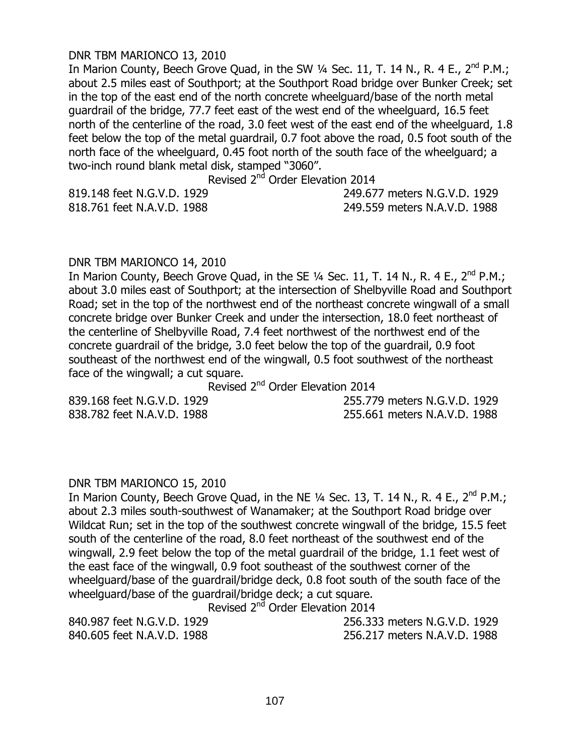#### DNR TBM MARIONCO 13, 2010

In Marion County, Beech Grove Quad, in the SW  $\frac{1}{4}$  Sec. 11, T. 14 N., R. 4 E.,  $2^{nd}$  P.M.; about 2.5 miles east of Southport; at the Southport Road bridge over Bunker Creek; set in the top of the east end of the north concrete wheelguard/base of the north metal guardrail of the bridge, 77.7 feet east of the west end of the wheelguard, 16.5 feet north of the centerline of the road, 3.0 feet west of the east end of the wheelguard, 1.8 feet below the top of the metal guardrail, 0.7 foot above the road, 0.5 foot south of the north face of the wheelguard, 0.45 foot north of the south face of the wheelguard; a two-inch round blank metal disk, stamped "3060".

Revised 2<sup>nd</sup> Order Elevation 2014

819.148 feet N.G.V.D. 1929 249.677 meters N.G.V.D. 1929 818.761 feet N.A.V.D. 1988 249.559 meters N.A.V.D. 1988

#### DNR TBM MARIONCO 14, 2010

In Marion County, Beech Grove Quad, in the SE  $\frac{1}{4}$  Sec. 11, T. 14 N., R. 4 E., 2<sup>nd</sup> P.M.; about 3.0 miles east of Southport; at the intersection of Shelbyville Road and Southport Road; set in the top of the northwest end of the northeast concrete wingwall of a small concrete bridge over Bunker Creek and under the intersection, 18.0 feet northeast of the centerline of Shelbyville Road, 7.4 feet northwest of the northwest end of the concrete guardrail of the bridge, 3.0 feet below the top of the guardrail, 0.9 foot southeast of the northwest end of the wingwall, 0.5 foot southwest of the northeast face of the wingwall; a cut square.

Revised 2nd Order Elevation 2014

839.168 feet N.G.V.D. 1929 255.779 meters N.G.V.D. 1929 838.782 feet N.A.V.D. 1988 255.661 meters N.A.V.D. 1988

### DNR TBM MARIONCO 15, 2010

In Marion County, Beech Grove Quad, in the NE  $\frac{1}{4}$  Sec. 13, T. 14 N., R. 4 E., 2<sup>nd</sup> P.M.; about 2.3 miles south-southwest of Wanamaker; at the Southport Road bridge over Wildcat Run; set in the top of the southwest concrete wingwall of the bridge, 15.5 feet south of the centerline of the road, 8.0 feet northeast of the southwest end of the wingwall, 2.9 feet below the top of the metal guardrail of the bridge, 1.1 feet west of the east face of the wingwall, 0.9 foot southeast of the southwest corner of the wheelguard/base of the guardrail/bridge deck, 0.8 foot south of the south face of the wheelguard/base of the guardrail/bridge deck; a cut square.

Revised 2<sup>nd</sup> Order Elevation 2014

840.987 feet N.G.V.D. 1929 256.333 meters N.G.V.D. 1929 840.605 feet N.A.V.D. 1988 256.217 meters N.A.V.D. 1988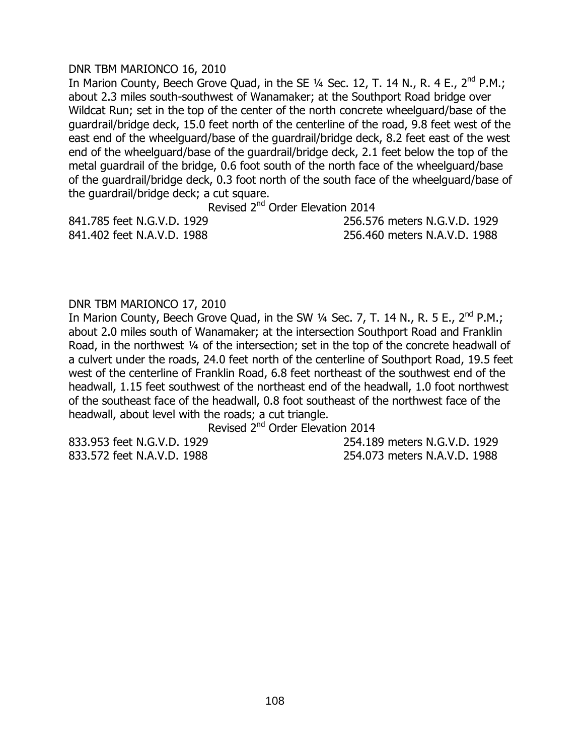# DNR TBM MARIONCO 16, 2010

In Marion County, Beech Grove Quad, in the SE  $\frac{1}{4}$  Sec. 12, T. 14 N., R. 4 E., 2<sup>nd</sup> P.M.; about 2.3 miles south-southwest of Wanamaker; at the Southport Road bridge over Wildcat Run; set in the top of the center of the north concrete wheelguard/base of the guardrail/bridge deck, 15.0 feet north of the centerline of the road, 9.8 feet west of the east end of the wheelguard/base of the guardrail/bridge deck, 8.2 feet east of the west end of the wheelguard/base of the guardrail/bridge deck, 2.1 feet below the top of the metal guardrail of the bridge, 0.6 foot south of the north face of the wheelguard/base of the guardrail/bridge deck, 0.3 foot north of the south face of the wheelguard/base of the guardrail/bridge deck; a cut square.

Revised 2nd Order Elevation 2014

841.785 feet N.G.V.D. 1929 256.576 meters N.G.V.D. 1929 841.402 feet N.A.V.D. 1988 256.460 meters N.A.V.D. 1988

# DNR TBM MARIONCO 17, 2010

In Marion County, Beech Grove Quad, in the SW 1/4 Sec. 7, T. 14 N., R. 5 E., 2<sup>nd</sup> P.M.; about 2.0 miles south of Wanamaker; at the intersection Southport Road and Franklin Road, in the northwest 1/4 of the intersection; set in the top of the concrete headwall of a culvert under the roads, 24.0 feet north of the centerline of Southport Road, 19.5 feet west of the centerline of Franklin Road, 6.8 feet northeast of the southwest end of the headwall, 1.15 feet southwest of the northeast end of the headwall, 1.0 foot northwest of the southeast face of the headwall, 0.8 foot southeast of the northwest face of the headwall, about level with the roads; a cut triangle.

Revised 2nd Order Elevation 2014

833.953 feet N.G.V.D. 1929 254.189 meters N.G.V.D. 1929 833.572 feet N.A.V.D. 1988 254.073 meters N.A.V.D. 1988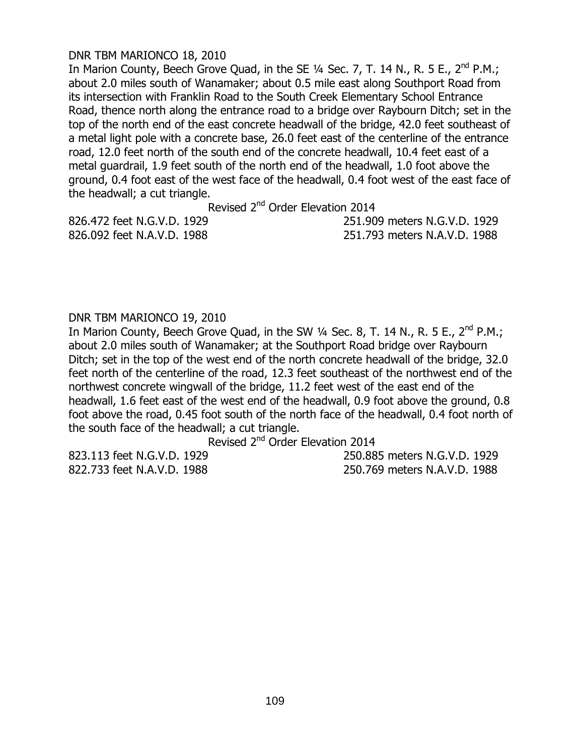# DNR TBM MARIONCO 18, 2010

In Marion County, Beech Grove Quad, in the SE  $\frac{1}{4}$  Sec. 7, T. 14 N., R. 5 E., 2<sup>nd</sup> P.M.; about 2.0 miles south of Wanamaker; about 0.5 mile east along Southport Road from its intersection with Franklin Road to the South Creek Elementary School Entrance Road, thence north along the entrance road to a bridge over Raybourn Ditch; set in the top of the north end of the east concrete headwall of the bridge, 42.0 feet southeast of a metal light pole with a concrete base, 26.0 feet east of the centerline of the entrance road, 12.0 feet north of the south end of the concrete headwall, 10.4 feet east of a metal guardrail, 1.9 feet south of the north end of the headwall, 1.0 foot above the ground, 0.4 foot east of the west face of the headwall, 0.4 foot west of the east face of the headwall; a cut triangle.

Revised 2<sup>nd</sup> Order Elevation 2014

826.472 feet N.G.V.D. 1929 251.909 meters N.G.V.D. 1929 826.092 feet N.A.V.D. 1988 251.793 meters N.A.V.D. 1988

# DNR TBM MARIONCO 19, 2010

In Marion County, Beech Grove Quad, in the SW  $\frac{1}{4}$  Sec. 8, T. 14 N., R. 5 E., 2<sup>nd</sup> P.M.; about 2.0 miles south of Wanamaker; at the Southport Road bridge over Raybourn Ditch; set in the top of the west end of the north concrete headwall of the bridge, 32.0 feet north of the centerline of the road, 12.3 feet southeast of the northwest end of the northwest concrete wingwall of the bridge, 11.2 feet west of the east end of the headwall, 1.6 feet east of the west end of the headwall, 0.9 foot above the ground, 0.8 foot above the road, 0.45 foot south of the north face of the headwall, 0.4 foot north of the south face of the headwall; a cut triangle.

Revised 2nd Order Elevation 2014

823.113 feet N.G.V.D. 1929 250.885 meters N.G.V.D. 1929 822.733 feet N.A.V.D. 1988 250.769 meters N.A.V.D. 1988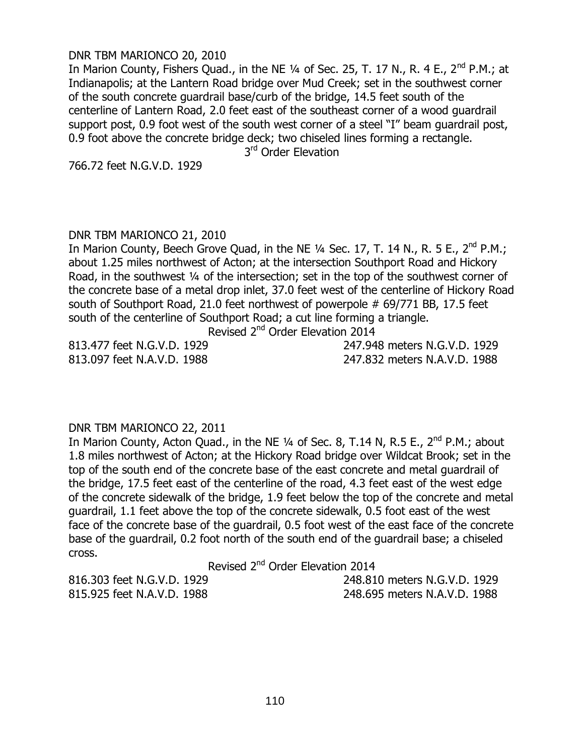## DNR TBM MARIONCO 20, 2010

In Marion County, Fishers Quad., in the NE  $\frac{1}{4}$  of Sec. 25, T. 17 N., R. 4 E., 2<sup>nd</sup> P.M.; at Indianapolis; at the Lantern Road bridge over Mud Creek; set in the southwest corner of the south concrete guardrail base/curb of the bridge, 14.5 feet south of the centerline of Lantern Road, 2.0 feet east of the southeast corner of a wood guardrail support post, 0.9 foot west of the south west corner of a steel "I" beam guardrail post, 0.9 foot above the concrete bridge deck; two chiseled lines forming a rectangle.

3<sup>rd</sup> Order Elevation

766.72 feet N.G.V.D. 1929

# DNR TBM MARIONCO 21, 2010

In Marion County, Beech Grove Quad, in the NE 1/4 Sec. 17, T. 14 N., R. 5 E., 2<sup>nd</sup> P.M.; about 1.25 miles northwest of Acton; at the intersection Southport Road and Hickory Road, in the southwest ¼ of the intersection; set in the top of the southwest corner of the concrete base of a metal drop inlet, 37.0 feet west of the centerline of Hickory Road south of Southport Road, 21.0 feet northwest of powerpole # 69/771 BB, 17.5 feet south of the centerline of Southport Road; a cut line forming a triangle.

Revised 2nd Order Elevation 2014

813.477 feet N.G.V.D. 1929 247.948 meters N.G.V.D. 1929 813.097 feet N.A.V.D. 1988 247.832 meters N.A.V.D. 1988

#### DNR TBM MARIONCO 22, 2011

In Marion County, Acton Quad., in the NE 1/4 of Sec. 8, T.14 N, R.5 E., 2<sup>nd</sup> P.M.; about 1.8 miles northwest of Acton; at the Hickory Road bridge over Wildcat Brook; set in the top of the south end of the concrete base of the east concrete and metal guardrail of the bridge, 17.5 feet east of the centerline of the road, 4.3 feet east of the west edge of the concrete sidewalk of the bridge, 1.9 feet below the top of the concrete and metal guardrail, 1.1 feet above the top of the concrete sidewalk, 0.5 foot east of the west face of the concrete base of the guardrail, 0.5 foot west of the east face of the concrete base of the guardrail, 0.2 foot north of the south end of the guardrail base; a chiseled cross.

Revised 2<sup>nd</sup> Order Elevation 2014

816.303 feet N.G.V.D. 1929 248.810 meters N.G.V.D. 1929 815.925 feet N.A.V.D. 1988 248.695 meters N.A.V.D. 1988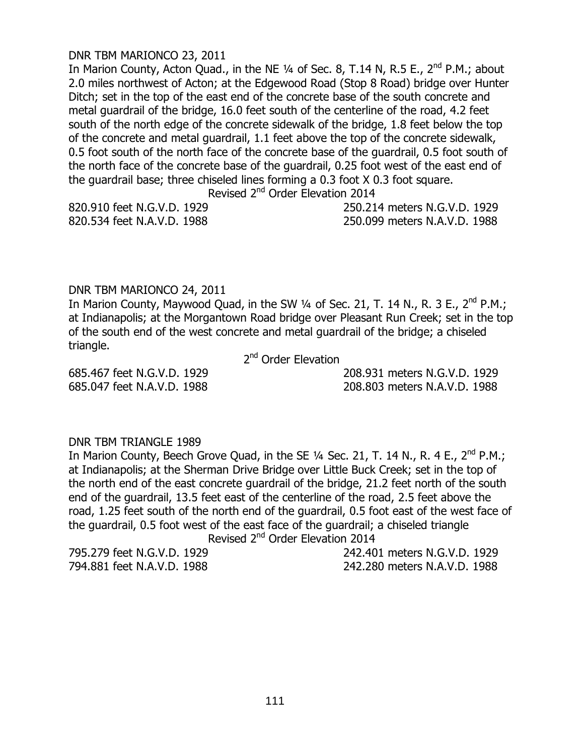## DNR TBM MARIONCO 23, 2011

In Marion County, Acton Quad., in the NE 1/4 of Sec. 8, T.14 N, R.5 E., 2<sup>nd</sup> P.M.; about 2.0 miles northwest of Acton; at the Edgewood Road (Stop 8 Road) bridge over Hunter Ditch; set in the top of the east end of the concrete base of the south concrete and metal guardrail of the bridge, 16.0 feet south of the centerline of the road, 4.2 feet south of the north edge of the concrete sidewalk of the bridge, 1.8 feet below the top of the concrete and metal guardrail, 1.1 feet above the top of the concrete sidewalk, 0.5 foot south of the north face of the concrete base of the guardrail, 0.5 foot south of the north face of the concrete base of the guardrail, 0.25 foot west of the east end of the guardrail base; three chiseled lines forming a 0.3 foot X 0.3 foot square.

Revised 2nd Order Elevation 2014

820.910 feet N.G.V.D. 1929 250.214 meters N.G.V.D. 1929 820.534 feet N.A.V.D. 1988 250.099 meters N.A.V.D. 1988

# DNR TBM MARIONCO 24, 2011

In Marion County, Maywood Quad, in the SW 1/4 of Sec. 21, T. 14 N., R. 3 E., 2<sup>nd</sup> P.M.; at Indianapolis; at the Morgantown Road bridge over Pleasant Run Creek; set in the top of the south end of the west concrete and metal guardrail of the bridge; a chiseled triangle.

2<sup>nd</sup> Order Elevation

685.467 feet N.G.V.D. 1929 208.931 meters N.G.V.D. 1929 685.047 feet N.A.V.D. 1988 208.803 meters N.A.V.D. 1988

# DNR TBM TRIANGLE 1989

In Marion County, Beech Grove Quad, in the SE  $1/4$  Sec. 21, T. 14 N., R. 4 E., 2<sup>nd</sup> P.M.: at Indianapolis; at the Sherman Drive Bridge over Little Buck Creek; set in the top of the north end of the east concrete guardrail of the bridge, 21.2 feet north of the south end of the guardrail, 13.5 feet east of the centerline of the road, 2.5 feet above the road, 1.25 feet south of the north end of the guardrail, 0.5 foot east of the west face of the guardrail, 0.5 foot west of the east face of the guardrail; a chiseled triangle Revised 2nd Order Elevation 2014

795.279 feet N.G.V.D. 1929 242.401 meters N.G.V.D. 1929 794.881 feet N.A.V.D. 1988 242.280 meters N.A.V.D. 1988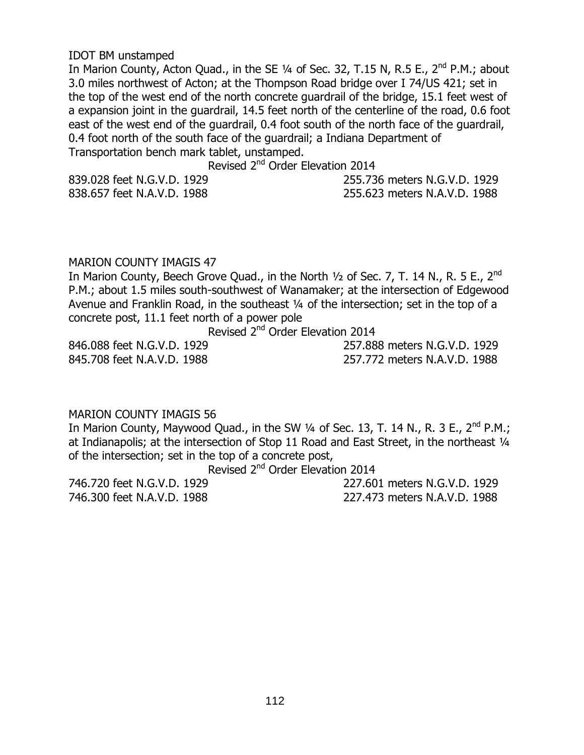#### IDOT BM unstamped

In Marion County, Acton Quad., in the SE  $\frac{1}{4}$  of Sec. 32, T.15 N, R.5 E., 2<sup>nd</sup> P.M.; about 3.0 miles northwest of Acton; at the Thompson Road bridge over I 74/US 421; set in the top of the west end of the north concrete guardrail of the bridge, 15.1 feet west of a expansion joint in the guardrail, 14.5 feet north of the centerline of the road, 0.6 foot east of the west end of the guardrail, 0.4 foot south of the north face of the guardrail, 0.4 foot north of the south face of the guardrail; a Indiana Department of Transportation bench mark tablet, unstamped.

Revised 2<sup>nd</sup> Order Elevation 2014

| 839.028 feet N.G.V.D. 1929 | 255.736 meters N.G.V.D. 1929 |
|----------------------------|------------------------------|
| 838.657 feet N.A.V.D. 1988 | 255.623 meters N.A.V.D. 1988 |

#### MARION COUNTY IMAGIS 47

In Marion County, Beech Grove Quad., in the North  $\frac{1}{2}$  of Sec. 7, T. 14 N., R. 5 E., 2<sup>nd</sup> P.M.; about 1.5 miles south-southwest of Wanamaker; at the intersection of Edgewood Avenue and Franklin Road, in the southeast ¼ of the intersection; set in the top of a concrete post, 11.1 feet north of a power pole

Revised 2nd Order Elevation 2014

845.708 feet N.A.V.D. 1988 257.772 meters N.A.V.D. 1988

846.088 feet N.G.V.D. 1929 257.888 meters N.G.V.D. 1929

# MARION COUNTY IMAGIS 56

In Marion County, Maywood Quad., in the SW  $\frac{1}{4}$  of Sec. 13, T. 14 N., R. 3 E., 2<sup>nd</sup> P.M.; at Indianapolis; at the intersection of Stop 11 Road and East Street, in the northeast 1/4 of the intersection; set in the top of a concrete post,

Revised 2nd Order Elevation 2014

746.720 feet N.G.V.D. 1929 227.601 meters N.G.V.D. 1929 746.300 feet N.A.V.D. 1988 227.473 meters N.A.V.D. 1988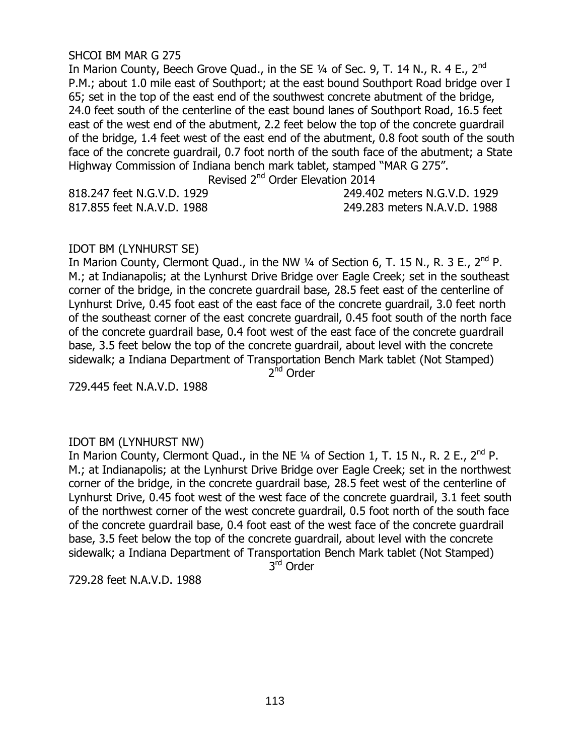#### SHCOI BM MAR G 275

In Marion County, Beech Grove Quad., in the SE 1/4 of Sec. 9, T. 14 N., R. 4 E., 2<sup>nd</sup> P.M.; about 1.0 mile east of Southport; at the east bound Southport Road bridge over I 65; set in the top of the east end of the southwest concrete abutment of the bridge, 24.0 feet south of the centerline of the east bound lanes of Southport Road, 16.5 feet east of the west end of the abutment, 2.2 feet below the top of the concrete guardrail of the bridge, 1.4 feet west of the east end of the abutment, 0.8 foot south of the south face of the concrete guardrail, 0.7 foot north of the south face of the abutment; a State Highway Commission of Indiana bench mark tablet, stamped "MAR G 275".

Revised 2nd Order Elevation 2014

| 818.247 feet N.G.V.D. 1929 | 249.402 meters N.G.V.D. 1929 |
|----------------------------|------------------------------|
| 817.855 feet N.A.V.D. 1988 | 249.283 meters N.A.V.D. 1988 |

#### IDOT BM (LYNHURST SE)

In Marion County, Clermont Quad., in the NW  $\frac{1}{4}$  of Section 6, T. 15 N., R. 3 E., 2<sup>nd</sup> P. M.; at Indianapolis; at the Lynhurst Drive Bridge over Eagle Creek; set in the southeast corner of the bridge, in the concrete guardrail base, 28.5 feet east of the centerline of Lynhurst Drive, 0.45 foot east of the east face of the concrete guardrail, 3.0 feet north of the southeast corner of the east concrete guardrail, 0.45 foot south of the north face of the concrete guardrail base, 0.4 foot west of the east face of the concrete guardrail base, 3.5 feet below the top of the concrete guardrail, about level with the concrete sidewalk; a Indiana Department of Transportation Bench Mark tablet (Not Stamped)

2<sup>nd</sup> Order

729.445 feet N.A.V.D. 1988

# IDOT BM (LYNHURST NW)

In Marion County, Clermont Quad., in the NE  $\frac{1}{4}$  of Section 1, T. 15 N., R. 2 E., 2<sup>nd</sup> P. M.; at Indianapolis; at the Lynhurst Drive Bridge over Eagle Creek; set in the northwest corner of the bridge, in the concrete guardrail base, 28.5 feet west of the centerline of Lynhurst Drive, 0.45 foot west of the west face of the concrete guardrail, 3.1 feet south of the northwest corner of the west concrete guardrail, 0.5 foot north of the south face of the concrete guardrail base, 0.4 foot east of the west face of the concrete guardrail base, 3.5 feet below the top of the concrete guardrail, about level with the concrete sidewalk; a Indiana Department of Transportation Bench Mark tablet (Not Stamped)

3<sup>rd</sup> Order

729.28 feet N.A.V.D. 1988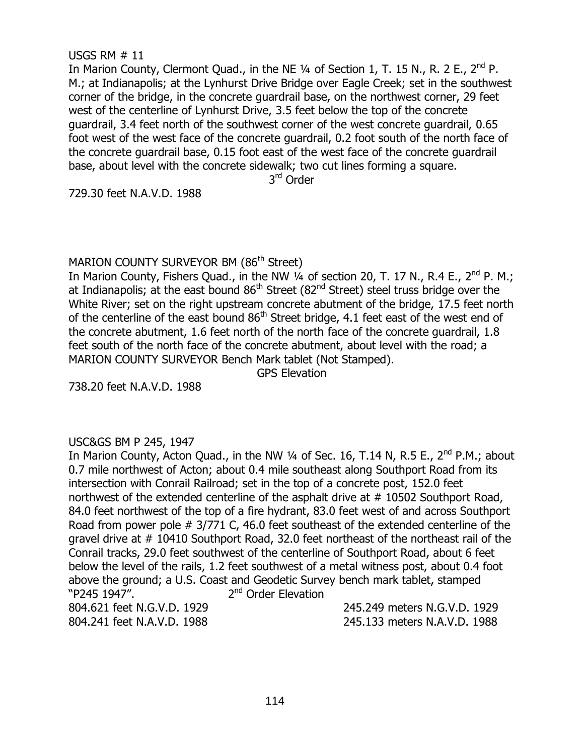# 114

USC&GS BM P 245, 1947 In Marion County, Acton Quad., in the NW  $\frac{1}{4}$  of Sec. 16, T.14 N, R.5 E., 2<sup>nd</sup> P.M.: about 0.7 mile northwest of Acton; about 0.4 mile southeast along Southport Road from its intersection with Conrail Railroad; set in the top of a concrete post, 152.0 feet northwest of the extended centerline of the asphalt drive at #10502 Southport Road, 84.0 feet northwest of the top of a fire hydrant, 83.0 feet west of and across Southport Road from power pole # 3/771 C, 46.0 feet southeast of the extended centerline of the gravel drive at # 10410 Southport Road, 32.0 feet northeast of the northeast rail of the Conrail tracks, 29.0 feet southwest of the centerline of Southport Road, about 6 feet below the level of the rails, 1.2 feet southwest of a metal witness post, about 0.4 foot above the ground; a U.S. Coast and Geodetic Survey bench mark tablet, stamped "P245 1947". 2  $2<sup>nd</sup>$  Order Elevation 804.621 feet N.G.V.D. 1929 245.249 meters N.G.V.D. 1929 804.241 feet N.A.V.D. 1988 245.133 meters N.A.V.D. 1988

MARION COUNTY SURVEYOR BM (86<sup>th</sup> Street) In Marion County, Fishers Quad., in the NW 1/4 of section 20, T. 17 N., R.4 E., 2<sup>nd</sup> P. M.; at Indianapolis; at the east bound  $86<sup>th</sup>$  Street ( $82<sup>nd</sup>$  Street) steel truss bridge over the White River; set on the right upstream concrete abutment of the bridge, 17.5 feet north of the centerline of the east bound 86<sup>th</sup> Street bridge, 4.1 feet east of the west end of the concrete abutment, 1.6 feet north of the north face of the concrete guardrail, 1.8 feet south of the north face of the concrete abutment, about level with the road; a MARION COUNTY SURVEYOR Bench Mark tablet (Not Stamped). GPS Elevation

729.30 feet N.A.V.D. 1988

738.20 feet N.A.V.D. 1988

3<sup>rd</sup> Order

USGS RM # 11 In Marion County, Clermont Quad., in the NE  $\frac{1}{4}$  of Section 1, T. 15 N., R. 2 E., 2<sup>nd</sup> P. M.; at Indianapolis; at the Lynhurst Drive Bridge over Eagle Creek; set in the southwest corner of the bridge, in the concrete guardrail base, on the northwest corner, 29 feet west of the centerline of Lynhurst Drive, 3.5 feet below the top of the concrete guardrail, 3.4 feet north of the southwest corner of the west concrete guardrail, 0.65 foot west of the west face of the concrete guardrail, 0.2 foot south of the north face of the concrete guardrail base, 0.15 foot east of the west face of the concrete guardrail base, about level with the concrete sidewalk; two cut lines forming a square.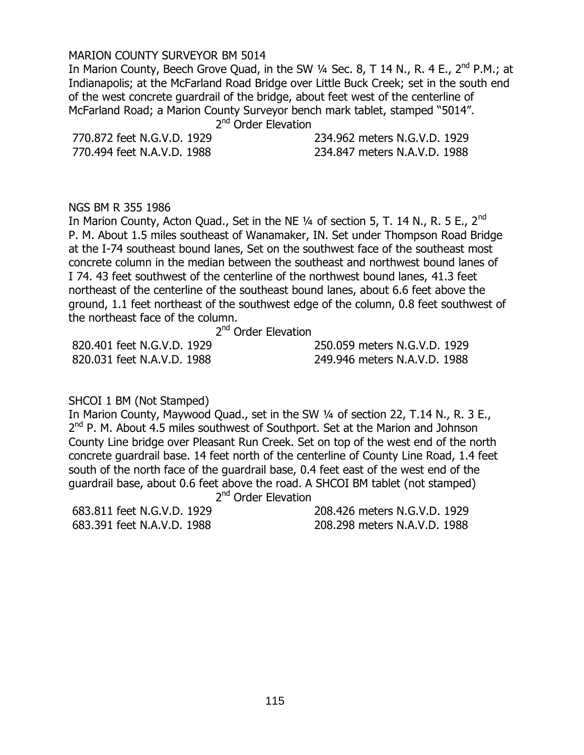#### MARION COUNTY SURVEYOR BM 5014

In Marion County, Beech Grove Quad, in the SW  $\frac{1}{4}$  Sec. 8, T 14 N., R. 4 E., 2<sup>nd</sup> P.M.; at Indianapolis; at the McFarland Road Bridge over Little Buck Creek; set in the south end of the west concrete guardrail of the bridge, about feet west of the centerline of McFarland Road; a Marion County Surveyor bench mark tablet, stamped "5014". 2

2<sup>nd</sup> Order Elevation

770.872 feet N.G.V.D. 1929 234.962 meters N.G.V.D. 1929 770.494 feet N.A.V.D. 1988 234.847 meters N.A.V.D. 1988

NGS BM R 355 1986

In Marion County, Acton Quad., Set in the NE  $\frac{1}{4}$  of section 5, T. 14 N., R. 5 E., 2<sup>nd</sup> P. M. About 1.5 miles southeast of Wanamaker, IN. Set under Thompson Road Bridge at the I-74 southeast bound lanes, Set on the southwest face of the southeast most concrete column in the median between the southeast and northwest bound lanes of I 74. 43 feet southwest of the centerline of the northwest bound lanes, 41.3 feet northeast of the centerline of the southeast bound lanes, about 6.6 feet above the ground, 1.1 feet northeast of the southwest edge of the column, 0.8 feet southwest of the northeast face of the column.

 2 2<sup>nd</sup> Order Elevation

| 820.401 feet N.G.V.D. 1929 | 250.059 meters N.G.V.D. 1929 |
|----------------------------|------------------------------|
| 820.031 feet N.A.V.D. 1988 | 249.946 meters N.A.V.D. 1988 |

# SHCOI 1 BM (Not Stamped)

In Marion County, Maywood Quad., set in the SW ¼ of section 22, T.14 N., R. 3 E., 2<sup>nd</sup> P. M. About 4.5 miles southwest of Southport. Set at the Marion and Johnson County Line bridge over Pleasant Run Creek. Set on top of the west end of the north concrete guardrail base. 14 feet north of the centerline of County Line Road, 1.4 feet south of the north face of the guardrail base, 0.4 feet east of the west end of the guardrail base, about 0.6 feet above the road. A SHCOI BM tablet (not stamped) 2

 $2<sup>nd</sup>$  Order Elevation

683.811 feet N.G.V.D. 1929 208.426 meters N.G.V.D. 1929 683.391 feet N.A.V.D. 1988 208.298 meters N.A.V.D. 1988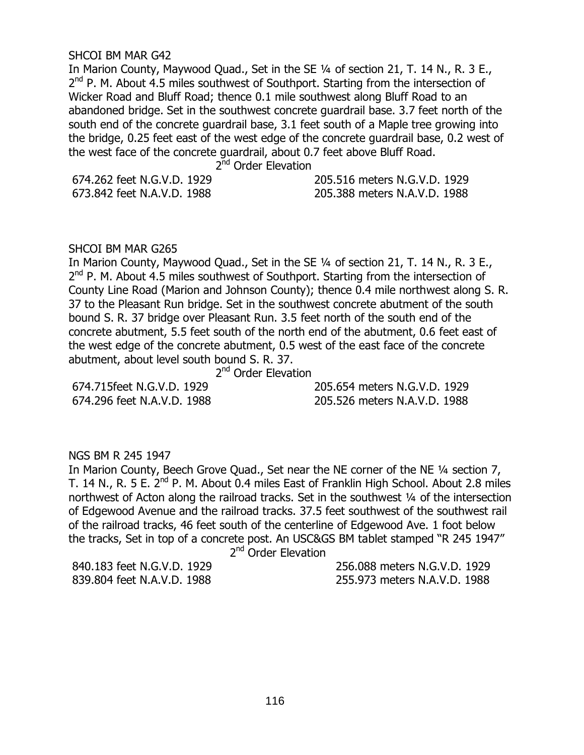#### SHCOI BM MAR G42

In Marion County, Maywood Quad., Set in the SE ¼ of section 21, T. 14 N., R. 3 E., 2<sup>nd</sup> P. M. About 4.5 miles southwest of Southport. Starting from the intersection of Wicker Road and Bluff Road; thence 0.1 mile southwest along Bluff Road to an abandoned bridge. Set in the southwest concrete guardrail base. 3.7 feet north of the south end of the concrete guardrail base, 3.1 feet south of a Maple tree growing into the bridge, 0.25 feet east of the west edge of the concrete guardrail base, 0.2 west of the west face of the concrete guardrail, about 0.7 feet above Bluff Road.

 2 2<sup>nd</sup> Order Elevation

674.262 feet N.G.V.D. 1929 205.516 meters N.G.V.D. 1929 673.842 feet N.A.V.D. 1988 205.388 meters N.A.V.D. 1988

#### SHCOI BM MAR G265

In Marion County, Maywood Quad., Set in the SE ¼ of section 21, T. 14 N., R. 3 E., 2<sup>nd</sup> P. M. About 4.5 miles southwest of Southport. Starting from the intersection of County Line Road (Marion and Johnson County); thence 0.4 mile northwest along S. R. 37 to the Pleasant Run bridge. Set in the southwest concrete abutment of the south bound S. R. 37 bridge over Pleasant Run. 3.5 feet north of the south end of the concrete abutment, 5.5 feet south of the north end of the abutment, 0.6 feet east of the west edge of the concrete abutment, 0.5 west of the east face of the concrete abutment, about level south bound S. R. 37.

 2 2<sup>nd</sup> Order Elevation

674.715feet N.G.V.D. 1929 205.654 meters N.G.V.D. 1929 674.296 feet N.A.V.D. 1988 205.526 meters N.A.V.D. 1988

# NGS BM R 245 1947

In Marion County, Beech Grove Quad., Set near the NE corner of the NE ¼ section 7, T. 14 N., R. 5 E. 2<sup>nd</sup> P. M. About 0.4 miles East of Franklin High School. About 2.8 miles northwest of Acton along the railroad tracks. Set in the southwest ¼ of the intersection of Edgewood Avenue and the railroad tracks. 37.5 feet southwest of the southwest rail of the railroad tracks, 46 feet south of the centerline of Edgewood Ave. 1 foot below the tracks, Set in top of a concrete post. An USC&GS BM tablet stamped "R 245 1947" 2

 $2<sup>nd</sup>$  Order Elevation

840.183 feet N.G.V.D. 1929 256.088 meters N.G.V.D. 1929 839.804 feet N.A.V.D. 1988 255.973 meters N.A.V.D. 1988